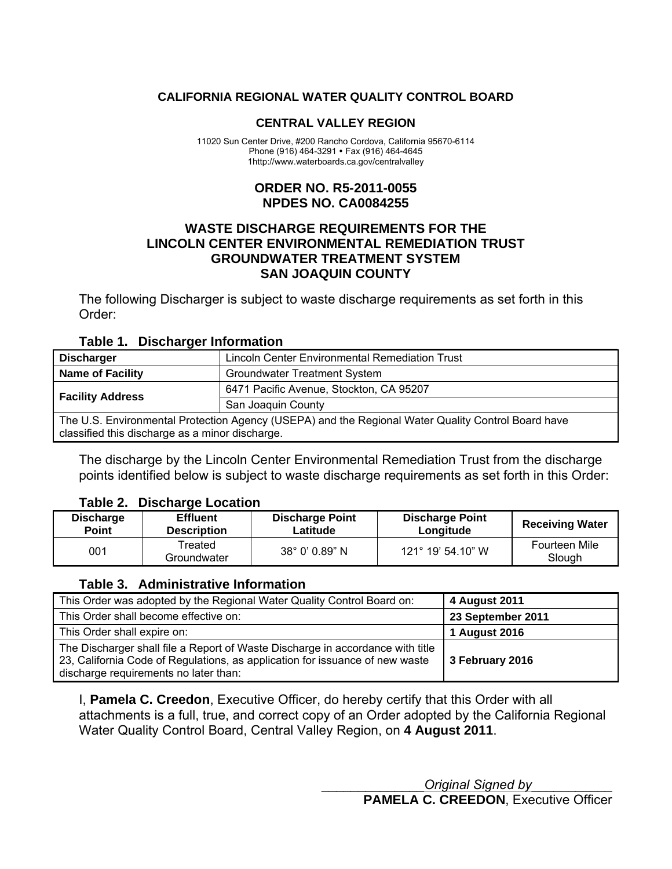## <span id="page-0-0"></span>**CALIFORNIA REGIONAL WATER QUALITY CONTROL BOARD**

#### **CENTRAL VALLEY REGION**

11020 Sun Center Drive, #200 Rancho Cordova, California 95670-6114 Phone (916) 464-3291 • Fax (916) 464-4645 1http://www.waterboards.ca.gov/centralvalley

## **ORDER NO. R5-2011-0055 NPDES NO. CA0084255**

## **WASTE DISCHARGE REQUIREMENTS FOR THE LINCOLN CENTER ENVIRONMENTAL REMEDIATION TRUST GROUNDWATER TREATMENT SYSTEM SAN JOAQUIN COUNTY**

The following Discharger is subject to waste discharge requirements as set forth in this Order:

#### **Table 1. Discharger Information**

| Lincoln Center Environmental Remediation Trust<br><b>Discharger</b>                                                                                   |                                         |  |  |
|-------------------------------------------------------------------------------------------------------------------------------------------------------|-----------------------------------------|--|--|
| <b>Name of Facility</b><br><b>Groundwater Treatment System</b>                                                                                        |                                         |  |  |
|                                                                                                                                                       | 6471 Pacific Avenue, Stockton, CA 95207 |  |  |
| <b>Facility Address</b>                                                                                                                               | San Joaquin County                      |  |  |
| The U.S. Environmental Protection Agency (USEPA) and the Regional Water Quality Control Board have<br>classified this discharge as a minor discharge. |                                         |  |  |

The discharge by the Lincoln Center Environmental Remediation Trust from the discharge points identified below is subject to waste discharge requirements as set forth in this Order:

#### **Table 2. Discharge Location**

| <b>Discharge</b> | <b>Effluent</b>        | <b>Discharge Point</b> | <b>Discharge Point</b> | <b>Receiving Water</b>  |
|------------------|------------------------|------------------------|------------------------|-------------------------|
| <b>Point</b>     | <b>Description</b>     | ∟atitude               | Longitude              |                         |
| 001              | Treated<br>Groundwater | 38° 0' 0.89" N         | 121° 19' 54.10" W      | Fourteen Mile<br>Slough |

## **Table 3. Administrative Information**

| This Order was adopted by the Regional Water Quality Control Board on:                                                                                                                                  | 4 August 2011        |
|---------------------------------------------------------------------------------------------------------------------------------------------------------------------------------------------------------|----------------------|
| This Order shall become effective on:                                                                                                                                                                   | 23 September 2011    |
| This Order shall expire on:                                                                                                                                                                             | <b>1 August 2016</b> |
| The Discharger shall file a Report of Waste Discharge in accordance with title<br>23, California Code of Regulations, as application for issuance of new waste<br>discharge requirements no later than: | 3 February 2016      |

I, **Pamela C. Creedon**, Executive Officer, do hereby certify that this Order with all attachments is a full, true, and correct copy of an Order adopted by the California Regional Water Quality Control Board, Central Valley Region, on **4 August 2011**.

> \_\_\_\_\_\_\_\_\_\_\_\_\_\_*Original Signed by*\_\_\_\_\_\_\_\_\_\_\_ **PAMELA C. CREEDON**, Executive Officer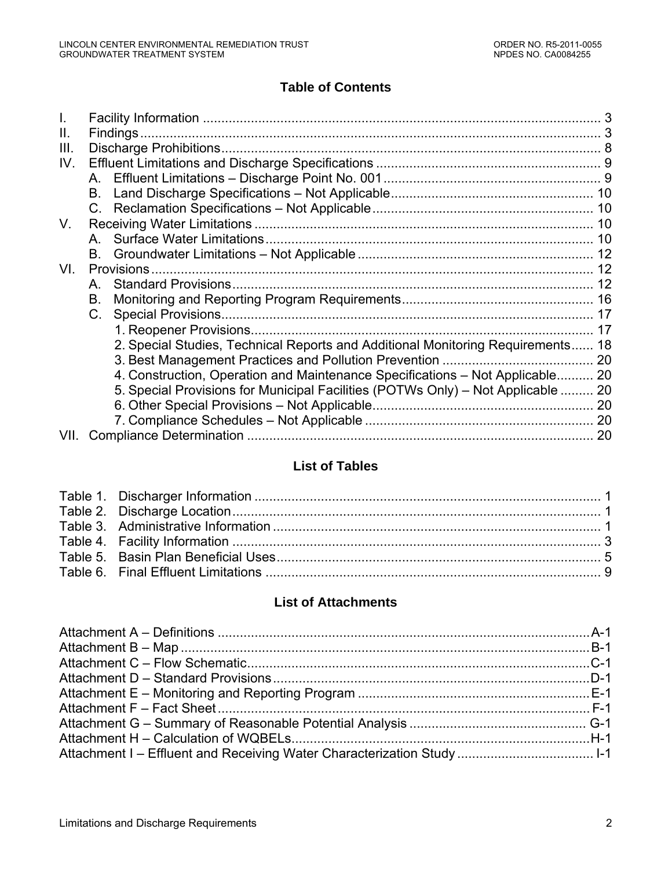# **Table of Contents**

| H.   |                                                                                  |    |
|------|----------------------------------------------------------------------------------|----|
| III. |                                                                                  |    |
| IV.  |                                                                                  |    |
|      |                                                                                  |    |
|      |                                                                                  |    |
|      |                                                                                  |    |
| V.   |                                                                                  |    |
|      |                                                                                  |    |
|      |                                                                                  |    |
| VI.  |                                                                                  |    |
|      | A                                                                                |    |
|      | В.                                                                               |    |
|      |                                                                                  |    |
|      |                                                                                  | 17 |
|      | 2. Special Studies, Technical Reports and Additional Monitoring Requirements 18  |    |
|      |                                                                                  |    |
|      | 4. Construction, Operation and Maintenance Specifications - Not Applicable 20    |    |
|      | 5. Special Provisions for Municipal Facilities (POTWs Only) – Not Applicable  20 |    |
|      |                                                                                  |    |
|      |                                                                                  |    |
| VII. |                                                                                  |    |

# **List of Tables**

# **List of Attachments**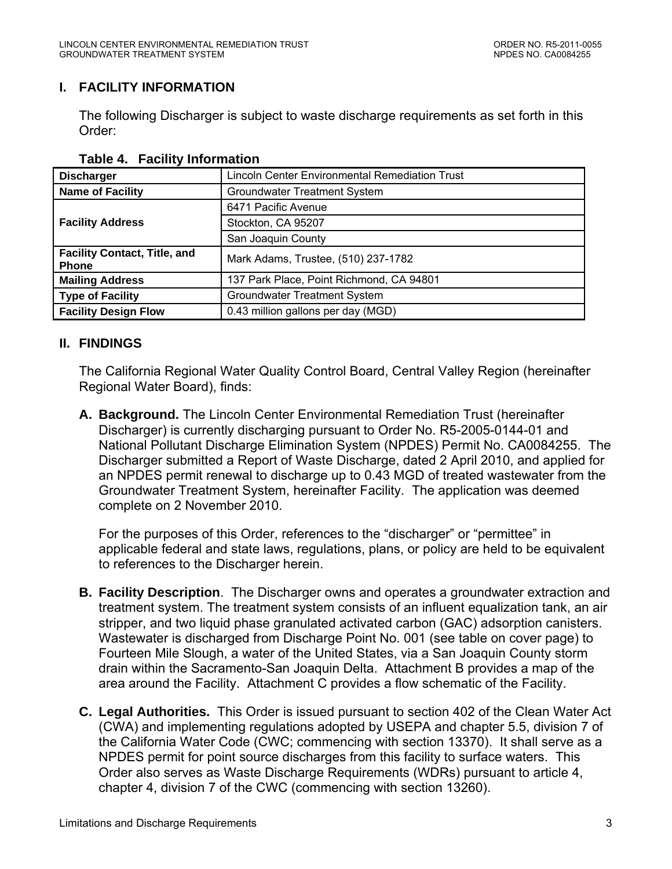## <span id="page-2-0"></span>**I. FACILITY INFORMATION**

The following Discharger is subject to waste discharge requirements as set forth in this Order:

| <b>Discharger</b>                                   | <b>Lincoln Center Environmental Remediation Trust</b> |  |
|-----------------------------------------------------|-------------------------------------------------------|--|
| <b>Name of Facility</b>                             | Groundwater Treatment System                          |  |
|                                                     | 6471 Pacific Avenue                                   |  |
| <b>Facility Address</b>                             | Stockton, CA 95207                                    |  |
|                                                     | San Joaquin County                                    |  |
| <b>Facility Contact, Title, and</b><br><b>Phone</b> | Mark Adams, Trustee, (510) 237-1782                   |  |
| <b>Mailing Address</b>                              | 137 Park Place, Point Richmond, CA 94801              |  |
| <b>Type of Facility</b>                             | <b>Groundwater Treatment System</b>                   |  |
| <b>Facility Design Flow</b>                         | 0.43 million gallons per day (MGD)                    |  |

#### **Table 4. Facility Information**

#### **II. FINDINGS**

The California Regional Water Quality Control Board, Central Valley Region (hereinafter Regional Water Board), finds:

**A. Background.** The Lincoln Center Environmental Remediation Trust (hereinafter Discharger) is currently discharging pursuant to Order No. R5-2005-0144-01 and National Pollutant Discharge Elimination System (NPDES) Permit No. CA0084255. The Discharger submitted a Report of Waste Discharge, dated 2 April 2010, and applied for an NPDES permit renewal to discharge up to 0.43 MGD of treated wastewater from the Groundwater Treatment System, hereinafter Facility. The application was deemed complete on 2 November 2010.

For the purposes of this Order, references to the "discharger" or "permittee" in applicable federal and state laws, regulations, plans, or policy are held to be equivalent to references to the Discharger herein.

- **B. Facility Description**. The Discharger owns and operates a groundwater extraction and treatment system. The treatment system consists of an influent equalization tank, an air stripper, and two liquid phase granulated activated carbon (GAC) adsorption canisters. Wastewater is discharged from Discharge Point No. 001 (see table on cover page) to Fourteen Mile Slough, a water of the United States, via a San Joaquin County storm drain within the Sacramento-San Joaquin Delta. Attachment B provides a map of the area around the Facility. Attachment C provides a flow schematic of the Facility.
- **C. Legal Authorities.** This Order is issued pursuant to section 402 of the Clean Water Act (CWA) and implementing regulations adopted by USEPA and chapter 5.5, division 7 of the California Water Code (CWC; commencing with section 13370). It shall serve as a NPDES permit for point source discharges from this facility to surface waters. This Order also serves as Waste Discharge Requirements (WDRs) pursuant to article 4, chapter 4, division 7 of the CWC (commencing with section 13260).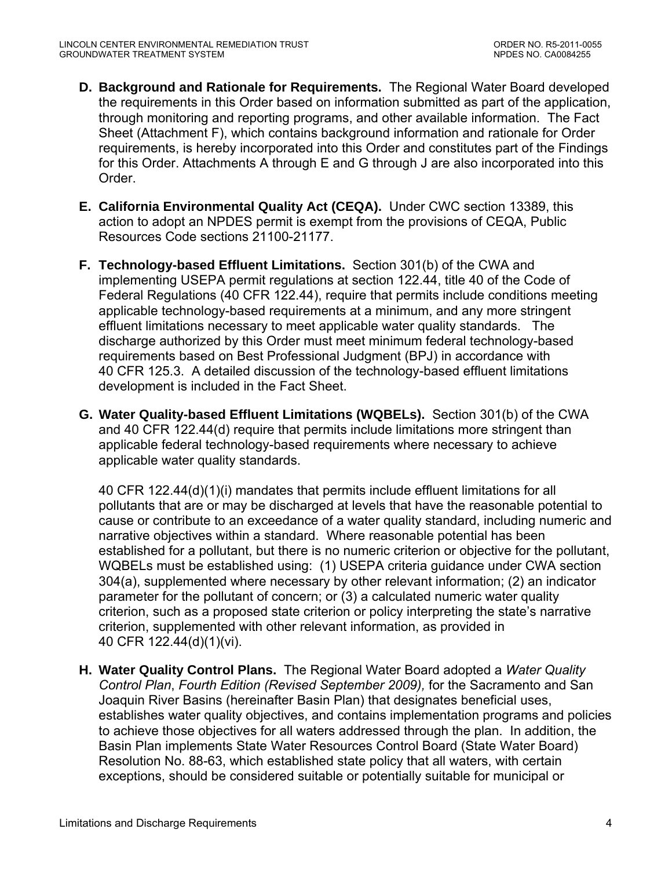- **D. Background and Rationale for Requirements.** The Regional Water Board developed the requirements in this Order based on information submitted as part of the application, through monitoring and reporting programs, and other available information. The Fact Sheet (Attachment F), which contains background information and rationale for Order requirements, is hereby incorporated into this Order and constitutes part of the Findings for this Order. Attachments A through E and G through J are also incorporated into this Order.
- **E. California Environmental Quality Act (CEQA).** Under CWC section 13389, this action to adopt an NPDES permit is exempt from the provisions of CEQA, Public Resources Code sections 21100-21177.
- **F. Technology-based Effluent Limitations.** Section 301(b) of the CWA and implementing USEPA permit regulations at section 122.44, title 40 of the Code of Federal Regulations (40 CFR 122.44), require that permits include conditions meeting applicable technology-based requirements at a minimum, and any more stringent effluent limitations necessary to meet applicable water quality standards. The discharge authorized by this Order must meet minimum federal technology-based requirements based on Best Professional Judgment (BPJ) in accordance with 40 CFR 125.3. A detailed discussion of the technology-based effluent limitations development is included in the Fact Sheet.
- **G. Water Quality-based Effluent Limitations (WQBELs).** Section 301(b) of the CWA and 40 CFR 122.44(d) require that permits include limitations more stringent than applicable federal technology-based requirements where necessary to achieve applicable water quality standards.

40 CFR 122.44(d)(1)(i) mandates that permits include effluent limitations for all pollutants that are or may be discharged at levels that have the reasonable potential to cause or contribute to an exceedance of a water quality standard, including numeric and narrative objectives within a standard. Where reasonable potential has been established for a pollutant, but there is no numeric criterion or objective for the pollutant, WQBELs must be established using: (1) USEPA criteria guidance under CWA section 304(a), supplemented where necessary by other relevant information; (2) an indicator parameter for the pollutant of concern; or (3) a calculated numeric water quality criterion, such as a proposed state criterion or policy interpreting the state's narrative criterion, supplemented with other relevant information, as provided in 40 CFR 122.44(d)(1)(vi).

**H. Water Quality Control Plans.** The Regional Water Board adopted a *Water Quality Control Plan*, *Fourth Edition (Revised September 2009),* for the Sacramento and San Joaquin River Basins (hereinafter Basin Plan) that designates beneficial uses, establishes water quality objectives, and contains implementation programs and policies to achieve those objectives for all waters addressed through the plan. In addition, the Basin Plan implements State Water Resources Control Board (State Water Board) Resolution No. 88-63, which established state policy that all waters, with certain exceptions, should be considered suitable or potentially suitable for municipal or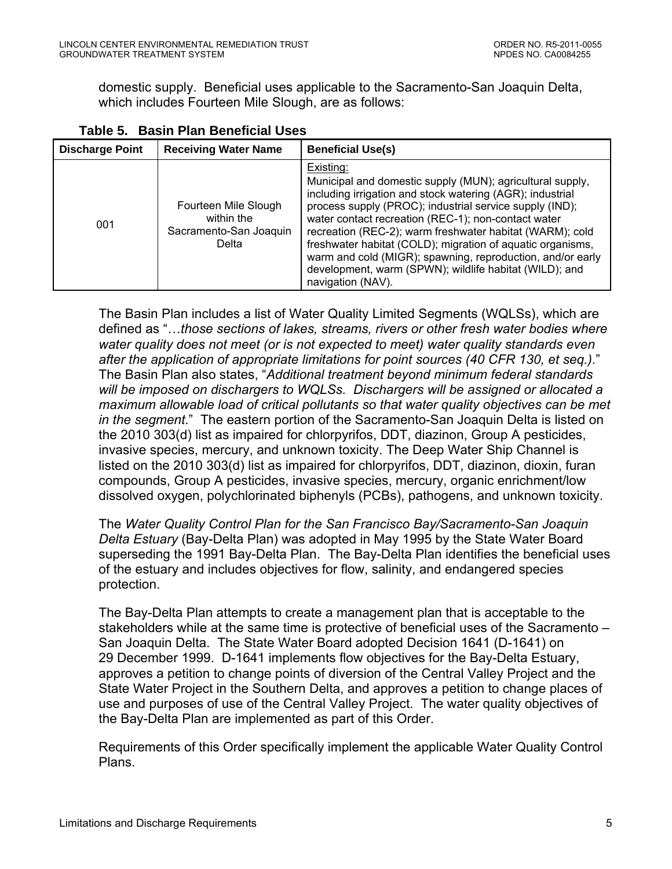<span id="page-4-0"></span>domestic supply. Beneficial uses applicable to the Sacramento-San Joaquin Delta, which includes Fourteen Mile Slough, are as follows:

| <b>Discharge Point</b> | <b>Receiving Water Name</b>                                           | <b>Beneficial Use(s)</b>                                                                                                                                                                                                                                                                                                                                                                                                                                                                                                     |
|------------------------|-----------------------------------------------------------------------|------------------------------------------------------------------------------------------------------------------------------------------------------------------------------------------------------------------------------------------------------------------------------------------------------------------------------------------------------------------------------------------------------------------------------------------------------------------------------------------------------------------------------|
| 001                    | Fourteen Mile Slough<br>within the<br>Sacramento-San Joaquin<br>Delta | Existing:<br>Municipal and domestic supply (MUN); agricultural supply,<br>including irrigation and stock watering (AGR); industrial<br>process supply (PROC); industrial service supply (IND);<br>water contact recreation (REC-1); non-contact water<br>recreation (REC-2); warm freshwater habitat (WARM); cold<br>freshwater habitat (COLD); migration of aquatic organisms,<br>warm and cold (MIGR); spawning, reproduction, and/or early<br>development, warm (SPWN); wildlife habitat (WILD); and<br>navigation (NAV). |

The Basin Plan includes a list of Water Quality Limited Segments (WQLSs), which are defined as "…*those sections of lakes, streams, rivers or other fresh water bodies where water quality does not meet (or is not expected to meet) water quality standards even after the application of appropriate limitations for point sources (40 CFR 130, et seq.)*." The Basin Plan also states, "*Additional treatment beyond minimum federal standards will be imposed on dischargers to WQLSs. Dischargers will be assigned or allocated a maximum allowable load of critical pollutants so that water quality objectives can be met in the segment*." The eastern portion of the Sacramento-San Joaquin Delta is listed on the 2010 303(d) list as impaired for chlorpyrifos, DDT, diazinon, Group A pesticides, invasive species, mercury, and unknown toxicity. The Deep Water Ship Channel is listed on the 2010 303(d) list as impaired for chlorpyrifos, DDT, diazinon, dioxin, furan compounds, Group A pesticides, invasive species, mercury, organic enrichment/low dissolved oxygen, polychlorinated biphenyls (PCBs), pathogens, and unknown toxicity.

The *Water Quality Control Plan for the San Francisco Bay/Sacramento-San Joaquin Delta Estuary* (Bay-Delta Plan) was adopted in May 1995 by the State Water Board superseding the 1991 Bay-Delta Plan. The Bay-Delta Plan identifies the beneficial uses of the estuary and includes objectives for flow, salinity, and endangered species protection.

The Bay-Delta Plan attempts to create a management plan that is acceptable to the stakeholders while at the same time is protective of beneficial uses of the Sacramento – San Joaquin Delta. The State Water Board adopted Decision 1641 (D-1641) on 29 December 1999. D-1641 implements flow objectives for the Bay-Delta Estuary, approves a petition to change points of diversion of the Central Valley Project and the State Water Project in the Southern Delta, and approves a petition to change places of use and purposes of use of the Central Valley Project. The water quality objectives of the Bay-Delta Plan are implemented as part of this Order.

Requirements of this Order specifically implement the applicable Water Quality Control Plans.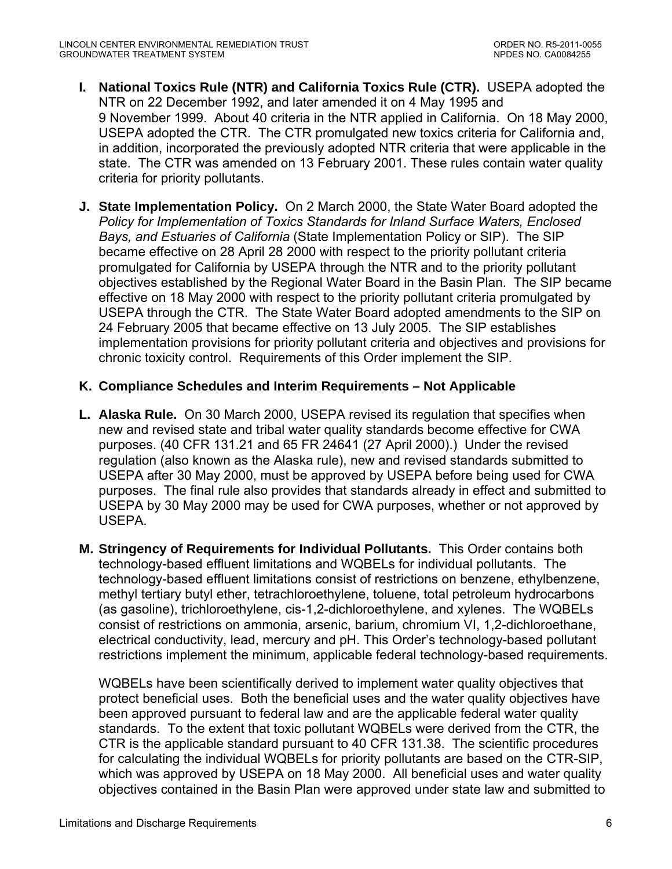- **I. National Toxics Rule (NTR) and California Toxics Rule (CTR).** USEPA adopted the NTR on 22 December 1992, and later amended it on 4 May 1995 and 9 November 1999. About 40 criteria in the NTR applied in California. On 18 May 2000, USEPA adopted the CTR. The CTR promulgated new toxics criteria for California and, in addition, incorporated the previously adopted NTR criteria that were applicable in the state. The CTR was amended on 13 February 2001. These rules contain water quality criteria for priority pollutants.
- **J. State Implementation Policy.** On 2 March 2000, the State Water Board adopted the *Policy for Implementation of Toxics Standards for Inland Surface Waters, Enclosed Bays, and Estuaries of California* (State Implementation Policy or SIP). The SIP became effective on 28 April 28 2000 with respect to the priority pollutant criteria promulgated for California by USEPA through the NTR and to the priority pollutant objectives established by the Regional Water Board in the Basin Plan. The SIP became effective on 18 May 2000 with respect to the priority pollutant criteria promulgated by USEPA through the CTR. The State Water Board adopted amendments to the SIP on 24 February 2005 that became effective on 13 July 2005. The SIP establishes implementation provisions for priority pollutant criteria and objectives and provisions for chronic toxicity control. Requirements of this Order implement the SIP.

## **K. Compliance Schedules and Interim Requirements – Not Applicable**

- **L. Alaska Rule.** On 30 March 2000, USEPA revised its regulation that specifies when new and revised state and tribal water quality standards become effective for CWA purposes. (40 CFR 131.21 and 65 FR 24641 (27 April 2000).) Under the revised regulation (also known as the Alaska rule), new and revised standards submitted to USEPA after 30 May 2000, must be approved by USEPA before being used for CWA purposes. The final rule also provides that standards already in effect and submitted to USEPA by 30 May 2000 may be used for CWA purposes, whether or not approved by USEPA.
- **M. Stringency of Requirements for Individual Pollutants.** This Order contains both technology-based effluent limitations and WQBELs for individual pollutants. The technology-based effluent limitations consist of restrictions on benzene, ethylbenzene, methyl tertiary butyl ether, tetrachloroethylene, toluene, total petroleum hydrocarbons (as gasoline), trichloroethylene, cis-1,2-dichloroethylene, and xylenes. The WQBELs consist of restrictions on ammonia, arsenic, barium, chromium VI, 1,2-dichloroethane, electrical conductivity, lead, mercury and pH. This Order's technology-based pollutant restrictions implement the minimum, applicable federal technology-based requirements.

WQBELs have been scientifically derived to implement water quality objectives that protect beneficial uses. Both the beneficial uses and the water quality objectives have been approved pursuant to federal law and are the applicable federal water quality standards. To the extent that toxic pollutant WQBELs were derived from the CTR, the CTR is the applicable standard pursuant to 40 CFR 131.38. The scientific procedures for calculating the individual WQBELs for priority pollutants are based on the CTR-SIP, which was approved by USEPA on 18 May 2000. All beneficial uses and water quality objectives contained in the Basin Plan were approved under state law and submitted to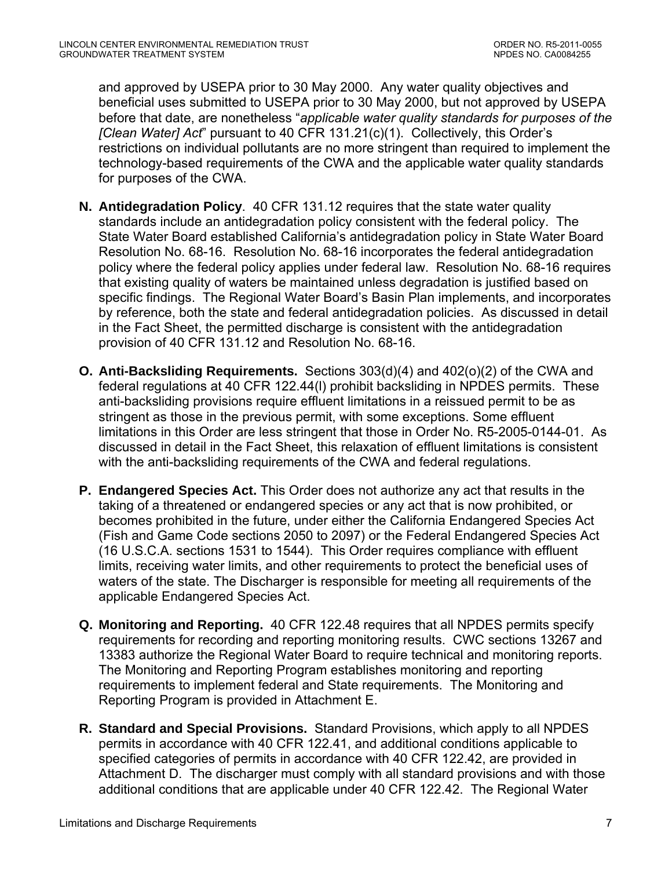and approved by USEPA prior to 30 May 2000. Any water quality objectives and beneficial uses submitted to USEPA prior to 30 May 2000, but not approved by USEPA before that date, are nonetheless "*applicable water quality standards for purposes of the [Clean Water] Act*" pursuant to 40 CFR 131.21(c)(1). Collectively, this Order's restrictions on individual pollutants are no more stringent than required to implement the technology-based requirements of the CWA and the applicable water quality standards for purposes of the CWA.

- **N. Antidegradation Policy**. 40 CFR 131.12 requires that the state water quality standards include an antidegradation policy consistent with the federal policy. The State Water Board established California's antidegradation policy in State Water Board Resolution No. 68-16. Resolution No. 68-16 incorporates the federal antidegradation policy where the federal policy applies under federal law. Resolution No. 68-16 requires that existing quality of waters be maintained unless degradation is justified based on specific findings. The Regional Water Board's Basin Plan implements, and incorporates by reference, both the state and federal antidegradation policies. As discussed in detail in the Fact Sheet, the permitted discharge is consistent with the antidegradation provision of 40 CFR 131.12 and Resolution No. 68-16.
- **O. Anti-Backsliding Requirements.** Sections 303(d)(4) and 402(o)(2) of the CWA and federal regulations at 40 CFR 122.44(l) prohibit backsliding in NPDES permits. These anti-backsliding provisions require effluent limitations in a reissued permit to be as stringent as those in the previous permit, with some exceptions. Some effluent limitations in this Order are less stringent that those in Order No. R5-2005-0144-01. As discussed in detail in the Fact Sheet, this relaxation of effluent limitations is consistent with the anti-backsliding requirements of the CWA and federal regulations.
- **P. Endangered Species Act.** This Order does not authorize any act that results in the taking of a threatened or endangered species or any act that is now prohibited, or becomes prohibited in the future, under either the California Endangered Species Act (Fish and Game Code sections 2050 to 2097) or the Federal Endangered Species Act (16 U.S.C.A. sections 1531 to 1544). This Order requires compliance with effluent limits, receiving water limits, and other requirements to protect the beneficial uses of waters of the state. The Discharger is responsible for meeting all requirements of the applicable Endangered Species Act.
- **Q. Monitoring and Reporting.** 40 CFR 122.48 requires that all NPDES permits specify requirements for recording and reporting monitoring results. CWC sections 13267 and 13383 authorize the Regional Water Board to require technical and monitoring reports. The Monitoring and Reporting Program establishes monitoring and reporting requirements to implement federal and State requirements. The Monitoring and Reporting Program is provided in Attachment E.
- **R. Standard and Special Provisions.** Standard Provisions, which apply to all NPDES permits in accordance with 40 CFR 122.41, and additional conditions applicable to specified categories of permits in accordance with 40 CFR 122.42, are provided in Attachment D. The discharger must comply with all standard provisions and with those additional conditions that are applicable under 40 CFR 122.42. The Regional Water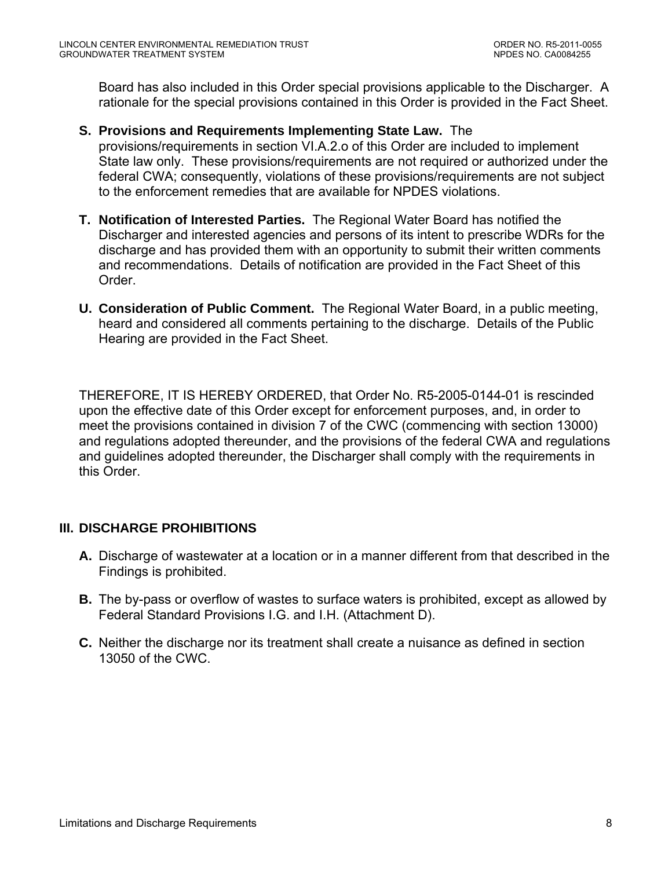<span id="page-7-0"></span>Board has also included in this Order special provisions applicable to the Discharger. A rationale for the special provisions contained in this Order is provided in the Fact Sheet.

**S. Provisions and Requirements Implementing State Law.** The

provisions/requirements in section VI.A.2.o of this Order are included to implement State law only. These provisions/requirements are not required or authorized under the federal CWA; consequently, violations of these provisions/requirements are not subject to the enforcement remedies that are available for NPDES violations.

- **T. Notification of Interested Parties.** The Regional Water Board has notified the Discharger and interested agencies and persons of its intent to prescribe WDRs for the discharge and has provided them with an opportunity to submit their written comments and recommendations. Details of notification are provided in the Fact Sheet of this Order.
- **U. Consideration of Public Comment.** The Regional Water Board, in a public meeting, heard and considered all comments pertaining to the discharge. Details of the Public Hearing are provided in the Fact Sheet.

THEREFORE, IT IS HEREBY ORDERED, that Order No. R5-2005-0144-01 is rescinded upon the effective date of this Order except for enforcement purposes, and, in order to meet the provisions contained in division 7 of the CWC (commencing with section 13000) and regulations adopted thereunder, and the provisions of the federal CWA and regulations and guidelines adopted thereunder, the Discharger shall comply with the requirements in this Order.

## **III. DISCHARGE PROHIBITIONS**

- **A.** Discharge of wastewater at a location or in a manner different from that described in the Findings is prohibited.
- **B.** The by-pass or overflow of wastes to surface waters is prohibited, except as allowed by Federal Standard Provisions I.G. and I.H. (Attachment D).
- **C.** Neither the discharge nor its treatment shall create a nuisance as defined in section 13050 of the CWC.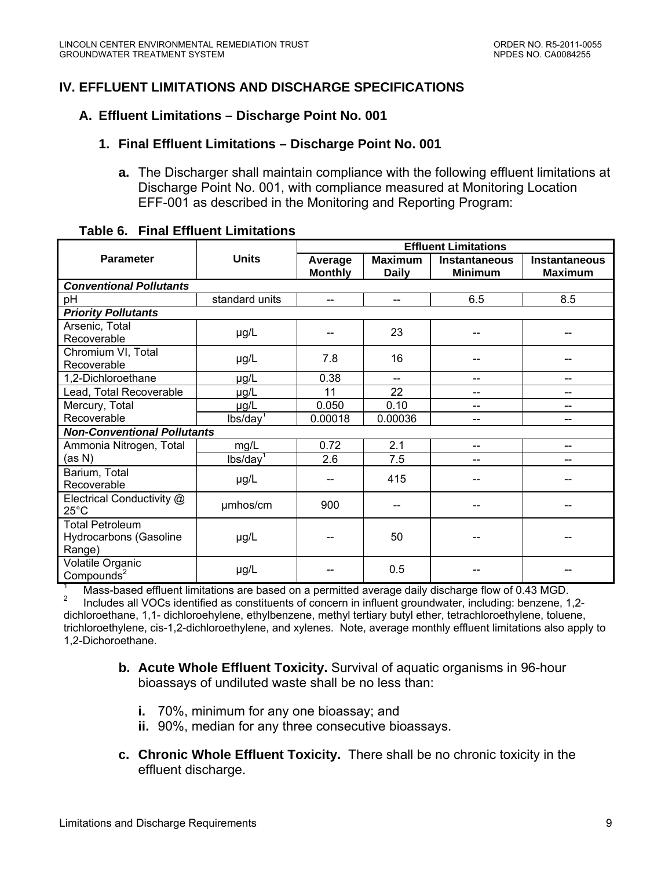## <span id="page-8-0"></span>**IV. EFFLUENT LIMITATIONS AND DISCHARGE SPECIFICATIONS**

#### **A. Effluent Limitations – Discharge Point No. 001**

#### **1. Final Effluent Limitations – Discharge Point No. 001**

**a.** The Discharger shall maintain compliance with the following effluent limitations at Discharge Point No. 001, with compliance measured at Monitoring Location EFF-001 as described in the Monitoring and Reporting Program:

|                                                                                                                                                  |                                    | <b>Effluent Limitations</b> |                                |                                 |                                        |
|--------------------------------------------------------------------------------------------------------------------------------------------------|------------------------------------|-----------------------------|--------------------------------|---------------------------------|----------------------------------------|
| <b>Parameter</b>                                                                                                                                 | <b>Units</b>                       | Average<br><b>Monthly</b>   | <b>Maximum</b><br><b>Daily</b> | Instantaneous<br><b>Minimum</b> | <b>Instantaneous</b><br><b>Maximum</b> |
| <b>Conventional Pollutants</b>                                                                                                                   |                                    |                             |                                |                                 |                                        |
| pH                                                                                                                                               | standard units                     | $-$                         | --                             | 6.5                             | 8.5                                    |
| <b>Priority Pollutants</b>                                                                                                                       |                                    |                             |                                |                                 |                                        |
| Arsenic, Total<br>Recoverable                                                                                                                    | $\mu$ g/L                          |                             | 23                             |                                 |                                        |
| Chromium VI, Total<br>Recoverable                                                                                                                | µg/L                               | 7.8                         | 16                             |                                 |                                        |
| 1,2-Dichloroethane                                                                                                                               | µg/L                               | 0.38                        | $\overline{\phantom{a}}$       | --                              | $-$                                    |
| Lead, Total Recoverable                                                                                                                          | µg/L                               | 11                          | 22                             | $-$                             | $-$                                    |
| Mercury, Total                                                                                                                                   | µg/L                               | 0.050                       | 0.10                           | $-$                             | $-$                                    |
| Recoverable                                                                                                                                      | $lbs/day$ <sup>1</sup>             | 0.00018                     | 0.00036                        | --                              | $-$                                    |
|                                                                                                                                                  | <b>Non-Conventional Pollutants</b> |                             |                                |                                 |                                        |
| Ammonia Nitrogen, Total                                                                                                                          | mg/L                               | 0.72                        | 2.1                            | --                              | $-$                                    |
| (as N)                                                                                                                                           | lbs/day <sup>1</sup>               | 2.6                         | 7.5                            | --                              |                                        |
| Barium, Total<br>Recoverable                                                                                                                     | $\mu$ g/L                          |                             | 415                            |                                 |                                        |
| Electrical Conductivity @<br>$25^{\circ}$ C                                                                                                      | umhos/cm                           | 900                         |                                |                                 |                                        |
| <b>Total Petroleum</b><br>Hydrocarbons (Gasoline<br>Range)                                                                                       | $\mu$ g/L                          |                             | 50                             |                                 |                                        |
| Volatile Organic<br>Compounds <sup>2</sup><br>Maga headed offluont limitations are becad an a normitted querese doily discharge flow of 0.42 MCD | µg/L                               |                             | 0.5                            |                                 |                                        |

#### **Table 6. Final Effluent Limitations**

Mass-based effluent limitations are based on a permitted average daily discharge flow of 0.43 MGD.

2 Includes all VOCs identified as constituents of concern in influent groundwater, including: benzene, 1,2 dichloroethane, 1,1- dichloroehylene, ethylbenzene, methyl tertiary butyl ether, tetrachloroethylene, toluene, trichloroethylene, cis-1,2-dichloroethylene, and xylenes. Note, average monthly effluent limitations also apply to 1,2-Dichoroethane.

- **b. Acute Whole Effluent Toxicity.** Survival of aquatic organisms in 96-hour bioassays of undiluted waste shall be no less than:
	- **i.** 70%, minimum for any one bioassay; and
	- **ii.** 90%, median for any three consecutive bioassays.
- **c. Chronic Whole Effluent Toxicity.** There shall be no chronic toxicity in the effluent discharge.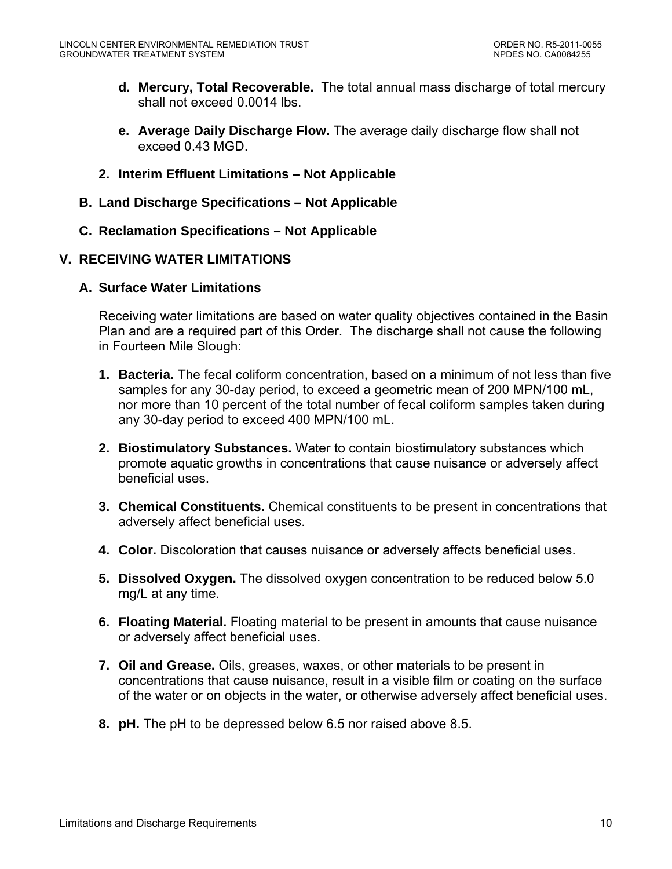- <span id="page-9-0"></span>**d. Mercury, Total Recoverable.** The total annual mass discharge of total mercury shall not exceed 0.0014 lbs.
- **e. Average Daily Discharge Flow.** The average daily discharge flow shall not exceed 0.43 MGD.
- **2. Interim Effluent Limitations Not Applicable**
- **B. Land Discharge Specifications Not Applicable**
- **C. Reclamation Specifications Not Applicable**

## **V. RECEIVING WATER LIMITATIONS**

## **A. Surface Water Limitations**

Receiving water limitations are based on water quality objectives contained in the Basin Plan and are a required part of this Order. The discharge shall not cause the following in Fourteen Mile Slough:

- **1. Bacteria.** The fecal coliform concentration, based on a minimum of not less than five samples for any 30-day period, to exceed a geometric mean of 200 MPN/100 mL, nor more than 10 percent of the total number of fecal coliform samples taken during any 30-day period to exceed 400 MPN/100 mL.
- **2. Biostimulatory Substances.** Water to contain biostimulatory substances which promote aquatic growths in concentrations that cause nuisance or adversely affect beneficial uses.
- **3. Chemical Constituents.** Chemical constituents to be present in concentrations that adversely affect beneficial uses.
- **4. Color.** Discoloration that causes nuisance or adversely affects beneficial uses.
- **5. Dissolved Oxygen.** The dissolved oxygen concentration to be reduced below 5.0 mg/L at any time.
- **6. Floating Material.** Floating material to be present in amounts that cause nuisance or adversely affect beneficial uses.
- **7. Oil and Grease.** Oils, greases, waxes, or other materials to be present in concentrations that cause nuisance, result in a visible film or coating on the surface of the water or on objects in the water, or otherwise adversely affect beneficial uses.
- **8. pH.** The pH to be depressed below 6.5 nor raised above 8.5.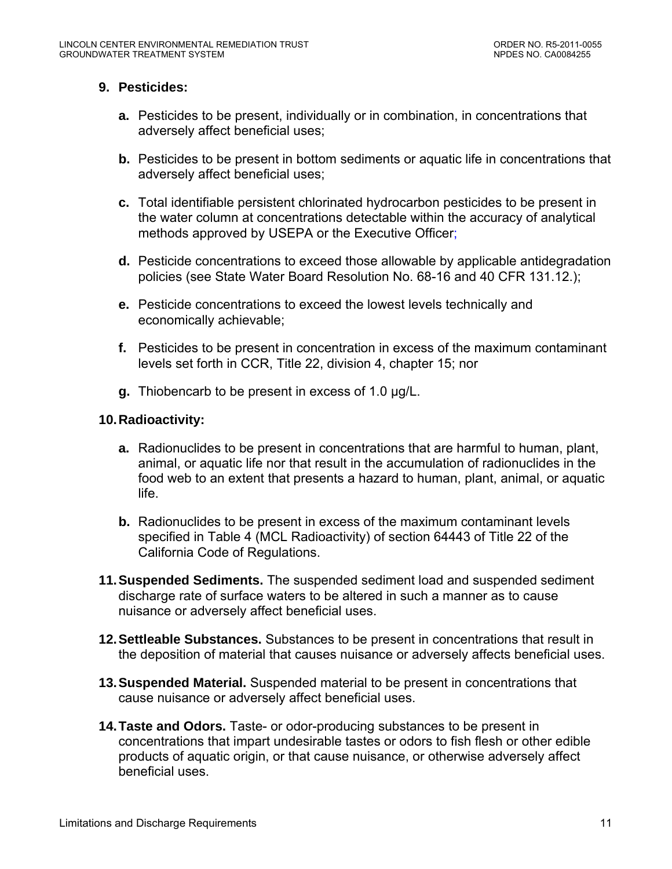## **9. Pesticides:**

- **a.** Pesticides to be present, individually or in combination, in concentrations that adversely affect beneficial uses;
- **b.** Pesticides to be present in bottom sediments or aquatic life in concentrations that adversely affect beneficial uses;
- **c.** Total identifiable persistent chlorinated hydrocarbon pesticides to be present in the water column at concentrations detectable within the accuracy of analytical methods approved by USEPA or the Executive Officer;
- **d.** Pesticide concentrations to exceed those allowable by applicable antidegradation policies (see State Water Board Resolution No. 68-16 and 40 CFR 131.12.);
- **e.** Pesticide concentrations to exceed the lowest levels technically and economically achievable;
- **f.** Pesticides to be present in concentration in excess of the maximum contaminant levels set forth in CCR, Title 22, division 4, chapter 15; nor
- **g.** Thiobencarb to be present in excess of 1.0 µg/L.

## **10. Radioactivity:**

- **a.** Radionuclides to be present in concentrations that are harmful to human, plant, animal, or aquatic life nor that result in the accumulation of radionuclides in the food web to an extent that presents a hazard to human, plant, animal, or aquatic life.
- **b.** Radionuclides to be present in excess of the maximum contaminant levels specified in Table 4 (MCL Radioactivity) of section 64443 of Title 22 of the California Code of Regulations.
- **11. Suspended Sediments.** The suspended sediment load and suspended sediment discharge rate of surface waters to be altered in such a manner as to cause nuisance or adversely affect beneficial uses.
- **12. Settleable Substances.** Substances to be present in concentrations that result in the deposition of material that causes nuisance or adversely affects beneficial uses.
- **13. Suspended Material.** Suspended material to be present in concentrations that cause nuisance or adversely affect beneficial uses.
- **14. Taste and Odors.** Taste- or odor-producing substances to be present in concentrations that impart undesirable tastes or odors to fish flesh or other edible products of aquatic origin, or that cause nuisance, or otherwise adversely affect beneficial uses.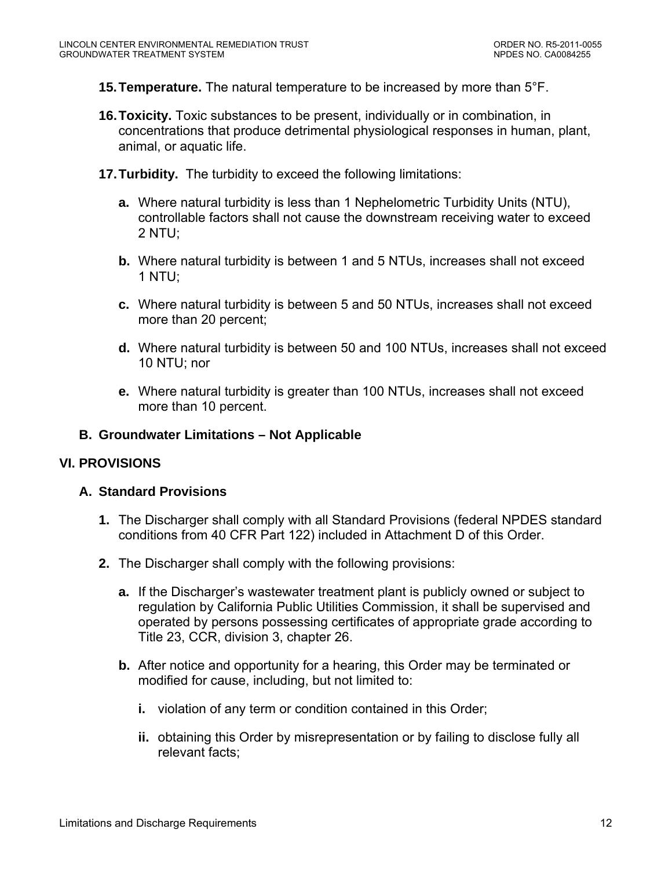- <span id="page-11-0"></span>**15. Temperature.** The natural temperature to be increased by more than 5°F.
- **16. Toxicity.** Toxic substances to be present, individually or in combination, in concentrations that produce detrimental physiological responses in human, plant, animal, or aquatic life.
- **17. Turbidity.** The turbidity to exceed the following limitations:
	- **a.** Where natural turbidity is less than 1 Nephelometric Turbidity Units (NTU), controllable factors shall not cause the downstream receiving water to exceed 2 NTU;
	- **b.** Where natural turbidity is between 1 and 5 NTUs, increases shall not exceed 1 NTU;
	- **c.** Where natural turbidity is between 5 and 50 NTUs, increases shall not exceed more than 20 percent;
	- **d.** Where natural turbidity is between 50 and 100 NTUs, increases shall not exceed 10 NTU; nor
	- **e.** Where natural turbidity is greater than 100 NTUs, increases shall not exceed more than 10 percent.

## **B. Groundwater Limitations – Not Applicable**

## **VI. PROVISIONS**

## **A. Standard Provisions**

- **1.** The Discharger shall comply with all Standard Provisions (federal NPDES standard conditions from 40 CFR Part 122) included in Attachment D of this Order.
- **2.** The Discharger shall comply with the following provisions:
	- **a.** If the Discharger's wastewater treatment plant is publicly owned or subject to regulation by California Public Utilities Commission, it shall be supervised and operated by persons possessing certificates of appropriate grade according to Title 23, CCR, division 3, chapter 26.
	- **b.** After notice and opportunity for a hearing, this Order may be terminated or modified for cause, including, but not limited to:
		- **i.** violation of any term or condition contained in this Order;
		- **ii.** obtaining this Order by misrepresentation or by failing to disclose fully all relevant facts;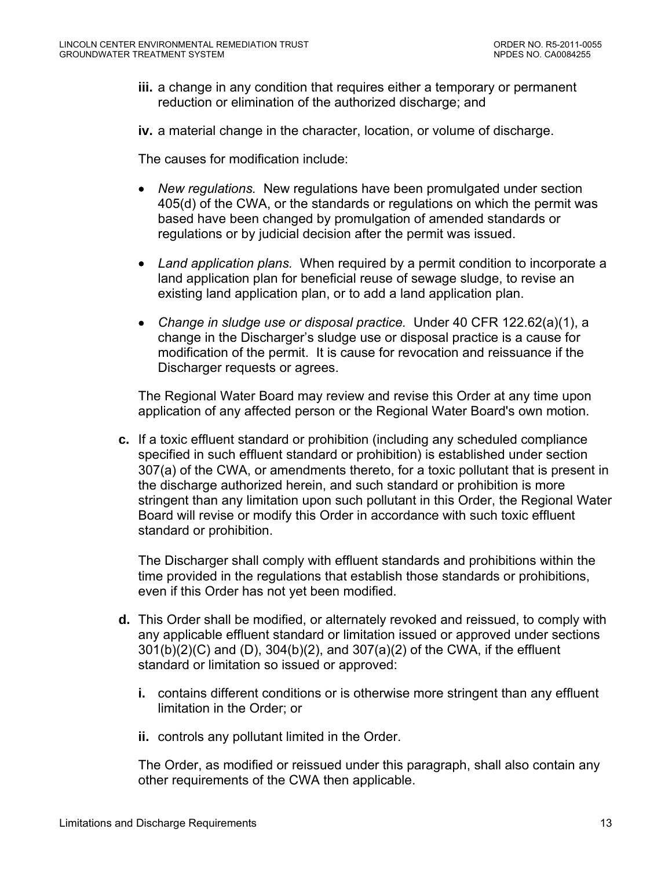**iii.** a change in any condition that requires either a temporary or permanent reduction or elimination of the authorized discharge; and

**iv.** a material change in the character, location, or volume of discharge.

The causes for modification include:

- *New regulations.* New regulations have been promulgated under section 405(d) of the CWA, or the standards or regulations on which the permit was based have been changed by promulgation of amended standards or regulations or by judicial decision after the permit was issued.
- *Land application plans.* When required by a permit condition to incorporate a land application plan for beneficial reuse of sewage sludge, to revise an existing land application plan, or to add a land application plan.
- *Change in sludge use or disposal practice.* Under 40 CFR 122.62(a)(1), a change in the Discharger's sludge use or disposal practice is a cause for modification of the permit. It is cause for revocation and reissuance if the Discharger requests or agrees.

The Regional Water Board may review and revise this Order at any time upon application of any affected person or the Regional Water Board's own motion.

**c.** If a toxic effluent standard or prohibition (including any scheduled compliance specified in such effluent standard or prohibition) is established under section 307(a) of the CWA, or amendments thereto, for a toxic pollutant that is present in the discharge authorized herein, and such standard or prohibition is more stringent than any limitation upon such pollutant in this Order, the Regional Water Board will revise or modify this Order in accordance with such toxic effluent standard or prohibition.

The Discharger shall comply with effluent standards and prohibitions within the time provided in the regulations that establish those standards or prohibitions, even if this Order has not yet been modified.

- **d.** This Order shall be modified, or alternately revoked and reissued, to comply with any applicable effluent standard or limitation issued or approved under sections 301(b)(2)(C) and (D), 304(b)(2), and 307(a)(2) of the CWA, if the effluent standard or limitation so issued or approved:
	- **i.** contains different conditions or is otherwise more stringent than any effluent limitation in the Order; or
	- **ii.** controls any pollutant limited in the Order.

The Order, as modified or reissued under this paragraph, shall also contain any other requirements of the CWA then applicable.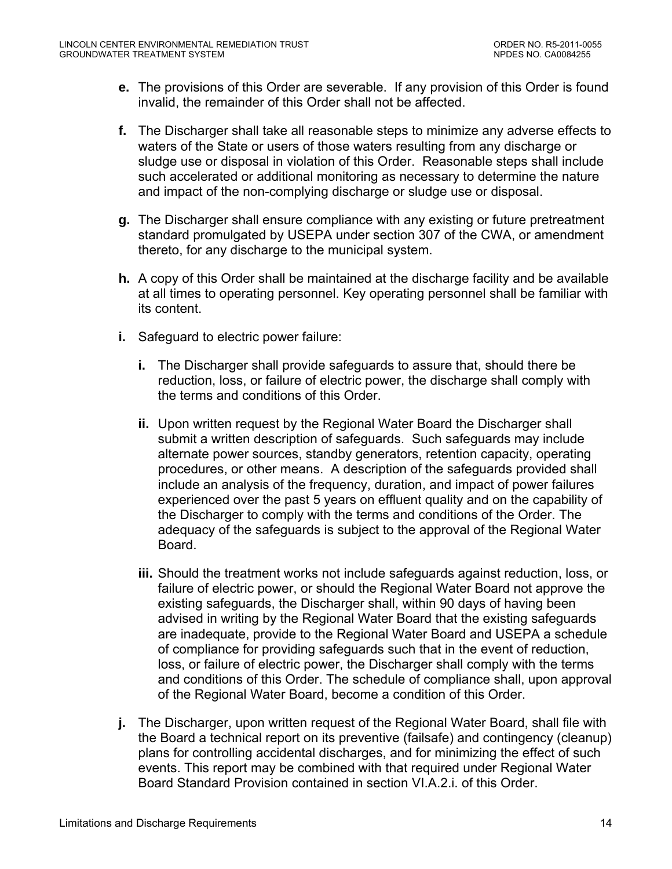- **e.** The provisions of this Order are severable. If any provision of this Order is found invalid, the remainder of this Order shall not be affected.
- **f.** The Discharger shall take all reasonable steps to minimize any adverse effects to waters of the State or users of those waters resulting from any discharge or sludge use or disposal in violation of this Order. Reasonable steps shall include such accelerated or additional monitoring as necessary to determine the nature and impact of the non-complying discharge or sludge use or disposal.
- **g.** The Discharger shall ensure compliance with any existing or future pretreatment standard promulgated by USEPA under section 307 of the CWA, or amendment thereto, for any discharge to the municipal system.
- **h.** A copy of this Order shall be maintained at the discharge facility and be available at all times to operating personnel. Key operating personnel shall be familiar with its content.
- **i.** Safeguard to electric power failure:
	- **i.** The Discharger shall provide safeguards to assure that, should there be reduction, loss, or failure of electric power, the discharge shall comply with the terms and conditions of this Order.
	- **ii.** Upon written request by the Regional Water Board the Discharger shall submit a written description of safeguards. Such safeguards may include alternate power sources, standby generators, retention capacity, operating procedures, or other means. A description of the safeguards provided shall include an analysis of the frequency, duration, and impact of power failures experienced over the past 5 years on effluent quality and on the capability of the Discharger to comply with the terms and conditions of the Order. The adequacy of the safeguards is subject to the approval of the Regional Water Board.
	- **iii.** Should the treatment works not include safeguards against reduction, loss, or failure of electric power, or should the Regional Water Board not approve the existing safeguards, the Discharger shall, within 90 days of having been advised in writing by the Regional Water Board that the existing safeguards are inadequate, provide to the Regional Water Board and USEPA a schedule of compliance for providing safeguards such that in the event of reduction, loss, or failure of electric power, the Discharger shall comply with the terms and conditions of this Order. The schedule of compliance shall, upon approval of the Regional Water Board, become a condition of this Order.
- **j.** The Discharger, upon written request of the Regional Water Board, shall file with the Board a technical report on its preventive (failsafe) and contingency (cleanup) plans for controlling accidental discharges, and for minimizing the effect of such events. This report may be combined with that required under Regional Water Board Standard Provision contained in section VI.A.2.i. of this Order.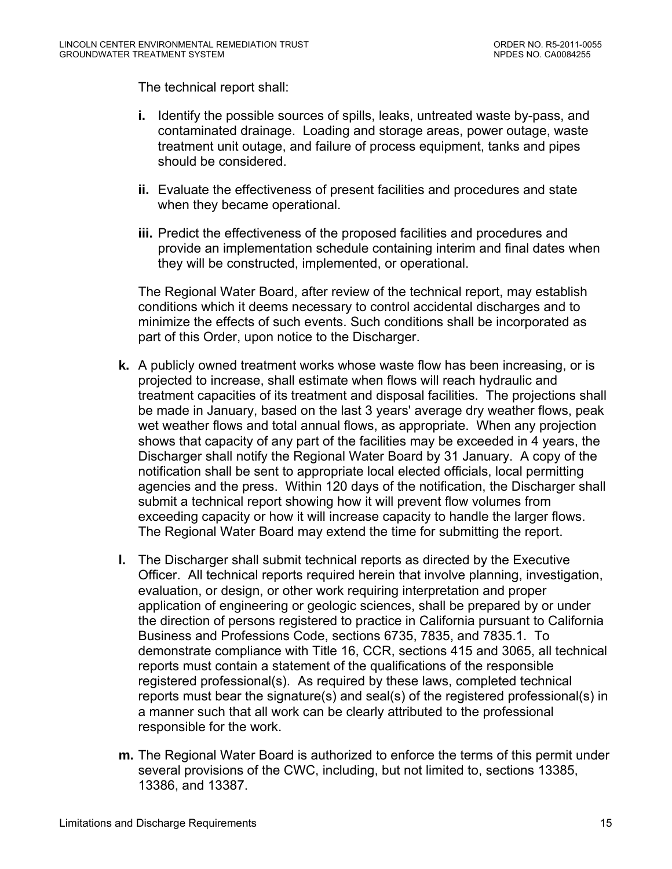The technical report shall:

- **i.** Identify the possible sources of spills, leaks, untreated waste by-pass, and contaminated drainage. Loading and storage areas, power outage, waste treatment unit outage, and failure of process equipment, tanks and pipes should be considered.
- **ii.** Evaluate the effectiveness of present facilities and procedures and state when they became operational.
- **iii.** Predict the effectiveness of the proposed facilities and procedures and provide an implementation schedule containing interim and final dates when they will be constructed, implemented, or operational.

The Regional Water Board, after review of the technical report, may establish conditions which it deems necessary to control accidental discharges and to minimize the effects of such events. Such conditions shall be incorporated as part of this Order, upon notice to the Discharger.

- **k.** A publicly owned treatment works whose waste flow has been increasing, or is projected to increase, shall estimate when flows will reach hydraulic and treatment capacities of its treatment and disposal facilities. The projections shall be made in January, based on the last 3 years' average dry weather flows, peak wet weather flows and total annual flows, as appropriate. When any projection shows that capacity of any part of the facilities may be exceeded in 4 years, the Discharger shall notify the Regional Water Board by 31 January. A copy of the notification shall be sent to appropriate local elected officials, local permitting agencies and the press. Within 120 days of the notification, the Discharger shall submit a technical report showing how it will prevent flow volumes from exceeding capacity or how it will increase capacity to handle the larger flows. The Regional Water Board may extend the time for submitting the report.
- **l.** The Discharger shall submit technical reports as directed by the Executive Officer. All technical reports required herein that involve planning, investigation, evaluation, or design, or other work requiring interpretation and proper application of engineering or geologic sciences, shall be prepared by or under the direction of persons registered to practice in California pursuant to California Business and Professions Code, sections 6735, 7835, and 7835.1. To demonstrate compliance with Title 16, CCR, sections 415 and 3065, all technical reports must contain a statement of the qualifications of the responsible registered professional(s). As required by these laws, completed technical reports must bear the signature(s) and seal(s) of the registered professional(s) in a manner such that all work can be clearly attributed to the professional responsible for the work.
- **m.** The Regional Water Board is authorized to enforce the terms of this permit under several provisions of the CWC, including, but not limited to, sections 13385, 13386, and 13387.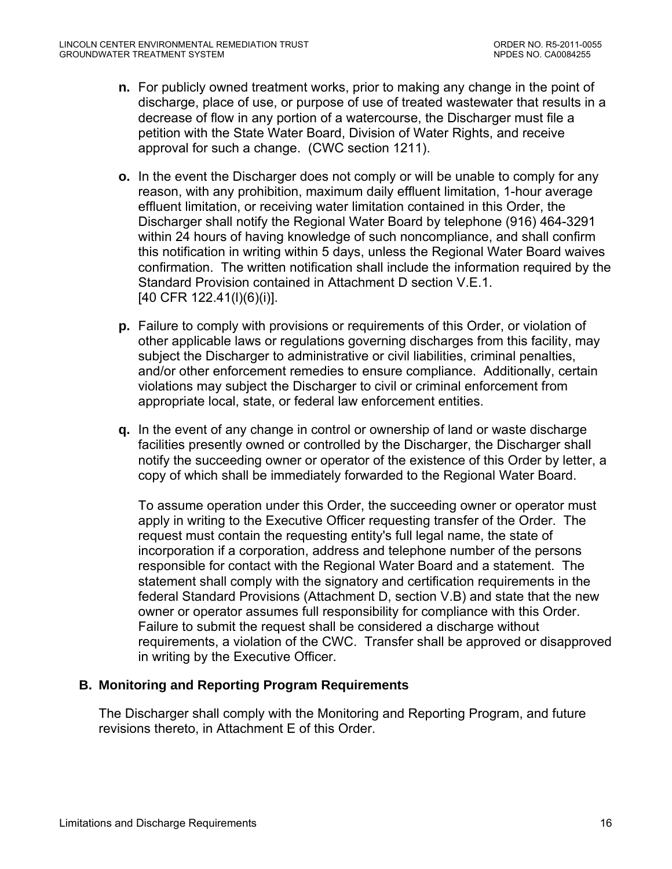- <span id="page-15-0"></span>**n.** For publicly owned treatment works, prior to making any change in the point of discharge, place of use, or purpose of use of treated wastewater that results in a decrease of flow in any portion of a watercourse, the Discharger must file a petition with the State Water Board, Division of Water Rights, and receive approval for such a change. (CWC section 1211).
- **o.** In the event the Discharger does not comply or will be unable to comply for any reason, with any prohibition, maximum daily effluent limitation, 1-hour average effluent limitation, or receiving water limitation contained in this Order, the Discharger shall notify the Regional Water Board by telephone (916) 464-3291 within 24 hours of having knowledge of such noncompliance, and shall confirm this notification in writing within 5 days, unless the Regional Water Board waives confirmation. The written notification shall include the information required by the Standard Provision contained in Attachment D section V.E.1. [40 CFR 122.41(l)(6)(i)].
- **p.** Failure to comply with provisions or requirements of this Order, or violation of other applicable laws or regulations governing discharges from this facility, may subject the Discharger to administrative or civil liabilities, criminal penalties, and/or other enforcement remedies to ensure compliance. Additionally, certain violations may subject the Discharger to civil or criminal enforcement from appropriate local, state, or federal law enforcement entities.
- **q.** In the event of any change in control or ownership of land or waste discharge facilities presently owned or controlled by the Discharger, the Discharger shall notify the succeeding owner or operator of the existence of this Order by letter, a copy of which shall be immediately forwarded to the Regional Water Board.

To assume operation under this Order, the succeeding owner or operator must apply in writing to the Executive Officer requesting transfer of the Order. The request must contain the requesting entity's full legal name, the state of incorporation if a corporation, address and telephone number of the persons responsible for contact with the Regional Water Board and a statement. The statement shall comply with the signatory and certification requirements in the federal Standard Provisions (Attachment D, section V.B) and state that the new owner or operator assumes full responsibility for compliance with this Order. Failure to submit the request shall be considered a discharge without requirements, a violation of the CWC. Transfer shall be approved or disapproved in writing by the Executive Officer.

## **B. Monitoring and Reporting Program Requirements**

The Discharger shall comply with the Monitoring and Reporting Program, and future revisions thereto, in Attachment E of this Order.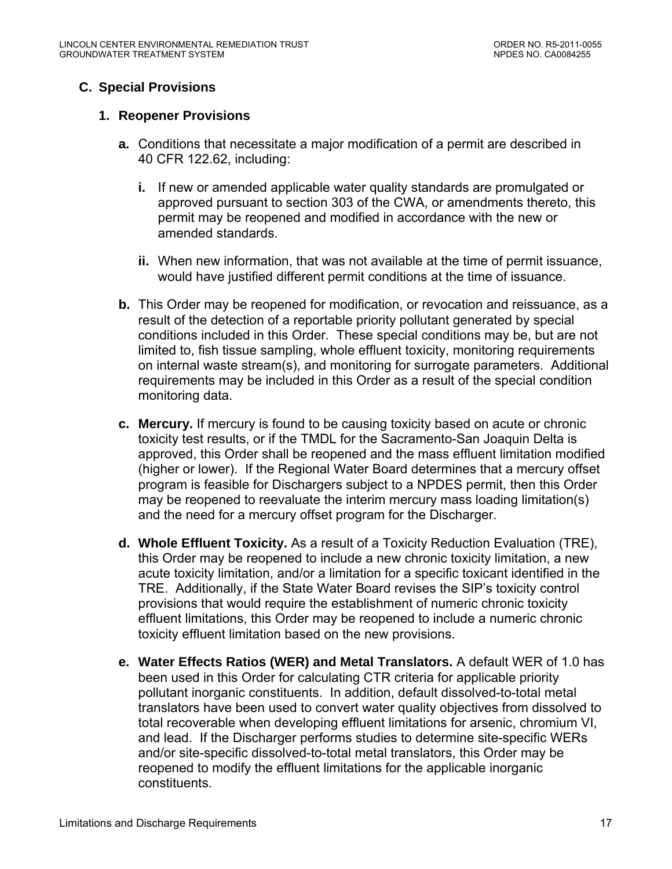# <span id="page-16-0"></span>**C. Special Provisions**

## **1. Reopener Provisions**

- **a.** Conditions that necessitate a major modification of a permit are described in 40 CFR 122.62, including:
	- **i.** If new or amended applicable water quality standards are promulgated or approved pursuant to section 303 of the CWA, or amendments thereto, this permit may be reopened and modified in accordance with the new or amended standards.
	- **ii.** When new information, that was not available at the time of permit issuance, would have justified different permit conditions at the time of issuance.
- **b.** This Order may be reopened for modification, or revocation and reissuance, as a result of the detection of a reportable priority pollutant generated by special conditions included in this Order. These special conditions may be, but are not limited to, fish tissue sampling, whole effluent toxicity, monitoring requirements on internal waste stream(s), and monitoring for surrogate parameters. Additional requirements may be included in this Order as a result of the special condition monitoring data.
- **c. Mercury.** If mercury is found to be causing toxicity based on acute or chronic toxicity test results, or if the TMDL for the Sacramento-San Joaquin Delta is approved, this Order shall be reopened and the mass effluent limitation modified (higher or lower). If the Regional Water Board determines that a mercury offset program is feasible for Dischargers subject to a NPDES permit, then this Order may be reopened to reevaluate the interim mercury mass loading limitation(s) and the need for a mercury offset program for the Discharger.
- **d. Whole Effluent Toxicity.** As a result of a Toxicity Reduction Evaluation (TRE), this Order may be reopened to include a new chronic toxicity limitation, a new acute toxicity limitation, and/or a limitation for a specific toxicant identified in the TRE. Additionally, if the State Water Board revises the SIP's toxicity control provisions that would require the establishment of numeric chronic toxicity effluent limitations, this Order may be reopened to include a numeric chronic toxicity effluent limitation based on the new provisions.
- **e. Water Effects Ratios (WER) and Metal Translators.** A default WER of 1.0 has been used in this Order for calculating CTR criteria for applicable priority pollutant inorganic constituents. In addition, default dissolved-to-total metal translators have been used to convert water quality objectives from dissolved to total recoverable when developing effluent limitations for arsenic, chromium VI, and lead. If the Discharger performs studies to determine site-specific WERs and/or site-specific dissolved-to-total metal translators, this Order may be reopened to modify the effluent limitations for the applicable inorganic constituents.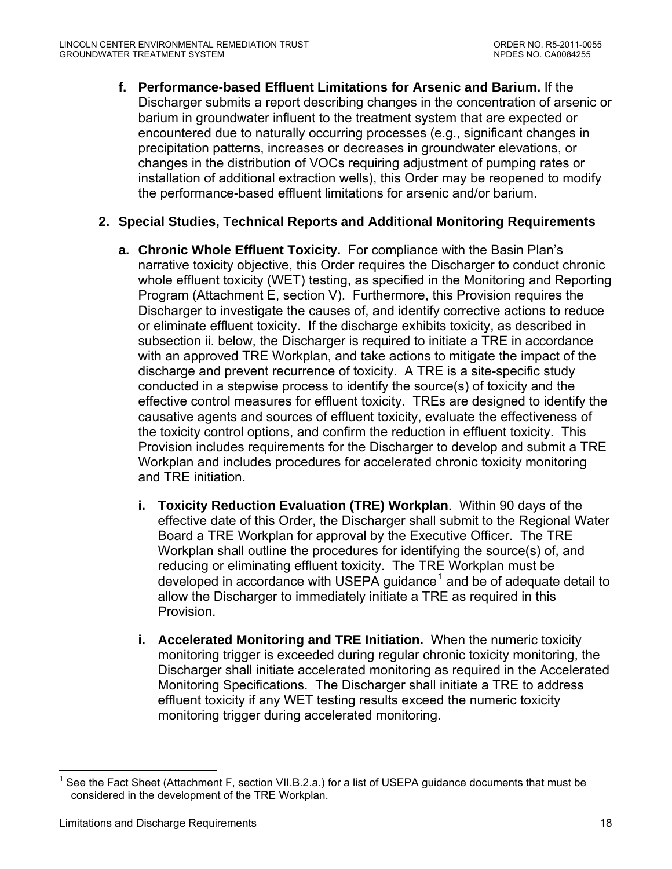<span id="page-17-0"></span>**f. Performance-based Effluent Limitations for Arsenic and Barium.** If the Discharger submits a report describing changes in the concentration of arsenic or barium in groundwater influent to the treatment system that are expected or encountered due to naturally occurring processes (e.g., significant changes in precipitation patterns, increases or decreases in groundwater elevations, or changes in the distribution of VOCs requiring adjustment of pumping rates or installation of additional extraction wells), this Order may be reopened to modify the performance-based effluent limitations for arsenic and/or barium.

## **2. Special Studies, Technical Reports and Additional Monitoring Requirements**

- **a. Chronic Whole Effluent Toxicity.** For compliance with the Basin Plan's narrative toxicity objective, this Order requires the Discharger to conduct chronic whole effluent toxicity (WET) testing, as specified in the Monitoring and Reporting Program (Attachment E, section V). Furthermore, this Provision requires the Discharger to investigate the causes of, and identify corrective actions to reduce or eliminate effluent toxicity. If the discharge exhibits toxicity, as described in subsection ii. below, the Discharger is required to initiate a TRE in accordance with an approved TRE Workplan, and take actions to mitigate the impact of the discharge and prevent recurrence of toxicity. A TRE is a site-specific study conducted in a stepwise process to identify the source(s) of toxicity and the effective control measures for effluent toxicity. TREs are designed to identify the causative agents and sources of effluent toxicity, evaluate the effectiveness of the toxicity control options, and confirm the reduction in effluent toxicity. This Provision includes requirements for the Discharger to develop and submit a TRE Workplan and includes procedures for accelerated chronic toxicity monitoring and TRE initiation.
	- **i. Toxicity Reduction Evaluation (TRE) Workplan**. Within 90 days of the effective date of this Order, the Discharger shall submit to the Regional Water Board a TRE Workplan for approval by the Executive Officer. The TRE Workplan shall outline the procedures for identifying the source(s) of, and reducing or eliminating effluent toxicity. The TRE Workplan must be developed in accordance with USEPA guidance<sup>[1](#page-17-0)</sup> and be of adequate detail to allow the Discharger to immediately initiate a TRE as required in this Provision.
	- **i. Accelerated Monitoring and TRE Initiation.** When the numeric toxicity monitoring trigger is exceeded during regular chronic toxicity monitoring, the Discharger shall initiate accelerated monitoring as required in the Accelerated Monitoring Specifications. The Discharger shall initiate a TRE to address effluent toxicity if any WET testing results exceed the numeric toxicity monitoring trigger during accelerated monitoring.

 $\overline{a}$ 

<sup>1</sup> See the Fact Sheet (Attachment F, section VII.B.2.a.) for a list of USEPA guidance documents that must be considered in the development of the TRE Workplan.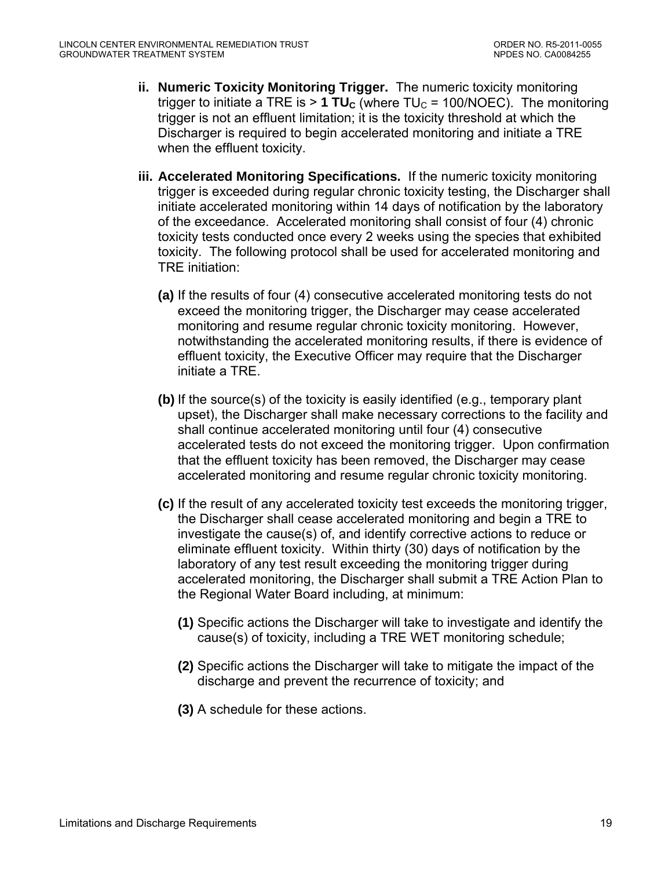- **ii. Numeric Toxicity Monitoring Trigger.** The numeric toxicity monitoring trigger to initiate a TRE is  $> 1$  TU<sub>C</sub> (where TU<sub>C</sub> = 100/NOEC). The monitoring trigger is not an effluent limitation; it is the toxicity threshold at which the Discharger is required to begin accelerated monitoring and initiate a TRE when the effluent toxicity.
- **iii. Accelerated Monitoring Specifications.** If the numeric toxicity monitoring trigger is exceeded during regular chronic toxicity testing, the Discharger shall initiate accelerated monitoring within 14 days of notification by the laboratory of the exceedance. Accelerated monitoring shall consist of four (4) chronic toxicity tests conducted once every 2 weeks using the species that exhibited toxicity. The following protocol shall be used for accelerated monitoring and TRE initiation:
	- **(a)** If the results of four (4) consecutive accelerated monitoring tests do not exceed the monitoring trigger, the Discharger may cease accelerated monitoring and resume regular chronic toxicity monitoring. However, notwithstanding the accelerated monitoring results, if there is evidence of effluent toxicity, the Executive Officer may require that the Discharger initiate a TRE.
	- **(b)** If the source(s) of the toxicity is easily identified (e.g., temporary plant upset), the Discharger shall make necessary corrections to the facility and shall continue accelerated monitoring until four (4) consecutive accelerated tests do not exceed the monitoring trigger. Upon confirmation that the effluent toxicity has been removed, the Discharger may cease accelerated monitoring and resume regular chronic toxicity monitoring.
	- **(c)** If the result of any accelerated toxicity test exceeds the monitoring trigger, the Discharger shall cease accelerated monitoring and begin a TRE to investigate the cause(s) of, and identify corrective actions to reduce or eliminate effluent toxicity. Within thirty (30) days of notification by the laboratory of any test result exceeding the monitoring trigger during accelerated monitoring, the Discharger shall submit a TRE Action Plan to the Regional Water Board including, at minimum:
		- **(1)** Specific actions the Discharger will take to investigate and identify the cause(s) of toxicity, including a TRE WET monitoring schedule;
		- **(2)** Specific actions the Discharger will take to mitigate the impact of the discharge and prevent the recurrence of toxicity; and
		- **(3)** A schedule for these actions.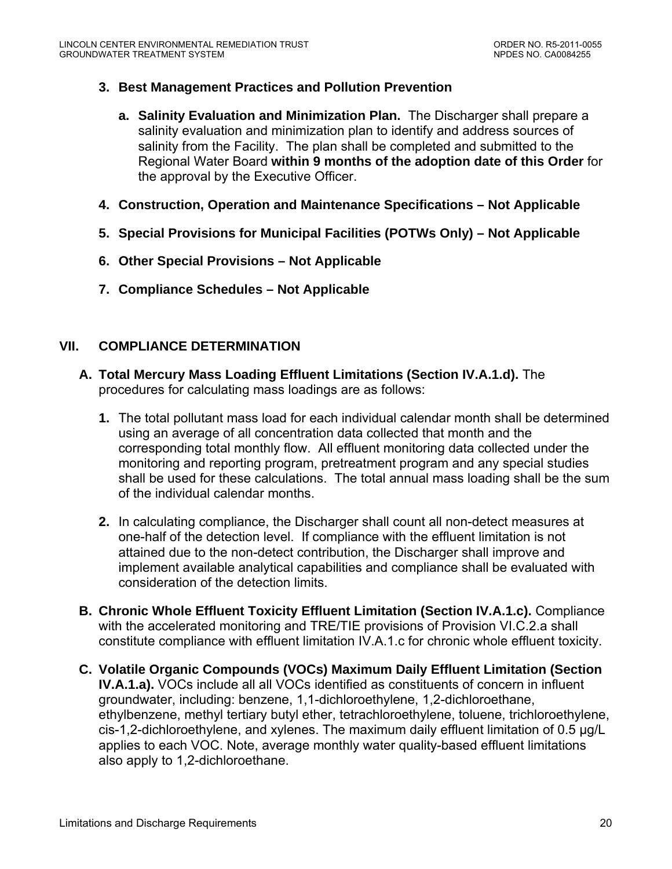## <span id="page-19-0"></span>**3. Best Management Practices and Pollution Prevention**

- **a. Salinity Evaluation and Minimization Plan.** The Discharger shall prepare a salinity evaluation and minimization plan to identify and address sources of salinity from the Facility. The plan shall be completed and submitted to the Regional Water Board **within 9 months of the adoption date of this Order** for the approval by the Executive Officer.
- **4. Construction, Operation and Maintenance Specifications Not Applicable**
- **5. Special Provisions for Municipal Facilities (POTWs Only) Not Applicable**
- **6. Other Special Provisions Not Applicable**
- **7. Compliance Schedules Not Applicable**

## **VII. COMPLIANCE DETERMINATION**

- **A. Total Mercury Mass Loading Effluent Limitations (Section IV.A.1.d).** The procedures for calculating mass loadings are as follows:
	- **1.** The total pollutant mass load for each individual calendar month shall be determined using an average of all concentration data collected that month and the corresponding total monthly flow. All effluent monitoring data collected under the monitoring and reporting program, pretreatment program and any special studies shall be used for these calculations. The total annual mass loading shall be the sum of the individual calendar months.
	- **2.** In calculating compliance, the Discharger shall count all non-detect measures at one-half of the detection level. If compliance with the effluent limitation is not attained due to the non-detect contribution, the Discharger shall improve and implement available analytical capabilities and compliance shall be evaluated with consideration of the detection limits.
- **B. Chronic Whole Effluent Toxicity Effluent Limitation (Section IV.A.1.c).** Compliance with the accelerated monitoring and TRE/TIE provisions of Provision VI.C.2.a shall constitute compliance with effluent limitation IV.A.1.c for chronic whole effluent toxicity.
- **C. Volatile Organic Compounds (VOCs) Maximum Daily Effluent Limitation (Section IV.A.1.a).** VOCs include all all VOCs identified as constituents of concern in influent groundwater, including: benzene, 1,1-dichloroethylene, 1,2-dichloroethane, ethylbenzene, methyl tertiary butyl ether, tetrachloroethylene, toluene, trichloroethylene, cis-1,2-dichloroethylene, and xylenes. The maximum daily effluent limitation of 0.5 μg/L applies to each VOC. Note, average monthly water quality-based effluent limitations also apply to 1,2-dichloroethane.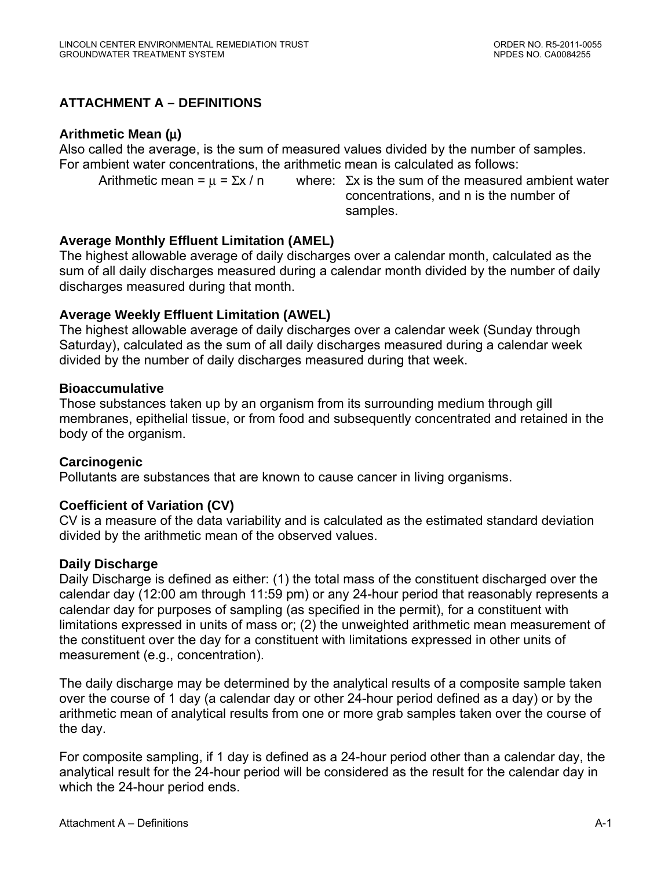# <span id="page-20-0"></span>**ATTACHMENT A – DEFINITIONS**

## **Arithmetic Mean (**μ**)**

Also called the average, is the sum of measured values divided by the number of samples. For ambient water concentrations, the arithmetic mean is calculated as follows:

Arithmetic mean =  $\mu$  =  $\Sigma x / n$  where:  $\Sigma x$  is the sum of the measured ambient water concentrations, and n is the number of samples.

## **Average Monthly Effluent Limitation (AMEL)**

The highest allowable average of daily discharges over a calendar month, calculated as the sum of all daily discharges measured during a calendar month divided by the number of daily discharges measured during that month.

## **Average Weekly Effluent Limitation (AWEL)**

The highest allowable average of daily discharges over a calendar week (Sunday through Saturday), calculated as the sum of all daily discharges measured during a calendar week divided by the number of daily discharges measured during that week.

#### **Bioaccumulative**

Those substances taken up by an organism from its surrounding medium through gill membranes, epithelial tissue, or from food and subsequently concentrated and retained in the body of the organism.

## **Carcinogenic**

Pollutants are substances that are known to cause cancer in living organisms.

## **Coefficient of Variation (CV)**

CV is a measure of the data variability and is calculated as the estimated standard deviation divided by the arithmetic mean of the observed values.

#### **Daily Discharge**

Daily Discharge is defined as either: (1) the total mass of the constituent discharged over the calendar day (12:00 am through 11:59 pm) or any 24-hour period that reasonably represents a calendar day for purposes of sampling (as specified in the permit), for a constituent with limitations expressed in units of mass or; (2) the unweighted arithmetic mean measurement of the constituent over the day for a constituent with limitations expressed in other units of measurement (e.g., concentration).

The daily discharge may be determined by the analytical results of a composite sample taken over the course of 1 day (a calendar day or other 24-hour period defined as a day) or by the arithmetic mean of analytical results from one or more grab samples taken over the course of the day.

For composite sampling, if 1 day is defined as a 24-hour period other than a calendar day, the analytical result for the 24-hour period will be considered as the result for the calendar day in which the 24-hour period ends.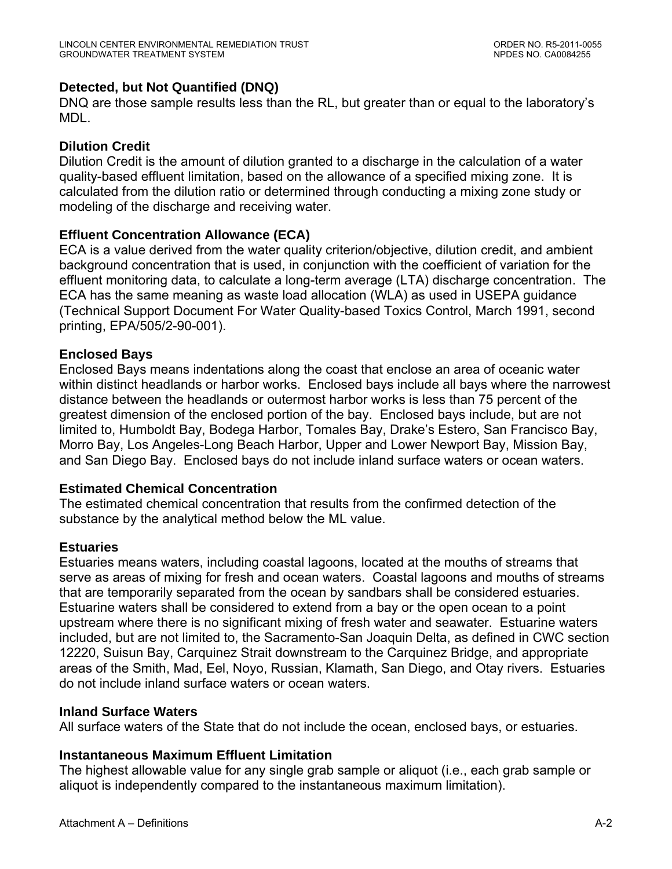## **Detected, but Not Quantified (DNQ)**

DNQ are those sample results less than the RL, but greater than or equal to the laboratory's MDL.

## **Dilution Credit**

Dilution Credit is the amount of dilution granted to a discharge in the calculation of a water quality-based effluent limitation, based on the allowance of a specified mixing zone. It is calculated from the dilution ratio or determined through conducting a mixing zone study or modeling of the discharge and receiving water.

## **Effluent Concentration Allowance (ECA)**

ECA is a value derived from the water quality criterion/objective, dilution credit, and ambient background concentration that is used, in conjunction with the coefficient of variation for the effluent monitoring data, to calculate a long-term average (LTA) discharge concentration. The ECA has the same meaning as waste load allocation (WLA) as used in USEPA guidance (Technical Support Document For Water Quality-based Toxics Control, March 1991, second printing, EPA/505/2-90-001).

## **Enclosed Bays**

Enclosed Bays means indentations along the coast that enclose an area of oceanic water within distinct headlands or harbor works. Enclosed bays include all bays where the narrowest distance between the headlands or outermost harbor works is less than 75 percent of the greatest dimension of the enclosed portion of the bay. Enclosed bays include, but are not limited to, Humboldt Bay, Bodega Harbor, Tomales Bay, Drake's Estero, San Francisco Bay, Morro Bay, Los Angeles-Long Beach Harbor, Upper and Lower Newport Bay, Mission Bay, and San Diego Bay. Enclosed bays do not include inland surface waters or ocean waters.

## **Estimated Chemical Concentration**

The estimated chemical concentration that results from the confirmed detection of the substance by the analytical method below the ML value.

## **Estuaries**

Estuaries means waters, including coastal lagoons, located at the mouths of streams that serve as areas of mixing for fresh and ocean waters. Coastal lagoons and mouths of streams that are temporarily separated from the ocean by sandbars shall be considered estuaries. Estuarine waters shall be considered to extend from a bay or the open ocean to a point upstream where there is no significant mixing of fresh water and seawater. Estuarine waters included, but are not limited to, the Sacramento-San Joaquin Delta, as defined in CWC section 12220, Suisun Bay, Carquinez Strait downstream to the Carquinez Bridge, and appropriate areas of the Smith, Mad, Eel, Noyo, Russian, Klamath, San Diego, and Otay rivers. Estuaries do not include inland surface waters or ocean waters.

## **Inland Surface Waters**

All surface waters of the State that do not include the ocean, enclosed bays, or estuaries.

## **Instantaneous Maximum Effluent Limitation**

The highest allowable value for any single grab sample or aliquot (i.e., each grab sample or aliquot is independently compared to the instantaneous maximum limitation).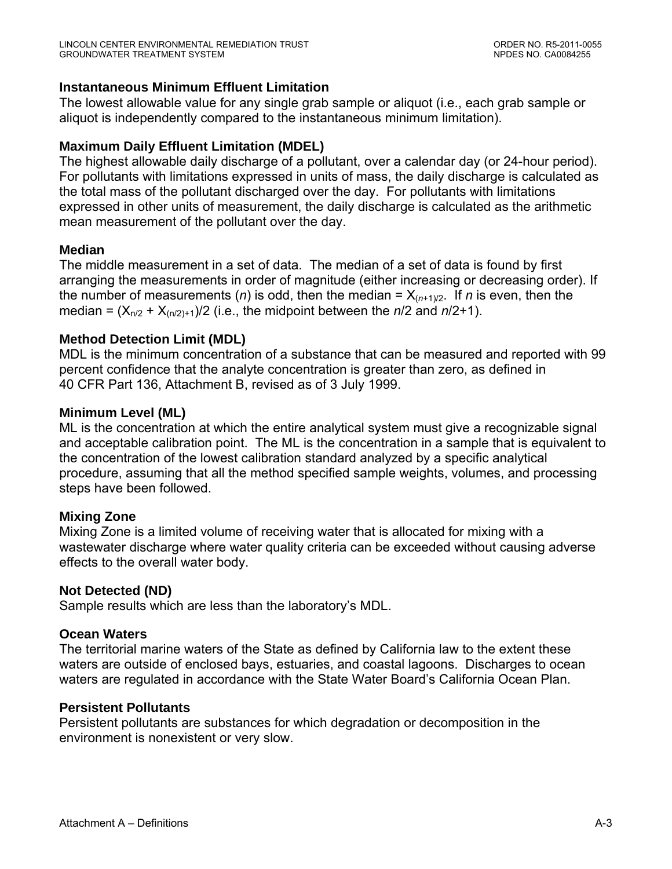## **Instantaneous Minimum Effluent Limitation**

The lowest allowable value for any single grab sample or aliquot (i.e., each grab sample or aliquot is independently compared to the instantaneous minimum limitation).

## **Maximum Daily Effluent Limitation (MDEL)**

The highest allowable daily discharge of a pollutant, over a calendar day (or 24-hour period). For pollutants with limitations expressed in units of mass, the daily discharge is calculated as the total mass of the pollutant discharged over the day. For pollutants with limitations expressed in other units of measurement, the daily discharge is calculated as the arithmetic mean measurement of the pollutant over the day.

## **Median**

The middle measurement in a set of data. The median of a set of data is found by first arranging the measurements in order of magnitude (either increasing or decreasing order). If the number of measurements (*n*) is odd, then the median =  $X_{(n+1)/2}$ . If *n* is even, then the median =  $(X_{n/2} + X_{(n/2)+1})/2$  (i.e., the midpoint between the  $n/2$  and  $n/2+1$ ).

## **Method Detection Limit (MDL)**

MDL is the minimum concentration of a substance that can be measured and reported with 99 percent confidence that the analyte concentration is greater than zero, as defined in 40 CFR Part 136, Attachment B, revised as of 3 July 1999.

## **Minimum Level (ML)**

ML is the concentration at which the entire analytical system must give a recognizable signal and acceptable calibration point. The ML is the concentration in a sample that is equivalent to the concentration of the lowest calibration standard analyzed by a specific analytical procedure, assuming that all the method specified sample weights, volumes, and processing steps have been followed.

## **Mixing Zone**

Mixing Zone is a limited volume of receiving water that is allocated for mixing with a wastewater discharge where water quality criteria can be exceeded without causing adverse effects to the overall water body.

## **Not Detected (ND)**

Sample results which are less than the laboratory's MDL.

## **Ocean Waters**

The territorial marine waters of the State as defined by California law to the extent these waters are outside of enclosed bays, estuaries, and coastal lagoons. Discharges to ocean waters are regulated in accordance with the State Water Board's California Ocean Plan.

## **Persistent Pollutants**

Persistent pollutants are substances for which degradation or decomposition in the environment is nonexistent or very slow.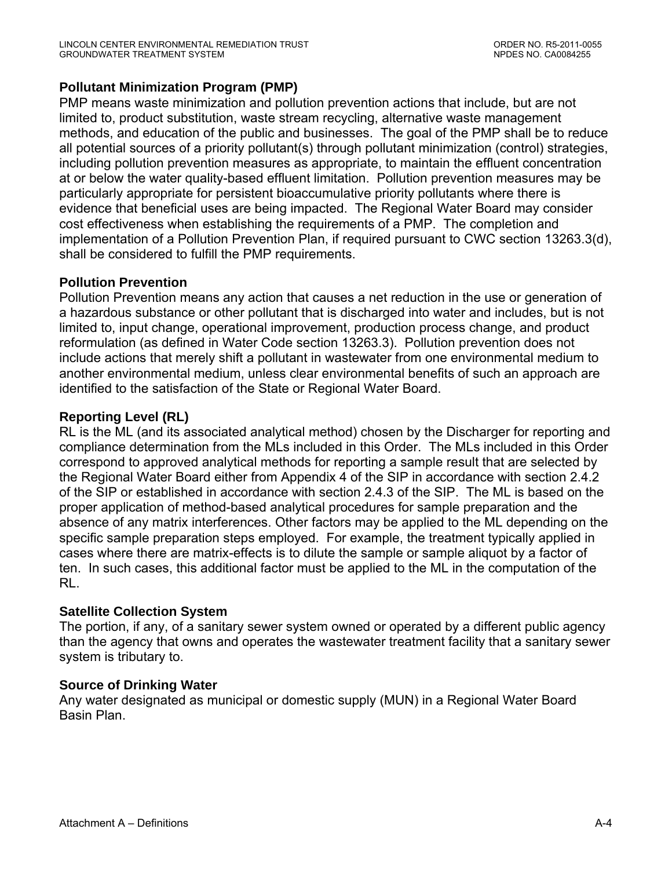## **Pollutant Minimization Program (PMP)**

PMP means waste minimization and pollution prevention actions that include, but are not limited to, product substitution, waste stream recycling, alternative waste management methods, and education of the public and businesses. The goal of the PMP shall be to reduce all potential sources of a priority pollutant(s) through pollutant minimization (control) strategies, including pollution prevention measures as appropriate, to maintain the effluent concentration at or below the water quality-based effluent limitation. Pollution prevention measures may be particularly appropriate for persistent bioaccumulative priority pollutants where there is evidence that beneficial uses are being impacted. The Regional Water Board may consider cost effectiveness when establishing the requirements of a PMP. The completion and implementation of a Pollution Prevention Plan, if required pursuant to CWC section 13263.3(d), shall be considered to fulfill the PMP requirements.

## **Pollution Prevention**

Pollution Prevention means any action that causes a net reduction in the use or generation of a hazardous substance or other pollutant that is discharged into water and includes, but is not limited to, input change, operational improvement, production process change, and product reformulation (as defined in Water Code section 13263.3). Pollution prevention does not include actions that merely shift a pollutant in wastewater from one environmental medium to another environmental medium, unless clear environmental benefits of such an approach are identified to the satisfaction of the State or Regional Water Board.

## **Reporting Level (RL)**

RL is the ML (and its associated analytical method) chosen by the Discharger for reporting and compliance determination from the MLs included in this Order. The MLs included in this Order correspond to approved analytical methods for reporting a sample result that are selected by the Regional Water Board either from Appendix 4 of the SIP in accordance with section 2.4.2 of the SIP or established in accordance with section 2.4.3 of the SIP. The ML is based on the proper application of method-based analytical procedures for sample preparation and the absence of any matrix interferences. Other factors may be applied to the ML depending on the specific sample preparation steps employed. For example, the treatment typically applied in cases where there are matrix-effects is to dilute the sample or sample aliquot by a factor of ten. In such cases, this additional factor must be applied to the ML in the computation of the RL.

## **Satellite Collection System**

The portion, if any, of a sanitary sewer system owned or operated by a different public agency than the agency that owns and operates the wastewater treatment facility that a sanitary sewer system is tributary to.

## **Source of Drinking Water**

Any water designated as municipal or domestic supply (MUN) in a Regional Water Board Basin Plan.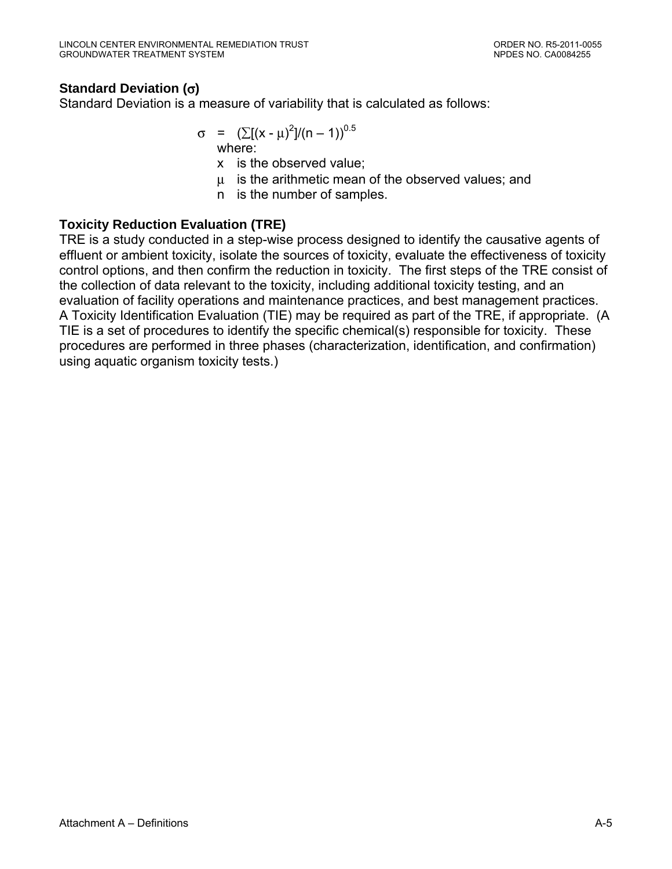# **Standard Deviation (**σ**)**

Standard Deviation is a measure of variability that is calculated as follows:

$$
\sigma = (\sum [(x - \mu)^2]/(n - 1))^{0.5}
$$

x is the observed value;

μ is the arithmetic mean of the observed values; and

n is the number of samples.

## **Toxicity Reduction Evaluation (TRE)**

TRE is a study conducted in a step-wise process designed to identify the causative agents of effluent or ambient toxicity, isolate the sources of toxicity, evaluate the effectiveness of toxicity control options, and then confirm the reduction in toxicity. The first steps of the TRE consist of the collection of data relevant to the toxicity, including additional toxicity testing, and an evaluation of facility operations and maintenance practices, and best management practices. A Toxicity Identification Evaluation (TIE) may be required as part of the TRE, if appropriate. (A TIE is a set of procedures to identify the specific chemical(s) responsible for toxicity. These procedures are performed in three phases (characterization, identification, and confirmation) using aquatic organism toxicity tests.)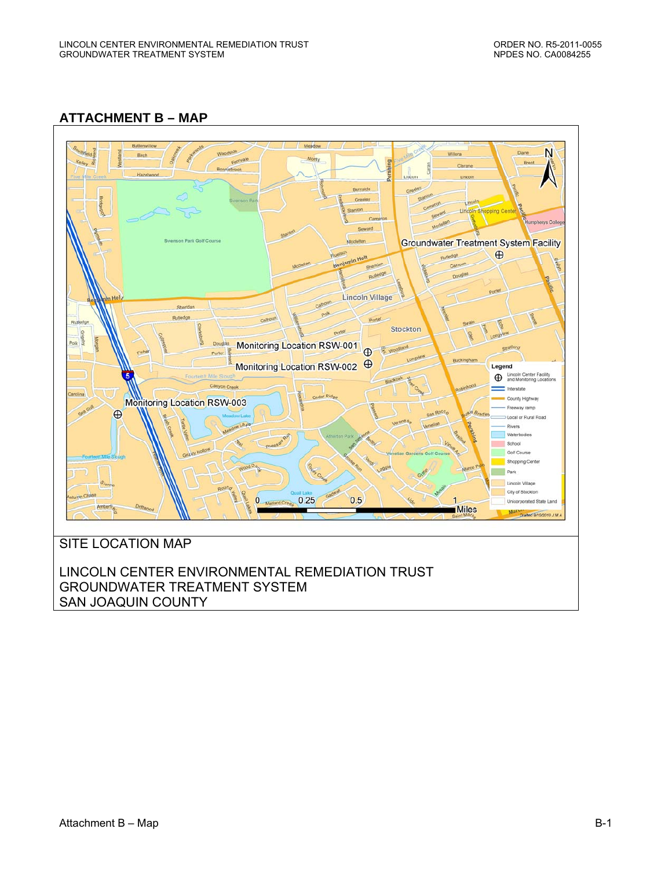## <span id="page-25-0"></span>**ATTACHMENT B – MAP**



SAN JOAQUIN COUNTY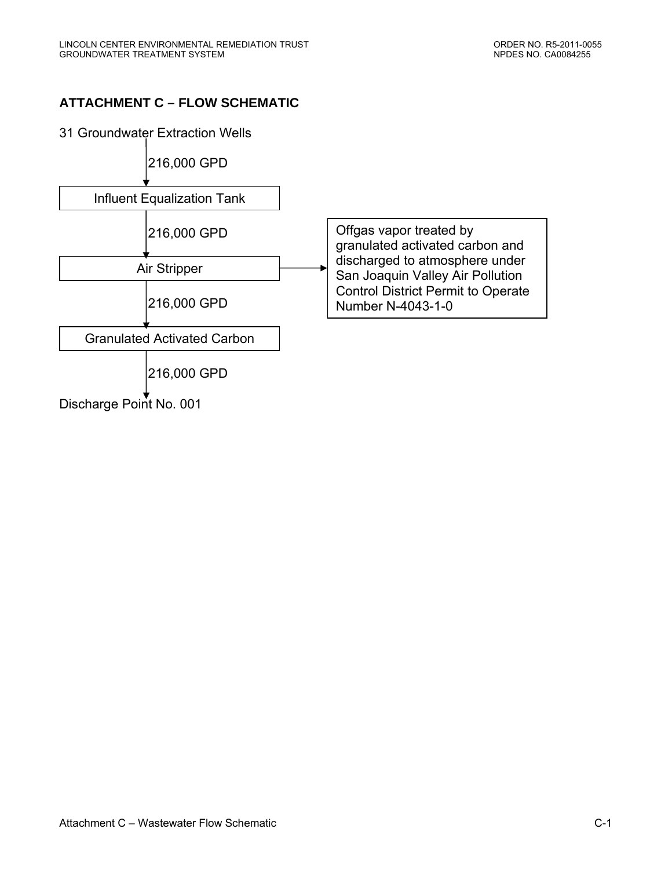# <span id="page-26-0"></span>**ATTACHMENT C – FLOW SCHEMATIC**

31 Groundwater Extraction Wells

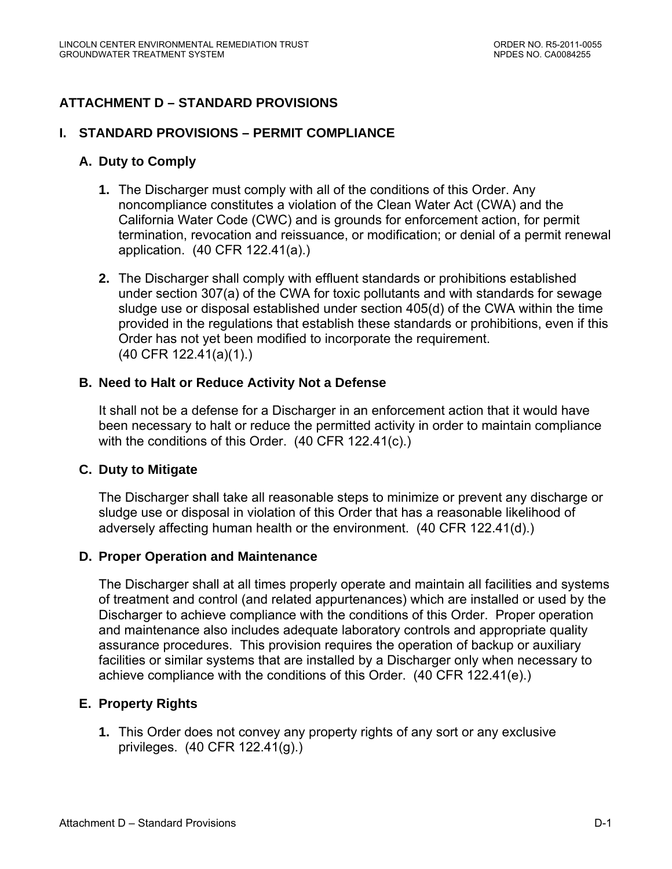# <span id="page-27-0"></span>**ATTACHMENT D – STANDARD PROVISIONS**

#### **I. STANDARD PROVISIONS – PERMIT COMPLIANCE**

#### **A. Duty to Comply**

- **1.** The Discharger must comply with all of the conditions of this Order. Any noncompliance constitutes a violation of the Clean Water Act (CWA) and the California Water Code (CWC) and is grounds for enforcement action, for permit termination, revocation and reissuance, or modification; or denial of a permit renewal application. (40 CFR 122.41(a).)
- **2.** The Discharger shall comply with effluent standards or prohibitions established under section 307(a) of the CWA for toxic pollutants and with standards for sewage sludge use or disposal established under section 405(d) of the CWA within the time provided in the regulations that establish these standards or prohibitions, even if this Order has not yet been modified to incorporate the requirement. (40 CFR 122.41(a)(1).)

#### **B. Need to Halt or Reduce Activity Not a Defense**

It shall not be a defense for a Discharger in an enforcement action that it would have been necessary to halt or reduce the permitted activity in order to maintain compliance with the conditions of this Order. (40 CFR 122.41(c).)

#### **C. Duty to Mitigate**

The Discharger shall take all reasonable steps to minimize or prevent any discharge or sludge use or disposal in violation of this Order that has a reasonable likelihood of adversely affecting human health or the environment. (40 CFR 122.41(d).)

#### **D. Proper Operation and Maintenance**

The Discharger shall at all times properly operate and maintain all facilities and systems of treatment and control (and related appurtenances) which are installed or used by the Discharger to achieve compliance with the conditions of this Order. Proper operation and maintenance also includes adequate laboratory controls and appropriate quality assurance procedures. This provision requires the operation of backup or auxiliary facilities or similar systems that are installed by a Discharger only when necessary to achieve compliance with the conditions of this Order. (40 CFR 122.41(e).)

## **E. Property Rights**

**1.** This Order does not convey any property rights of any sort or any exclusive privileges. (40 CFR 122.41(g).)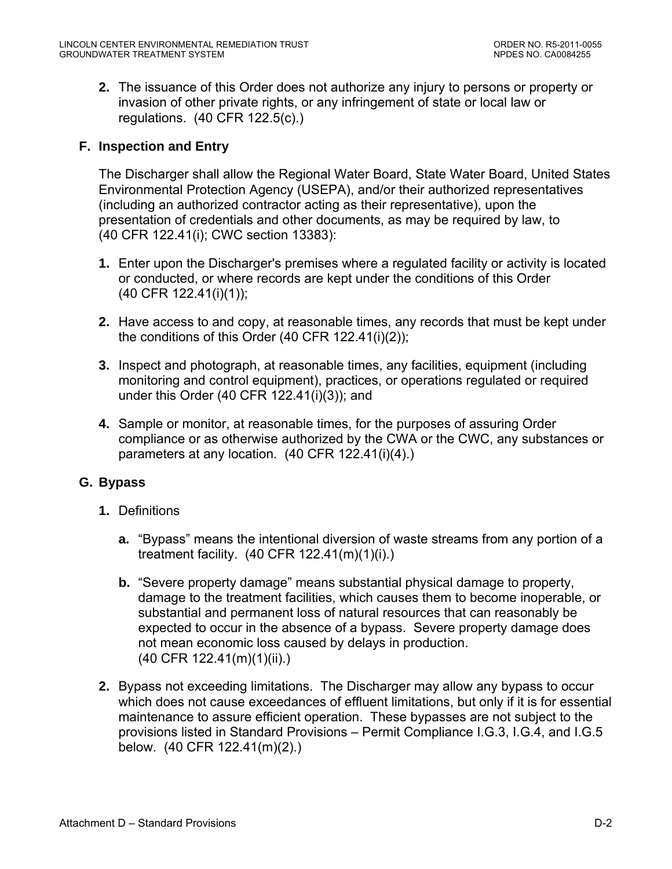**2.** The issuance of this Order does not authorize any injury to persons or property or invasion of other private rights, or any infringement of state or local law or regulations. (40 CFR 122.5(c).)

## **F. Inspection and Entry**

The Discharger shall allow the Regional Water Board, State Water Board, United States Environmental Protection Agency (USEPA), and/or their authorized representatives (including an authorized contractor acting as their representative), upon the presentation of credentials and other documents, as may be required by law, to (40 CFR 122.41(i); CWC section 13383):

- **1.** Enter upon the Discharger's premises where a regulated facility or activity is located or conducted, or where records are kept under the conditions of this Order (40 CFR 122.41(i)(1));
- **2.** Have access to and copy, at reasonable times, any records that must be kept under the conditions of this Order (40 CFR 122.41(i)(2));
- **3.** Inspect and photograph, at reasonable times, any facilities, equipment (including monitoring and control equipment), practices, or operations regulated or required under this Order (40 CFR 122.41(i)(3)); and
- **4.** Sample or monitor, at reasonable times, for the purposes of assuring Order compliance or as otherwise authorized by the CWA or the CWC, any substances or parameters at any location. (40 CFR 122.41(i)(4).)

## **G. Bypass**

- **1.** Definitions
	- **a.** "Bypass" means the intentional diversion of waste streams from any portion of a treatment facility. (40 CFR 122.41(m)(1)(i).)
	- **b.** "Severe property damage" means substantial physical damage to property, damage to the treatment facilities, which causes them to become inoperable, or substantial and permanent loss of natural resources that can reasonably be expected to occur in the absence of a bypass. Severe property damage does not mean economic loss caused by delays in production. (40 CFR 122.41(m)(1)(ii).)
- **2.** Bypass not exceeding limitations. The Discharger may allow any bypass to occur which does not cause exceedances of effluent limitations, but only if it is for essential maintenance to assure efficient operation. These bypasses are not subject to the provisions listed in Standard Provisions – Permit Compliance I.G.3, I.G.4, and I.G.5 below. (40 CFR 122.41(m)(2).)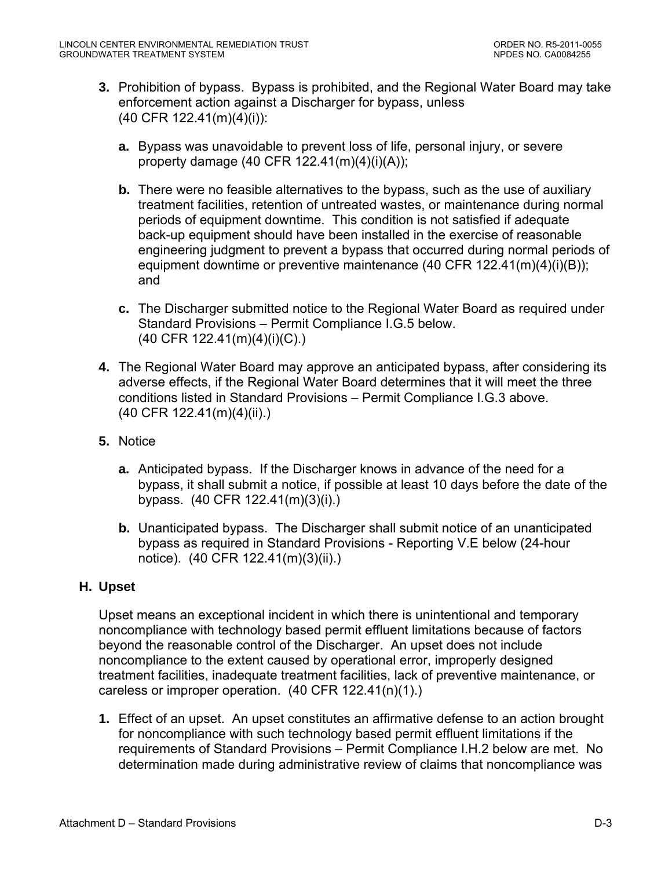- **3.** Prohibition of bypass. Bypass is prohibited, and the Regional Water Board may take enforcement action against a Discharger for bypass, unless (40 CFR 122.41(m)(4)(i)):
	- **a.** Bypass was unavoidable to prevent loss of life, personal injury, or severe property damage (40 CFR 122.41(m)(4)(i)(A));
	- **b.** There were no feasible alternatives to the bypass, such as the use of auxiliary treatment facilities, retention of untreated wastes, or maintenance during normal periods of equipment downtime. This condition is not satisfied if adequate back-up equipment should have been installed in the exercise of reasonable engineering judgment to prevent a bypass that occurred during normal periods of equipment downtime or preventive maintenance (40 CFR 122.41(m)(4)(i)(B)); and
	- **c.** The Discharger submitted notice to the Regional Water Board as required under Standard Provisions – Permit Compliance I.G.5 below. (40 CFR 122.41(m)(4)(i)(C).)
- **4.** The Regional Water Board may approve an anticipated bypass, after considering its adverse effects, if the Regional Water Board determines that it will meet the three conditions listed in Standard Provisions – Permit Compliance I.G.3 above. (40 CFR 122.41(m)(4)(ii).)
- **5.** Notice
	- **a.** Anticipated bypass. If the Discharger knows in advance of the need for a bypass, it shall submit a notice, if possible at least 10 days before the date of the bypass. (40 CFR 122.41(m)(3)(i).)
	- **b.** Unanticipated bypass. The Discharger shall submit notice of an unanticipated bypass as required in Standard Provisions - Reporting V.E below (24-hour notice). (40 CFR 122.41(m)(3)(ii).)

## **H. Upset**

Upset means an exceptional incident in which there is unintentional and temporary noncompliance with technology based permit effluent limitations because of factors beyond the reasonable control of the Discharger. An upset does not include noncompliance to the extent caused by operational error, improperly designed treatment facilities, inadequate treatment facilities, lack of preventive maintenance, or careless or improper operation. (40 CFR 122.41(n)(1).)

**1.** Effect of an upset. An upset constitutes an affirmative defense to an action brought for noncompliance with such technology based permit effluent limitations if the requirements of Standard Provisions – Permit Compliance I.H.2 below are met. No determination made during administrative review of claims that noncompliance was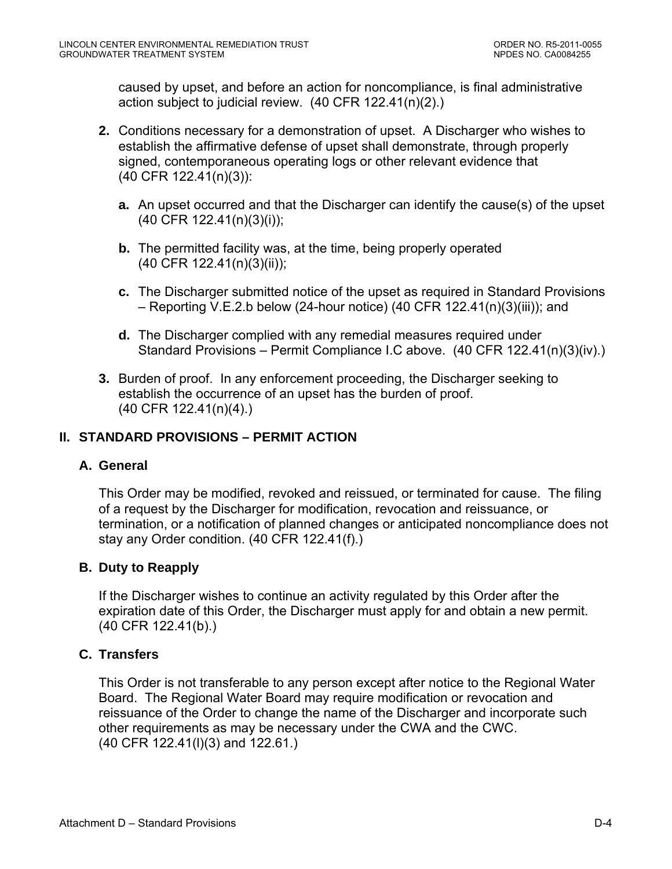caused by upset, and before an action for noncompliance, is final administrative action subject to judicial review. (40 CFR 122.41(n)(2).)

- **2.** Conditions necessary for a demonstration of upset. A Discharger who wishes to establish the affirmative defense of upset shall demonstrate, through properly signed, contemporaneous operating logs or other relevant evidence that (40 CFR 122.41(n)(3)):
	- **a.** An upset occurred and that the Discharger can identify the cause(s) of the upset (40 CFR 122.41(n)(3)(i));
	- **b.** The permitted facility was, at the time, being properly operated (40 CFR 122.41(n)(3)(ii));
	- **c.** The Discharger submitted notice of the upset as required in Standard Provisions – Reporting V.E.2.b below (24-hour notice) (40 CFR 122.41(n)(3)(iii)); and
	- **d.** The Discharger complied with any remedial measures required under Standard Provisions – Permit Compliance I.C above. (40 CFR 122.41(n)(3)(iv).)
- **3.** Burden of proof. In any enforcement proceeding, the Discharger seeking to establish the occurrence of an upset has the burden of proof. (40 CFR 122.41(n)(4).)

## **II. STANDARD PROVISIONS – PERMIT ACTION**

## **A. General**

This Order may be modified, revoked and reissued, or terminated for cause. The filing of a request by the Discharger for modification, revocation and reissuance, or termination, or a notification of planned changes or anticipated noncompliance does not stay any Order condition. (40 CFR 122.41(f).)

## **B. Duty to Reapply**

If the Discharger wishes to continue an activity regulated by this Order after the expiration date of this Order, the Discharger must apply for and obtain a new permit. (40 CFR 122.41(b).)

## **C. Transfers**

This Order is not transferable to any person except after notice to the Regional Water Board. The Regional Water Board may require modification or revocation and reissuance of the Order to change the name of the Discharger and incorporate such other requirements as may be necessary under the CWA and the CWC. (40 CFR 122.41(l)(3) and 122.61.)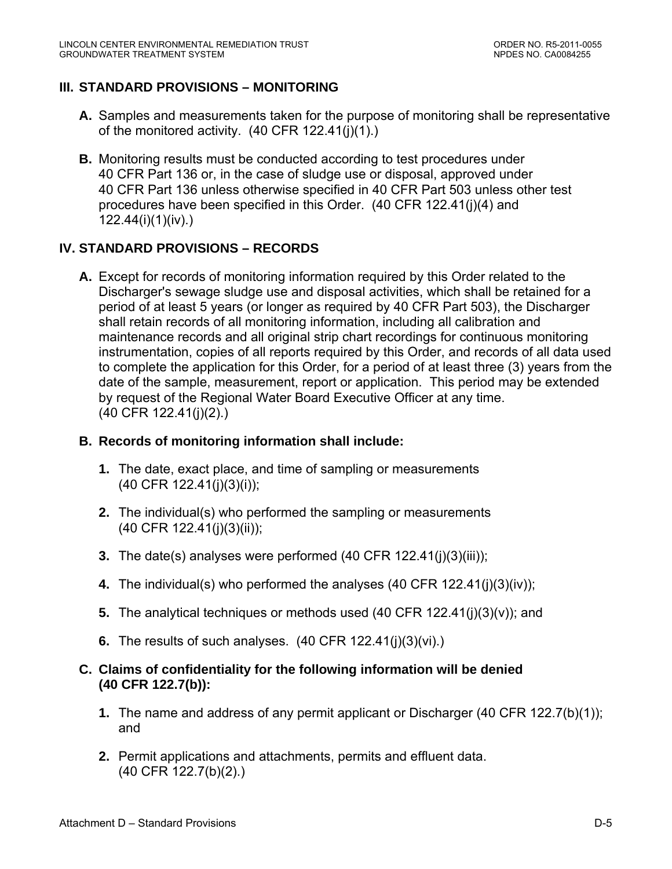## **III. STANDARD PROVISIONS – MONITORING**

- **A.** Samples and measurements taken for the purpose of monitoring shall be representative of the monitored activity. (40 CFR 122.41(j)(1).)
- **B.** Monitoring results must be conducted according to test procedures under 40 CFR Part 136 or, in the case of sludge use or disposal, approved under 40 CFR Part 136 unless otherwise specified in 40 CFR Part 503 unless other test procedures have been specified in this Order. (40 CFR 122.41(j)(4) and 122.44(i)(1)(iv).)

## **IV. STANDARD PROVISIONS – RECORDS**

**A.** Except for records of monitoring information required by this Order related to the Discharger's sewage sludge use and disposal activities, which shall be retained for a period of at least 5 years (or longer as required by 40 CFR Part 503), the Discharger shall retain records of all monitoring information, including all calibration and maintenance records and all original strip chart recordings for continuous monitoring instrumentation, copies of all reports required by this Order, and records of all data used to complete the application for this Order, for a period of at least three (3) years from the date of the sample, measurement, report or application. This period may be extended by request of the Regional Water Board Executive Officer at any time. (40 CFR 122.41(j)(2).)

#### **B. Records of monitoring information shall include:**

- **1.** The date, exact place, and time of sampling or measurements (40 CFR 122.41(j)(3)(i));
- **2.** The individual(s) who performed the sampling or measurements (40 CFR 122.41(j)(3)(ii));
- **3.** The date(s) analyses were performed (40 CFR 122.41(j)(3)(iii));
- **4.** The individual(s) who performed the analyses (40 CFR 122.41(j)(3)(iv));
- **5.** The analytical techniques or methods used (40 CFR 122.41(j)(3)(v)); and
- **6.** The results of such analyses. (40 CFR 122.41(j)(3)(vi).)
- **C. Claims of confidentiality for the following information will be denied (40 CFR 122.7(b)):** 
	- **1.** The name and address of any permit applicant or Discharger (40 CFR 122.7(b)(1)); and
	- **2.** Permit applications and attachments, permits and effluent data. (40 CFR 122.7(b)(2).)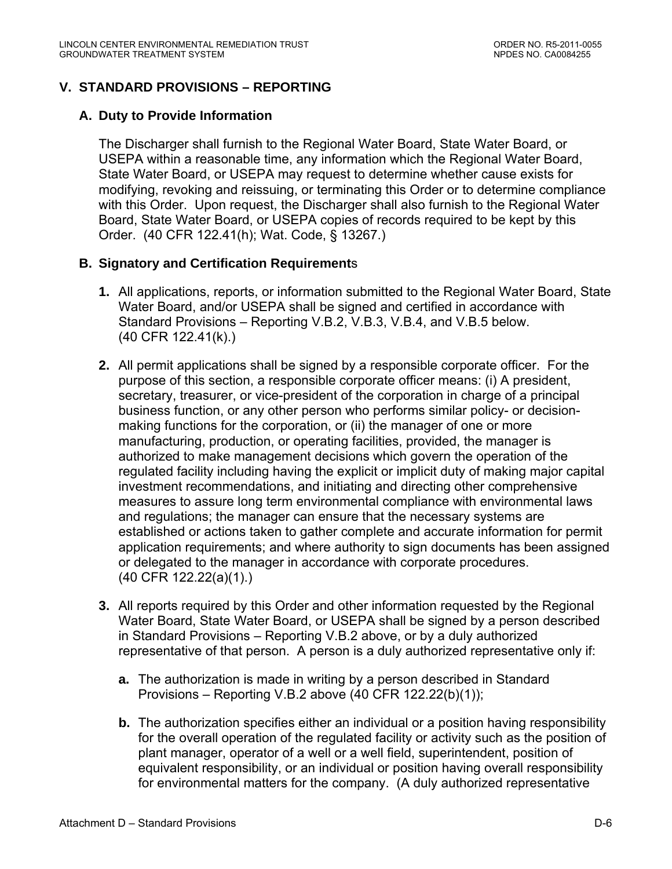# **V. STANDARD PROVISIONS – REPORTING**

## **A. Duty to Provide Information**

The Discharger shall furnish to the Regional Water Board, State Water Board, or USEPA within a reasonable time, any information which the Regional Water Board, State Water Board, or USEPA may request to determine whether cause exists for modifying, revoking and reissuing, or terminating this Order or to determine compliance with this Order. Upon request, the Discharger shall also furnish to the Regional Water Board, State Water Board, or USEPA copies of records required to be kept by this Order. (40 CFR 122.41(h); Wat. Code, § 13267.)

## **B. Signatory and Certification Requirement**s

- **1.** All applications, reports, or information submitted to the Regional Water Board, State Water Board, and/or USEPA shall be signed and certified in accordance with Standard Provisions – Reporting V.B.2, V.B.3, V.B.4, and V.B.5 below. (40 CFR 122.41(k).)
- **2.** All permit applications shall be signed by a responsible corporate officer. For the purpose of this section, a responsible corporate officer means: (i) A president, secretary, treasurer, or vice-president of the corporation in charge of a principal business function, or any other person who performs similar policy- or decisionmaking functions for the corporation, or (ii) the manager of one or more manufacturing, production, or operating facilities, provided, the manager is authorized to make management decisions which govern the operation of the regulated facility including having the explicit or implicit duty of making major capital investment recommendations, and initiating and directing other comprehensive measures to assure long term environmental compliance with environmental laws and regulations; the manager can ensure that the necessary systems are established or actions taken to gather complete and accurate information for permit application requirements; and where authority to sign documents has been assigned or delegated to the manager in accordance with corporate procedures. (40 CFR 122.22(a)(1).)
- **3.** All reports required by this Order and other information requested by the Regional Water Board, State Water Board, or USEPA shall be signed by a person described in Standard Provisions – Reporting V.B.2 above, or by a duly authorized representative of that person. A person is a duly authorized representative only if:
	- **a.** The authorization is made in writing by a person described in Standard Provisions – Reporting V.B.2 above (40 CFR 122.22(b)(1));
	- **b.** The authorization specifies either an individual or a position having responsibility for the overall operation of the regulated facility or activity such as the position of plant manager, operator of a well or a well field, superintendent, position of equivalent responsibility, or an individual or position having overall responsibility for environmental matters for the company. (A duly authorized representative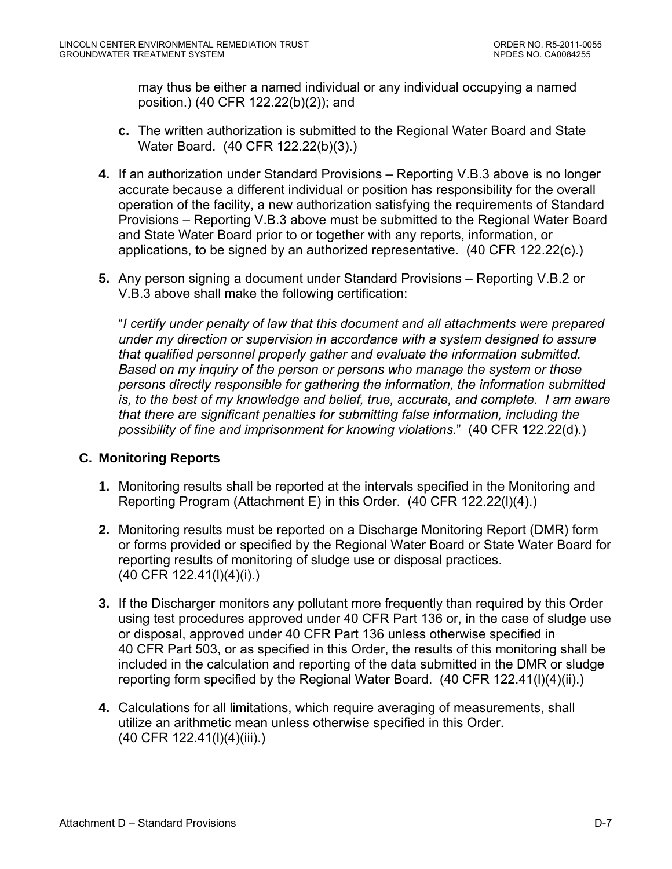may thus be either a named individual or any individual occupying a named position.) (40 CFR 122.22(b)(2)); and

- **c.** The written authorization is submitted to the Regional Water Board and State Water Board. (40 CFR 122.22(b)(3).)
- **4.** If an authorization under Standard Provisions Reporting V.B.3 above is no longer accurate because a different individual or position has responsibility for the overall operation of the facility, a new authorization satisfying the requirements of Standard Provisions – Reporting V.B.3 above must be submitted to the Regional Water Board and State Water Board prior to or together with any reports, information, or applications, to be signed by an authorized representative. (40 CFR 122.22(c).)
- **5.** Any person signing a document under Standard Provisions Reporting V.B.2 or V.B.3 above shall make the following certification:

"*I certify under penalty of law that this document and all attachments were prepared under my direction or supervision in accordance with a system designed to assure that qualified personnel properly gather and evaluate the information submitted. Based on my inquiry of the person or persons who manage the system or those persons directly responsible for gathering the information, the information submitted is, to the best of my knowledge and belief, true, accurate, and complete. I am aware that there are significant penalties for submitting false information, including the possibility of fine and imprisonment for knowing violations.*" (40 CFR 122.22(d).)

## **C. Monitoring Reports**

- **1.** Monitoring results shall be reported at the intervals specified in the Monitoring and Reporting Program (Attachment E) in this Order. (40 CFR 122.22(l)(4).)
- **2.** Monitoring results must be reported on a Discharge Monitoring Report (DMR) form or forms provided or specified by the Regional Water Board or State Water Board for reporting results of monitoring of sludge use or disposal practices. (40 CFR 122.41(l)(4)(i).)
- **3.** If the Discharger monitors any pollutant more frequently than required by this Order using test procedures approved under 40 CFR Part 136 or, in the case of sludge use or disposal, approved under 40 CFR Part 136 unless otherwise specified in 40 CFR Part 503, or as specified in this Order, the results of this monitoring shall be included in the calculation and reporting of the data submitted in the DMR or sludge reporting form specified by the Regional Water Board. (40 CFR 122.41(l)(4)(ii).)
- **4.** Calculations for all limitations, which require averaging of measurements, shall utilize an arithmetic mean unless otherwise specified in this Order. (40 CFR 122.41(l)(4)(iii).)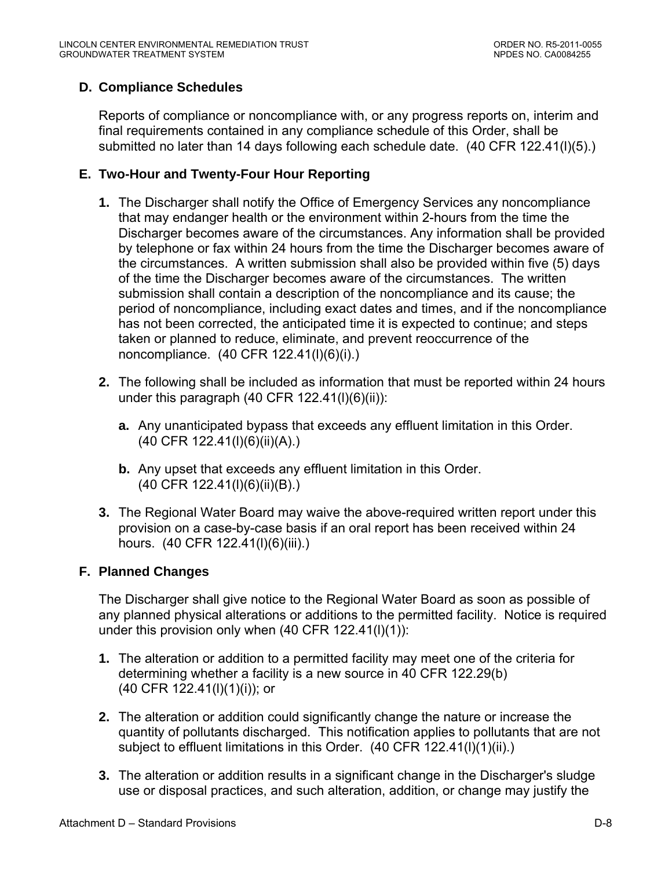# **D. Compliance Schedules**

Reports of compliance or noncompliance with, or any progress reports on, interim and final requirements contained in any compliance schedule of this Order, shall be submitted no later than 14 days following each schedule date. (40 CFR 122.41(l)(5).)

# **E. Two-Hour and Twenty-Four Hour Reporting**

- **1.** The Discharger shall notify the Office of Emergency Services any noncompliance that may endanger health or the environment within 2-hours from the time the Discharger becomes aware of the circumstances. Any information shall be provided by telephone or fax within 24 hours from the time the Discharger becomes aware of the circumstances. A written submission shall also be provided within five (5) days of the time the Discharger becomes aware of the circumstances. The written submission shall contain a description of the noncompliance and its cause; the period of noncompliance, including exact dates and times, and if the noncompliance has not been corrected, the anticipated time it is expected to continue; and steps taken or planned to reduce, eliminate, and prevent reoccurrence of the noncompliance. (40 CFR 122.41(l)(6)(i).)
- **2.** The following shall be included as information that must be reported within 24 hours under this paragraph  $(40$  CFR  $122.41(l)(6)(ii))$ :
	- **a.** Any unanticipated bypass that exceeds any effluent limitation in this Order. (40 CFR 122.41(l)(6)(ii)(A).)
	- **b.** Any upset that exceeds any effluent limitation in this Order. (40 CFR 122.41(l)(6)(ii)(B).)
- **3.** The Regional Water Board may waive the above-required written report under this provision on a case-by-case basis if an oral report has been received within 24 hours. (40 CFR 122.41(I)(6)(iii).)

## **F. Planned Changes**

The Discharger shall give notice to the Regional Water Board as soon as possible of any planned physical alterations or additions to the permitted facility. Notice is required under this provision only when (40 CFR 122.41(l)(1)):

- **1.** The alteration or addition to a permitted facility may meet one of the criteria for determining whether a facility is a new source in 40 CFR 122.29(b) (40 CFR 122.41(l)(1)(i)); or
- **2.** The alteration or addition could significantly change the nature or increase the quantity of pollutants discharged. This notification applies to pollutants that are not subject to effluent limitations in this Order. (40 CFR 122.41(l)(1)(ii).)
- **3.** The alteration or addition results in a significant change in the Discharger's sludge use or disposal practices, and such alteration, addition, or change may justify the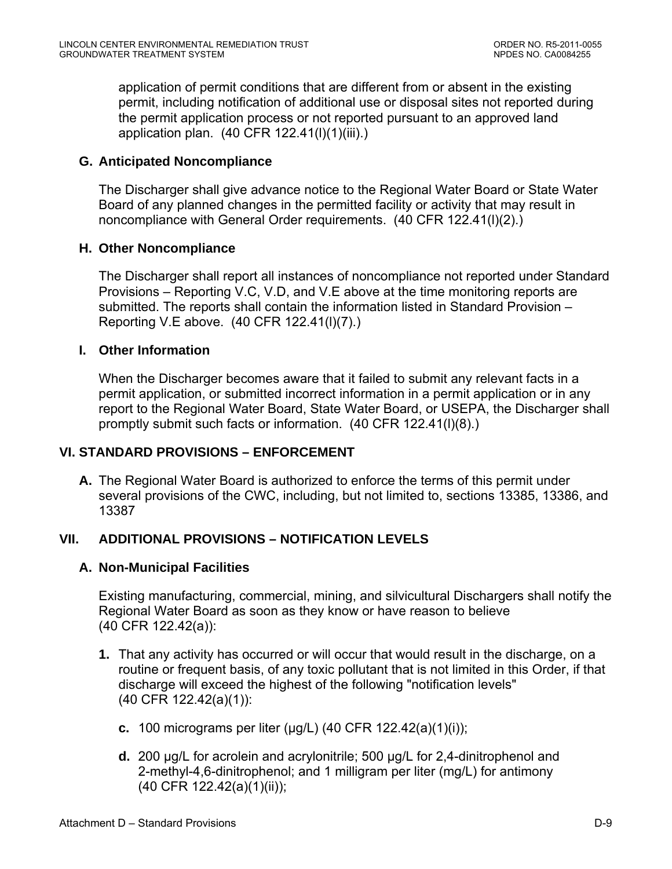application of permit conditions that are different from or absent in the existing permit, including notification of additional use or disposal sites not reported during the permit application process or not reported pursuant to an approved land application plan. (40 CFR 122.41(l)(1)(iii).)

## **G. Anticipated Noncompliance**

The Discharger shall give advance notice to the Regional Water Board or State Water Board of any planned changes in the permitted facility or activity that may result in noncompliance with General Order requirements. (40 CFR 122.41(l)(2).)

## **H. Other Noncompliance**

The Discharger shall report all instances of noncompliance not reported under Standard Provisions – Reporting V.C, V.D, and V.E above at the time monitoring reports are submitted. The reports shall contain the information listed in Standard Provision – Reporting V.E above. (40 CFR 122.41(l)(7).)

## **I. Other Information**

When the Discharger becomes aware that it failed to submit any relevant facts in a permit application, or submitted incorrect information in a permit application or in any report to the Regional Water Board, State Water Board, or USEPA, the Discharger shall promptly submit such facts or information. (40 CFR 122.41(l)(8).)

## **VI. STANDARD PROVISIONS – ENFORCEMENT**

**A.** The Regional Water Board is authorized to enforce the terms of this permit under several provisions of the CWC, including, but not limited to, sections 13385, 13386, and 13387

# **VII. ADDITIONAL PROVISIONS – NOTIFICATION LEVELS**

## **A. Non-Municipal Facilities**

Existing manufacturing, commercial, mining, and silvicultural Dischargers shall notify the Regional Water Board as soon as they know or have reason to believe (40 CFR 122.42(a)):

- **1.** That any activity has occurred or will occur that would result in the discharge, on a routine or frequent basis, of any toxic pollutant that is not limited in this Order, if that discharge will exceed the highest of the following "notification levels" (40 CFR 122.42(a)(1)):
	- **c.** 100 micrograms per liter (μg/L) (40 CFR 122.42(a)(1)(i));
	- **d.** 200 μg/L for acrolein and acrylonitrile; 500 μg/L for 2,4-dinitrophenol and 2-methyl-4,6-dinitrophenol; and 1 milligram per liter (mg/L) for antimony (40 CFR 122.42(a)(1)(ii));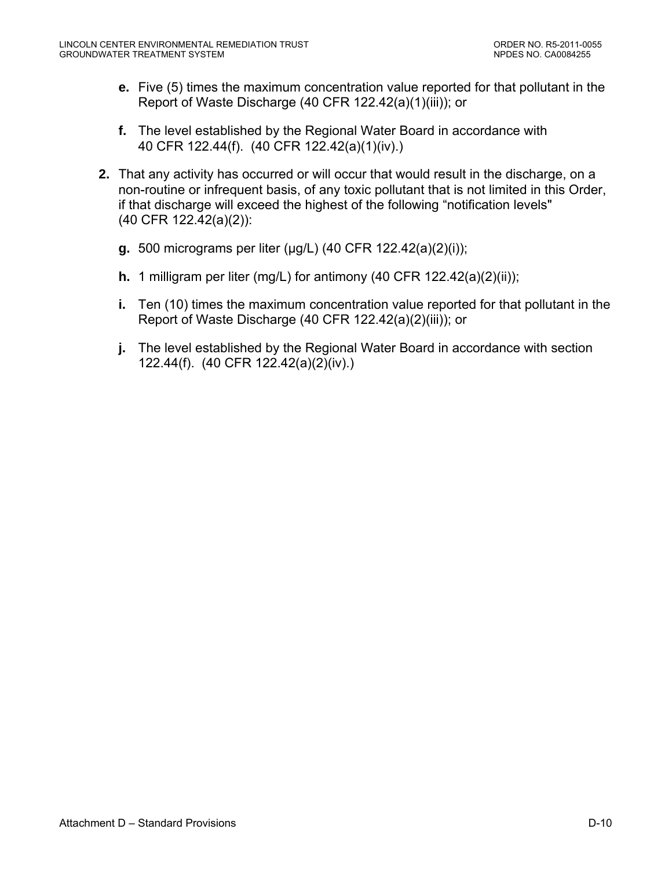- **e.** Five (5) times the maximum concentration value reported for that pollutant in the Report of Waste Discharge (40 CFR 122.42(a)(1)(iii)); or
- **f.** The level established by the Regional Water Board in accordance with 40 CFR 122.44(f). (40 CFR 122.42(a)(1)(iv).)
- **2.** That any activity has occurred or will occur that would result in the discharge, on a non-routine or infrequent basis, of any toxic pollutant that is not limited in this Order, if that discharge will exceed the highest of the following "notification levels" (40 CFR 122.42(a)(2)):
	- **g.** 500 micrograms per liter (μg/L) (40 CFR 122.42(a)(2)(i));
	- **h.** 1 milligram per liter (mg/L) for antimony (40 CFR 122.42(a)(2)(ii));
	- **i.** Ten (10) times the maximum concentration value reported for that pollutant in the Report of Waste Discharge (40 CFR 122.42(a)(2)(iii)); or
	- **j.** The level established by the Regional Water Board in accordance with section 122.44(f). (40 CFR 122.42(a)(2)(iv).)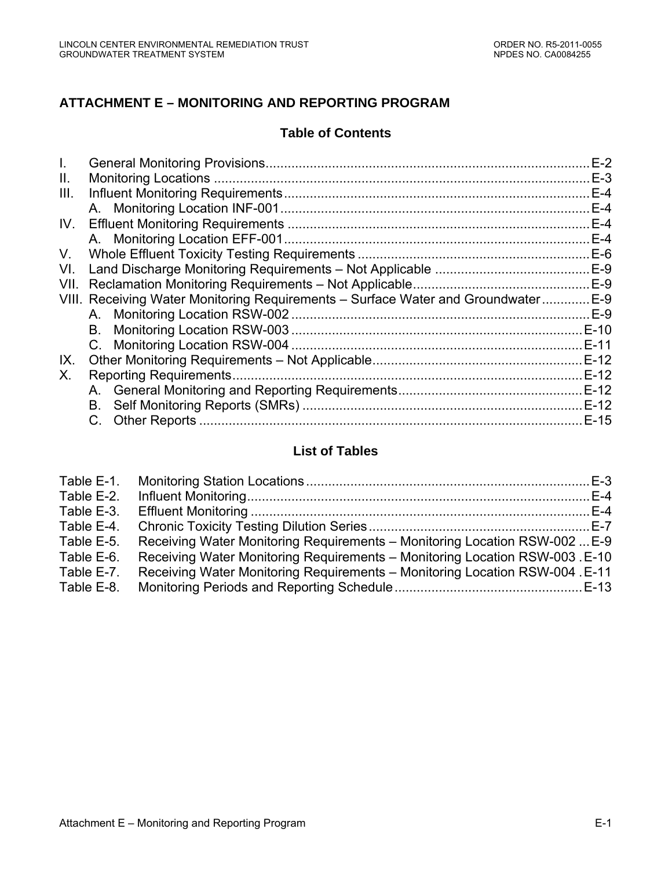# **ATTACHMENT E – MONITORING AND REPORTING PROGRAM**

### **Table of Contents**

|                                                                               | $E-2$  |
|-------------------------------------------------------------------------------|--------|
|                                                                               | $E-3$  |
|                                                                               | $E-4$  |
|                                                                               | $E-4$  |
|                                                                               | $E-4$  |
|                                                                               | $E-4$  |
|                                                                               | $E-6$  |
|                                                                               |        |
|                                                                               |        |
| VIII. Receiving Water Monitoring Requirements - Surface Water and Groundwater | E-9    |
| A. Monitoring Location RSW-002                                                | $E-9$  |
| В.                                                                            | E-10   |
|                                                                               | E-11   |
|                                                                               |        |
| <b>Reporting Requirements</b>                                                 |        |
|                                                                               |        |
| В.                                                                            | $E-12$ |
|                                                                               | $E-15$ |
|                                                                               |        |

### **List of Tables**

| Table E-1. |                                                                              |  |
|------------|------------------------------------------------------------------------------|--|
| Table E-2. |                                                                              |  |
| Table E-3. |                                                                              |  |
| Table E-4. |                                                                              |  |
| Table E-5. | Receiving Water Monitoring Requirements – Monitoring Location RSW-002  E-9   |  |
| Table E-6. | Receiving Water Monitoring Requirements - Monitoring Location RSW-003. E-10  |  |
| Table E-7. | Receiving Water Monitoring Requirements - Monitoring Location RSW-004 . E-11 |  |
| Table E-8. |                                                                              |  |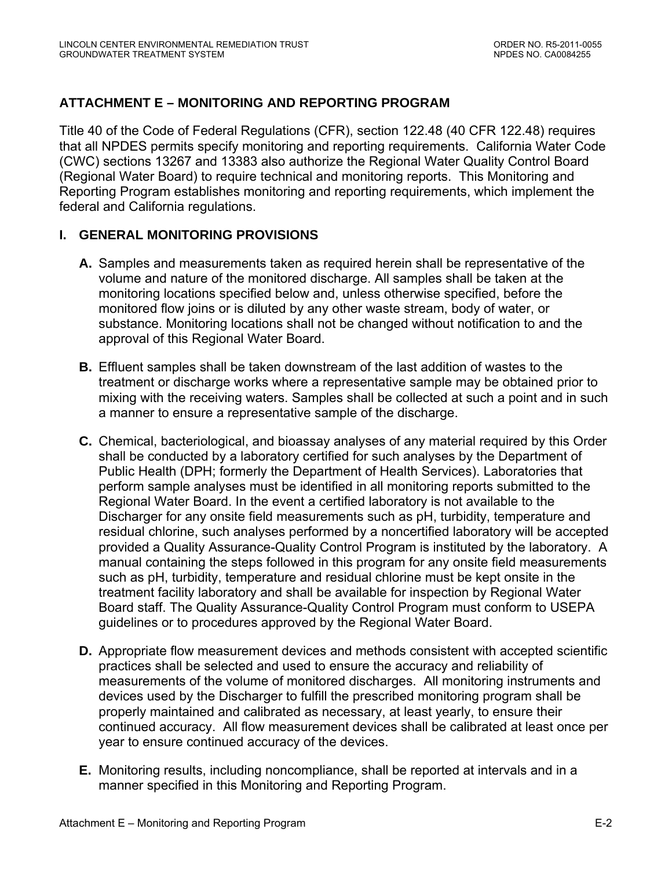# <span id="page-38-0"></span>**ATTACHMENT E – MONITORING AND REPORTING PROGRAM**

Title 40 of the Code of Federal Regulations (CFR), section 122.48 (40 CFR 122.48) requires that all NPDES permits specify monitoring and reporting requirements. California Water Code (CWC) sections 13267 and 13383 also authorize the Regional Water Quality Control Board (Regional Water Board) to require technical and monitoring reports. This Monitoring and Reporting Program establishes monitoring and reporting requirements, which implement the federal and California regulations.

### **I. GENERAL MONITORING PROVISIONS**

- **A.** Samples and measurements taken as required herein shall be representative of the volume and nature of the monitored discharge. All samples shall be taken at the monitoring locations specified below and, unless otherwise specified, before the monitored flow joins or is diluted by any other waste stream, body of water, or substance. Monitoring locations shall not be changed without notification to and the approval of this Regional Water Board.
- **B.** Effluent samples shall be taken downstream of the last addition of wastes to the treatment or discharge works where a representative sample may be obtained prior to mixing with the receiving waters. Samples shall be collected at such a point and in such a manner to ensure a representative sample of the discharge.
- **C.** Chemical, bacteriological, and bioassay analyses of any material required by this Order shall be conducted by a laboratory certified for such analyses by the Department of Public Health (DPH; formerly the Department of Health Services). Laboratories that perform sample analyses must be identified in all monitoring reports submitted to the Regional Water Board. In the event a certified laboratory is not available to the Discharger for any onsite field measurements such as pH, turbidity, temperature and residual chlorine, such analyses performed by a noncertified laboratory will be accepted provided a Quality Assurance-Quality Control Program is instituted by the laboratory. A manual containing the steps followed in this program for any onsite field measurements such as pH, turbidity, temperature and residual chlorine must be kept onsite in the treatment facility laboratory and shall be available for inspection by Regional Water Board staff. The Quality Assurance-Quality Control Program must conform to USEPA guidelines or to procedures approved by the Regional Water Board.
- **D.** Appropriate flow measurement devices and methods consistent with accepted scientific practices shall be selected and used to ensure the accuracy and reliability of measurements of the volume of monitored discharges. All monitoring instruments and devices used by the Discharger to fulfill the prescribed monitoring program shall be properly maintained and calibrated as necessary, at least yearly, to ensure their continued accuracy. All flow measurement devices shall be calibrated at least once per year to ensure continued accuracy of the devices.
- **E.** Monitoring results, including noncompliance, shall be reported at intervals and in a manner specified in this Monitoring and Reporting Program.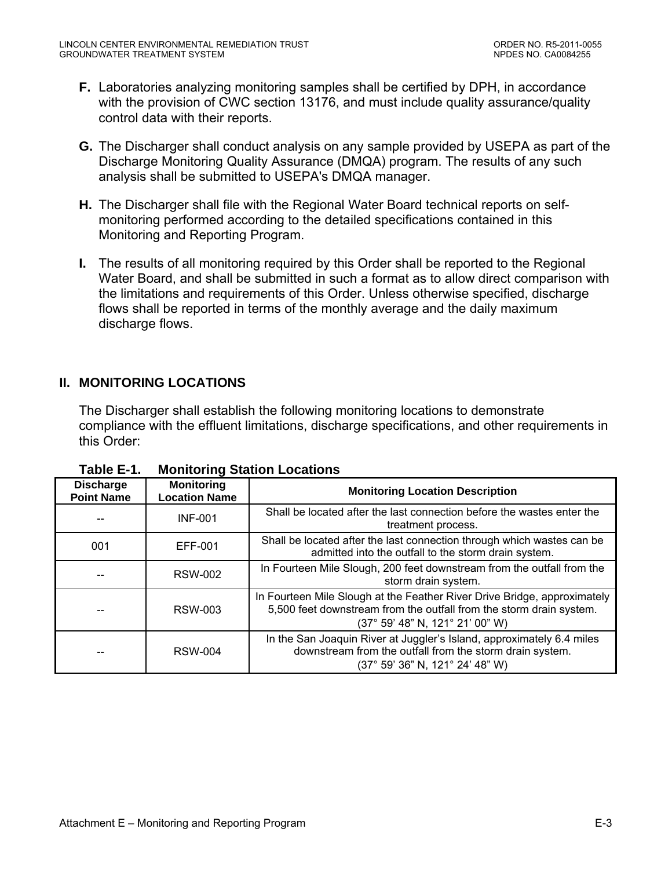- <span id="page-39-0"></span>**F.** Laboratories analyzing monitoring samples shall be certified by DPH, in accordance with the provision of CWC section 13176, and must include quality assurance/quality control data with their reports.
- **G.** The Discharger shall conduct analysis on any sample provided by USEPA as part of the Discharge Monitoring Quality Assurance (DMQA) program. The results of any such analysis shall be submitted to USEPA's DMQA manager.
- **H.** The Discharger shall file with the Regional Water Board technical reports on selfmonitoring performed according to the detailed specifications contained in this Monitoring and Reporting Program.
- **I.** The results of all monitoring required by this Order shall be reported to the Regional Water Board, and shall be submitted in such a format as to allow direct comparison with the limitations and requirements of this Order. Unless otherwise specified, discharge flows shall be reported in terms of the monthly average and the daily maximum discharge flows.

## **II. MONITORING LOCATIONS**

The Discharger shall establish the following monitoring locations to demonstrate compliance with the effluent limitations, discharge specifications, and other requirements in this Order:

| <b>Discharge</b><br><b>Point Name</b> | <b>Monitoring</b><br><b>Location Name</b> | <b>Monitoring Location Description</b>                                                                                                                                             |
|---------------------------------------|-------------------------------------------|------------------------------------------------------------------------------------------------------------------------------------------------------------------------------------|
|                                       | <b>INF-001</b>                            | Shall be located after the last connection before the wastes enter the<br>treatment process.                                                                                       |
| 001                                   | EFF-001                                   | Shall be located after the last connection through which wastes can be<br>admitted into the outfall to the storm drain system.                                                     |
|                                       | <b>RSW-002</b>                            | In Fourteen Mile Slough, 200 feet downstream from the outfall from the<br>storm drain system.                                                                                      |
|                                       | <b>RSW-003</b>                            | In Fourteen Mile Slough at the Feather River Drive Bridge, approximately<br>5,500 feet downstream from the outfall from the storm drain system.<br>(37° 59' 48" N, 121° 21' 00" W) |
| --                                    | <b>RSW-004</b>                            | In the San Joaquin River at Juggler's Island, approximately 6.4 miles<br>downstream from the outfall from the storm drain system.<br>(37° 59' 36" N, 121° 24' 48" W)               |

**Table E-1. Monitoring Station Locations**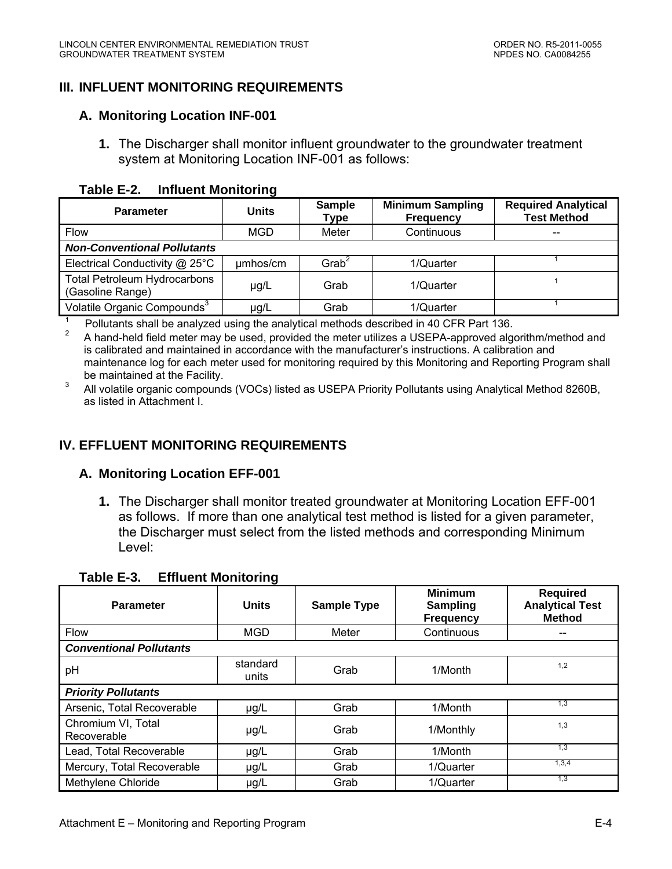## <span id="page-40-0"></span>**III. INFLUENT MONITORING REQUIREMENTS**

#### **A. Monitoring Location INF-001**

**1.** The Discharger shall monitor influent groundwater to the groundwater treatment system at Monitoring Location INF-001 as follows:

#### **Table E-2. Influent Monitoring**

| <b>Parameter</b>                                        | <b>Units</b> | <b>Sample</b><br>Type | <b>Minimum Sampling</b><br><b>Frequency</b> | <b>Required Analytical</b><br><b>Test Method</b> |
|---------------------------------------------------------|--------------|-----------------------|---------------------------------------------|--------------------------------------------------|
| <b>Flow</b>                                             | <b>MGD</b>   | Meter                 | Continuous                                  | --                                               |
| <b>Non-Conventional Pollutants</b>                      |              |                       |                                             |                                                  |
| Electrical Conductivity @ 25°C                          | umhos/cm     | Grab <sup>2</sup>     | 1/Quarter                                   |                                                  |
| <b>Total Petroleum Hydrocarbons</b><br>(Gasoline Range) | µg/L         | Grab                  | 1/Quarter                                   |                                                  |
| Volatile Organic Compounds <sup>3</sup>                 | µg/L         | Grab                  | 1/Quarter                                   |                                                  |

 $1$  Pollutants shall be analyzed using the analytical methods described in 40 CFR Part 136.

2 A hand-held field meter may be used, provided the meter utilizes a USEPA-approved algorithm/method and is calibrated and maintained in accordance with the manufacturer's instructions. A calibration and maintenance log for each meter used for monitoring required by this Monitoring and Reporting Program shall be maintained at the Facility.

3 All volatile organic compounds (VOCs) listed as USEPA Priority Pollutants using Analytical Method 8260B, as listed in Attachment I.

### **IV. EFFLUENT MONITORING REQUIREMENTS**

### **A. Monitoring Location EFF-001**

**1.** The Discharger shall monitor treated groundwater at Monitoring Location EFF-001 as follows. If more than one analytical test method is listed for a given parameter, the Discharger must select from the listed methods and corresponding Minimum Level:

| <b>Parameter</b>                  | <b>Units</b>      | <b>Sample Type</b> | <b>Minimum</b><br>Sampling<br><b>Frequency</b> | <b>Required</b><br><b>Analytical Test</b><br><b>Method</b> |
|-----------------------------------|-------------------|--------------------|------------------------------------------------|------------------------------------------------------------|
| <b>Flow</b>                       | <b>MGD</b>        | Meter              | Continuous                                     |                                                            |
| <b>Conventional Pollutants</b>    |                   |                    |                                                |                                                            |
| pH                                | standard<br>units | Grab               | 1/Month                                        | 1,2                                                        |
| <b>Priority Pollutants</b>        |                   |                    |                                                |                                                            |
| Arsenic, Total Recoverable        | $\mu$ g/L         | Grab               | 1/Month                                        | 1,3                                                        |
| Chromium VI, Total<br>Recoverable | $\mu$ g/L         | Grab               | 1/Monthly                                      | 1,3                                                        |
| Lead, Total Recoverable           | $\mu$ g/L         | Grab               | 1/Month                                        | 1,3                                                        |
| Mercury, Total Recoverable        | $\mu$ g/L         | Grab               | 1/Quarter                                      | 1,3,4                                                      |
| Methylene Chloride                | $\mu$ g/L         | Grab               | 1/Quarter                                      | 1,3                                                        |

#### **Table E-3. Effluent Monitoring**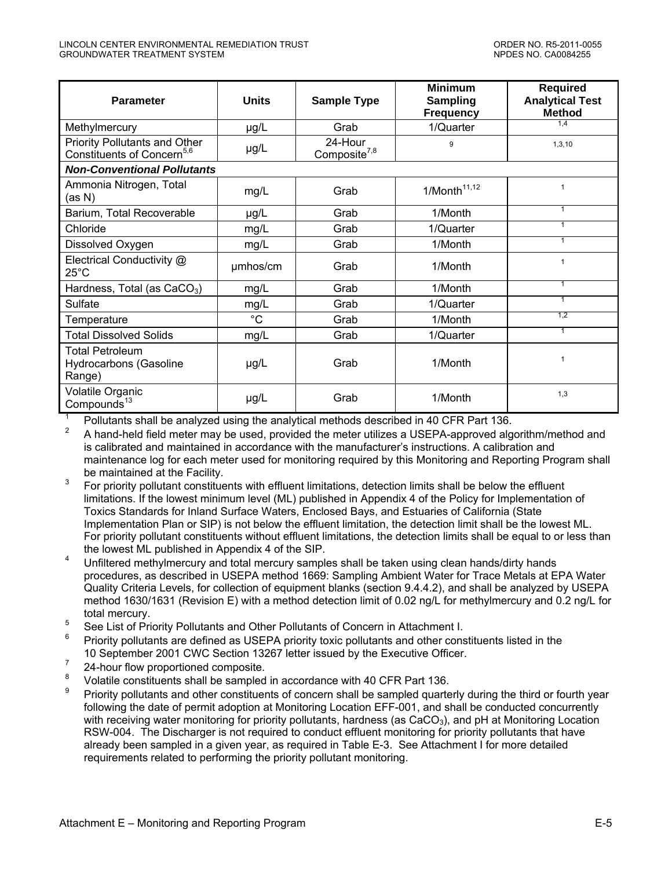| <b>Parameter</b>                                                               | <b>Units</b> | <b>Sample Type</b>                  | <b>Minimum</b><br><b>Sampling</b><br><b>Frequency</b> | <b>Required</b><br><b>Analytical Test</b><br><b>Method</b> |
|--------------------------------------------------------------------------------|--------------|-------------------------------------|-------------------------------------------------------|------------------------------------------------------------|
| Methylmercury                                                                  | $\mu$ g/L    | Grab                                | 1/Quarter                                             | 1,4                                                        |
| <b>Priority Pollutants and Other</b><br>Constituents of Concern <sup>5,6</sup> | µg/L         | 24-Hour<br>Composite <sup>7,8</sup> | 9                                                     | 1,3,10                                                     |
| <b>Non-Conventional Pollutants</b>                                             |              |                                     |                                                       |                                                            |
| Ammonia Nitrogen, Total<br>(as N)                                              | mg/L         | Grab                                | 1/Month <sup>11,12</sup>                              | $\mathbf{1}$                                               |
| Barium, Total Recoverable                                                      | $\mu$ g/L    | Grab                                | 1/Month                                               | 1                                                          |
| Chloride                                                                       | mg/L         | Grab                                | 1/Quarter                                             | 1                                                          |
| Dissolved Oxygen                                                               | mg/L         | Grab                                | 1/Month                                               | 1                                                          |
| Electrical Conductivity @<br>$25^{\circ}$ C                                    | umhos/cm     | Grab                                | 1/Month                                               | $\mathbf{1}$                                               |
| Hardness, Total (as $CaCO3$ )                                                  | mg/L         | Grab                                | 1/Month                                               | $\mathbf{1}$                                               |
| Sulfate                                                                        | mg/L         | Grab                                | 1/Quarter                                             | $\mathbf{1}$                                               |
| Temperature                                                                    | $^{\circ}C$  | Grab                                | 1/Month                                               | 1,2                                                        |
| <b>Total Dissolved Solids</b>                                                  | mg/L         | Grab                                | 1/Quarter                                             | 1                                                          |
| <b>Total Petroleum</b><br><b>Hydrocarbons (Gasoline</b><br>Range)              | $\mu$ g/L    | Grab                                | 1/Month                                               | 1                                                          |
| Volatile Organic<br>Compounds <sup>13</sup>                                    | $\mu$ g/L    | Grab                                | 1/Month                                               | 1,3                                                        |

1 Pollutants shall be analyzed using the analytical methods described in 40 CFR Part 136.

2 A hand-held field meter may be used, provided the meter utilizes a USEPA-approved algorithm/method and is calibrated and maintained in accordance with the manufacturer's instructions. A calibration and maintenance log for each meter used for monitoring required by this Monitoring and Reporting Program shall be maintained at the Facility.

- $3<sup>3</sup>$  For priority pollutant constituents with effluent limitations, detection limits shall be below the effluent limitations. If the lowest minimum level (ML) published in Appendix 4 of the Policy for Implementation of Toxics Standards for Inland Surface Waters, Enclosed Bays, and Estuaries of California (State Implementation Plan or SIP) is not below the effluent limitation, the detection limit shall be the lowest ML. For priority pollutant constituents without effluent limitations, the detection limits shall be equal to or less than the lowest ML published in Appendix 4 of the SIP.
- <sup>4</sup> Unfiltered methylmercury and total mercury samples shall be taken using clean hands/dirty hands procedures, as described in USEPA method 1669: Sampling Ambient Water for Trace Metals at EPA Water Quality Criteria Levels, for collection of equipment blanks (section 9.4.4.2), and shall be analyzed by USEPA method 1630/1631 (Revision E) with a method detection limit of 0.02 ng/L for methylmercury and 0.2 ng/L for total mercury.
- <sup>5</sup> See List of Priority Pollutants and Other Pollutants of Concern in Attachment I.
- <sup>6</sup> Priority pollutants are defined as USEPA priority toxic pollutants and other constituents listed in the 10 September 2001 CWC Section 13267 letter issued by the Executive Officer.
- $7 \t 24$ -hour flow proportioned composite.
- Volatile constituents shall be sampled in accordance with 40 CFR Part 136.
- 9 Priority pollutants and other constituents of concern shall be sampled quarterly during the third or fourth year following the date of permit adoption at Monitoring Location EFF-001, and shall be conducted concurrently with receiving water monitoring for priority pollutants, hardness (as  $CaCO<sub>3</sub>$ ), and pH at Monitoring Location RSW-004. The Discharger is not required to conduct effluent monitoring for priority pollutants that have already been sampled in a given year, as required in Table E-3. See Attachment I for more detailed requirements related to performing the priority pollutant monitoring.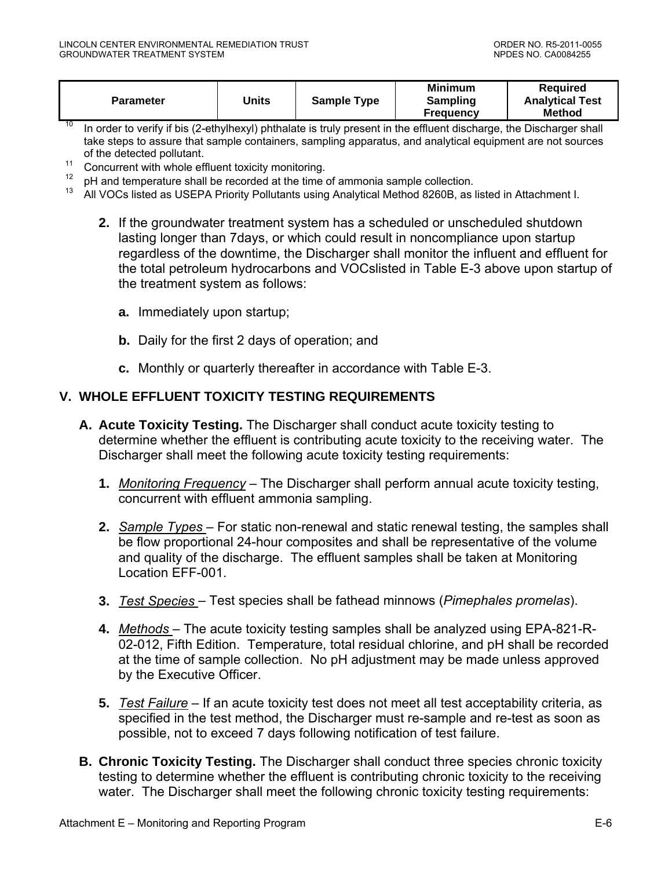<span id="page-42-0"></span>

| Units              | <b>Minimum</b>   | Reauired               |
|--------------------|------------------|------------------------|
| <b>Sample Type</b> | Sampling         | <b>Analytical Test</b> |
| <b>Parameter</b>   | <b>Frequency</b> | <b>Method</b>          |

- <sup>10</sup> In order to verify if bis (2-ethylhexyl) phthalate is truly present in the effluent discharge, the Discharger shall take steps to assure that sample containers, sampling apparatus, and analytical equipment are not sources of the detected pollutant.
- 11 Concurrent with whole effluent toxicity monitoring.<br> $\frac{12}{\pi}$  all set temperature shall be accepted at the time.
- <sup>12</sup> pH and temperature shall be recorded at the time of ammonia sample collection.<br><sup>13</sup> all MOCs listed as USEDA Briggit: Rallytanta using Appletical Mathed 0000B as
- 13 All VOCs listed as USEPA Priority Pollutants using Analytical Method 8260B, as listed in Attachment I.
	- **2.** If the groundwater treatment system has a scheduled or unscheduled shutdown lasting longer than 7days, or which could result in noncompliance upon startup regardless of the downtime, the Discharger shall monitor the influent and effluent for the total petroleum hydrocarbons and VOCslisted in Table E-3 above upon startup of the treatment system as follows:
		- **a.** Immediately upon startup;
		- **b.** Daily for the first 2 days of operation; and
		- **c.** Monthly or quarterly thereafter in accordance with Table E-3.

### **V. WHOLE EFFLUENT TOXICITY TESTING REQUIREMENTS**

- **A. Acute Toxicity Testing.** The Discharger shall conduct acute toxicity testing to determine whether the effluent is contributing acute toxicity to the receiving water. The Discharger shall meet the following acute toxicity testing requirements:
	- **1.** *Monitoring Frequency* The Discharger shall perform annual acute toxicity testing, concurrent with effluent ammonia sampling.
	- **2.** *Sample Types*  For static non-renewal and static renewal testing, the samples shall be flow proportional 24-hour composites and shall be representative of the volume and quality of the discharge. The effluent samples shall be taken at Monitoring Location EFF-001.
	- **3.** *Test Species*  Test species shall be fathead minnows (*Pimephales promelas*).
	- **4.** *Methods*  The acute toxicity testing samples shall be analyzed using EPA-821-R-02-012, Fifth Edition. Temperature, total residual chlorine, and pH shall be recorded at the time of sample collection. No pH adjustment may be made unless approved by the Executive Officer.
	- **5.** *Test Failure* If an acute toxicity test does not meet all test acceptability criteria, as specified in the test method, the Discharger must re-sample and re-test as soon as possible, not to exceed 7 days following notification of test failure.
- **B. Chronic Toxicity Testing.** The Discharger shall conduct three species chronic toxicity testing to determine whether the effluent is contributing chronic toxicity to the receiving water. The Discharger shall meet the following chronic toxicity testing requirements: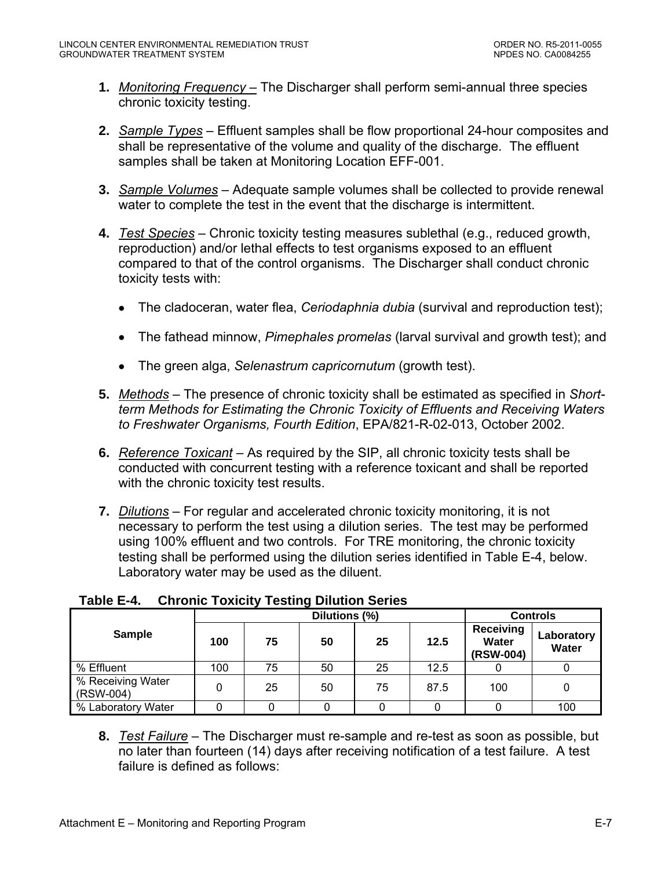- <span id="page-43-0"></span>**1.** *Monitoring Frequency –* The Discharger shall perform semi-annual three species chronic toxicity testing.
- **2.** *Sample Types* Effluent samples shall be flow proportional 24-hour composites and shall be representative of the volume and quality of the discharge. The effluent samples shall be taken at Monitoring Location EFF-001.
- **3.** *Sample Volumes* Adequate sample volumes shall be collected to provide renewal water to complete the test in the event that the discharge is intermittent.
- **4.** *Test Species* Chronic toxicity testing measures sublethal (e.g., reduced growth, reproduction) and/or lethal effects to test organisms exposed to an effluent compared to that of the control organisms. The Discharger shall conduct chronic toxicity tests with:
	- The cladoceran, water flea, *Ceriodaphnia dubia* (survival and reproduction test);
	- The fathead minnow, *Pimephales promelas* (larval survival and growth test); and
	- The green alga, *Selenastrum capricornutum* (growth test).
- **5.** *Methods* The presence of chronic toxicity shall be estimated as specified in *Shortterm Methods for Estimating the Chronic Toxicity of Effluents and Receiving Waters to Freshwater Organisms, Fourth Edition*, EPA/821-R-02-013, October 2002.
- **6.** *Reference Toxicant* As required by the SIP, all chronic toxicity tests shall be conducted with concurrent testing with a reference toxicant and shall be reported with the chronic toxicity test results.
- **7.** *Dilutions* For regular and accelerated chronic toxicity monitoring, it is not necessary to perform the test using a dilution series. The test may be performed using 100% effluent and two controls. For TRE monitoring, the chronic toxicity testing shall be performed using the dilution series identified in Table E-4, below. Laboratory water may be used as the diluent.

|                                |     |    | <b>Controls</b> |    |      |                                        |                     |
|--------------------------------|-----|----|-----------------|----|------|----------------------------------------|---------------------|
| <b>Sample</b>                  | 100 | 75 | 50              | 25 | 12.5 | <b>Receiving</b><br>Water<br>(RSW-004) | Laboratory<br>Water |
| % Effluent                     | 100 | 75 | 50              | 25 | 12.5 |                                        |                     |
| % Receiving Water<br>(RSW-004) |     | 25 | 50              | 75 | 87.5 | 100                                    |                     |
| % Laboratory Water             |     |    |                 |    |      |                                        | 100                 |

## **Table E-4. Chronic Toxicity Testing Dilution Series**

**8.** *Test Failure* – The Discharger must re-sample and re-test as soon as possible, but no later than fourteen (14) days after receiving notification of a test failure. A test failure is defined as follows: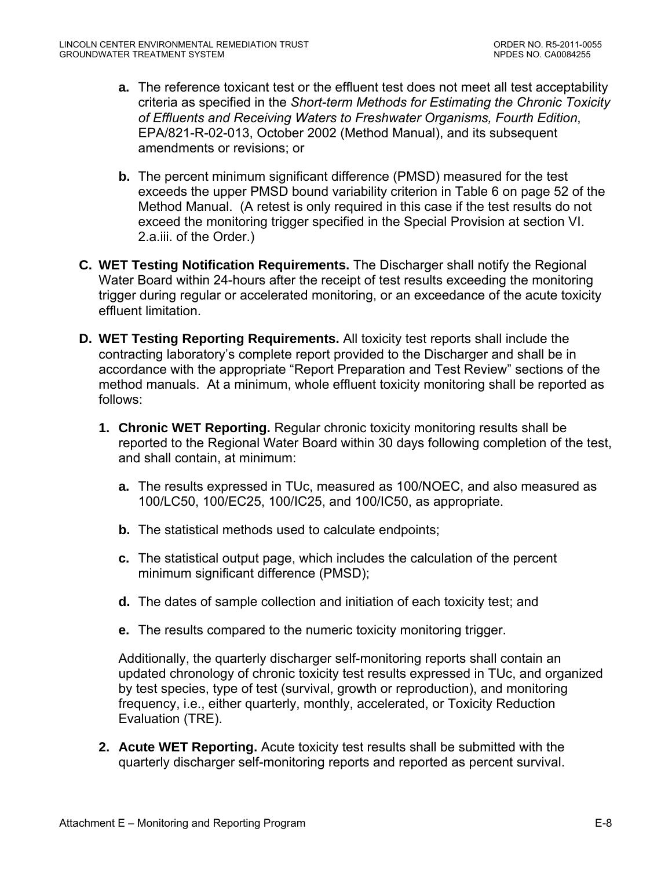- **a.** The reference toxicant test or the effluent test does not meet all test acceptability criteria as specified in the *Short-term Methods for Estimating the Chronic Toxicity of Effluents and Receiving Waters to Freshwater Organisms, Fourth Edition*, EPA/821-R-02-013, October 2002 (Method Manual), and its subsequent amendments or revisions; or
- **b.** The percent minimum significant difference (PMSD) measured for the test exceeds the upper PMSD bound variability criterion in Table 6 on page 52 of the Method Manual. (A retest is only required in this case if the test results do not exceed the monitoring trigger specified in the Special Provision at section VI. 2.a.iii. of the Order.)
- **C. WET Testing Notification Requirements.** The Discharger shall notify the Regional Water Board within 24-hours after the receipt of test results exceeding the monitoring trigger during regular or accelerated monitoring, or an exceedance of the acute toxicity effluent limitation.
- **D. WET Testing Reporting Requirements.** All toxicity test reports shall include the contracting laboratory's complete report provided to the Discharger and shall be in accordance with the appropriate "Report Preparation and Test Review" sections of the method manuals. At a minimum, whole effluent toxicity monitoring shall be reported as follows:
	- **1. Chronic WET Reporting.** Regular chronic toxicity monitoring results shall be reported to the Regional Water Board within 30 days following completion of the test, and shall contain, at minimum:
		- **a.** The results expressed in TUc, measured as 100/NOEC, and also measured as 100/LC50, 100/EC25, 100/IC25, and 100/IC50, as appropriate.
		- **b.** The statistical methods used to calculate endpoints;
		- **c.** The statistical output page, which includes the calculation of the percent minimum significant difference (PMSD);
		- **d.** The dates of sample collection and initiation of each toxicity test; and
		- **e.** The results compared to the numeric toxicity monitoring trigger.

Additionally, the quarterly discharger self-monitoring reports shall contain an updated chronology of chronic toxicity test results expressed in TUc, and organized by test species, type of test (survival, growth or reproduction), and monitoring frequency, i.e., either quarterly, monthly, accelerated, or Toxicity Reduction Evaluation (TRE).

**2. Acute WET Reporting.** Acute toxicity test results shall be submitted with the quarterly discharger self-monitoring reports and reported as percent survival.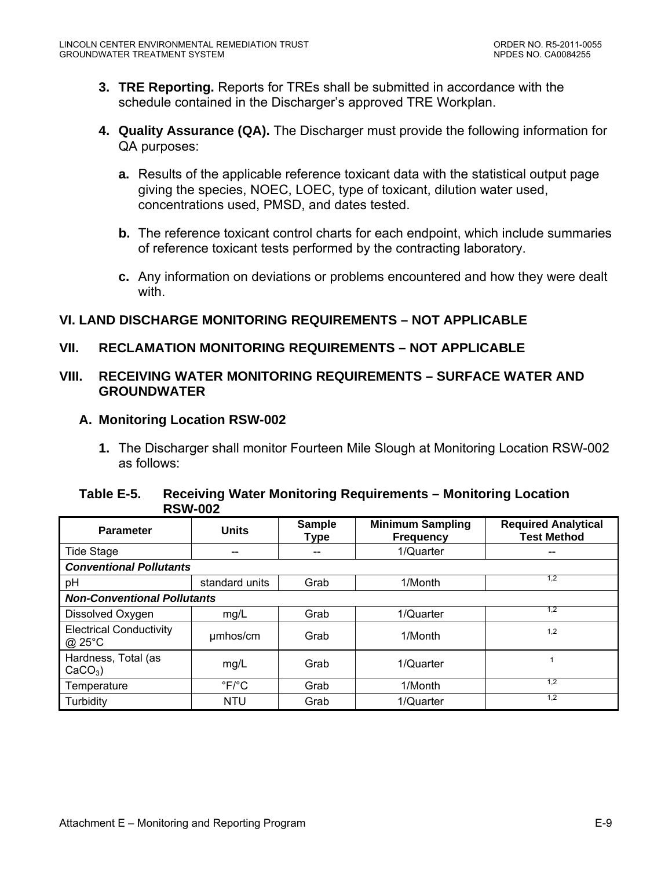- <span id="page-45-0"></span>**3. TRE Reporting.** Reports for TREs shall be submitted in accordance with the schedule contained in the Discharger's approved TRE Workplan.
- **4. Quality Assurance (QA).** The Discharger must provide the following information for QA purposes:
	- **a.** Results of the applicable reference toxicant data with the statistical output page giving the species, NOEC, LOEC, type of toxicant, dilution water used, concentrations used, PMSD, and dates tested.
	- **b.** The reference toxicant control charts for each endpoint, which include summaries of reference toxicant tests performed by the contracting laboratory.
	- **c.** Any information on deviations or problems encountered and how they were dealt with

## **VI. LAND DISCHARGE MONITORING REQUIREMENTS – NOT APPLICABLE**

### **VII. RECLAMATION MONITORING REQUIREMENTS – NOT APPLICABLE**

### **VIII. RECEIVING WATER MONITORING REQUIREMENTS – SURFACE WATER AND GROUNDWATER**

### **A. Monitoring Location RSW-002**

**1.** The Discharger shall monitor Fourteen Mile Slough at Monitoring Location RSW-002 as follows:

#### **Table E-5. Receiving Water Monitoring Requirements – Monitoring Location RSW-002**

| <b>Parameter</b>                         | <b>Units</b>              | <b>Sample</b><br><b>Type</b> | <b>Minimum Sampling</b><br><b>Frequency</b> | <b>Required Analytical</b><br><b>Test Method</b> |  |
|------------------------------------------|---------------------------|------------------------------|---------------------------------------------|--------------------------------------------------|--|
| <b>Tide Stage</b>                        | --                        | --                           | 1/Quarter                                   |                                                  |  |
| <b>Conventional Pollutants</b>           |                           |                              |                                             |                                                  |  |
| pH                                       | standard units            | Grab                         | 1/Month                                     | 1,2                                              |  |
| <b>Non-Conventional Pollutants</b>       |                           |                              |                                             |                                                  |  |
| Dissolved Oxygen                         | mg/L                      | Grab                         | 1/Quarter                                   | 1,2                                              |  |
| <b>Electrical Conductivity</b><br>@ 25°C | umhos/cm                  | Grab                         | 1/Month                                     | 1,2                                              |  |
| Hardness, Total (as<br>$CaCO3$ )         | mg/L                      | Grab                         | 1/Quarter                                   |                                                  |  |
| Temperature                              | $\mathrm{P}F/\mathrm{P}C$ | Grab                         | 1/Month                                     | 1,2                                              |  |
| Turbidity                                | <b>NTU</b>                | Grab                         | 1/Quarter                                   | 1,2                                              |  |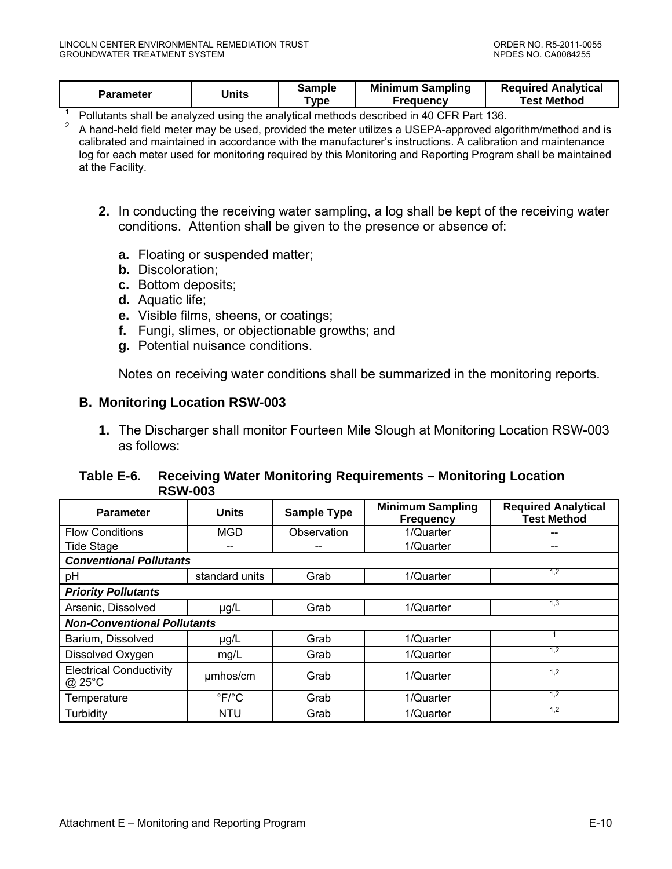<span id="page-46-0"></span>

| Units<br><b>Parameter</b><br>Test Method<br>vpe<br>Freauencv |  | Sample | <b>Minimum Sampling</b> | <b>Required Analytical</b> |
|--------------------------------------------------------------|--|--------|-------------------------|----------------------------|
|--------------------------------------------------------------|--|--------|-------------------------|----------------------------|

1 Pollutants shall be analyzed using the analytical methods described in 40 CFR Part 136.

<sup>2</sup> A hand-held field meter may be used, provided the meter utilizes a USEPA-approved algorithm/method and is calibrated and maintained in accordance with the manufacturer's instructions. A calibration and maintenance log for each meter used for monitoring required by this Monitoring and Reporting Program shall be maintained at the Facility.

- **2.** In conducting the receiving water sampling, a log shall be kept of the receiving water conditions. Attention shall be given to the presence or absence of:
	- **a.** Floating or suspended matter;
	- **b.** Discoloration;
	- **c.** Bottom deposits;
	- **d.** Aquatic life;
	- **e.** Visible films, sheens, or coatings;
	- **f.** Fungi, slimes, or objectionable growths; and
	- **g.** Potential nuisance conditions.

Notes on receiving water conditions shall be summarized in the monitoring reports.

#### **B. Monitoring Location RSW-003**

**1.** The Discharger shall monitor Fourteen Mile Slough at Monitoring Location RSW-003 as follows:

#### **Table E-6. Receiving Water Monitoring Requirements – Monitoring Location RSW-003**

| <b>Parameter</b>                         | <b>Units</b>             | <b>Sample Type</b> | <b>Minimum Sampling</b><br><b>Frequency</b> | <b>Required Analytical</b><br><b>Test Method</b> |  |
|------------------------------------------|--------------------------|--------------------|---------------------------------------------|--------------------------------------------------|--|
| <b>Flow Conditions</b>                   | <b>MGD</b>               | Observation        | 1/Quarter                                   |                                                  |  |
| <b>Tide Stage</b>                        |                          |                    | 1/Quarter                                   |                                                  |  |
| <b>Conventional Pollutants</b>           |                          |                    |                                             |                                                  |  |
| pH                                       | standard units           | Grab               | 1/Quarter                                   | 1,2                                              |  |
| <b>Priority Pollutants</b>               |                          |                    |                                             |                                                  |  |
| Arsenic, Dissolved                       | $\mu$ g/L                | Grab               | 1/Quarter                                   | 1,3                                              |  |
| <b>Non-Conventional Pollutants</b>       |                          |                    |                                             |                                                  |  |
| Barium, Dissolved                        | $\mu$ g/L                | Grab               | 1/Quarter                                   |                                                  |  |
| Dissolved Oxygen                         | mg/L                     | Grab               | 1/Quarter                                   | 1.2                                              |  |
| <b>Electrical Conductivity</b><br>@ 25°C | umhos/cm                 | Grab               | 1/Quarter                                   | 1,2                                              |  |
| Temperature                              | $\degree$ F/ $\degree$ C | Grab               | 1/Quarter                                   | 1,2                                              |  |
| Turbidity                                | <b>NTU</b>               | Grab               | 1/Quarter                                   | 1,2                                              |  |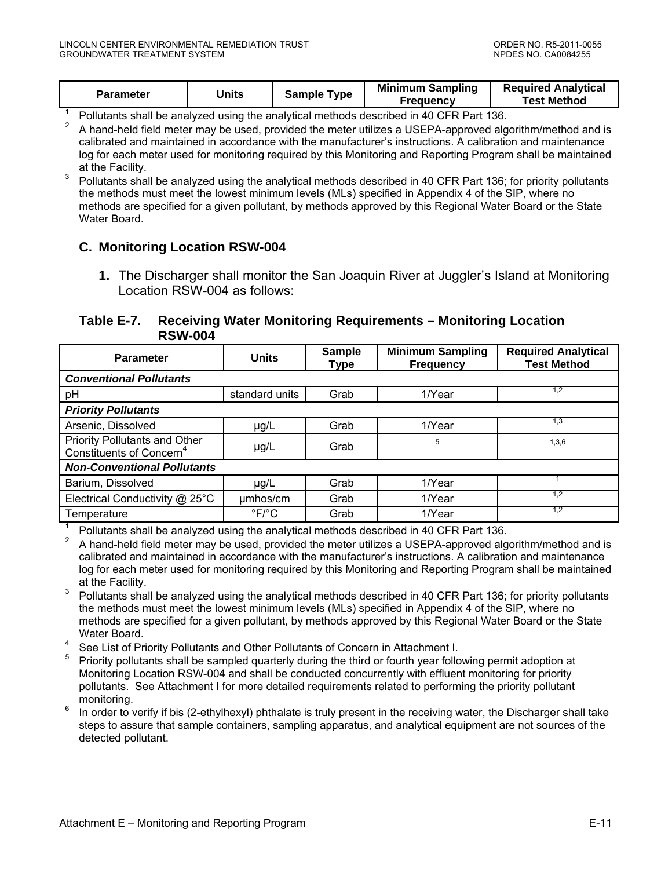<span id="page-47-0"></span>

| Parameter | Units | Sample Type | <b>Minimum Sampling</b><br><b>Frequency</b> | <b>Required Analytical</b><br><b>Test Method</b> |
|-----------|-------|-------------|---------------------------------------------|--------------------------------------------------|
|-----------|-------|-------------|---------------------------------------------|--------------------------------------------------|

1 Pollutants shall be analyzed using the analytical methods described in 40 CFR Part 136.

- 2 A hand-held field meter may be used, provided the meter utilizes a USEPA-approved algorithm/method and is calibrated and maintained in accordance with the manufacturer's instructions. A calibration and maintenance log for each meter used for monitoring required by this Monitoring and Reporting Program shall be maintained at the Facility.
- 3 Pollutants shall be analyzed using the analytical methods described in 40 CFR Part 136; for priority pollutants the methods must meet the lowest minimum levels (MLs) specified in Appendix 4 of the SIP, where no methods are specified for a given pollutant, by methods approved by this Regional Water Board or the State Water Board.

### **C. Monitoring Location RSW-004**

**1.** The Discharger shall monitor the San Joaquin River at Juggler's Island at Monitoring Location RSW-004 as follows:

#### **Table E-7. Receiving Water Monitoring Requirements – Monitoring Location RSW-004**

| <b>Units</b><br><b>Parameter</b>                                      |                          | <b>Sample</b><br>Type | <b>Minimum Sampling</b><br><b>Frequency</b> | <b>Required Analytical</b><br><b>Test Method</b> |  |
|-----------------------------------------------------------------------|--------------------------|-----------------------|---------------------------------------------|--------------------------------------------------|--|
| <b>Conventional Pollutants</b>                                        |                          |                       |                                             |                                                  |  |
| pH                                                                    | standard units           | Grab                  | 1/Year                                      | 1,2                                              |  |
| <b>Priority Pollutants</b>                                            |                          |                       |                                             |                                                  |  |
| Arsenic, Dissolved                                                    | $\mu$ g/L                | Grab                  | 1/Year                                      | 1.3                                              |  |
| Priority Pollutants and Other<br>Constituents of Concern <sup>4</sup> | $\mu$ g/L                | Grab                  | 5                                           | 1,3,6                                            |  |
| <b>Non-Conventional Pollutants</b>                                    |                          |                       |                                             |                                                  |  |
| Barium, Dissolved                                                     | $\mu$ g/L                | Grab                  | 1/Year                                      |                                                  |  |
| Electrical Conductivity @ 25°C                                        | umhos/cm                 | Grab                  | 1/Year                                      | 1.2                                              |  |
| Temperature                                                           | $\degree$ F/ $\degree$ C | Grab                  | 1/Year                                      | 1,2                                              |  |

1 Pollutants shall be analyzed using the analytical methods described in 40 CFR Part 136.

2 A hand-held field meter may be used, provided the meter utilizes a USEPA-approved algorithm/method and is calibrated and maintained in accordance with the manufacturer's instructions. A calibration and maintenance log for each meter used for monitoring required by this Monitoring and Reporting Program shall be maintained at the Facility.

- 3 Pollutants shall be analyzed using the analytical methods described in 40 CFR Part 136; for priority pollutants the methods must meet the lowest minimum levels (MLs) specified in Appendix 4 of the SIP, where no methods are specified for a given pollutant, by methods approved by this Regional Water Board or the State Water Board.
- 4 See List of Priority Pollutants and Other Pollutants of Concern in Attachment I.
- 5 Priority pollutants shall be sampled quarterly during the third or fourth year following permit adoption at Monitoring Location RSW-004 and shall be conducted concurrently with effluent monitoring for priority pollutants. See Attachment I for more detailed requirements related to performing the priority pollutant monitoring.
- $6\,$  In order to verify if bis (2-ethylhexyl) phthalate is truly present in the receiving water, the Discharger shall take steps to assure that sample containers, sampling apparatus, and analytical equipment are not sources of the detected pollutant.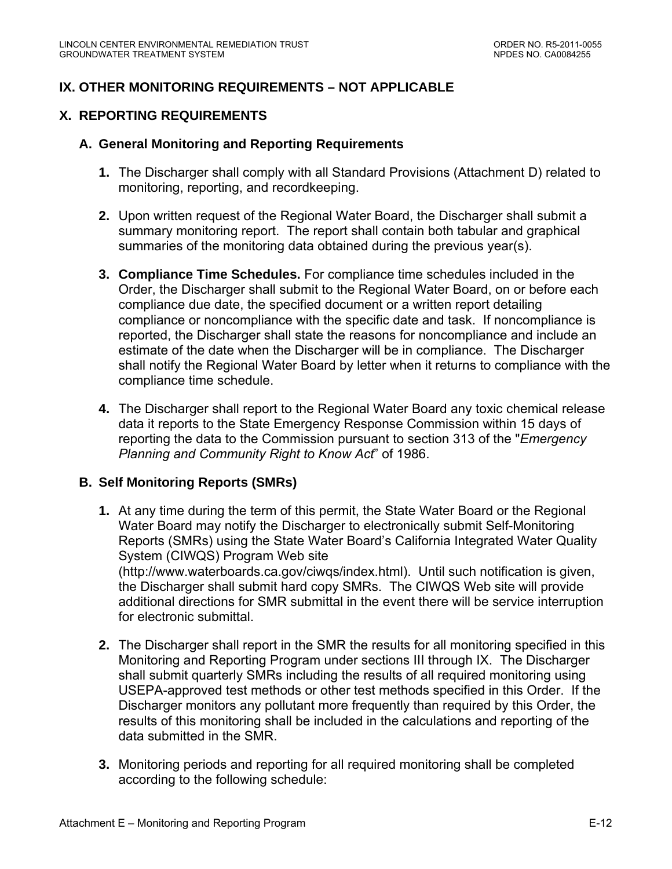## <span id="page-48-0"></span>**IX. OTHER MONITORING REQUIREMENTS – NOT APPLICABLE**

## **X. REPORTING REQUIREMENTS**

### **A. General Monitoring and Reporting Requirements**

- **1.** The Discharger shall comply with all Standard Provisions (Attachment D) related to monitoring, reporting, and recordkeeping.
- **2.** Upon written request of the Regional Water Board, the Discharger shall submit a summary monitoring report. The report shall contain both tabular and graphical summaries of the monitoring data obtained during the previous year(s).
- **3. Compliance Time Schedules.** For compliance time schedules included in the Order, the Discharger shall submit to the Regional Water Board, on or before each compliance due date, the specified document or a written report detailing compliance or noncompliance with the specific date and task. If noncompliance is reported, the Discharger shall state the reasons for noncompliance and include an estimate of the date when the Discharger will be in compliance. The Discharger shall notify the Regional Water Board by letter when it returns to compliance with the compliance time schedule.
- **4.** The Discharger shall report to the Regional Water Board any toxic chemical release data it reports to the State Emergency Response Commission within 15 days of reporting the data to the Commission pursuant to section 313 of the "*Emergency Planning and Community Right to Know Act*" of 1986.

### **B. Self Monitoring Reports (SMRs)**

- **1.** At any time during the term of this permit, the State Water Board or the Regional Water Board may notify the Discharger to electronically submit Self-Monitoring Reports (SMRs) using the State Water Board's California Integrated Water Quality System (CIWQS) Program Web site (http://www.waterboards.ca.gov/ciwqs/index.html). Until such notification is given, the Discharger shall submit hard copy SMRs. The CIWQS Web site will provide additional directions for SMR submittal in the event there will be service interruption for electronic submittal.
- **2.** The Discharger shall report in the SMR the results for all monitoring specified in this Monitoring and Reporting Program under sections III through IX. The Discharger shall submit quarterly SMRs including the results of all required monitoring using USEPA-approved test methods or other test methods specified in this Order. If the Discharger monitors any pollutant more frequently than required by this Order, the results of this monitoring shall be included in the calculations and reporting of the data submitted in the SMR.
- **3.** Monitoring periods and reporting for all required monitoring shall be completed according to the following schedule: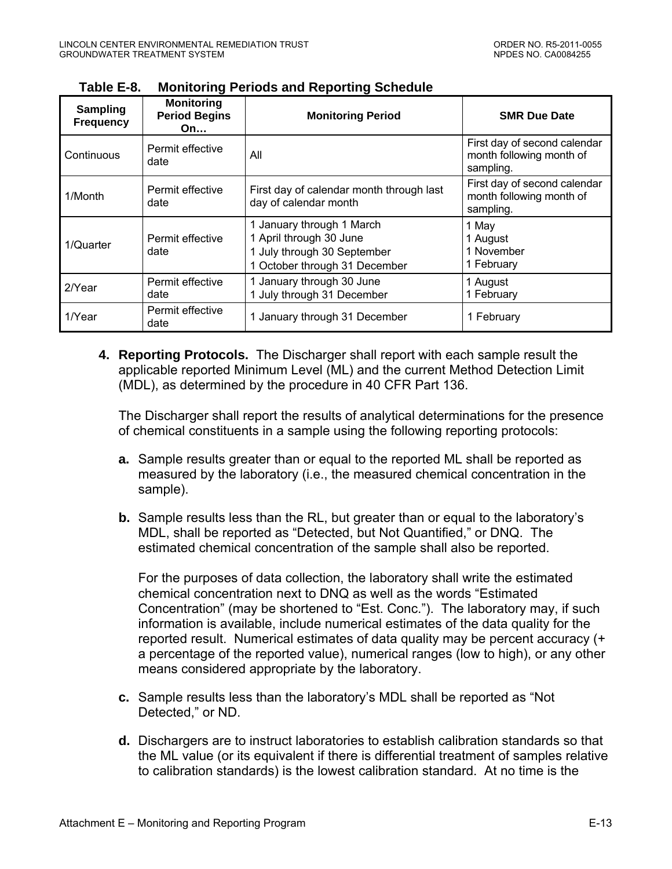| Sampling<br><b>Frequency</b> | <b>Monitoring</b><br><b>Period Begins</b><br>On… | <b>Monitoring Period</b>                                                                                             | <b>SMR Due Date</b>                                                   |
|------------------------------|--------------------------------------------------|----------------------------------------------------------------------------------------------------------------------|-----------------------------------------------------------------------|
| Continuous                   | Permit effective<br>date                         | All                                                                                                                  | First day of second calendar<br>month following month of<br>sampling. |
| 1/Month                      | Permit effective<br>date                         | First day of calendar month through last<br>day of calendar month                                                    | First day of second calendar<br>month following month of<br>sampling. |
| 1/Quarter                    | Permit effective<br>date                         | 1 January through 1 March<br>1 April through 30 June<br>1 July through 30 September<br>1 October through 31 December | 1 May<br>1 August<br>1 November<br>1 February                         |
| $2$ /Year                    | Permit effective<br>date                         | 1 January through 30 June<br>1 July through 31 December                                                              | 1 August<br>1 February                                                |
| 1/Year                       | Permit effective<br>date                         | 1 January through 31 December                                                                                        | 1 February                                                            |

<span id="page-49-0"></span>

| Table E-8.<br><b>Monitoring Periods and Reporting Schedule</b> |
|----------------------------------------------------------------|
|----------------------------------------------------------------|

**4. Reporting Protocols.** The Discharger shall report with each sample result the applicable reported Minimum Level (ML) and the current Method Detection Limit (MDL), as determined by the procedure in 40 CFR Part 136.

The Discharger shall report the results of analytical determinations for the presence of chemical constituents in a sample using the following reporting protocols:

- **a.** Sample results greater than or equal to the reported ML shall be reported as measured by the laboratory (i.e., the measured chemical concentration in the sample).
- **b.** Sample results less than the RL, but greater than or equal to the laboratory's MDL, shall be reported as "Detected, but Not Quantified," or DNQ. The estimated chemical concentration of the sample shall also be reported.

For the purposes of data collection, the laboratory shall write the estimated chemical concentration next to DNQ as well as the words "Estimated Concentration" (may be shortened to "Est. Conc."). The laboratory may, if such information is available, include numerical estimates of the data quality for the reported result. Numerical estimates of data quality may be percent accuracy (+ a percentage of the reported value), numerical ranges (low to high), or any other means considered appropriate by the laboratory.

- **c.** Sample results less than the laboratory's MDL shall be reported as "Not Detected," or ND.
- **d.** Dischargers are to instruct laboratories to establish calibration standards so that the ML value (or its equivalent if there is differential treatment of samples relative to calibration standards) is the lowest calibration standard. At no time is the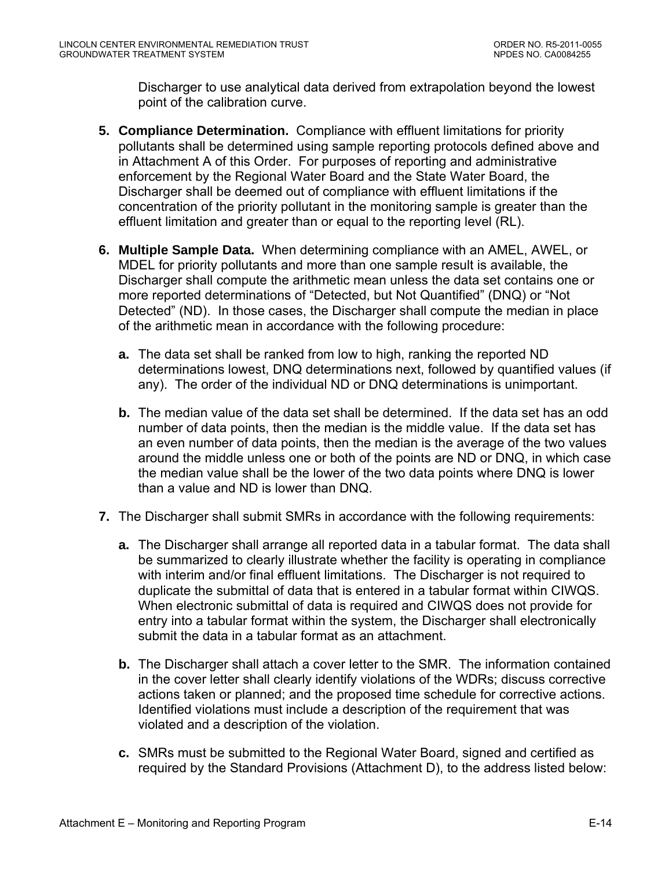Discharger to use analytical data derived from extrapolation beyond the lowest point of the calibration curve.

- **5. Compliance Determination.** Compliance with effluent limitations for priority pollutants shall be determined using sample reporting protocols defined above and in Attachment A of this Order. For purposes of reporting and administrative enforcement by the Regional Water Board and the State Water Board, the Discharger shall be deemed out of compliance with effluent limitations if the concentration of the priority pollutant in the monitoring sample is greater than the effluent limitation and greater than or equal to the reporting level (RL).
- **6. Multiple Sample Data.** When determining compliance with an AMEL, AWEL, or MDEL for priority pollutants and more than one sample result is available, the Discharger shall compute the arithmetic mean unless the data set contains one or more reported determinations of "Detected, but Not Quantified" (DNQ) or "Not Detected" (ND). In those cases, the Discharger shall compute the median in place of the arithmetic mean in accordance with the following procedure:
	- **a.** The data set shall be ranked from low to high, ranking the reported ND determinations lowest, DNQ determinations next, followed by quantified values (if any). The order of the individual ND or DNQ determinations is unimportant.
	- **b.** The median value of the data set shall be determined. If the data set has an odd number of data points, then the median is the middle value. If the data set has an even number of data points, then the median is the average of the two values around the middle unless one or both of the points are ND or DNQ, in which case the median value shall be the lower of the two data points where DNQ is lower than a value and ND is lower than DNQ.
- **7.** The Discharger shall submit SMRs in accordance with the following requirements:
	- **a.** The Discharger shall arrange all reported data in a tabular format. The data shall be summarized to clearly illustrate whether the facility is operating in compliance with interim and/or final effluent limitations. The Discharger is not required to duplicate the submittal of data that is entered in a tabular format within CIWQS. When electronic submittal of data is required and CIWQS does not provide for entry into a tabular format within the system, the Discharger shall electronically submit the data in a tabular format as an attachment.
	- **b.** The Discharger shall attach a cover letter to the SMR. The information contained in the cover letter shall clearly identify violations of the WDRs; discuss corrective actions taken or planned; and the proposed time schedule for corrective actions. Identified violations must include a description of the requirement that was violated and a description of the violation.
	- **c.** SMRs must be submitted to the Regional Water Board, signed and certified as required by the Standard Provisions (Attachment D), to the address listed below: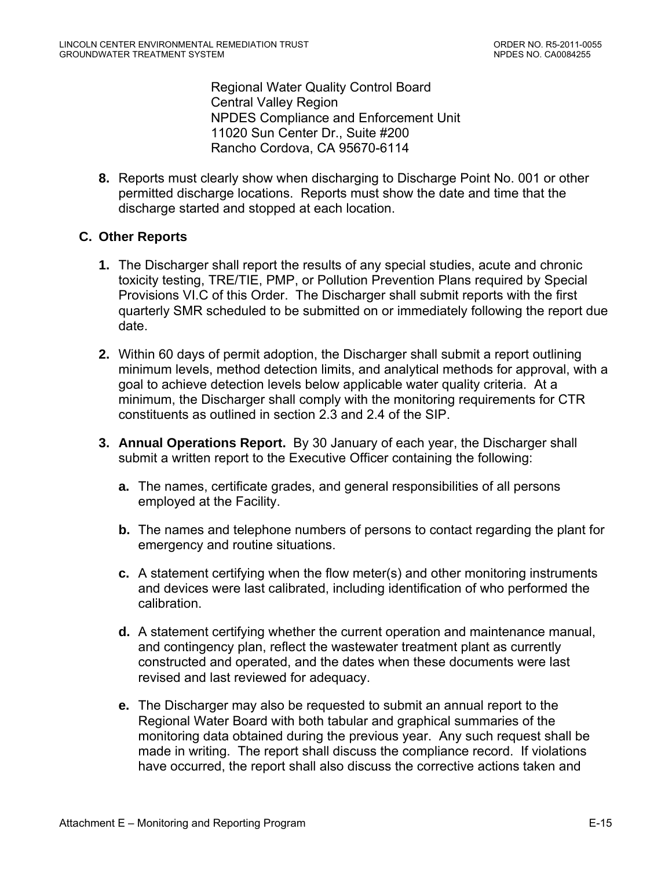Regional Water Quality Control Board Central Valley Region NPDES Compliance and Enforcement Unit 11020 Sun Center Dr., Suite #200 Rancho Cordova, CA 95670-6114

<span id="page-51-0"></span>**8.** Reports must clearly show when discharging to Discharge Point No. 001 or other permitted discharge locations. Reports must show the date and time that the discharge started and stopped at each location.

### **C. Other Reports**

- **1.** The Discharger shall report the results of any special studies, acute and chronic toxicity testing, TRE/TIE, PMP, or Pollution Prevention Plans required by Special Provisions VI.C of this Order. The Discharger shall submit reports with the first quarterly SMR scheduled to be submitted on or immediately following the report due date.
- **2.** Within 60 days of permit adoption, the Discharger shall submit a report outlining minimum levels, method detection limits, and analytical methods for approval, with a goal to achieve detection levels below applicable water quality criteria. At a minimum, the Discharger shall comply with the monitoring requirements for CTR constituents as outlined in section 2.3 and 2.4 of the SIP.
- **3. Annual Operations Report.** By 30 January of each year, the Discharger shall submit a written report to the Executive Officer containing the following:
	- **a.** The names, certificate grades, and general responsibilities of all persons employed at the Facility.
	- **b.** The names and telephone numbers of persons to contact regarding the plant for emergency and routine situations.
	- **c.** A statement certifying when the flow meter(s) and other monitoring instruments and devices were last calibrated, including identification of who performed the calibration.
	- **d.** A statement certifying whether the current operation and maintenance manual, and contingency plan, reflect the wastewater treatment plant as currently constructed and operated, and the dates when these documents were last revised and last reviewed for adequacy.
	- **e.** The Discharger may also be requested to submit an annual report to the Regional Water Board with both tabular and graphical summaries of the monitoring data obtained during the previous year. Any such request shall be made in writing. The report shall discuss the compliance record. If violations have occurred, the report shall also discuss the corrective actions taken and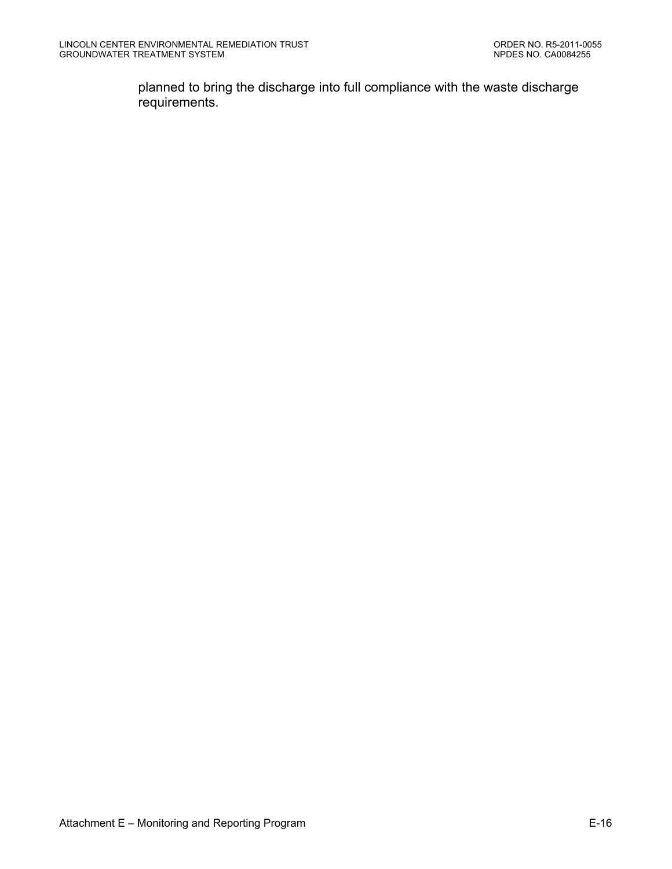planned to bring the discharge into full compliance with the waste discharge requirements.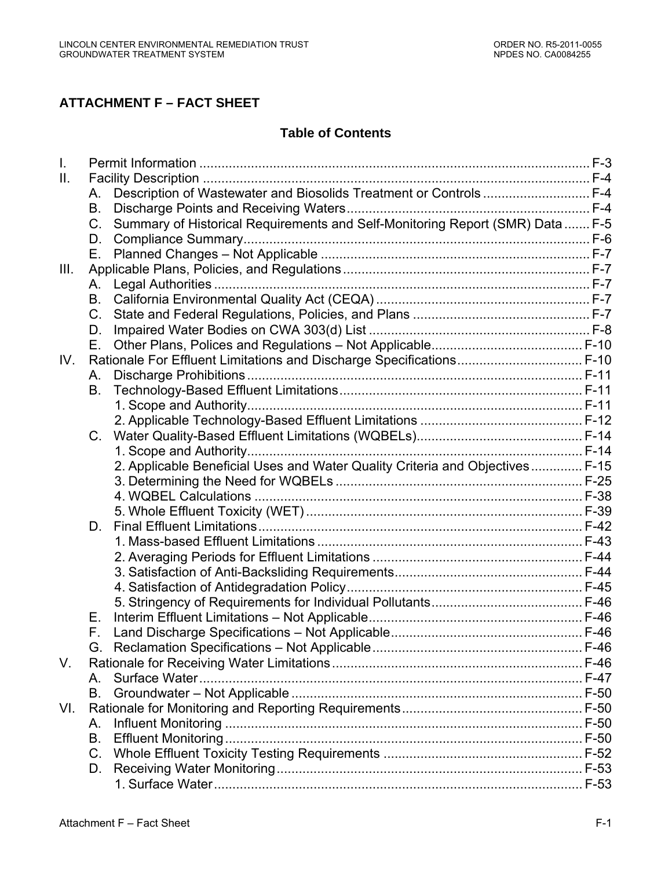# **ATTACHMENT F – FACT SHEET**

# **Table of Contents**

| I.   |             |                                                                               |  |
|------|-------------|-------------------------------------------------------------------------------|--|
| Ш.   |             |                                                                               |  |
|      | А.          | Description of Wastewater and Biosolids Treatment or Controls  F-4            |  |
|      | В.          |                                                                               |  |
|      | $C_{1}$     | Summary of Historical Requirements and Self-Monitoring Report (SMR) Data  F-5 |  |
|      | D.          |                                                                               |  |
|      | Е.          |                                                                               |  |
| III. |             |                                                                               |  |
|      | А.          |                                                                               |  |
|      | В.          |                                                                               |  |
|      | $C_{\cdot}$ |                                                                               |  |
|      | D.          |                                                                               |  |
|      | Е.          |                                                                               |  |
| IV.  |             | Rationale For Effluent Limitations and Discharge Specifications F-10          |  |
|      | А.          |                                                                               |  |
|      | В.          |                                                                               |  |
|      |             |                                                                               |  |
|      |             |                                                                               |  |
|      | $C_{\cdot}$ |                                                                               |  |
|      |             |                                                                               |  |
|      |             | 2. Applicable Beneficial Uses and Water Quality Criteria and Objectives F-15  |  |
|      |             |                                                                               |  |
|      |             |                                                                               |  |
|      |             |                                                                               |  |
|      | D.          |                                                                               |  |
|      |             |                                                                               |  |
|      |             |                                                                               |  |
|      |             |                                                                               |  |
|      |             |                                                                               |  |
|      |             |                                                                               |  |
|      | Е.          |                                                                               |  |
|      | F.          |                                                                               |  |
|      |             |                                                                               |  |
| V.   |             |                                                                               |  |
|      | А.          |                                                                               |  |
|      | В.          |                                                                               |  |
| VI.  |             |                                                                               |  |
|      | А.          |                                                                               |  |
|      | В.          |                                                                               |  |
|      | C.          |                                                                               |  |
|      | D.          |                                                                               |  |
|      |             |                                                                               |  |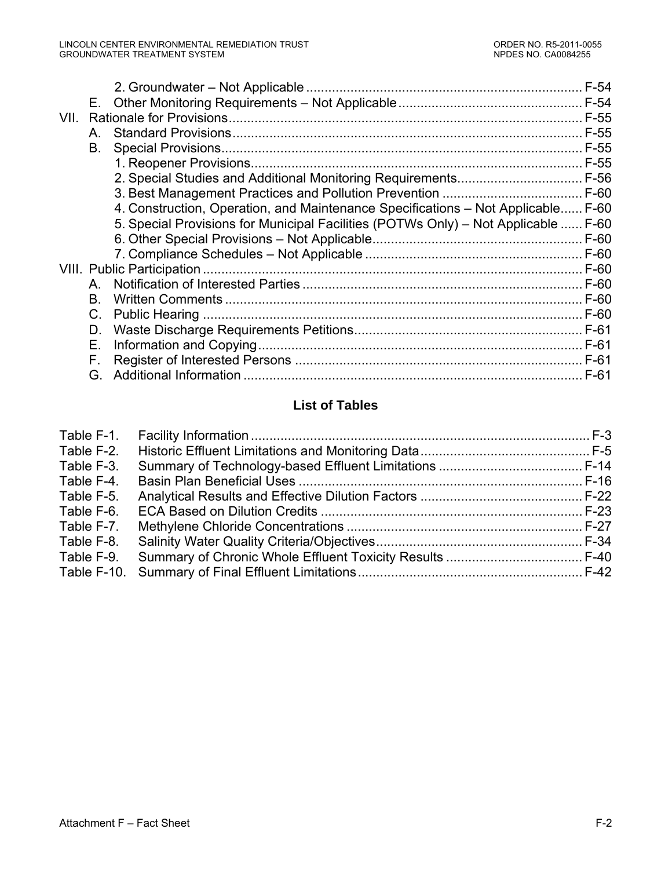|      | Е. |                                                                                    |        |
|------|----|------------------------------------------------------------------------------------|--------|
| VII. |    |                                                                                    |        |
|      | Α. |                                                                                    | F-55   |
|      | В. |                                                                                    | F-55   |
|      |    |                                                                                    |        |
|      |    |                                                                                    |        |
|      |    |                                                                                    |        |
|      |    | 4. Construction, Operation, and Maintenance Specifications - Not Applicable F-60   |        |
|      |    | 5. Special Provisions for Municipal Facilities (POTWs Only) – Not Applicable  F-60 |        |
|      |    |                                                                                    |        |
|      |    |                                                                                    |        |
|      |    |                                                                                    | F-60   |
|      | A  |                                                                                    |        |
|      | В. |                                                                                    |        |
|      | C. |                                                                                    |        |
|      | D. |                                                                                    |        |
|      | Е. |                                                                                    |        |
|      | F. |                                                                                    | $F-61$ |
|      | G. |                                                                                    | $F-61$ |
|      |    |                                                                                    |        |

# **List of Tables**

| Table F-2.  |  |
|-------------|--|
| Table F-3.  |  |
| Table F-4.  |  |
| Table F-5.  |  |
| Table F-6.  |  |
| Table F-7.  |  |
| Table F-8.  |  |
| Table F-9.  |  |
| Table F-10. |  |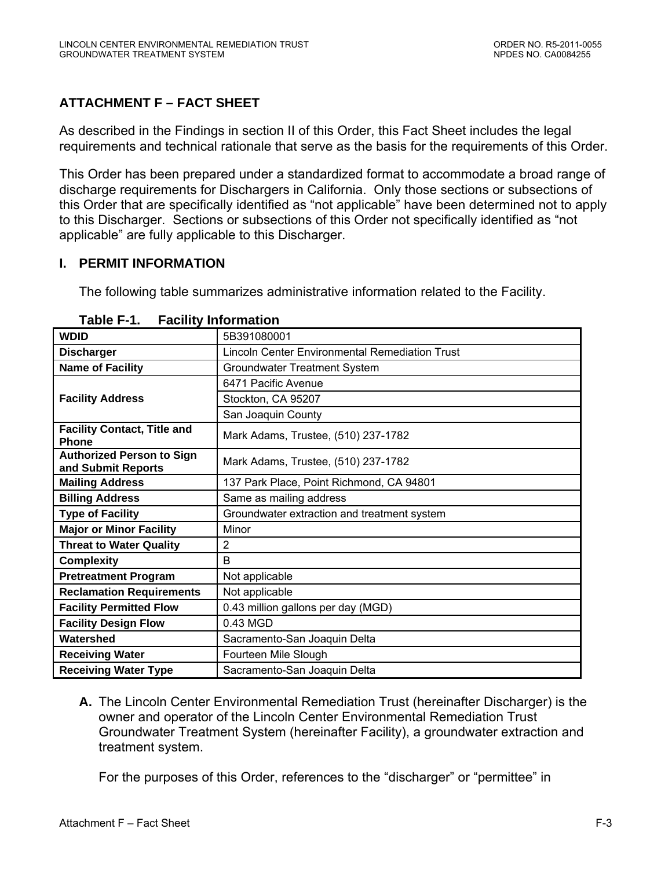# <span id="page-55-0"></span>**ATTACHMENT F – FACT SHEET**

As described in the Findings in section II of this Order, this Fact Sheet includes the legal requirements and technical rationale that serve as the basis for the requirements of this Order.

This Order has been prepared under a standardized format to accommodate a broad range of discharge requirements for Dischargers in California. Only those sections or subsections of this Order that are specifically identified as "not applicable" have been determined not to apply to this Discharger. Sections or subsections of this Order not specifically identified as "not applicable" are fully applicable to this Discharger.

### **I. PERMIT INFORMATION**

The following table summarizes administrative information related to the Facility.

| <b>WDID</b>                                            | 5B391080001                                           |  |  |  |
|--------------------------------------------------------|-------------------------------------------------------|--|--|--|
| <b>Discharger</b>                                      | <b>Lincoln Center Environmental Remediation Trust</b> |  |  |  |
| <b>Name of Facility</b>                                | Groundwater Treatment System                          |  |  |  |
|                                                        | 6471 Pacific Avenue                                   |  |  |  |
| <b>Facility Address</b>                                | Stockton, CA 95207                                    |  |  |  |
|                                                        | San Joaquin County                                    |  |  |  |
| <b>Facility Contact, Title and</b><br><b>Phone</b>     | Mark Adams, Trustee, (510) 237-1782                   |  |  |  |
| <b>Authorized Person to Sign</b><br>and Submit Reports | Mark Adams, Trustee, (510) 237-1782                   |  |  |  |
| <b>Mailing Address</b>                                 | 137 Park Place, Point Richmond, CA 94801              |  |  |  |
| <b>Billing Address</b>                                 | Same as mailing address                               |  |  |  |
| <b>Type of Facility</b>                                | Groundwater extraction and treatment system           |  |  |  |
| <b>Major or Minor Facility</b>                         | Minor                                                 |  |  |  |
| <b>Threat to Water Quality</b>                         | 2                                                     |  |  |  |
| <b>Complexity</b>                                      | B                                                     |  |  |  |
| <b>Pretreatment Program</b>                            | Not applicable                                        |  |  |  |
| <b>Reclamation Requirements</b>                        | Not applicable                                        |  |  |  |
| <b>Facility Permitted Flow</b>                         | 0.43 million gallons per day (MGD)                    |  |  |  |
| <b>Facility Design Flow</b>                            | 0.43 MGD                                              |  |  |  |
| Watershed                                              | Sacramento-San Joaquin Delta                          |  |  |  |
| <b>Receiving Water</b>                                 | Fourteen Mile Slough                                  |  |  |  |
| <b>Receiving Water Type</b>                            | Sacramento-San Joaquin Delta                          |  |  |  |

|  | Table F-1. | <b>Facility Information</b> |
|--|------------|-----------------------------|
|--|------------|-----------------------------|

**A.** The Lincoln Center Environmental Remediation Trust (hereinafter Discharger) is the owner and operator of the Lincoln Center Environmental Remediation Trust Groundwater Treatment System (hereinafter Facility), a groundwater extraction and treatment system.

For the purposes of this Order, references to the "discharger" or "permittee" in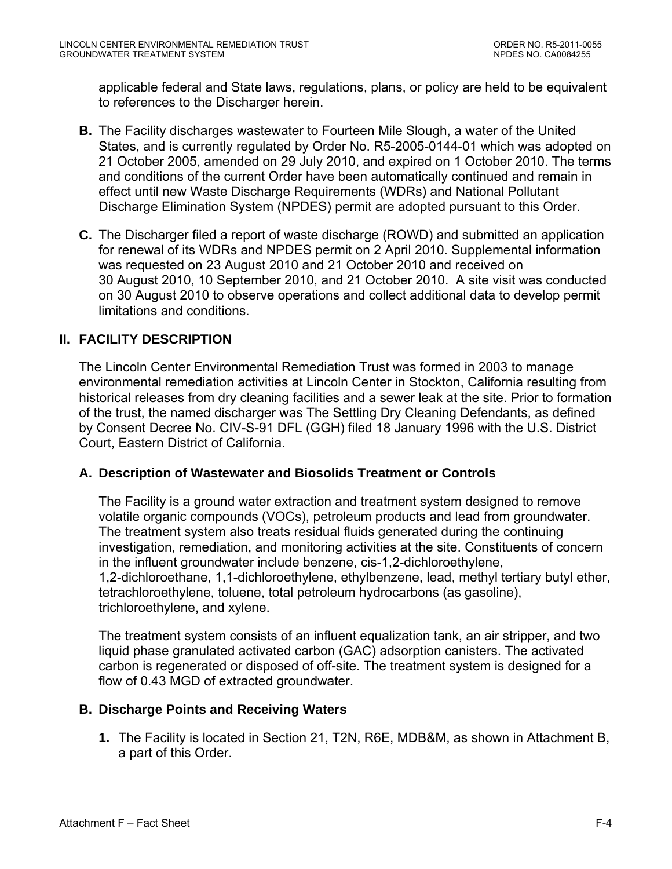<span id="page-56-0"></span>applicable federal and State laws, regulations, plans, or policy are held to be equivalent to references to the Discharger herein.

- **B.** The Facility discharges wastewater to Fourteen Mile Slough, a water of the United States, and is currently regulated by Order No. R5-2005-0144-01 which was adopted on 21 October 2005, amended on 29 July 2010, and expired on 1 October 2010. The terms and conditions of the current Order have been automatically continued and remain in effect until new Waste Discharge Requirements (WDRs) and National Pollutant Discharge Elimination System (NPDES) permit are adopted pursuant to this Order.
- **C.** The Discharger filed a report of waste discharge (ROWD) and submitted an application for renewal of its WDRs and NPDES permit on 2 April 2010. Supplemental information was requested on 23 August 2010 and 21 October 2010 and received on 30 August 2010, 10 September 2010, and 21 October 2010. A site visit was conducted on 30 August 2010 to observe operations and collect additional data to develop permit limitations and conditions.

## **II. FACILITY DESCRIPTION**

The Lincoln Center Environmental Remediation Trust was formed in 2003 to manage environmental remediation activities at Lincoln Center in Stockton, California resulting from historical releases from dry cleaning facilities and a sewer leak at the site. Prior to formation of the trust, the named discharger was The Settling Dry Cleaning Defendants, as defined by Consent Decree No. CIV-S-91 DFL (GGH) filed 18 January 1996 with the U.S. District Court, Eastern District of California.

## **A. Description of Wastewater and Biosolids Treatment or Controls**

The Facility is a ground water extraction and treatment system designed to remove volatile organic compounds (VOCs), petroleum products and lead from groundwater. The treatment system also treats residual fluids generated during the continuing investigation, remediation, and monitoring activities at the site. Constituents of concern in the influent groundwater include benzene, cis-1,2-dichloroethylene, 1,2-dichloroethane, 1,1-dichloroethylene, ethylbenzene, lead, methyl tertiary butyl ether, tetrachloroethylene, toluene, total petroleum hydrocarbons (as gasoline), trichloroethylene, and xylene.

The treatment system consists of an influent equalization tank, an air stripper, and two liquid phase granulated activated carbon (GAC) adsorption canisters. The activated carbon is regenerated or disposed of off-site. The treatment system is designed for a flow of 0.43 MGD of extracted groundwater.

### **B. Discharge Points and Receiving Waters**

**1.** The Facility is located in Section 21, T2N, R6E, MDB&M, as shown in Attachment B, a part of this Order.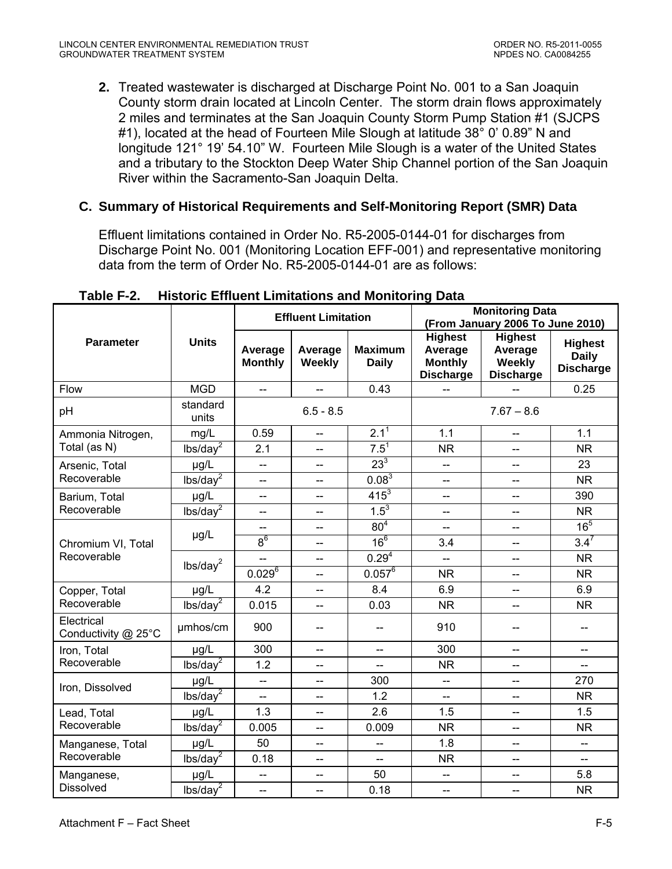<span id="page-57-0"></span>**2.** Treated wastewater is discharged at Discharge Point No. 001 to a San Joaquin County storm drain located at Lincoln Center. The storm drain flows approximately 2 miles and terminates at the San Joaquin County Storm Pump Station #1 (SJCPS #1), located at the head of Fourteen Mile Slough at latitude 38° 0' 0.89" N and longitude 121° 19' 54.10" W. Fourteen Mile Slough is a water of the United States and a tributary to the Stockton Deep Water Ship Channel portion of the San Joaquin River within the Sacramento-San Joaquin Delta.

## **C. Summary of Historical Requirements and Self-Monitoring Report (SMR) Data**

Effluent limitations contained in Order No. R5-2005-0144-01 for discharges from Discharge Point No. 001 (Monitoring Location EFF-001) and representative monitoring data from the term of Order No. R5-2005-0144-01 are as follows:

|                                   | <b>Units</b>         | <b>Effluent Limitation</b> |                          |                                | <b>Monitoring Data</b><br>(From January 2006 To June 2010)      |                                                         |                                                    |
|-----------------------------------|----------------------|----------------------------|--------------------------|--------------------------------|-----------------------------------------------------------------|---------------------------------------------------------|----------------------------------------------------|
| <b>Parameter</b>                  |                      | Average<br><b>Monthly</b>  | Average<br>Weekly        | <b>Maximum</b><br><b>Daily</b> | <b>Highest</b><br>Average<br><b>Monthly</b><br><b>Discharge</b> | <b>Highest</b><br>Average<br>Weekly<br><b>Discharge</b> | <b>Highest</b><br><b>Daily</b><br><b>Discharge</b> |
| Flow                              | <b>MGD</b>           | $\overline{\phantom{a}}$   | $\overline{\phantom{a}}$ | 0.43                           |                                                                 |                                                         | 0.25                                               |
| pH                                | standard<br>units    |                            | $6.5 - 8.5$              |                                | $7.67 - 8.6$                                                    |                                                         |                                                    |
| Ammonia Nitrogen,                 | mg/L                 | 0.59                       | --                       | $2.1^{\overline{1}}$           | 1.1                                                             | $\overline{\phantom{a}}$                                | 1.1                                                |
| Total (as N)                      | lbs/day <sup>2</sup> | 2.1                        | $\overline{\phantom{a}}$ | $7.5^1$                        | <b>NR</b>                                                       | $\overline{\phantom{a}}$                                | <b>NR</b>                                          |
| Arsenic, Total                    | µg/L                 | $\overline{a}$             | $\overline{a}$           | $23^3$                         | --                                                              | $\overline{a}$                                          | 23                                                 |
| Recoverable                       | lbs/day <sup>2</sup> | --                         | $\overline{\phantom{a}}$ | $0.08^{3}$                     | $-$                                                             | $\overline{\phantom{a}}$                                | <b>NR</b>                                          |
| Barium, Total                     | µg/L                 | --                         | --                       | $415^{3}$                      | --                                                              | $-$                                                     | 390                                                |
| Recoverable                       | lbs/day <sup>2</sup> | $\overline{\phantom{a}}$   | $-$                      | $1.5^{3}$                      | --                                                              | $\overline{a}$                                          | <b>NR</b>                                          |
|                                   | $\mu$ g/L            |                            | --                       | 80 <sup>4</sup>                | --                                                              | $\overline{\phantom{a}}$                                | 16 <sup>5</sup>                                    |
| Chromium VI, Total                |                      | 8 <sup>6</sup>             | -−                       | 16 <sup>6</sup>                | 3.4                                                             | $\overline{a}$                                          | $3.4^{7}$                                          |
| Recoverable                       | lbs/day <sup>2</sup> |                            | --                       | 0.29 <sup>4</sup>              | --                                                              | $\overline{\phantom{a}}$                                | <b>NR</b>                                          |
|                                   |                      | $0.029^{6}$                | $\overline{\phantom{a}}$ | $0.057^6$                      | <b>NR</b>                                                       | $\overline{\phantom{a}}$                                | <b>NR</b>                                          |
| Copper, Total                     | µg/L                 | 4.2                        | --                       | 8.4                            | 6.9                                                             | $-$                                                     | 6.9                                                |
| Recoverable                       | lbs/day <sup>2</sup> | 0.015                      | -−                       | 0.03                           | <b>NR</b>                                                       | $\overline{\phantom{a}}$                                | <b>NR</b>                                          |
| Electrical<br>Conductivity @ 25°C | umhos/cm             | 900                        | --                       | --                             | 910                                                             | --                                                      | --                                                 |
| Iron, Total                       | µg/L                 | 300                        | --                       | $\overline{\phantom{a}}$       | 300                                                             | $\overline{\phantom{a}}$                                | --                                                 |
| Recoverable                       | lbs/day <sup>2</sup> | 1.2                        | --                       | $\overline{\phantom{a}}$       | <b>NR</b>                                                       | $\overline{\phantom{a}}$                                | $\overline{\phantom{a}}$                           |
| Iron, Dissolved                   | µg/L                 | $\overline{\phantom{a}}$   | $\overline{\phantom{a}}$ | 300                            | $-$                                                             | $\overline{\phantom{a}}$                                | 270                                                |
|                                   | lbs/day <sup>2</sup> | u.                         | $-$                      | 1.2                            | Ш.                                                              | $\overline{a}$                                          | <b>NR</b>                                          |
| Lead, Total                       | µg/L                 | 1.3                        | $\overline{\phantom{a}}$ | 2.6                            | 1.5                                                             | $\overline{\phantom{a}}$                                | 1.5                                                |
| Recoverable                       | lbs/day <sup>2</sup> | 0.005                      | $-$                      | 0.009                          | <b>NR</b>                                                       | $\overline{\phantom{a}}$                                | <b>NR</b>                                          |
| Manganese, Total                  | µg/L                 | 50                         | --                       | $-$                            | 1.8                                                             | $\overline{\phantom{a}}$                                | $\qquad \qquad -$                                  |
| Recoverable                       | lbs/day <sup>2</sup> | 0.18                       | --                       | $\overline{\phantom{a}}$       | <b>NR</b>                                                       | $\overline{\phantom{a}}$                                | $\overline{\phantom{a}}$                           |
| Manganese,                        | µg/L                 | <u></u>                    | $-$                      | 50                             | --                                                              | $-$                                                     | 5.8                                                |
| <b>Dissolved</b>                  | lbs/day <sup>2</sup> | --                         | --                       | 0.18                           | --                                                              | --                                                      | <b>NR</b>                                          |

**Table F-2. Historic Effluent Limitations and Monitoring Data**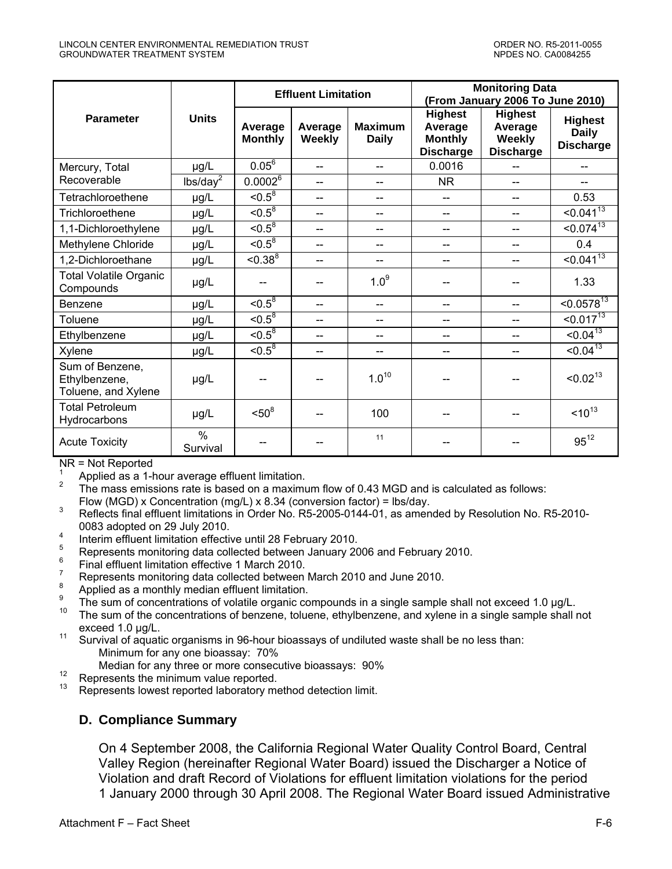<span id="page-58-0"></span>

|                                                         |                      | <b>Effluent Limitation</b> |                   |                                | <b>Monitoring Data</b><br>(From January 2006 To June 2010)      |                                                                |                                                    |
|---------------------------------------------------------|----------------------|----------------------------|-------------------|--------------------------------|-----------------------------------------------------------------|----------------------------------------------------------------|----------------------------------------------------|
| <b>Parameter</b>                                        | <b>Units</b>         | Average<br><b>Monthly</b>  | Average<br>Weekly | <b>Maximum</b><br><b>Daily</b> | <b>Highest</b><br>Average<br><b>Monthly</b><br><b>Discharge</b> | <b>Highest</b><br>Average<br><b>Weekly</b><br><b>Discharge</b> | <b>Highest</b><br><b>Daily</b><br><b>Discharge</b> |
| Mercury, Total                                          | µg/L                 | $0.05^6$                   | $-$               | --                             | 0.0016                                                          |                                                                | --                                                 |
| Recoverable                                             | lbs/day <sup>2</sup> | $0.0002^6$                 | $- -$             | --                             | <b>NR</b>                                                       | --                                                             | --                                                 |
| Tetrachloroethene                                       | µg/L                 | $\overline{5^{8}}$         | $\overline{a}$    | $-$                            | $-$                                                             | $-$                                                            | 0.53                                               |
| Trichloroethene                                         | µg/L                 | $< 0.5^8$                  | $\overline{a}$    | $- -$                          | --                                                              | --                                                             | < 0.041 <sup>13</sup>                              |
| 1,1-Dichloroethylene                                    | µg/L                 | $\overline{5^{8}}$         | $\overline{a}$    | $- -$                          | --                                                              | --                                                             | < 0.074 <sup>13</sup>                              |
| Methylene Chloride                                      | µg/L                 | $\overline{5^{8}}$         | $-$               | --                             | --                                                              | --                                                             | 0.4                                                |
| 1,2-Dichloroethane                                      | µg/L                 | $< 0.38^8$                 | $-$               | --                             |                                                                 | $-$                                                            | $< 0.041^{13}$                                     |
| <b>Total Volatile Organic</b><br>Compounds              | µg/L                 |                            |                   | 1.0 <sup>9</sup>               |                                                                 |                                                                | 1.33                                               |
| Benzene                                                 | µg/L                 | $\le 0.5^8$                | $-$               | $- -$                          |                                                                 | --                                                             | $< 0.0578^{13}$                                    |
| Toluene                                                 | µg/L                 | $\le 0.5^8$                | $-$               | $-$                            | --                                                              | $\overline{a}$                                                 | $< 0.017^{13}$                                     |
| Ethylbenzene                                            | µg/L                 | $\le 0.5^8$                | $-$               | --                             | --                                                              | $-$                                                            | $\le 0.04^{13}$                                    |
| Xylene                                                  | µg/L                 | $\overline{5^{8}}$         | $-$               | $-$                            | ۵.                                                              | --                                                             | $< 0.04^{13}$                                      |
| Sum of Benzene,<br>Ethylbenzene,<br>Toluene, and Xylene | µg/L                 |                            |                   | $1.0^{10}$                     |                                                                 |                                                                | < 0.02 <sup>13</sup>                               |
| <b>Total Petroleum</b><br>Hydrocarbons                  | µg/L                 | $< 50^8$                   | --                | 100                            |                                                                 | --                                                             | $10^{13}$                                          |
| <b>Acute Toxicity</b>                                   | $\%$<br>Survival     |                            |                   | 11                             |                                                                 |                                                                | $95^{12}$                                          |

NR = Not Reported

1 Applied as a 1-hour average effluent limitation.

2 The mass emissions rate is based on a maximum flow of 0.43 MGD and is calculated as follows: Flow (MGD) x Concentration (mg/L) x 8.34 (conversion factor) = lbs/day.

 Reflects final effluent limitations in Order No. R5-2005-0144-01, as amended by Resolution No. R5-2010- 0083 adopted on 29 July 2010.

- <sup>4</sup> Interim effluent limitation effective until 28 February 2010.
- <sup>5</sup> Represents monitoring data collected between January 2006 and February 2010.<br><sup>6</sup> Final effluent limitation effective 1 March 2010.
- 
- 
- 
- Represents monitoring data collected between March 2010 and June 2010.<br>
<sup>8</sup> Applied as a monthly median effluent limitation.<br>
<sup>9</sup> The sum of concentrations of volatile organic compounds in a single sample shall not exceed
- exceed 1.0 µg/L.<br>11 Survival of aquatic organisms in 96-hour bioassays of undiluted waste shall be no less than:
- Minimum for any one bioassay: 70%<br>Median for any three or more consecutive bioassays: 90%

- 
- 12 Represents the minimum value reported.<br>
13 Represents lowest reported laboratory method detection limit.

### **D. Compliance Summary**

On 4 September 2008, the California Regional Water Quality Control Board, Central Valley Region (hereinafter Regional Water Board) issued the Discharger a Notice of Violation and draft Record of Violations for effluent limitation violations for the period 1 January 2000 through 30 April 2008. The Regional Water Board issued Administrative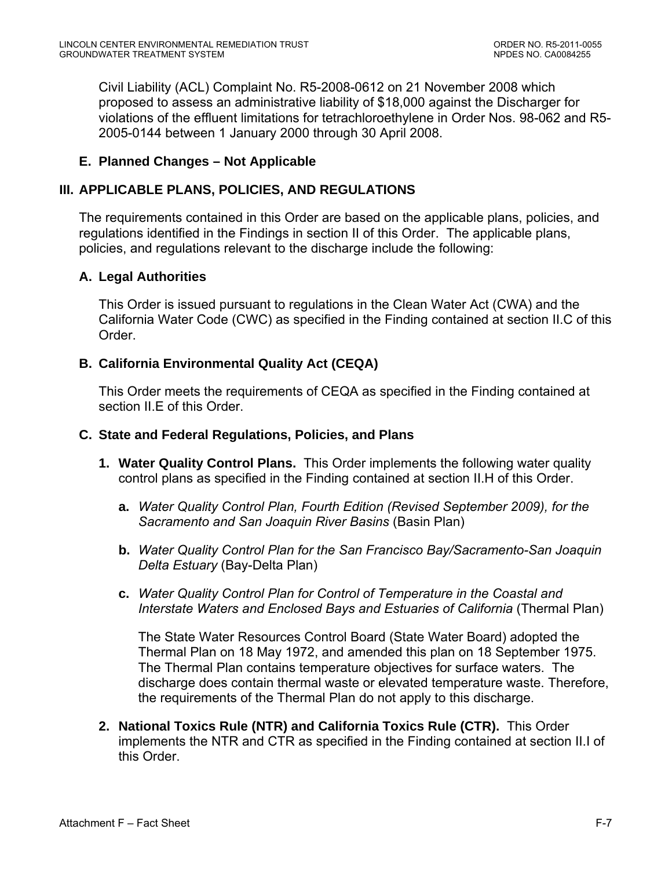<span id="page-59-0"></span>Civil Liability (ACL) Complaint No. R5-2008-0612 on 21 November 2008 which proposed to assess an administrative liability of \$18,000 against the Discharger for violations of the effluent limitations for tetrachloroethylene in Order Nos. 98-062 and R5- 2005-0144 between 1 January 2000 through 30 April 2008.

### **E. Planned Changes – Not Applicable**

### **III. APPLICABLE PLANS, POLICIES, AND REGULATIONS**

The requirements contained in this Order are based on the applicable plans, policies, and regulations identified in the Findings in section II of this Order. The applicable plans, policies, and regulations relevant to the discharge include the following:

### **A. Legal Authorities**

This Order is issued pursuant to regulations in the Clean Water Act (CWA) and the California Water Code (CWC) as specified in the Finding contained at section II.C of this Order.

### **B. California Environmental Quality Act (CEQA)**

This Order meets the requirements of CEQA as specified in the Finding contained at section II.E of this Order.

### **C. State and Federal Regulations, Policies, and Plans**

- **1. Water Quality Control Plans.** This Order implements the following water quality control plans as specified in the Finding contained at section II.H of this Order.
	- **a.** *Water Quality Control Plan, Fourth Edition (Revised September 2009), for the Sacramento and San Joaquin River Basins* (Basin Plan)
	- **b.** *Water Quality Control Plan for the San Francisco Bay/Sacramento-San Joaquin Delta Estuary* (Bay-Delta Plan)
	- **c.** *Water Quality Control Plan for Control of Temperature in the Coastal and Interstate Waters and Enclosed Bays and Estuaries of California (Thermal Plan)*

The State Water Resources Control Board (State Water Board) adopted the Thermal Plan on 18 May 1972, and amended this plan on 18 September 1975. The Thermal Plan contains temperature objectives for surface waters. The discharge does contain thermal waste or elevated temperature waste. Therefore, the requirements of the Thermal Plan do not apply to this discharge.

**2. National Toxics Rule (NTR) and California Toxics Rule (CTR).** This Order implements the NTR and CTR as specified in the Finding contained at section II.I of this Order.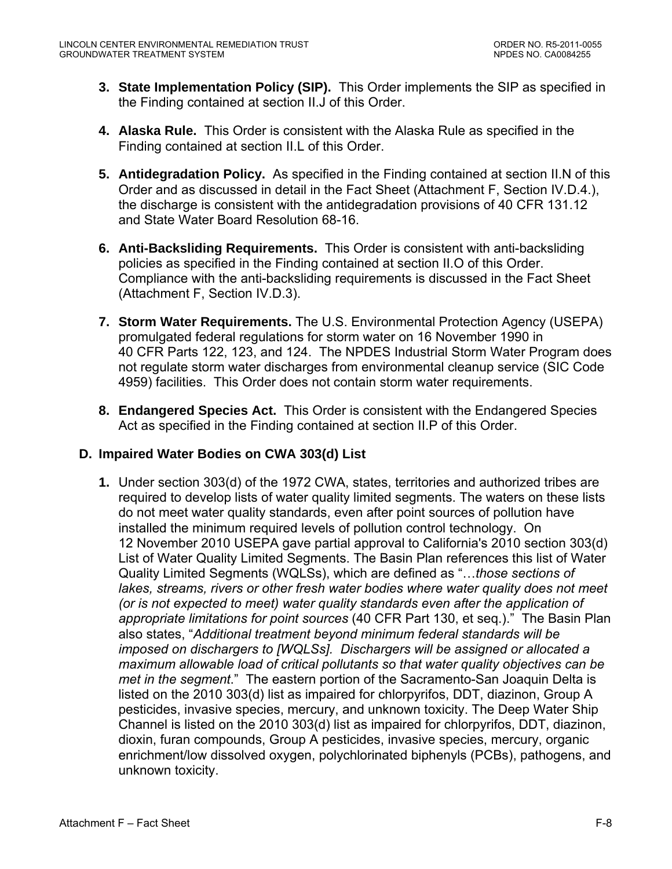- <span id="page-60-0"></span>**3. State Implementation Policy (SIP).** This Order implements the SIP as specified in the Finding contained at section II.J of this Order.
- **4. Alaska Rule.** This Order is consistent with the Alaska Rule as specified in the Finding contained at section II.L of this Order.
- **5. Antidegradation Policy.** As specified in the Finding contained at section II.N of this Order and as discussed in detail in the Fact Sheet (Attachment F, Section IV.D.4.), the discharge is consistent with the antidegradation provisions of 40 CFR 131.12 and State Water Board Resolution 68-16.
- **6. Anti-Backsliding Requirements.** This Order is consistent with anti-backsliding policies as specified in the Finding contained at section II.O of this Order. Compliance with the anti-backsliding requirements is discussed in the Fact Sheet (Attachment F, Section IV.D.3).
- **7. Storm Water Requirements.** The U.S. Environmental Protection Agency (USEPA) promulgated federal regulations for storm water on 16 November 1990 in 40 CFR Parts 122, 123, and 124. The NPDES Industrial Storm Water Program does not regulate storm water discharges from environmental cleanup service (SIC Code 4959) facilities. This Order does not contain storm water requirements.
- **8. Endangered Species Act.** This Order is consistent with the Endangered Species Act as specified in the Finding contained at section II.P of this Order.

## **D. Impaired Water Bodies on CWA 303(d) List**

**1.** Under section 303(d) of the 1972 CWA, states, territories and authorized tribes are required to develop lists of water quality limited segments. The waters on these lists do not meet water quality standards, even after point sources of pollution have installed the minimum required levels of pollution control technology. On 12 November 2010 USEPA gave partial approval to California's 2010 section 303(d) List of Water Quality Limited Segments. The Basin Plan references this list of Water Quality Limited Segments (WQLSs), which are defined as "…*those sections of*  lakes, streams, rivers or other fresh water bodies where water quality does not meet *(or is not expected to meet) water quality standards even after the application of appropriate limitations for point sources* (40 CFR Part 130, et seq.)." The Basin Plan also states, "*Additional treatment beyond minimum federal standards will be imposed on dischargers to [WQLSs]. Dischargers will be assigned or allocated a maximum allowable load of critical pollutants so that water quality objectives can be met in the segment*." The eastern portion of the Sacramento-San Joaquin Delta is listed on the 2010 303(d) list as impaired for chlorpyrifos, DDT, diazinon, Group A pesticides, invasive species, mercury, and unknown toxicity. The Deep Water Ship Channel is listed on the 2010 303(d) list as impaired for chlorpyrifos, DDT, diazinon, dioxin, furan compounds, Group A pesticides, invasive species, mercury, organic enrichment/low dissolved oxygen, polychlorinated biphenyls (PCBs), pathogens, and unknown toxicity.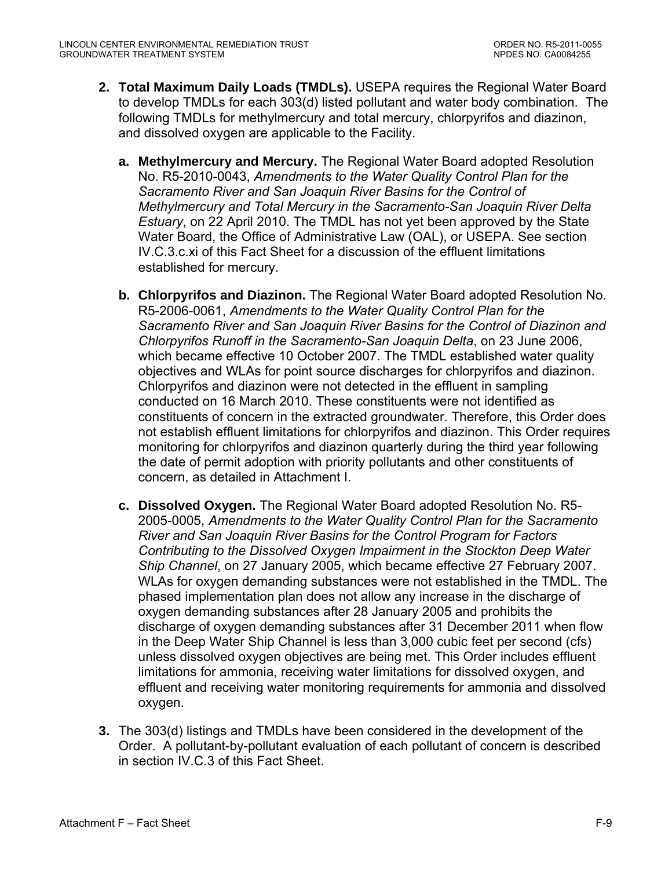- **2. Total Maximum Daily Loads (TMDLs).** USEPA requires the Regional Water Board to develop TMDLs for each 303(d) listed pollutant and water body combination. The following TMDLs for methylmercury and total mercury, chlorpyrifos and diazinon, and dissolved oxygen are applicable to the Facility.
	- **a. Methylmercury and Mercury.** The Regional Water Board adopted Resolution No. R5-2010-0043, *Amendments to the Water Quality Control Plan for the Sacramento River and San Joaquin River Basins for the Control of Methylmercury and Total Mercury in the Sacramento-San Joaquin River Delta Estuary*, on 22 April 2010. The TMDL has not yet been approved by the State Water Board, the Office of Administrative Law (OAL), or USEPA. See section IV.C.3.c.xi of this Fact Sheet for a discussion of the effluent limitations established for mercury.
	- **b. Chlorpyrifos and Diazinon.** The Regional Water Board adopted Resolution No. R5-2006-0061, *Amendments to the Water Quality Control Plan for the Sacramento River and San Joaquin River Basins for the Control of Diazinon and Chlorpyrifos Runoff in the Sacramento-San Joaquin Delta*, on 23 June 2006, which became effective 10 October 2007. The TMDL established water quality objectives and WLAs for point source discharges for chlorpyrifos and diazinon. Chlorpyrifos and diazinon were not detected in the effluent in sampling conducted on 16 March 2010. These constituents were not identified as constituents of concern in the extracted groundwater. Therefore, this Order does not establish effluent limitations for chlorpyrifos and diazinon. This Order requires monitoring for chlorpyrifos and diazinon quarterly during the third year following the date of permit adoption with priority pollutants and other constituents of concern, as detailed in Attachment I.
	- **c. Dissolved Oxygen.** The Regional Water Board adopted Resolution No. R5- 2005-0005, *Amendments to the Water Quality Control Plan for the Sacramento River and San Joaquin River Basins for the Control Program for Factors Contributing to the Dissolved Oxygen Impairment in the Stockton Deep Water Ship Channel*, on 27 January 2005, which became effective 27 February 2007. WLAs for oxygen demanding substances were not established in the TMDL. The phased implementation plan does not allow any increase in the discharge of oxygen demanding substances after 28 January 2005 and prohibits the discharge of oxygen demanding substances after 31 December 2011 when flow in the Deep Water Ship Channel is less than 3,000 cubic feet per second (cfs) unless dissolved oxygen objectives are being met. This Order includes effluent limitations for ammonia, receiving water limitations for dissolved oxygen, and effluent and receiving water monitoring requirements for ammonia and dissolved oxygen.
- **3.** The 303(d) listings and TMDLs have been considered in the development of the Order. A pollutant-by-pollutant evaluation of each pollutant of concern is described in section IV.C.3 of this Fact Sheet.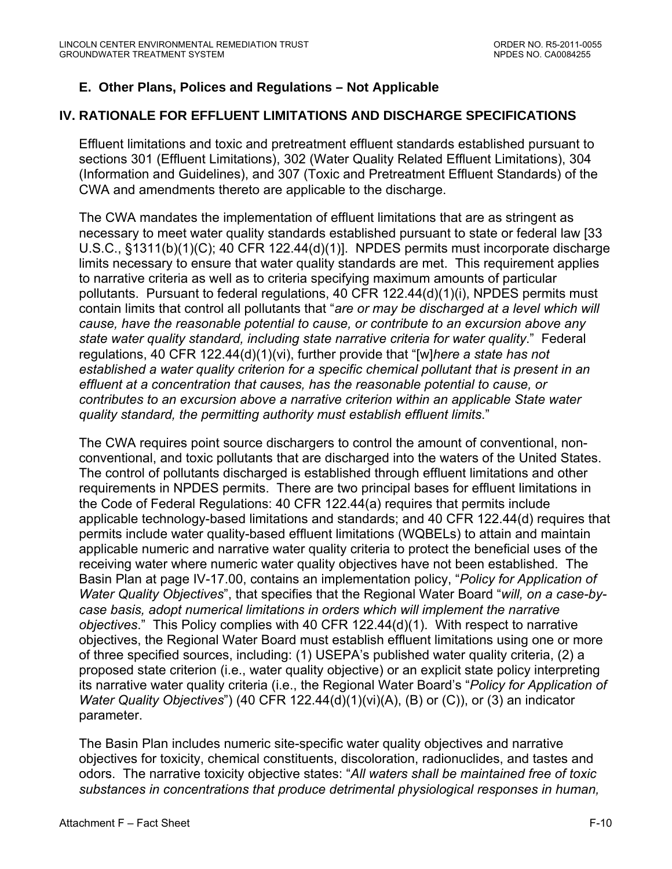# <span id="page-62-0"></span>**E. Other Plans, Polices and Regulations – Not Applicable**

# **IV. RATIONALE FOR EFFLUENT LIMITATIONS AND DISCHARGE SPECIFICATIONS**

Effluent limitations and toxic and pretreatment effluent standards established pursuant to sections 301 (Effluent Limitations), 302 (Water Quality Related Effluent Limitations), 304 (Information and Guidelines), and 307 (Toxic and Pretreatment Effluent Standards) of the CWA and amendments thereto are applicable to the discharge.

The CWA mandates the implementation of effluent limitations that are as stringent as necessary to meet water quality standards established pursuant to state or federal law [33 U.S.C., §1311(b)(1)(C); 40 CFR 122.44(d)(1)]. NPDES permits must incorporate discharge limits necessary to ensure that water quality standards are met. This requirement applies to narrative criteria as well as to criteria specifying maximum amounts of particular pollutants. Pursuant to federal regulations, 40 CFR 122.44(d)(1)(i), NPDES permits must contain limits that control all pollutants that "*are or may be discharged at a level which will cause, have the reasonable potential to cause, or contribute to an excursion above any state water quality standard, including state narrative criteria for water quality*." Federal regulations, 40 CFR 122.44(d)(1)(vi), further provide that "[w]*here a state has not established a water quality criterion for a specific chemical pollutant that is present in an effluent at a concentration that causes, has the reasonable potential to cause, or contributes to an excursion above a narrative criterion within an applicable State water quality standard, the permitting authority must establish effluent limits*."

The CWA requires point source dischargers to control the amount of conventional, nonconventional, and toxic pollutants that are discharged into the waters of the United States. The control of pollutants discharged is established through effluent limitations and other requirements in NPDES permits. There are two principal bases for effluent limitations in the Code of Federal Regulations: 40 CFR 122.44(a) requires that permits include applicable technology-based limitations and standards; and 40 CFR 122.44(d) requires that permits include water quality-based effluent limitations (WQBELs) to attain and maintain applicable numeric and narrative water quality criteria to protect the beneficial uses of the receiving water where numeric water quality objectives have not been established. The Basin Plan at page IV-17.00, contains an implementation policy, "*Policy for Application of Water Quality Objectives*", that specifies that the Regional Water Board "*will, on a case-bycase basis, adopt numerical limitations in orders which will implement the narrative objectives*." This Policy complies with 40 CFR 122.44(d)(1). With respect to narrative objectives, the Regional Water Board must establish effluent limitations using one or more of three specified sources, including: (1) USEPA's published water quality criteria, (2) a proposed state criterion (i.e., water quality objective) or an explicit state policy interpreting its narrative water quality criteria (i.e., the Regional Water Board's "*Policy for Application of Water Quality Objectives*") (40 CFR 122.44(d)(1)(vi)(A), (B) or (C)), or (3) an indicator parameter.

The Basin Plan includes numeric site-specific water quality objectives and narrative objectives for toxicity, chemical constituents, discoloration, radionuclides, and tastes and odors. The narrative toxicity objective states: "*All waters shall be maintained free of toxic substances in concentrations that produce detrimental physiological responses in human,*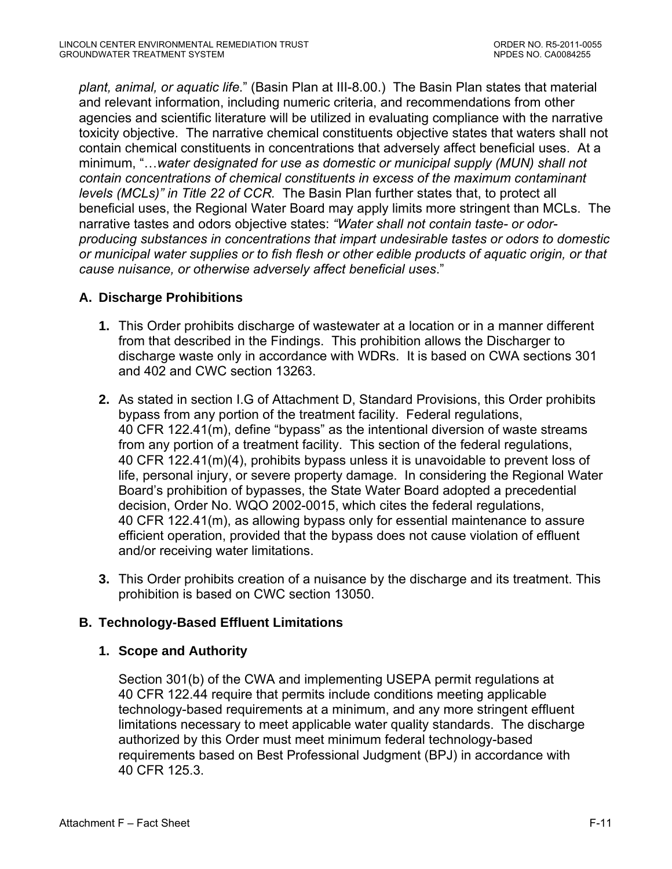<span id="page-63-0"></span>*plant, animal, or aquatic life*." (Basin Plan at III-8.00.) The Basin Plan states that material and relevant information, including numeric criteria, and recommendations from other agencies and scientific literature will be utilized in evaluating compliance with the narrative toxicity objective. The narrative chemical constituents objective states that waters shall not contain chemical constituents in concentrations that adversely affect beneficial uses. At a minimum, "…*water designated for use as domestic or municipal supply (MUN) shall not contain concentrations of chemical constituents in excess of the maximum contaminant levels (MCLs)" in Title 22 of CCR.* The Basin Plan further states that, to protect all beneficial uses, the Regional Water Board may apply limits more stringent than MCLs. The narrative tastes and odors objective states: *"Water shall not contain taste- or odorproducing substances in concentrations that impart undesirable tastes or odors to domestic or municipal water supplies or to fish flesh or other edible products of aquatic origin, or that cause nuisance, or otherwise adversely affect beneficial uses*."

## **A. Discharge Prohibitions**

- **1.** This Order prohibits discharge of wastewater at a location or in a manner different from that described in the Findings. This prohibition allows the Discharger to discharge waste only in accordance with WDRs. It is based on CWA sections 301 and 402 and CWC section 13263.
- **2.** As stated in section I.G of Attachment D, Standard Provisions, this Order prohibits bypass from any portion of the treatment facility. Federal regulations, 40 CFR 122.41(m), define "bypass" as the intentional diversion of waste streams from any portion of a treatment facility. This section of the federal regulations, 40 CFR 122.41(m)(4), prohibits bypass unless it is unavoidable to prevent loss of life, personal injury, or severe property damage. In considering the Regional Water Board's prohibition of bypasses, the State Water Board adopted a precedential decision, Order No. WQO 2002-0015, which cites the federal regulations, 40 CFR 122.41(m), as allowing bypass only for essential maintenance to assure efficient operation, provided that the bypass does not cause violation of effluent and/or receiving water limitations.
- **3.** This Order prohibits creation of a nuisance by the discharge and its treatment. This prohibition is based on CWC section 13050.

## **B. Technology-Based Effluent Limitations**

## **1. Scope and Authority**

Section 301(b) of the CWA and implementing USEPA permit regulations at 40 CFR 122.44 require that permits include conditions meeting applicable technology-based requirements at a minimum, and any more stringent effluent limitations necessary to meet applicable water quality standards. The discharge authorized by this Order must meet minimum federal technology-based requirements based on Best Professional Judgment (BPJ) in accordance with 40 CFR 125.3.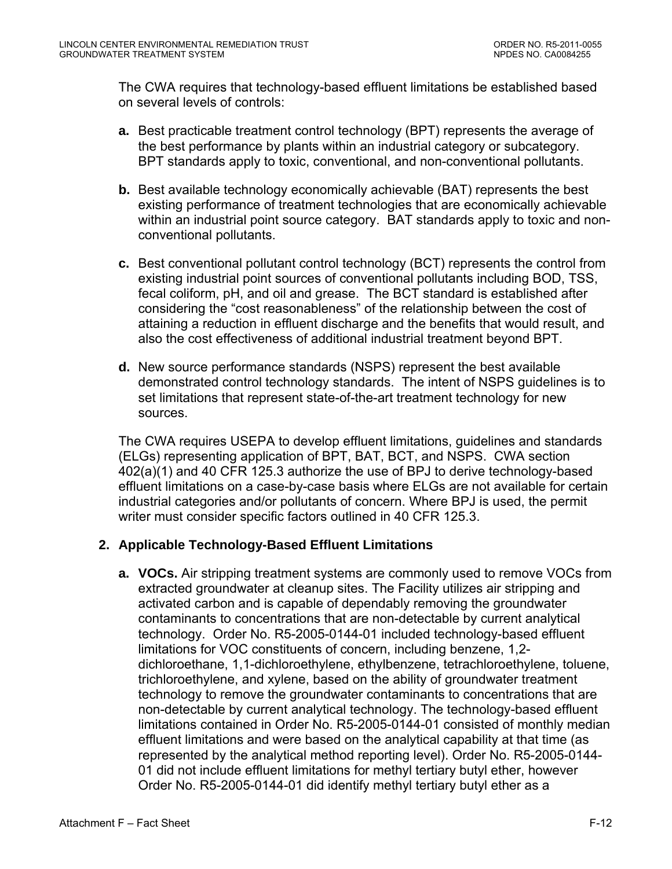<span id="page-64-0"></span>The CWA requires that technology-based effluent limitations be established based on several levels of controls:

- **a.** Best practicable treatment control technology (BPT) represents the average of the best performance by plants within an industrial category or subcategory. BPT standards apply to toxic, conventional, and non-conventional pollutants.
- **b.** Best available technology economically achievable (BAT) represents the best existing performance of treatment technologies that are economically achievable within an industrial point source category. BAT standards apply to toxic and nonconventional pollutants.
- **c.** Best conventional pollutant control technology (BCT) represents the control from existing industrial point sources of conventional pollutants including BOD, TSS, fecal coliform, pH, and oil and grease. The BCT standard is established after considering the "cost reasonableness" of the relationship between the cost of attaining a reduction in effluent discharge and the benefits that would result, and also the cost effectiveness of additional industrial treatment beyond BPT.
- **d.** New source performance standards (NSPS) represent the best available demonstrated control technology standards. The intent of NSPS guidelines is to set limitations that represent state-of-the-art treatment technology for new sources.

The CWA requires USEPA to develop effluent limitations, guidelines and standards (ELGs) representing application of BPT, BAT, BCT, and NSPS. CWA section 402(a)(1) and 40 CFR 125.3 authorize the use of BPJ to derive technology-based effluent limitations on a case-by-case basis where ELGs are not available for certain industrial categories and/or pollutants of concern. Where BPJ is used, the permit writer must consider specific factors outlined in 40 CFR 125.3.

### **2. Applicable Technology-Based Effluent Limitations**

**a. VOCs.** Air stripping treatment systems are commonly used to remove VOCs from extracted groundwater at cleanup sites. The Facility utilizes air stripping and activated carbon and is capable of dependably removing the groundwater contaminants to concentrations that are non-detectable by current analytical technology. Order No. R5-2005-0144-01 included technology-based effluent limitations for VOC constituents of concern, including benzene, 1,2 dichloroethane, 1,1-dichloroethylene, ethylbenzene, tetrachloroethylene, toluene, trichloroethylene, and xylene, based on the ability of groundwater treatment technology to remove the groundwater contaminants to concentrations that are non-detectable by current analytical technology. The technology-based effluent limitations contained in Order No. R5-2005-0144-01 consisted of monthly median effluent limitations and were based on the analytical capability at that time (as represented by the analytical method reporting level). Order No. R5-2005-0144- 01 did not include effluent limitations for methyl tertiary butyl ether, however Order No. R5-2005-0144-01 did identify methyl tertiary butyl ether as a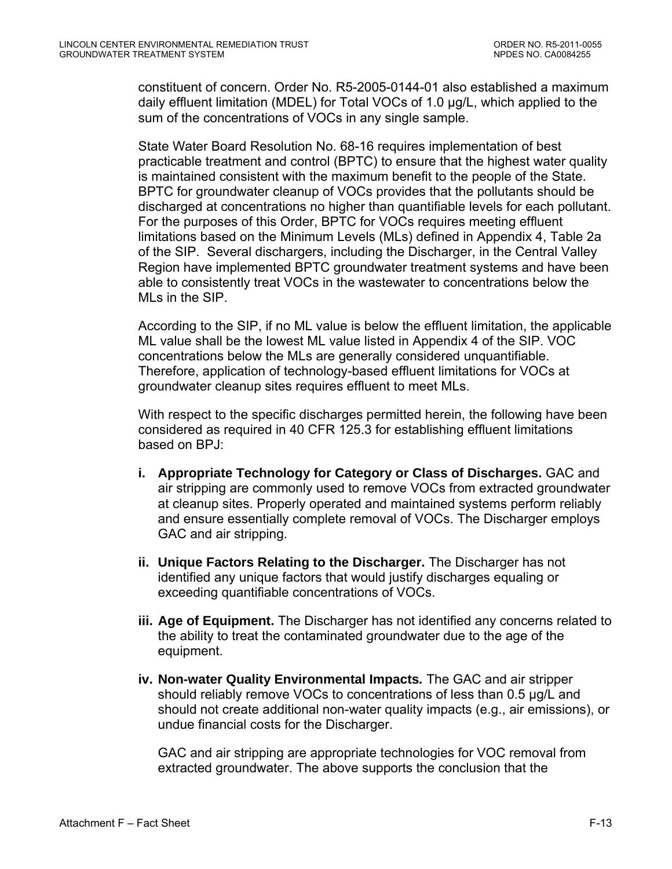constituent of concern. Order No. R5-2005-0144-01 also established a maximum daily effluent limitation (MDEL) for Total VOCs of 1.0 µg/L, which applied to the sum of the concentrations of VOCs in any single sample.

State Water Board Resolution No. 68-16 requires implementation of best practicable treatment and control (BPTC) to ensure that the highest water quality is maintained consistent with the maximum benefit to the people of the State. BPTC for groundwater cleanup of VOCs provides that the pollutants should be discharged at concentrations no higher than quantifiable levels for each pollutant. For the purposes of this Order, BPTC for VOCs requires meeting effluent limitations based on the Minimum Levels (MLs) defined in Appendix 4, Table 2a of the SIP. Several dischargers, including the Discharger, in the Central Valley Region have implemented BPTC groundwater treatment systems and have been able to consistently treat VOCs in the wastewater to concentrations below the MLs in the SIP.

According to the SIP, if no ML value is below the effluent limitation, the applicable ML value shall be the lowest ML value listed in Appendix 4 of the SIP. VOC concentrations below the MLs are generally considered unquantifiable. Therefore, application of technology-based effluent limitations for VOCs at groundwater cleanup sites requires effluent to meet MLs.

With respect to the specific discharges permitted herein, the following have been considered as required in 40 CFR 125.3 for establishing effluent limitations based on BPJ:

- **i. Appropriate Technology for Category or Class of Discharges.** GAC and air stripping are commonly used to remove VOCs from extracted groundwater at cleanup sites. Properly operated and maintained systems perform reliably and ensure essentially complete removal of VOCs. The Discharger employs GAC and air stripping.
- **ii. Unique Factors Relating to the Discharger.** The Discharger has not identified any unique factors that would justify discharges equaling or exceeding quantifiable concentrations of VOCs.
- **iii. Age of Equipment.** The Discharger has not identified any concerns related to the ability to treat the contaminated groundwater due to the age of the equipment.
- **iv. Non-water Quality Environmental Impacts***.* The GAC and air stripper should reliably remove VOCs to concentrations of less than 0.5 µg/L and should not create additional non-water quality impacts (e.g., air emissions), or undue financial costs for the Discharger.

GAC and air stripping are appropriate technologies for VOC removal from extracted groundwater. The above supports the conclusion that the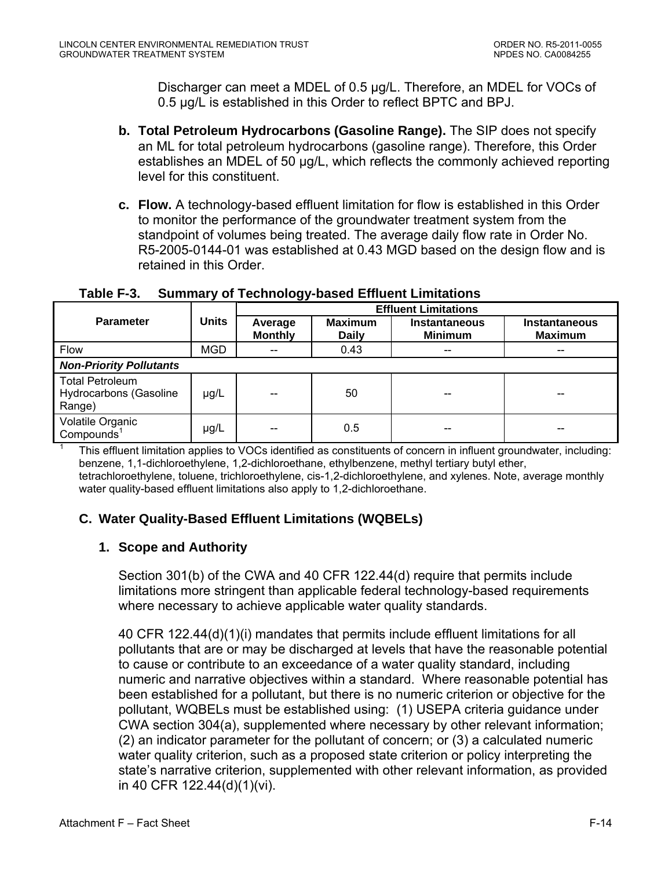Discharger can meet a MDEL of 0.5 µg/L. Therefore, an MDEL for VOCs of 0.5 µg/L is established in this Order to reflect BPTC and BPJ.

- <span id="page-66-0"></span>**b. Total Petroleum Hydrocarbons (Gasoline Range).** The SIP does not specify an ML for total petroleum hydrocarbons (gasoline range). Therefore, this Order establishes an MDEL of 50 µg/L, which reflects the commonly achieved reporting level for this constituent.
- **c. Flow.** A technology-based effluent limitation for flow is established in this Order to monitor the performance of the groundwater treatment system from the standpoint of volumes being treated. The average daily flow rate in Order No. R5-2005-0144-01 was established at 0.43 MGD based on the design flow and is retained in this Order.

|                                                                   |              | <b>Effluent Limitations</b> |                                |                                        |                                        |  |
|-------------------------------------------------------------------|--------------|-----------------------------|--------------------------------|----------------------------------------|----------------------------------------|--|
| <b>Parameter</b>                                                  | <b>Units</b> | Average<br><b>Monthly</b>   | <b>Maximum</b><br><b>Daily</b> | <b>Instantaneous</b><br><b>Minimum</b> | <b>Instantaneous</b><br><b>Maximum</b> |  |
| Flow                                                              | <b>MGD</b>   | $-$                         | 0.43                           | --                                     | --                                     |  |
| <b>Non-Priority Pollutants</b>                                    |              |                             |                                |                                        |                                        |  |
| <b>Total Petroleum</b><br><b>Hydrocarbons (Gasoline</b><br>Range) | µg/L         | --                          | 50                             | --                                     |                                        |  |
| Volatile Organic<br>Compounds <sup>1</sup>                        | µg/L         |                             | 0.5                            | --                                     |                                        |  |

### **Table F-3. Summary of Technology-based Effluent Limitations**

 This effluent limitation applies to VOCs identified as constituents of concern in influent groundwater, including: benzene, 1,1-dichloroethylene, 1,2-dichloroethane, ethylbenzene, methyl tertiary butyl ether, tetrachloroethylene, toluene, trichloroethylene, cis-1,2-dichloroethylene, and xylenes. Note, average monthly water quality-based effluent limitations also apply to 1,2-dichloroethane.

## **C. Water Quality-Based Effluent Limitations (WQBELs)**

## **1. Scope and Authority**

1

Section 301(b) of the CWA and 40 CFR 122.44(d) require that permits include limitations more stringent than applicable federal technology-based requirements where necessary to achieve applicable water quality standards.

40 CFR 122.44(d)(1)(i) mandates that permits include effluent limitations for all pollutants that are or may be discharged at levels that have the reasonable potential to cause or contribute to an exceedance of a water quality standard, including numeric and narrative objectives within a standard. Where reasonable potential has been established for a pollutant, but there is no numeric criterion or objective for the pollutant, WQBELs must be established using: (1) USEPA criteria guidance under CWA section 304(a), supplemented where necessary by other relevant information; (2) an indicator parameter for the pollutant of concern; or (3) a calculated numeric water quality criterion, such as a proposed state criterion or policy interpreting the state's narrative criterion, supplemented with other relevant information, as provided in 40 CFR 122.44(d)(1)(vi).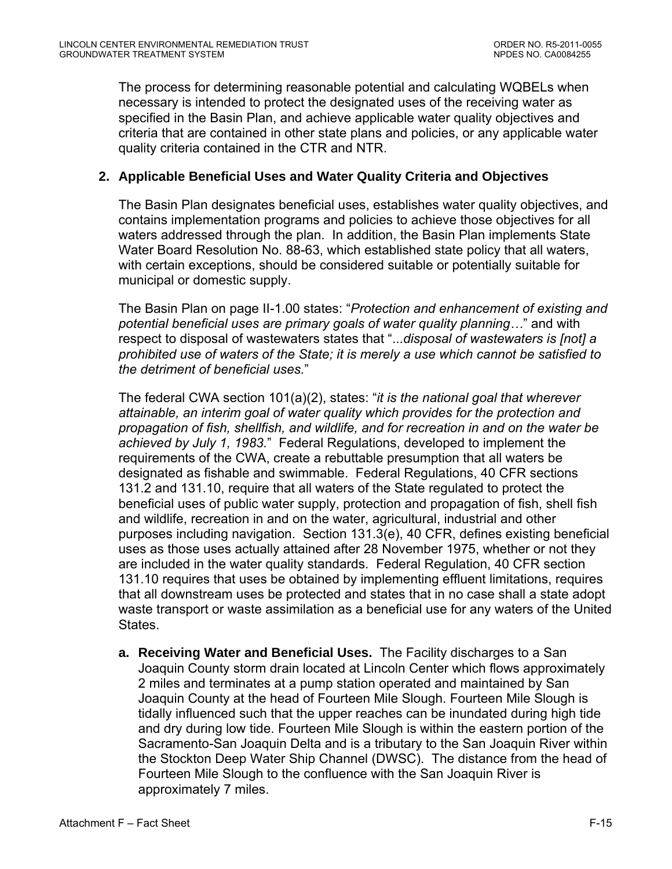<span id="page-67-0"></span>The process for determining reasonable potential and calculating WQBELs when necessary is intended to protect the designated uses of the receiving water as specified in the Basin Plan, and achieve applicable water quality objectives and criteria that are contained in other state plans and policies, or any applicable water quality criteria contained in the CTR and NTR.

## **2. Applicable Beneficial Uses and Water Quality Criteria and Objectives**

The Basin Plan designates beneficial uses, establishes water quality objectives, and contains implementation programs and policies to achieve those objectives for all waters addressed through the plan. In addition, the Basin Plan implements State Water Board Resolution No. 88-63, which established state policy that all waters, with certain exceptions, should be considered suitable or potentially suitable for municipal or domestic supply.

The Basin Plan on page II-1.00 states: "*Protection and enhancement of existing and potential beneficial uses are primary goals of water quality planning…*" and with respect to disposal of wastewaters states that "...*disposal of wastewaters is [not] a prohibited use of waters of the State; it is merely a use which cannot be satisfied to the detriment of beneficial uses.*"

The federal CWA section 101(a)(2), states: "*it is the national goal that wherever attainable, an interim goal of water quality which provides for the protection and propagation of fish, shellfish, and wildlife, and for recreation in and on the water be achieved by July 1, 1983.*" Federal Regulations, developed to implement the requirements of the CWA, create a rebuttable presumption that all waters be designated as fishable and swimmable. Federal Regulations, 40 CFR sections 131.2 and 131.10, require that all waters of the State regulated to protect the beneficial uses of public water supply, protection and propagation of fish, shell fish and wildlife, recreation in and on the water, agricultural, industrial and other purposes including navigation. Section 131.3(e), 40 CFR, defines existing beneficial uses as those uses actually attained after 28 November 1975, whether or not they are included in the water quality standards. Federal Regulation, 40 CFR section 131.10 requires that uses be obtained by implementing effluent limitations, requires that all downstream uses be protected and states that in no case shall a state adopt waste transport or waste assimilation as a beneficial use for any waters of the United States.

**a. Receiving Water and Beneficial Uses.** The Facility discharges to a San Joaquin County storm drain located at Lincoln Center which flows approximately 2 miles and terminates at a pump station operated and maintained by San Joaquin County at the head of Fourteen Mile Slough. Fourteen Mile Slough is tidally influenced such that the upper reaches can be inundated during high tide and dry during low tide. Fourteen Mile Slough is within the eastern portion of the Sacramento-San Joaquin Delta and is a tributary to the San Joaquin River within the Stockton Deep Water Ship Channel (DWSC). The distance from the head of Fourteen Mile Slough to the confluence with the San Joaquin River is approximately 7 miles.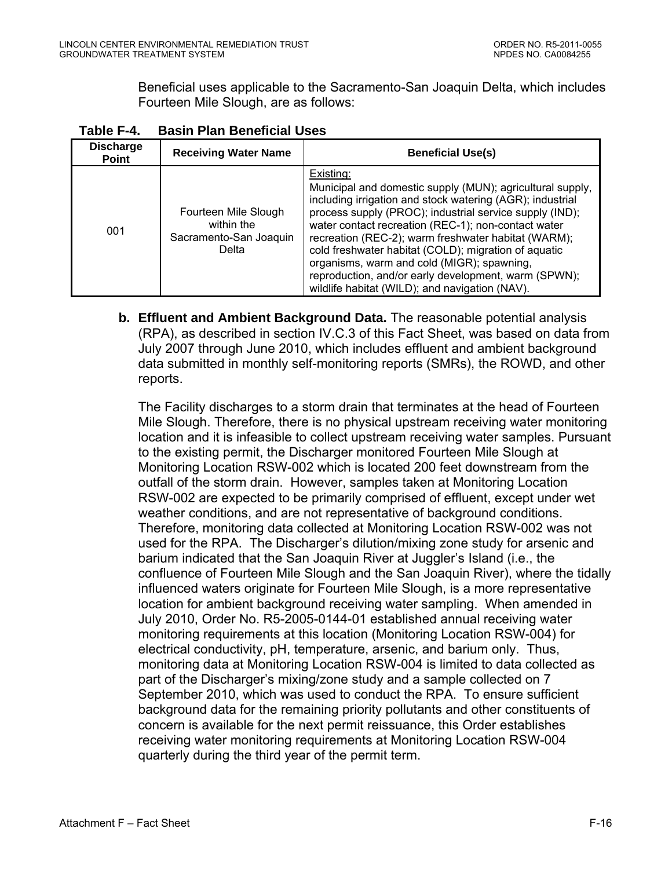Beneficial uses applicable to the Sacramento-San Joaquin Delta, which includes Fourteen Mile Slough, are as follows:

| <b>Discharge</b><br><b>Point</b> | <b>Receiving Water Name</b>                                           | <b>Beneficial Use(s)</b>                                                                                                                                                                                                                                                                                                                                                                                                                                                                                                     |
|----------------------------------|-----------------------------------------------------------------------|------------------------------------------------------------------------------------------------------------------------------------------------------------------------------------------------------------------------------------------------------------------------------------------------------------------------------------------------------------------------------------------------------------------------------------------------------------------------------------------------------------------------------|
| 001                              | Fourteen Mile Slough<br>within the<br>Sacramento-San Joaquin<br>Delta | Existing:<br>Municipal and domestic supply (MUN); agricultural supply,<br>including irrigation and stock watering (AGR); industrial<br>process supply (PROC); industrial service supply (IND);<br>water contact recreation (REC-1); non-contact water<br>recreation (REC-2); warm freshwater habitat (WARM);<br>cold freshwater habitat (COLD); migration of aquatic<br>organisms, warm and cold (MIGR); spawning,<br>reproduction, and/or early development, warm (SPWN);<br>wildlife habitat (WILD); and navigation (NAV). |

<span id="page-68-0"></span>**Table F-4. Basin Plan Beneficial Uses** 

**b. Effluent and Ambient Background Data.** The reasonable potential analysis (RPA), as described in section IV.C.3 of this Fact Sheet, was based on data from July 2007 through June 2010, which includes effluent and ambient background data submitted in monthly self-monitoring reports (SMRs), the ROWD, and other reports.

The Facility discharges to a storm drain that terminates at the head of Fourteen Mile Slough. Therefore, there is no physical upstream receiving water monitoring location and it is infeasible to collect upstream receiving water samples. Pursuant to the existing permit, the Discharger monitored Fourteen Mile Slough at Monitoring Location RSW-002 which is located 200 feet downstream from the outfall of the storm drain. However, samples taken at Monitoring Location RSW-002 are expected to be primarily comprised of effluent, except under wet weather conditions, and are not representative of background conditions. Therefore, monitoring data collected at Monitoring Location RSW-002 was not used for the RPA. The Discharger's dilution/mixing zone study for arsenic and barium indicated that the San Joaquin River at Juggler's Island (i.e., the confluence of Fourteen Mile Slough and the San Joaquin River), where the tidally influenced waters originate for Fourteen Mile Slough, is a more representative location for ambient background receiving water sampling. When amended in July 2010, Order No. R5-2005-0144-01 established annual receiving water monitoring requirements at this location (Monitoring Location RSW-004) for electrical conductivity, pH, temperature, arsenic, and barium only. Thus, monitoring data at Monitoring Location RSW-004 is limited to data collected as part of the Discharger's mixing/zone study and a sample collected on 7 September 2010, which was used to conduct the RPA. To ensure sufficient background data for the remaining priority pollutants and other constituents of concern is available for the next permit reissuance, this Order establishes receiving water monitoring requirements at Monitoring Location RSW-004 quarterly during the third year of the permit term.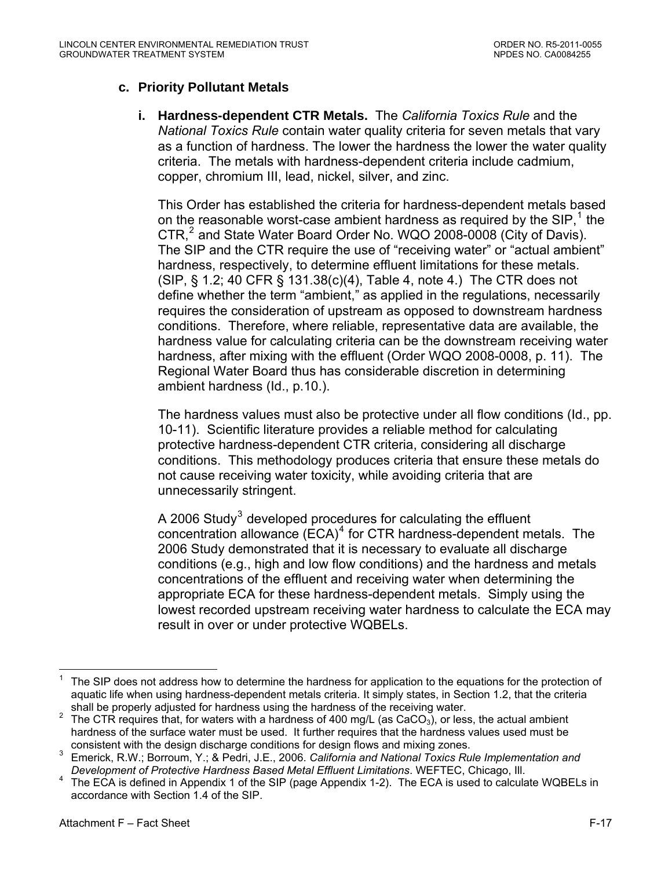## <span id="page-69-0"></span>**c. Priority Pollutant Metals**

**i. Hardness-dependent CTR Metals.** The *California Toxics Rule* and the *National Toxics Rule* contain water quality criteria for seven metals that vary as a function of hardness. The lower the hardness the lower the water quality criteria. The metals with hardness-dependent criteria include cadmium, copper, chromium III, lead, nickel, silver, and zinc.

This Order has established the criteria for hardness-dependent metals based on the reasonable worst-case ambient hardness as required by the SIP,<sup>[1](#page-69-0)</sup> the CTR,<sup>[2](#page-69-0)</sup> and State Water Board Order No. WQO 2008-0008 (City of Davis). The SIP and the CTR require the use of "receiving water" or "actual ambient" hardness, respectively, to determine effluent limitations for these metals. (SIP, § 1.2; 40 CFR § 131.38(c)(4), Table 4, note 4.) The CTR does not define whether the term "ambient," as applied in the regulations, necessarily requires the consideration of upstream as opposed to downstream hardness conditions. Therefore, where reliable, representative data are available, the hardness value for calculating criteria can be the downstream receiving water hardness, after mixing with the effluent (Order WQO 2008-0008, p. 11). The Regional Water Board thus has considerable discretion in determining ambient hardness (Id., p.10.).

The hardness values must also be protective under all flow conditions (Id., pp. 10-11). Scientific literature provides a reliable method for calculating protective hardness-dependent CTR criteria, considering all discharge conditions. This methodology produces criteria that ensure these metals do not cause receiving water toxicity, while avoiding criteria that are unnecessarily stringent.

A 2006 Study<sup>[3](#page-69-0)</sup> developed procedures for calculating the effluent concentration allowance  $(ECA)^4$  $(ECA)^4$  for CTR hardness-dependent metals. The 2006 Study demonstrated that it is necessary to evaluate all discharge conditions (e.g., high and low flow conditions) and the hardness and metals concentrations of the effluent and receiving water when determining the appropriate ECA for these hardness-dependent metals. Simply using the lowest recorded upstream receiving water hardness to calculate the ECA may result in over or under protective WQBELs.

 $\overline{a}$ 1 The SIP does not address how to determine the hardness for application to the equations for the protection of aquatic life when using hardness-dependent metals criteria. It simply states, in Section 1.2, that the criteria shall be properly adjusted for hardness using the hardness of the receiving water. 2

The CTR requires that, for waters with a hardness of 400 mg/L (as  $CaCO<sub>3</sub>$ ), or less, the actual ambient hardness of the surface water must be used. It further requires that the hardness values used must be consistent with the design discharge conditions for design flows and mixing zones.<br><sup>3</sup> Emerick B.W.; Berroum M.; 8 Bodri, J.E., 2006. Colifernia and Mational Taxico But

Emerick, R.W.; Borroum, Y.; & Pedri, J.E., 2006. *California and National Toxics Rule Implementation and Development of Protective Hardness Based Metal Effluent Limitations*. WEFTEC, Chicago, III.<br><sup>4</sup> The ECA is defined in Annendix 1 of the SIP (page Annendix 1 2). The ECA is used to calcula

The ECA is defined in Appendix 1 of the SIP (page Appendix 1-2). The ECA is used to calculate WQBELs in accordance with Section 1.4 of the SIP.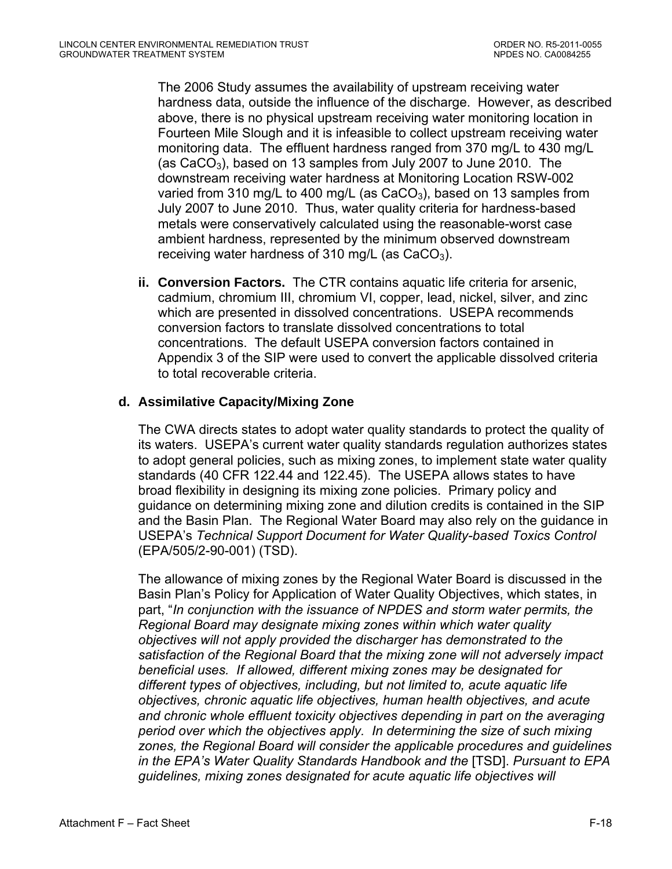The 2006 Study assumes the availability of upstream receiving water hardness data, outside the influence of the discharge. However, as described above, there is no physical upstream receiving water monitoring location in Fourteen Mile Slough and it is infeasible to collect upstream receiving water monitoring data. The effluent hardness ranged from 370 mg/L to 430 mg/L (as  $CaCO<sub>3</sub>$ ), based on 13 samples from July 2007 to June 2010. The downstream receiving water hardness at Monitoring Location RSW-002 varied from 310 mg/L to 400 mg/L (as  $CaCO<sub>3</sub>$ ), based on 13 samples from July 2007 to June 2010. Thus, water quality criteria for hardness-based metals were conservatively calculated using the reasonable-worst case ambient hardness, represented by the minimum observed downstream receiving water hardness of 310 mg/L (as  $CaCO<sub>3</sub>$ ).

**ii. Conversion Factors.** The CTR contains aquatic life criteria for arsenic, cadmium, chromium III, chromium VI, copper, lead, nickel, silver, and zinc which are presented in dissolved concentrations. USEPA recommends conversion factors to translate dissolved concentrations to total concentrations. The default USEPA conversion factors contained in Appendix 3 of the SIP were used to convert the applicable dissolved criteria to total recoverable criteria.

### **d. Assimilative Capacity/Mixing Zone**

The CWA directs states to adopt water quality standards to protect the quality of its waters. USEPA's current water quality standards regulation authorizes states to adopt general policies, such as mixing zones, to implement state water quality standards (40 CFR 122.44 and 122.45). The USEPA allows states to have broad flexibility in designing its mixing zone policies. Primary policy and guidance on determining mixing zone and dilution credits is contained in the SIP and the Basin Plan. The Regional Water Board may also rely on the guidance in USEPA's *Technical Support Document for Water Quality-based Toxics Control* (EPA/505/2-90-001) (TSD).

The allowance of mixing zones by the Regional Water Board is discussed in the Basin Plan's Policy for Application of Water Quality Objectives, which states, in part, "*In conjunction with the issuance of NPDES and storm water permits, the Regional Board may designate mixing zones within which water quality objectives will not apply provided the discharger has demonstrated to the satisfaction of the Regional Board that the mixing zone will not adversely impact beneficial uses. If allowed, different mixing zones may be designated for different types of objectives, including, but not limited to, acute aquatic life objectives, chronic aquatic life objectives, human health objectives, and acute and chronic whole effluent toxicity objectives depending in part on the averaging period over which the objectives apply. In determining the size of such mixing zones, the Regional Board will consider the applicable procedures and guidelines in the EPA's Water Quality Standards Handbook and the* [TSD]. *Pursuant to EPA guidelines, mixing zones designated for acute aquatic life objectives will*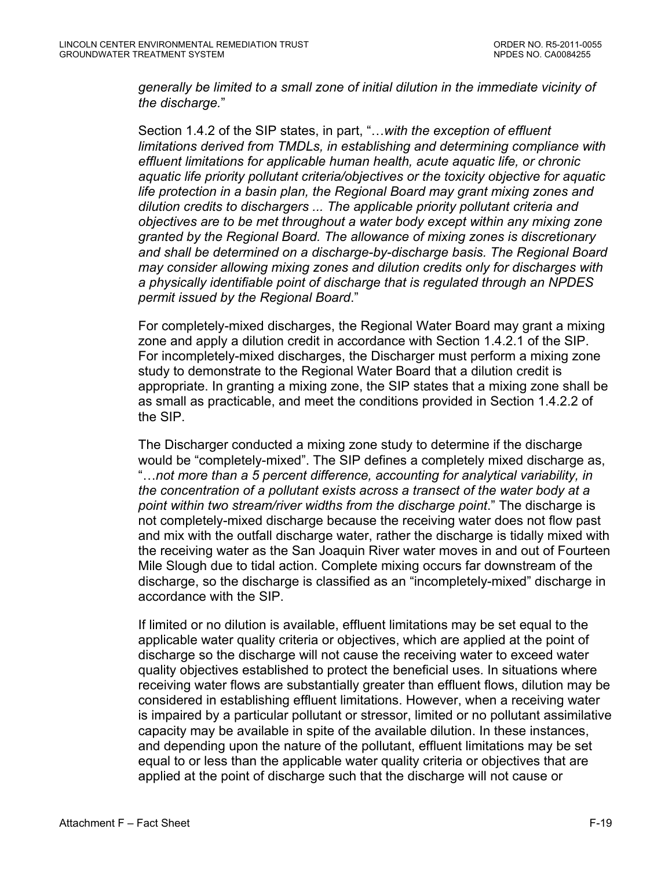*generally be limited to a small zone of initial dilution in the immediate vicinity of the discharge.*"

Section 1.4.2 of the SIP states, in part, "…*with the exception of effluent limitations derived from TMDLs, in establishing and determining compliance with effluent limitations for applicable human health, acute aquatic life, or chronic aquatic life priority pollutant criteria/objectives or the toxicity objective for aquatic life protection in a basin plan, the Regional Board may grant mixing zones and dilution credits to dischargers ... The applicable priority pollutant criteria and objectives are to be met throughout a water body except within any mixing zone granted by the Regional Board. The allowance of mixing zones is discretionary and shall be determined on a discharge-by-discharge basis. The Regional Board may consider allowing mixing zones and dilution credits only for discharges with a physically identifiable point of discharge that is regulated through an NPDES permit issued by the Regional Board*."

For completely-mixed discharges, the Regional Water Board may grant a mixing zone and apply a dilution credit in accordance with Section 1.4.2.1 of the SIP. For incompletely-mixed discharges, the Discharger must perform a mixing zone study to demonstrate to the Regional Water Board that a dilution credit is appropriate. In granting a mixing zone, the SIP states that a mixing zone shall be as small as practicable, and meet the conditions provided in Section 1.4.2.2 of the SIP.

The Discharger conducted a mixing zone study to determine if the discharge would be "completely-mixed". The SIP defines a completely mixed discharge as, "…*not more than a 5 percent difference, accounting for analytical variability, in the concentration of a pollutant exists across a transect of the water body at a point within two stream/river widths from the discharge point*." The discharge is not completely-mixed discharge because the receiving water does not flow past and mix with the outfall discharge water, rather the discharge is tidally mixed with the receiving water as the San Joaquin River water moves in and out of Fourteen Mile Slough due to tidal action. Complete mixing occurs far downstream of the discharge, so the discharge is classified as an "incompletely-mixed" discharge in accordance with the SIP.

If limited or no dilution is available, effluent limitations may be set equal to the applicable water quality criteria or objectives, which are applied at the point of discharge so the discharge will not cause the receiving water to exceed water quality objectives established to protect the beneficial uses. In situations where receiving water flows are substantially greater than effluent flows, dilution may be considered in establishing effluent limitations. However, when a receiving water is impaired by a particular pollutant or stressor, limited or no pollutant assimilative capacity may be available in spite of the available dilution. In these instances, and depending upon the nature of the pollutant, effluent limitations may be set equal to or less than the applicable water quality criteria or objectives that are applied at the point of discharge such that the discharge will not cause or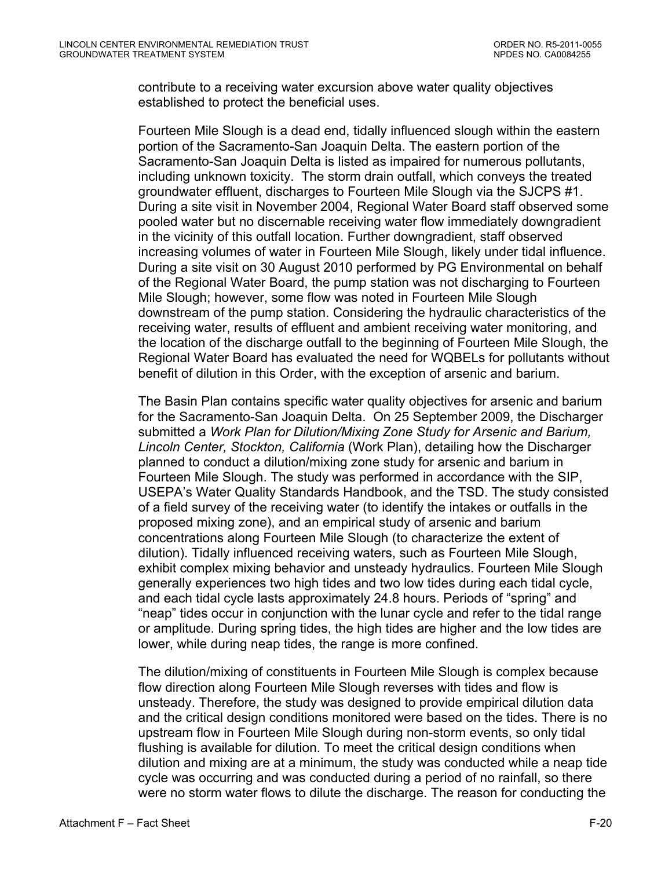contribute to a receiving water excursion above water quality objectives established to protect the beneficial uses.

Fourteen Mile Slough is a dead end, tidally influenced slough within the eastern portion of the Sacramento-San Joaquin Delta. The eastern portion of the Sacramento-San Joaquin Delta is listed as impaired for numerous pollutants, including unknown toxicity. The storm drain outfall, which conveys the treated groundwater effluent, discharges to Fourteen Mile Slough via the SJCPS #1. During a site visit in November 2004, Regional Water Board staff observed some pooled water but no discernable receiving water flow immediately downgradient in the vicinity of this outfall location. Further downgradient, staff observed increasing volumes of water in Fourteen Mile Slough, likely under tidal influence. During a site visit on 30 August 2010 performed by PG Environmental on behalf of the Regional Water Board, the pump station was not discharging to Fourteen Mile Slough; however, some flow was noted in Fourteen Mile Slough downstream of the pump station. Considering the hydraulic characteristics of the receiving water, results of effluent and ambient receiving water monitoring, and the location of the discharge outfall to the beginning of Fourteen Mile Slough, the Regional Water Board has evaluated the need for WQBELs for pollutants without benefit of dilution in this Order, with the exception of arsenic and barium.

The Basin Plan contains specific water quality objectives for arsenic and barium for the Sacramento-San Joaquin Delta. On 25 September 2009, the Discharger submitted a *Work Plan for Dilution/Mixing Zone Study for Arsenic and Barium, Lincoln Center, Stockton, California* (Work Plan), detailing how the Discharger planned to conduct a dilution/mixing zone study for arsenic and barium in Fourteen Mile Slough. The study was performed in accordance with the SIP, USEPA's Water Quality Standards Handbook, and the TSD. The study consisted of a field survey of the receiving water (to identify the intakes or outfalls in the proposed mixing zone), and an empirical study of arsenic and barium concentrations along Fourteen Mile Slough (to characterize the extent of dilution). Tidally influenced receiving waters, such as Fourteen Mile Slough, exhibit complex mixing behavior and unsteady hydraulics. Fourteen Mile Slough generally experiences two high tides and two low tides during each tidal cycle, and each tidal cycle lasts approximately 24.8 hours. Periods of "spring" and "neap" tides occur in conjunction with the lunar cycle and refer to the tidal range or amplitude. During spring tides, the high tides are higher and the low tides are lower, while during neap tides, the range is more confined.

The dilution/mixing of constituents in Fourteen Mile Slough is complex because flow direction along Fourteen Mile Slough reverses with tides and flow is unsteady. Therefore, the study was designed to provide empirical dilution data and the critical design conditions monitored were based on the tides. There is no upstream flow in Fourteen Mile Slough during non-storm events, so only tidal flushing is available for dilution. To meet the critical design conditions when dilution and mixing are at a minimum, the study was conducted while a neap tide cycle was occurring and was conducted during a period of no rainfall, so there were no storm water flows to dilute the discharge. The reason for conducting the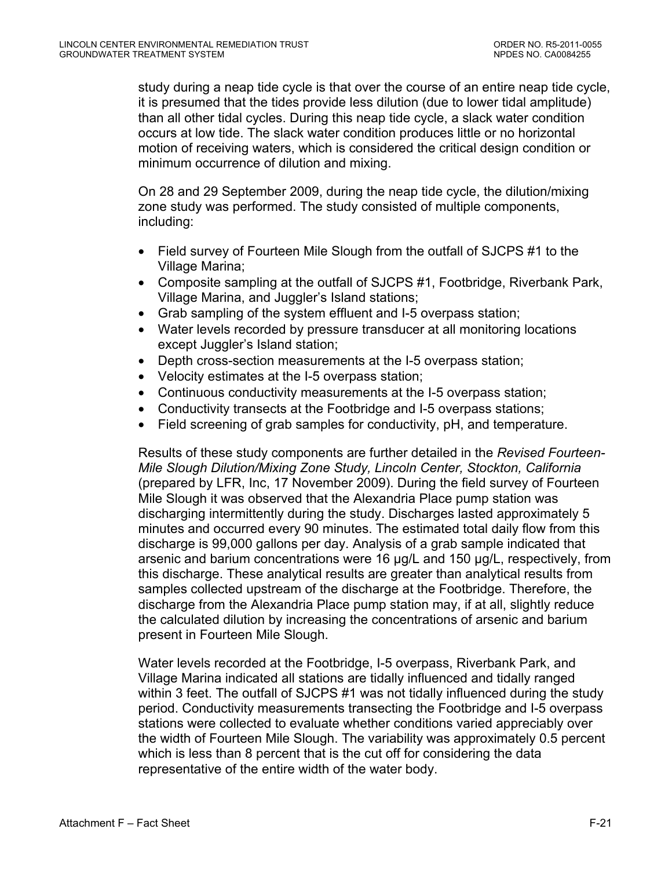study during a neap tide cycle is that over the course of an entire neap tide cycle, it is presumed that the tides provide less dilution (due to lower tidal amplitude) than all other tidal cycles. During this neap tide cycle, a slack water condition occurs at low tide. The slack water condition produces little or no horizontal motion of receiving waters, which is considered the critical design condition or minimum occurrence of dilution and mixing.

On 28 and 29 September 2009, during the neap tide cycle, the dilution/mixing zone study was performed. The study consisted of multiple components, including:

- Field survey of Fourteen Mile Slough from the outfall of SJCPS #1 to the Village Marina;
- Composite sampling at the outfall of SJCPS #1, Footbridge, Riverbank Park, Village Marina, and Juggler's Island stations;
- Grab sampling of the system effluent and I-5 overpass station;
- Water levels recorded by pressure transducer at all monitoring locations except Juggler's Island station;
- Depth cross-section measurements at the I-5 overpass station;
- Velocity estimates at the I-5 overpass station;
- Continuous conductivity measurements at the I-5 overpass station;
- Conductivity transects at the Footbridge and I-5 overpass stations;
- Field screening of grab samples for conductivity, pH, and temperature.

Results of these study components are further detailed in the *Revised Fourteen-Mile Slough Dilution/Mixing Zone Study, Lincoln Center, Stockton, California* (prepared by LFR, Inc, 17 November 2009). During the field survey of Fourteen Mile Slough it was observed that the Alexandria Place pump station was discharging intermittently during the study. Discharges lasted approximately 5 minutes and occurred every 90 minutes. The estimated total daily flow from this discharge is 99,000 gallons per day. Analysis of a grab sample indicated that arsenic and barium concentrations were 16 µg/L and 150 µg/L, respectively, from this discharge. These analytical results are greater than analytical results from samples collected upstream of the discharge at the Footbridge. Therefore, the discharge from the Alexandria Place pump station may, if at all, slightly reduce the calculated dilution by increasing the concentrations of arsenic and barium present in Fourteen Mile Slough.

Water levels recorded at the Footbridge, I-5 overpass, Riverbank Park, and Village Marina indicated all stations are tidally influenced and tidally ranged within 3 feet. The outfall of SJCPS #1 was not tidally influenced during the study period. Conductivity measurements transecting the Footbridge and I-5 overpass stations were collected to evaluate whether conditions varied appreciably over the width of Fourteen Mile Slough. The variability was approximately 0.5 percent which is less than 8 percent that is the cut off for considering the data representative of the entire width of the water body.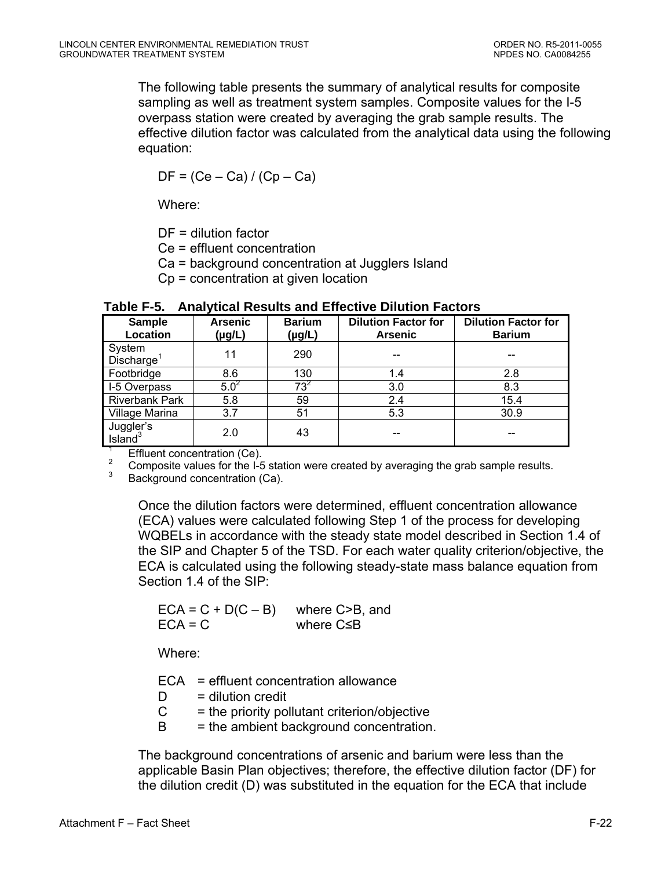The following table presents the summary of analytical results for composite sampling as well as treatment system samples. Composite values for the I-5 overpass station were created by averaging the grab sample results. The effective dilution factor was calculated from the analytical data using the following equation:

 $DF = (Ce - Ca)/ (Cp - Ca)$ 

Where:

DF = dilution factor

Ce = effluent concentration

Ca = background concentration at Jugglers Island

Cp = concentration at given location

| <b>Sample</b><br>Location        | <b>Arsenic</b><br>$(\mu g/L)$ | <b>Barium</b><br>$(\mu g/L)$ | <b>Dilution Factor for</b><br><b>Arsenic</b> | <b>Dilution Factor for</b><br><b>Barium</b> |
|----------------------------------|-------------------------------|------------------------------|----------------------------------------------|---------------------------------------------|
| System<br>Discharge <sup>1</sup> | 11                            | 290                          |                                              |                                             |
| Footbridge                       | 8.6                           | 130                          | 1.4                                          | 2.8                                         |
| I-5 Overpass                     | $5.0^2$                       | $73^2$                       | 3.0                                          | 8.3                                         |
| <b>Riverbank Park</b>            | 5.8                           | 59                           | 2.4                                          | 15.4                                        |
| Village Marina                   | 3.7                           | 51                           | 5.3                                          | 30.9                                        |
| Juggler's<br>Island <sup>3</sup> | 2.0                           | 43                           |                                              |                                             |

**Table F-5. Analytical Results and Effective Dilution Factors** 

1 Effluent concentration (Ce).

2 <sup>2</sup> Composite values for the I-5 station were created by averaging the grab sample results.

Background concentration (Ca).

Once the dilution factors were determined, effluent concentration allowance (ECA) values were calculated following Step 1 of the process for developing WQBELs in accordance with the steady state model described in Section 1.4 of the SIP and Chapter 5 of the TSD. For each water quality criterion/objective, the ECA is calculated using the following steady-state mass balance equation from Section 1.4 of the SIP:

 $ECA = C + D(C - B)$  where C>B, and  $ECA = C$  where  $C \leq B$ 

Where:

ECA = effluent concentration allowance

- $D =$  dilution credit
- $C =$  the priority pollutant criterion/objective
- $B =$  the ambient background concentration.

The background concentrations of arsenic and barium were less than the applicable Basin Plan objectives; therefore, the effective dilution factor (DF) for the dilution credit (D) was substituted in the equation for the ECA that include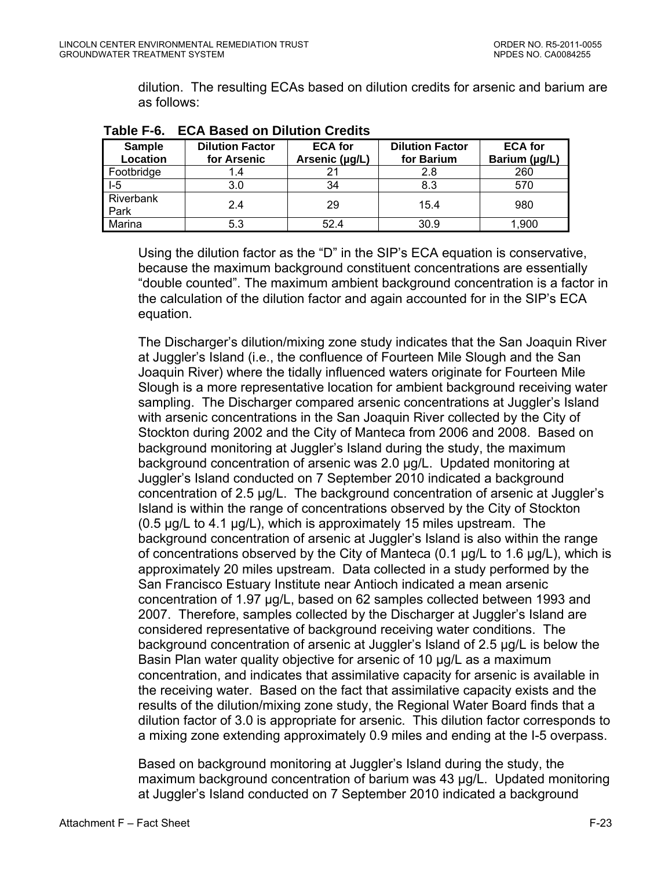dilution. The resulting ECAs based on dilution credits for arsenic and barium are as follows:

| .                         | EVA BUOVU VII BIIULIVII VIVUILO       |                                  |                                      |                                 |
|---------------------------|---------------------------------------|----------------------------------|--------------------------------------|---------------------------------|
| <b>Sample</b><br>Location | <b>Dilution Factor</b><br>for Arsenic | <b>ECA for</b><br>Arsenic (µg/L) | <b>Dilution Factor</b><br>for Barium | <b>ECA</b> for<br>Barium (µg/L) |
| Footbridge                |                                       |                                  | 2.8                                  | 260                             |
| $-5$                      | 3.0                                   | 34                               | 8.3                                  | 570                             |
| Riverbank<br>Park         | 2.4                                   | 29                               | 15.4                                 | 980                             |
| Marina                    | 5.3                                   | 52.4                             | 30.9                                 | 1,900                           |

**Table F-6. ECA Based on Dilution Credits** 

Using the dilution factor as the "D" in the SIP's ECA equation is conservative, because the maximum background constituent concentrations are essentially "double counted". The maximum ambient background concentration is a factor in the calculation of the dilution factor and again accounted for in the SIP's ECA equation.

The Discharger's dilution/mixing zone study indicates that the San Joaquin River at Juggler's Island (i.e., the confluence of Fourteen Mile Slough and the San Joaquin River) where the tidally influenced waters originate for Fourteen Mile Slough is a more representative location for ambient background receiving water sampling. The Discharger compared arsenic concentrations at Juggler's Island with arsenic concentrations in the San Joaquin River collected by the City of Stockton during 2002 and the City of Manteca from 2006 and 2008. Based on background monitoring at Juggler's Island during the study, the maximum background concentration of arsenic was 2.0 µg/L. Updated monitoring at Juggler's Island conducted on 7 September 2010 indicated a background concentration of 2.5 µg/L. The background concentration of arsenic at Juggler's Island is within the range of concentrations observed by the City of Stockton (0.5 µg/L to 4.1 µg/L), which is approximately 15 miles upstream. The background concentration of arsenic at Juggler's Island is also within the range of concentrations observed by the City of Manteca (0.1 µg/L to 1.6 µg/L), which is approximately 20 miles upstream. Data collected in a study performed by the San Francisco Estuary Institute near Antioch indicated a mean arsenic concentration of 1.97 µg/L, based on 62 samples collected between 1993 and 2007. Therefore, samples collected by the Discharger at Juggler's Island are considered representative of background receiving water conditions. The background concentration of arsenic at Juggler's Island of 2.5 µg/L is below the Basin Plan water quality objective for arsenic of 10 µg/L as a maximum concentration, and indicates that assimilative capacity for arsenic is available in the receiving water. Based on the fact that assimilative capacity exists and the results of the dilution/mixing zone study, the Regional Water Board finds that a dilution factor of 3.0 is appropriate for arsenic. This dilution factor corresponds to a mixing zone extending approximately 0.9 miles and ending at the I-5 overpass.

Based on background monitoring at Juggler's Island during the study, the maximum background concentration of barium was 43 µg/L. Updated monitoring at Juggler's Island conducted on 7 September 2010 indicated a background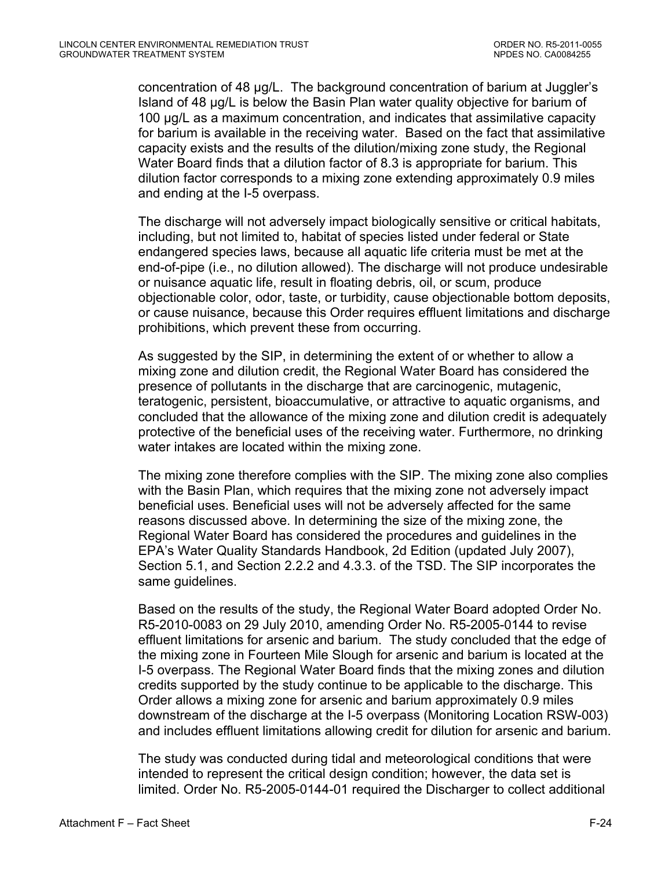concentration of 48 µg/L. The background concentration of barium at Juggler's Island of 48 µg/L is below the Basin Plan water quality objective for barium of 100 µg/L as a maximum concentration, and indicates that assimilative capacity for barium is available in the receiving water. Based on the fact that assimilative capacity exists and the results of the dilution/mixing zone study, the Regional Water Board finds that a dilution factor of 8.3 is appropriate for barium. This dilution factor corresponds to a mixing zone extending approximately 0.9 miles and ending at the I-5 overpass.

The discharge will not adversely impact biologically sensitive or critical habitats, including, but not limited to, habitat of species listed under federal or State endangered species laws, because all aquatic life criteria must be met at the end-of-pipe (i.e., no dilution allowed). The discharge will not produce undesirable or nuisance aquatic life, result in floating debris, oil, or scum, produce objectionable color, odor, taste, or turbidity, cause objectionable bottom deposits, or cause nuisance, because this Order requires effluent limitations and discharge prohibitions, which prevent these from occurring.

As suggested by the SIP, in determining the extent of or whether to allow a mixing zone and dilution credit, the Regional Water Board has considered the presence of pollutants in the discharge that are carcinogenic, mutagenic, teratogenic, persistent, bioaccumulative, or attractive to aquatic organisms, and concluded that the allowance of the mixing zone and dilution credit is adequately protective of the beneficial uses of the receiving water. Furthermore, no drinking water intakes are located within the mixing zone.

The mixing zone therefore complies with the SIP. The mixing zone also complies with the Basin Plan, which requires that the mixing zone not adversely impact beneficial uses. Beneficial uses will not be adversely affected for the same reasons discussed above. In determining the size of the mixing zone, the Regional Water Board has considered the procedures and guidelines in the EPA's Water Quality Standards Handbook, 2d Edition (updated July 2007), Section 5.1, and Section 2.2.2 and 4.3.3. of the TSD. The SIP incorporates the same guidelines.

Based on the results of the study, the Regional Water Board adopted Order No. R5-2010-0083 on 29 July 2010, amending Order No. R5-2005-0144 to revise effluent limitations for arsenic and barium. The study concluded that the edge of the mixing zone in Fourteen Mile Slough for arsenic and barium is located at the I-5 overpass. The Regional Water Board finds that the mixing zones and dilution credits supported by the study continue to be applicable to the discharge. This Order allows a mixing zone for arsenic and barium approximately 0.9 miles downstream of the discharge at the I-5 overpass (Monitoring Location RSW-003) and includes effluent limitations allowing credit for dilution for arsenic and barium.

The study was conducted during tidal and meteorological conditions that were intended to represent the critical design condition; however, the data set is limited. Order No. R5-2005-0144-01 required the Discharger to collect additional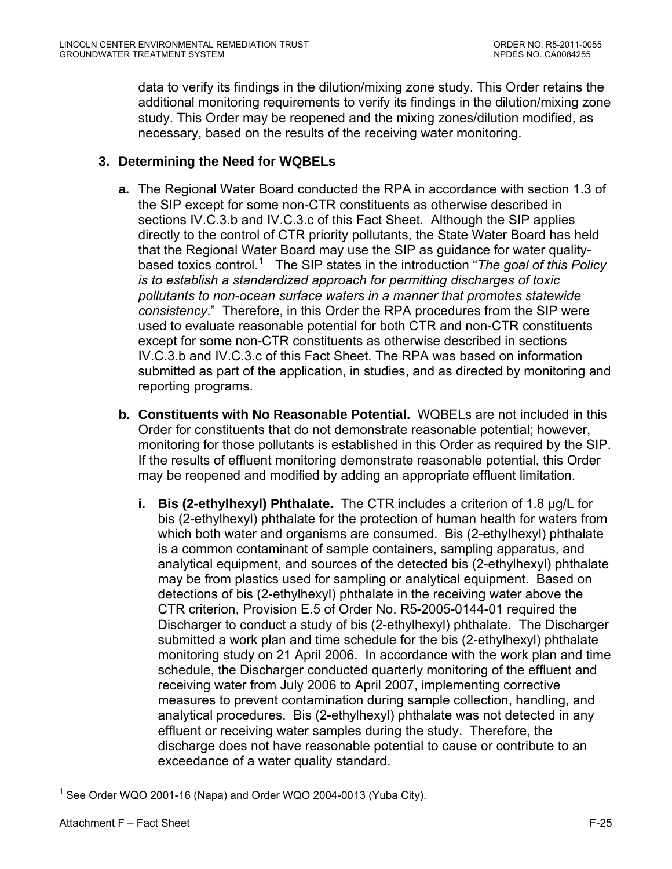<span id="page-77-0"></span>data to verify its findings in the dilution/mixing zone study. This Order retains the additional monitoring requirements to verify its findings in the dilution/mixing zone study. This Order may be reopened and the mixing zones/dilution modified, as necessary, based on the results of the receiving water monitoring.

## **3. Determining the Need for WQBELs**

- **a.** The Regional Water Board conducted the RPA in accordance with section 1.3 of the SIP except for some non-CTR constituents as otherwise described in sections IV.C.3.b and IV.C.3.c of this Fact Sheet. Although the SIP applies directly to the control of CTR priority pollutants, the State Water Board has held that the Regional Water Board may use the SIP as guidance for water quality-based toxics control.<sup>[1](#page-77-0)</sup> The SIP states in the introduction "*The goal of this Policy is to establish a standardized approach for permitting discharges of toxic pollutants to non-ocean surface waters in a manner that promotes statewide consistency*." Therefore, in this Order the RPA procedures from the SIP were used to evaluate reasonable potential for both CTR and non-CTR constituents except for some non-CTR constituents as otherwise described in sections IV.C.3.b and IV.C.3.c of this Fact Sheet. The RPA was based on information submitted as part of the application, in studies, and as directed by monitoring and reporting programs.
- **b. Constituents with No Reasonable Potential.** WQBELs are not included in this Order for constituents that do not demonstrate reasonable potential; however, monitoring for those pollutants is established in this Order as required by the SIP. If the results of effluent monitoring demonstrate reasonable potential, this Order may be reopened and modified by adding an appropriate effluent limitation.
	- **i. Bis (2-ethylhexyl) Phthalate.** The CTR includes a criterion of 1.8 µg/L for bis (2-ethylhexyl) phthalate for the protection of human health for waters from which both water and organisms are consumed. Bis (2-ethylhexyl) phthalate is a common contaminant of sample containers, sampling apparatus, and analytical equipment, and sources of the detected bis (2-ethylhexyl) phthalate may be from plastics used for sampling or analytical equipment. Based on detections of bis (2-ethylhexyl) phthalate in the receiving water above the CTR criterion, Provision E.5 of Order No. R5-2005-0144-01 required the Discharger to conduct a study of bis (2-ethylhexyl) phthalate. The Discharger submitted a work plan and time schedule for the bis (2-ethylhexyl) phthalate monitoring study on 21 April 2006. In accordance with the work plan and time schedule, the Discharger conducted quarterly monitoring of the effluent and receiving water from July 2006 to April 2007, implementing corrective measures to prevent contamination during sample collection, handling, and analytical procedures. Bis (2-ethylhexyl) phthalate was not detected in any effluent or receiving water samples during the study. Therefore, the discharge does not have reasonable potential to cause or contribute to an exceedance of a water quality standard.

 $\overline{a}$  $1$  See Order WQO 2001-16 (Napa) and Order WQO 2004-0013 (Yuba City).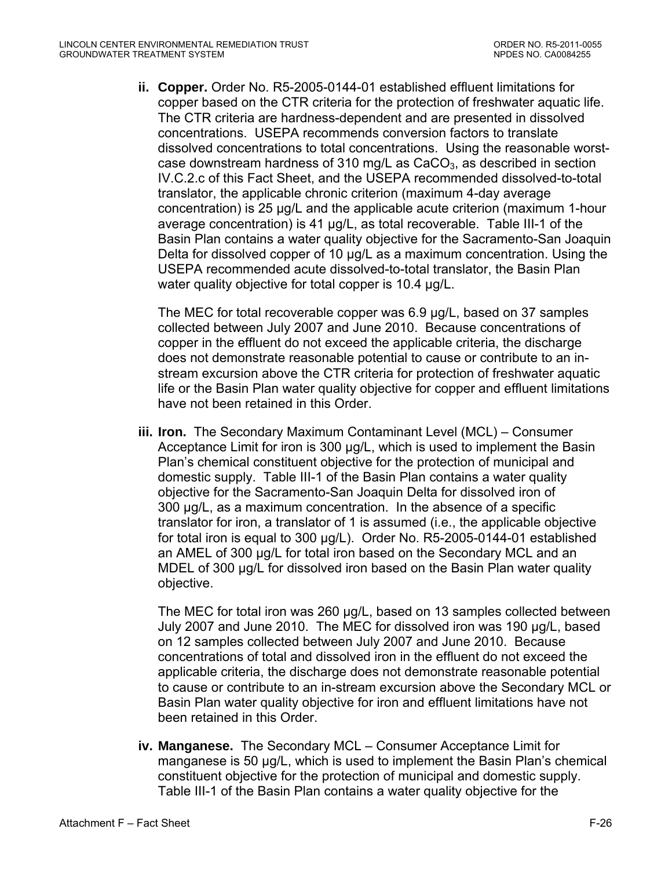**ii. Copper.** Order No. R5-2005-0144-01 established effluent limitations for copper based on the CTR criteria for the protection of freshwater aquatic life. The CTR criteria are hardness-dependent and are presented in dissolved concentrations. USEPA recommends conversion factors to translate dissolved concentrations to total concentrations. Using the reasonable worstcase downstream hardness of 310 mg/L as  $CaCO<sub>3</sub>$ , as described in section IV.C.2.c of this Fact Sheet, and the USEPA recommended dissolved-to-total translator, the applicable chronic criterion (maximum 4-day average concentration) is 25 µg/L and the applicable acute criterion (maximum 1-hour average concentration) is 41 µg/L, as total recoverable. Table III-1 of the Basin Plan contains a water quality objective for the Sacramento-San Joaquin Delta for dissolved copper of 10 µg/L as a maximum concentration. Using the USEPA recommended acute dissolved-to-total translator, the Basin Plan water quality objective for total copper is 10.4 µg/L.

The MEC for total recoverable copper was 6.9 µg/L, based on 37 samples collected between July 2007 and June 2010. Because concentrations of copper in the effluent do not exceed the applicable criteria, the discharge does not demonstrate reasonable potential to cause or contribute to an instream excursion above the CTR criteria for protection of freshwater aquatic life or the Basin Plan water quality objective for copper and effluent limitations have not been retained in this Order.

**iii. Iron.** The Secondary Maximum Contaminant Level (MCL) – Consumer Acceptance Limit for iron is 300 µg/L, which is used to implement the Basin Plan's chemical constituent objective for the protection of municipal and domestic supply. Table III-1 of the Basin Plan contains a water quality objective for the Sacramento-San Joaquin Delta for dissolved iron of 300 µg/L, as a maximum concentration. In the absence of a specific translator for iron, a translator of 1 is assumed (i.e., the applicable objective for total iron is equal to 300 µg/L). Order No. R5-2005-0144-01 established an AMEL of 300 µg/L for total iron based on the Secondary MCL and an MDEL of 300 ug/L for dissolved iron based on the Basin Plan water quality objective.

The MEC for total iron was 260 µg/L, based on 13 samples collected between July 2007 and June 2010. The MEC for dissolved iron was 190 µg/L, based on 12 samples collected between July 2007 and June 2010. Because concentrations of total and dissolved iron in the effluent do not exceed the applicable criteria, the discharge does not demonstrate reasonable potential to cause or contribute to an in-stream excursion above the Secondary MCL or Basin Plan water quality objective for iron and effluent limitations have not been retained in this Order.

**iv. Manganese.** The Secondary MCL – Consumer Acceptance Limit for manganese is 50 µg/L, which is used to implement the Basin Plan's chemical constituent objective for the protection of municipal and domestic supply. Table III-1 of the Basin Plan contains a water quality objective for the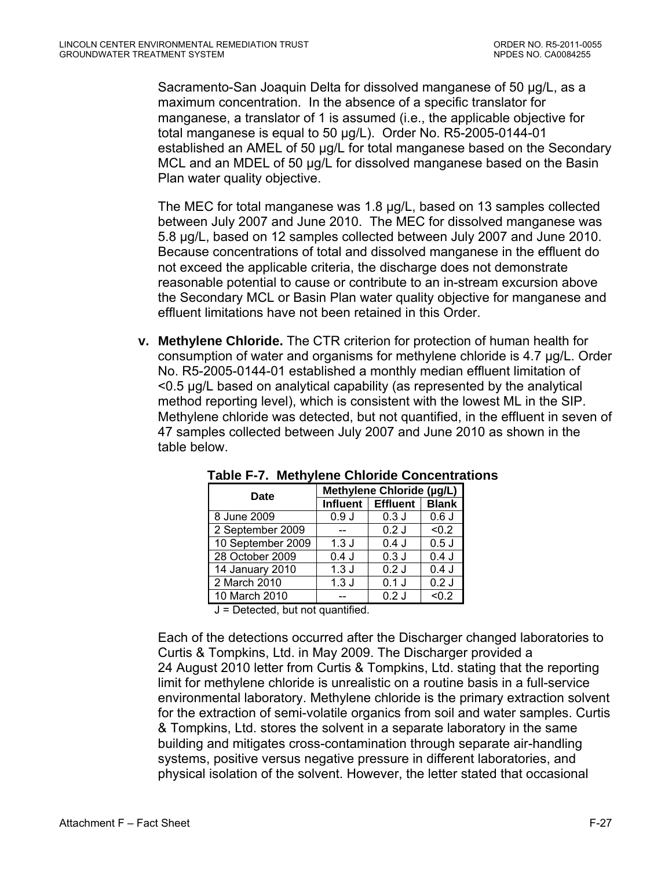Sacramento-San Joaquin Delta for dissolved manganese of 50 µg/L, as a maximum concentration. In the absence of a specific translator for manganese, a translator of 1 is assumed (i.e., the applicable objective for total manganese is equal to 50 µg/L). Order No. R5-2005-0144-01 established an AMEL of 50 µg/L for total manganese based on the Secondary MCL and an MDEL of 50 µg/L for dissolved manganese based on the Basin Plan water quality objective.

The MEC for total manganese was 1.8 µg/L, based on 13 samples collected between July 2007 and June 2010. The MEC for dissolved manganese was 5.8 µg/L, based on 12 samples collected between July 2007 and June 2010. Because concentrations of total and dissolved manganese in the effluent do not exceed the applicable criteria, the discharge does not demonstrate reasonable potential to cause or contribute to an in-stream excursion above the Secondary MCL or Basin Plan water quality objective for manganese and effluent limitations have not been retained in this Order.

**v. Methylene Chloride.** The CTR criterion for protection of human health for consumption of water and organisms for methylene chloride is 4.7 µg/L. Order No. R5-2005-0144-01 established a monthly median effluent limitation of <0.5 µg/L based on analytical capability (as represented by the analytical method reporting level), which is consistent with the lowest ML in the SIP. Methylene chloride was detected, but not quantified, in the effluent in seven of 47 samples collected between July 2007 and June 2010 as shown in the table below.

| Date              | Methylene Chloride (µg/L) |                 |              |  |  |
|-------------------|---------------------------|-----------------|--------------|--|--|
|                   | <b>Influent</b>           | <b>Effluent</b> | <b>Blank</b> |  |  |
| 8 June 2009       | 0.9J                      | 0.3J            | 0.6J         |  |  |
| 2 September 2009  |                           | $0.2$ J         | < 0.2        |  |  |
| 10 September 2009 | 1.3J                      | 0.4J            | 0.5J         |  |  |
| 28 October 2009   | 0.4J                      | 0.3J            | 0.4J         |  |  |
| 14 January 2010   | 1.3J                      | 0.2J            | 0.4J         |  |  |
| 2 March 2010      | 1.3J                      | $0.1$ J         | 0.2J         |  |  |
| 10 March 2010     |                           | 0.2J            | < 0.2        |  |  |

**Table F-7. Methylene Chloride Concentrations** 

 $J =$  Detected, but not quantified.

Each of the detections occurred after the Discharger changed laboratories to Curtis & Tompkins, Ltd. in May 2009. The Discharger provided a 24 August 2010 letter from Curtis & Tompkins, Ltd. stating that the reporting limit for methylene chloride is unrealistic on a routine basis in a full-service environmental laboratory. Methylene chloride is the primary extraction solvent for the extraction of semi-volatile organics from soil and water samples. Curtis & Tompkins, Ltd. stores the solvent in a separate laboratory in the same building and mitigates cross-contamination through separate air-handling systems, positive versus negative pressure in different laboratories, and physical isolation of the solvent. However, the letter stated that occasional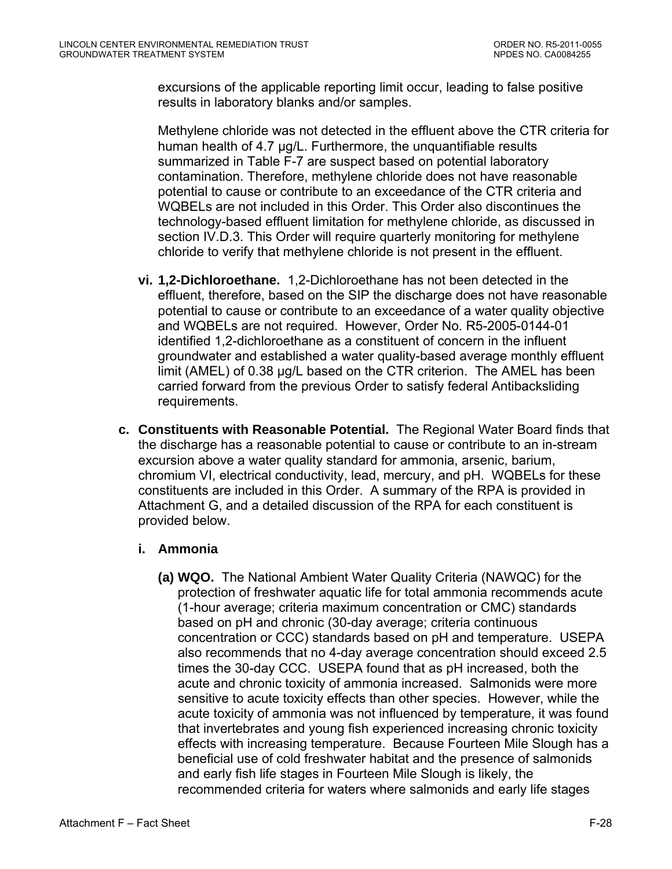excursions of the applicable reporting limit occur, leading to false positive results in laboratory blanks and/or samples.

Methylene chloride was not detected in the effluent above the CTR criteria for human health of 4.7 µg/L. Furthermore, the unquantifiable results summarized in Table F-7 are suspect based on potential laboratory contamination. Therefore, methylene chloride does not have reasonable potential to cause or contribute to an exceedance of the CTR criteria and WQBELs are not included in this Order. This Order also discontinues the technology-based effluent limitation for methylene chloride, as discussed in section IV.D.3. This Order will require quarterly monitoring for methylene chloride to verify that methylene chloride is not present in the effluent.

- **vi. 1,2-Dichloroethane.** 1,2-Dichloroethane has not been detected in the effluent, therefore, based on the SIP the discharge does not have reasonable potential to cause or contribute to an exceedance of a water quality objective and WQBELs are not required. However, Order No. R5-2005-0144-01 identified 1,2-dichloroethane as a constituent of concern in the influent groundwater and established a water quality-based average monthly effluent limit (AMEL) of 0.38 µg/L based on the CTR criterion. The AMEL has been carried forward from the previous Order to satisfy federal Antibacksliding requirements.
- **c. Constituents with Reasonable Potential.** The Regional Water Board finds that the discharge has a reasonable potential to cause or contribute to an in-stream excursion above a water quality standard for ammonia, arsenic, barium, chromium VI, electrical conductivity, lead, mercury, and pH. WQBELs for these constituents are included in this Order. A summary of the RPA is provided in Attachment G, and a detailed discussion of the RPA for each constituent is provided below.

## **i. Ammonia**

**(a) WQO.** The National Ambient Water Quality Criteria (NAWQC) for the protection of freshwater aquatic life for total ammonia recommends acute (1-hour average; criteria maximum concentration or CMC) standards based on pH and chronic (30-day average; criteria continuous concentration or CCC) standards based on pH and temperature. USEPA also recommends that no 4-day average concentration should exceed 2.5 times the 30-day CCC. USEPA found that as pH increased, both the acute and chronic toxicity of ammonia increased. Salmonids were more sensitive to acute toxicity effects than other species. However, while the acute toxicity of ammonia was not influenced by temperature, it was found that invertebrates and young fish experienced increasing chronic toxicity effects with increasing temperature. Because Fourteen Mile Slough has a beneficial use of cold freshwater habitat and the presence of salmonids and early fish life stages in Fourteen Mile Slough is likely, the recommended criteria for waters where salmonids and early life stages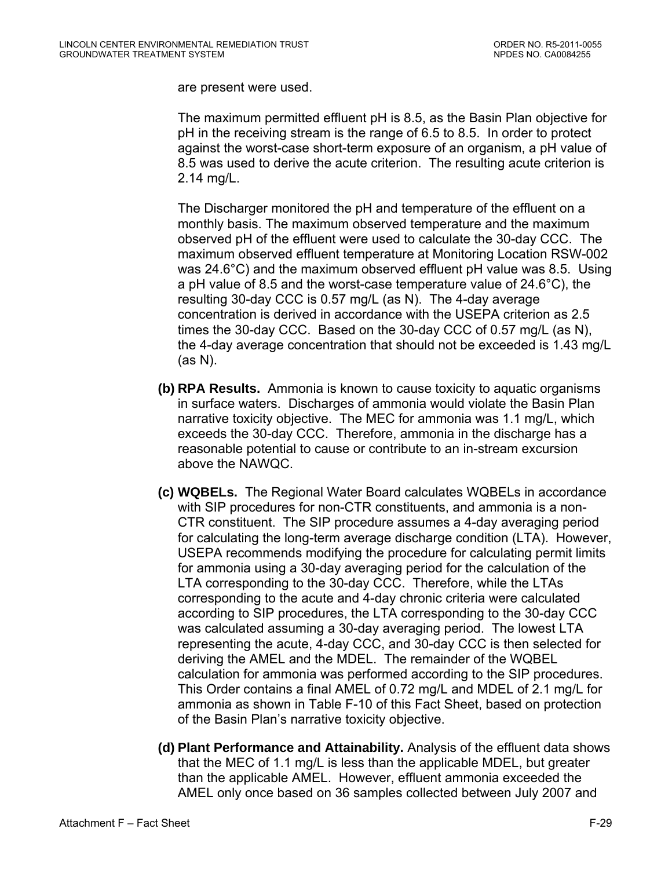are present were used.

The maximum permitted effluent pH is 8.5, as the Basin Plan objective for pH in the receiving stream is the range of 6.5 to 8.5. In order to protect against the worst-case short-term exposure of an organism, a pH value of 8.5 was used to derive the acute criterion. The resulting acute criterion is 2.14 mg/L.

The Discharger monitored the pH and temperature of the effluent on a monthly basis. The maximum observed temperature and the maximum observed pH of the effluent were used to calculate the 30-day CCC. The maximum observed effluent temperature at Monitoring Location RSW-002 was 24.6°C) and the maximum observed effluent pH value was 8.5. Using a pH value of 8.5 and the worst-case temperature value of 24.6°C), the resulting 30-day CCC is 0.57 mg/L (as N). The 4-day average concentration is derived in accordance with the USEPA criterion as 2.5 times the 30-day CCC. Based on the 30-day CCC of 0.57 mg/L (as N), the 4-day average concentration that should not be exceeded is 1.43 mg/L (as N).

- **(b) RPA Results.** Ammonia is known to cause toxicity to aquatic organisms in surface waters. Discharges of ammonia would violate the Basin Plan narrative toxicity objective. The MEC for ammonia was 1.1 mg/L, which exceeds the 30-day CCC. Therefore, ammonia in the discharge has a reasonable potential to cause or contribute to an in-stream excursion above the NAWQC.
- **(c) WQBELs.** The Regional Water Board calculates WQBELs in accordance with SIP procedures for non-CTR constituents, and ammonia is a non-CTR constituent. The SIP procedure assumes a 4-day averaging period for calculating the long-term average discharge condition (LTA). However, USEPA recommends modifying the procedure for calculating permit limits for ammonia using a 30-day averaging period for the calculation of the LTA corresponding to the 30-day CCC. Therefore, while the LTAs corresponding to the acute and 4-day chronic criteria were calculated according to SIP procedures, the LTA corresponding to the 30-day CCC was calculated assuming a 30-day averaging period. The lowest LTA representing the acute, 4-day CCC, and 30-day CCC is then selected for deriving the AMEL and the MDEL. The remainder of the WQBEL calculation for ammonia was performed according to the SIP procedures. This Order contains a final AMEL of 0.72 mg/L and MDEL of 2.1 mg/L for ammonia as shown in Table F-10 of this Fact Sheet, based on protection of the Basin Plan's narrative toxicity objective.
- **(d) Plant Performance and Attainability.** Analysis of the effluent data shows that the MEC of 1.1 mg/L is less than the applicable MDEL, but greater than the applicable AMEL. However, effluent ammonia exceeded the AMEL only once based on 36 samples collected between July 2007 and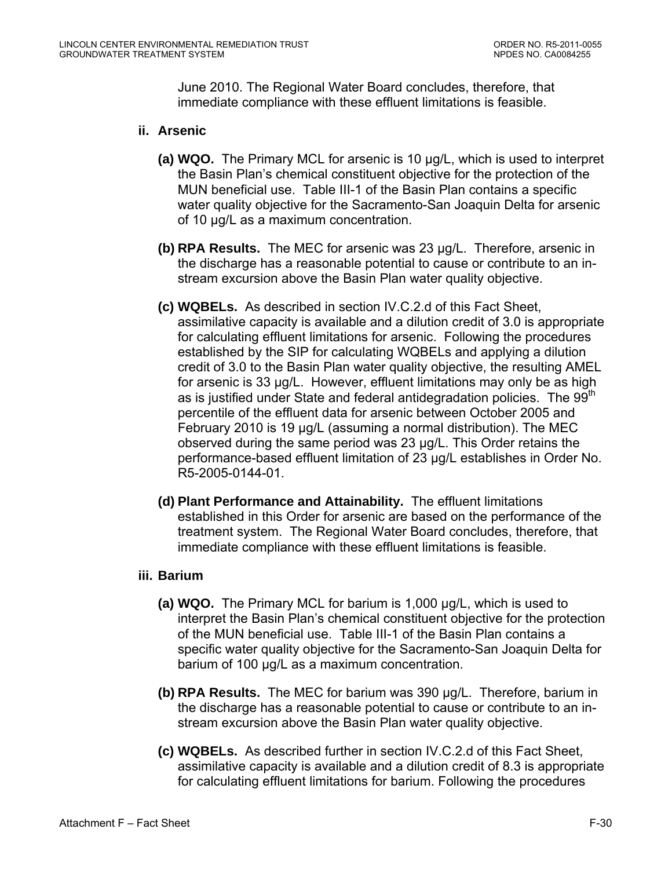June 2010. The Regional Water Board concludes, therefore, that immediate compliance with these effluent limitations is feasible.

#### **ii. Arsenic**

- **(a) WQO.** The Primary MCL for arsenic is 10 µg/L, which is used to interpret the Basin Plan's chemical constituent objective for the protection of the MUN beneficial use. Table III-1 of the Basin Plan contains a specific water quality objective for the Sacramento-San Joaquin Delta for arsenic of 10 µg/L as a maximum concentration.
- **(b) RPA Results.** The MEC for arsenic was 23 µg/L. Therefore, arsenic in the discharge has a reasonable potential to cause or contribute to an instream excursion above the Basin Plan water quality objective.
- **(c) WQBELs.** As described in section IV.C.2.d of this Fact Sheet, assimilative capacity is available and a dilution credit of 3.0 is appropriate for calculating effluent limitations for arsenic. Following the procedures established by the SIP for calculating WQBELs and applying a dilution credit of 3.0 to the Basin Plan water quality objective, the resulting AMEL for arsenic is 33 µg/L. However, effluent limitations may only be as high as is justified under State and federal antidegradation policies. The 99<sup>th</sup> percentile of the effluent data for arsenic between October 2005 and February 2010 is 19 µg/L (assuming a normal distribution). The MEC observed during the same period was 23 µg/L. This Order retains the performance-based effluent limitation of 23 µg/L establishes in Order No. R5-2005-0144-01.
- **(d) Plant Performance and Attainability.** The effluent limitations established in this Order for arsenic are based on the performance of the treatment system. The Regional Water Board concludes, therefore, that immediate compliance with these effluent limitations is feasible.

#### **iii. Barium**

- **(a) WQO.** The Primary MCL for barium is 1,000 µg/L, which is used to interpret the Basin Plan's chemical constituent objective for the protection of the MUN beneficial use. Table III-1 of the Basin Plan contains a specific water quality objective for the Sacramento-San Joaquin Delta for barium of 100 µg/L as a maximum concentration.
- **(b) RPA Results.** The MEC for barium was 390 µg/L. Therefore, barium in the discharge has a reasonable potential to cause or contribute to an instream excursion above the Basin Plan water quality objective.
- **(c) WQBELs.** As described further in section IV.C.2.d of this Fact Sheet, assimilative capacity is available and a dilution credit of 8.3 is appropriate for calculating effluent limitations for barium. Following the procedures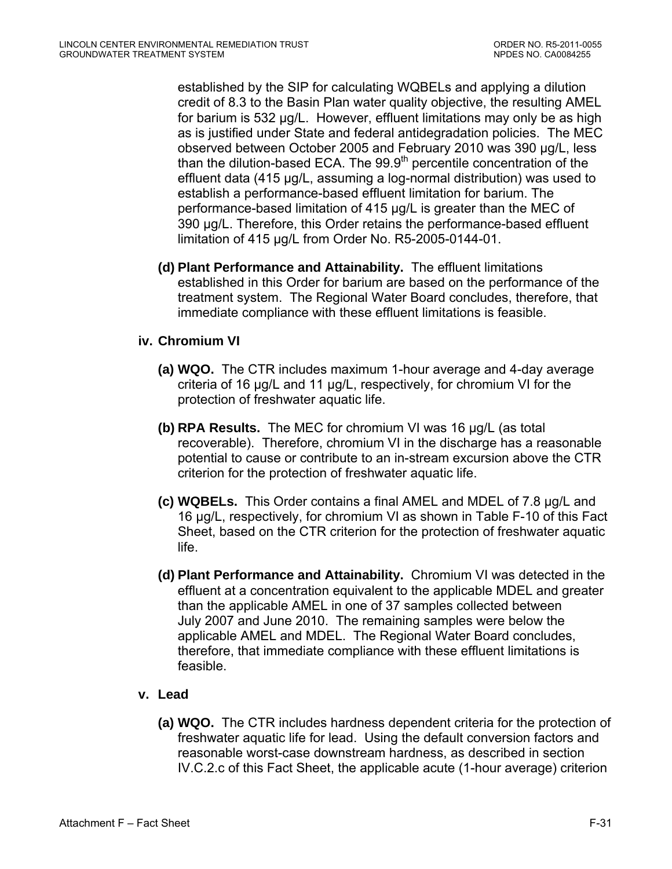established by the SIP for calculating WQBELs and applying a dilution credit of 8.3 to the Basin Plan water quality objective, the resulting AMEL for barium is 532 µg/L. However, effluent limitations may only be as high as is justified under State and federal antidegradation policies. The MEC observed between October 2005 and February 2010 was 390 µg/L, less than the dilution-based ECA. The  $99.9<sup>th</sup>$  percentile concentration of the effluent data (415 µg/L, assuming a log-normal distribution) was used to establish a performance-based effluent limitation for barium. The performance-based limitation of 415 µg/L is greater than the MEC of 390 µg/L. Therefore, this Order retains the performance-based effluent limitation of 415 µg/L from Order No. R5-2005-0144-01.

**(d) Plant Performance and Attainability.** The effluent limitations established in this Order for barium are based on the performance of the treatment system. The Regional Water Board concludes, therefore, that immediate compliance with these effluent limitations is feasible.

#### **iv. Chromium VI**

- **(a) WQO.** The CTR includes maximum 1-hour average and 4-day average criteria of 16 µg/L and 11 µg/L, respectively, for chromium VI for the protection of freshwater aquatic life.
- **(b) RPA Results.** The MEC for chromium VI was 16 µg/L (as total recoverable). Therefore, chromium VI in the discharge has a reasonable potential to cause or contribute to an in-stream excursion above the CTR criterion for the protection of freshwater aquatic life.
- **(c) WQBELs.** This Order contains a final AMEL and MDEL of 7.8 µg/L and 16 µg/L, respectively, for chromium VI as shown in Table F-10 of this Fact Sheet, based on the CTR criterion for the protection of freshwater aquatic life.
- **(d) Plant Performance and Attainability.** Chromium VI was detected in the effluent at a concentration equivalent to the applicable MDEL and greater than the applicable AMEL in one of 37 samples collected between July 2007 and June 2010. The remaining samples were below the applicable AMEL and MDEL. The Regional Water Board concludes, therefore, that immediate compliance with these effluent limitations is feasible.

## **v. Lead**

**(a) WQO.** The CTR includes hardness dependent criteria for the protection of freshwater aquatic life for lead. Using the default conversion factors and reasonable worst-case downstream hardness, as described in section IV.C.2.c of this Fact Sheet, the applicable acute (1-hour average) criterion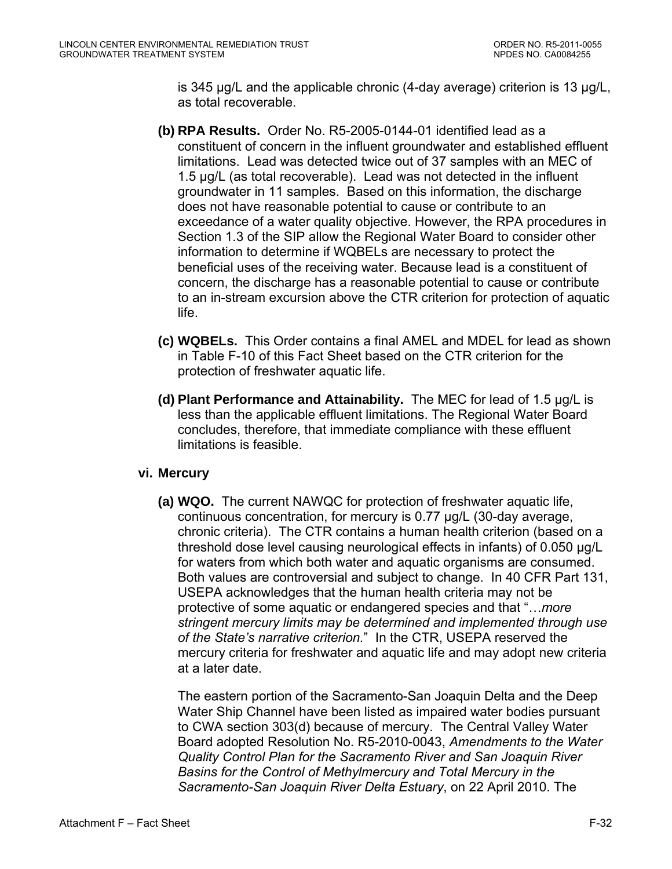is 345 µg/L and the applicable chronic (4-day average) criterion is 13 µg/L, as total recoverable.

- **(b) RPA Results.** Order No. R5-2005-0144-01 identified lead as a constituent of concern in the influent groundwater and established effluent limitations. Lead was detected twice out of 37 samples with an MEC of 1.5 µg/L (as total recoverable). Lead was not detected in the influent groundwater in 11 samples. Based on this information, the discharge does not have reasonable potential to cause or contribute to an exceedance of a water quality objective. However, the RPA procedures in Section 1.3 of the SIP allow the Regional Water Board to consider other information to determine if WQBELs are necessary to protect the beneficial uses of the receiving water. Because lead is a constituent of concern, the discharge has a reasonable potential to cause or contribute to an in-stream excursion above the CTR criterion for protection of aquatic life.
- **(c) WQBELs.** This Order contains a final AMEL and MDEL for lead as shown in Table F-10 of this Fact Sheet based on the CTR criterion for the protection of freshwater aquatic life.
- **(d) Plant Performance and Attainability.** The MEC for lead of 1.5 µg/L is less than the applicable effluent limitations. The Regional Water Board concludes, therefore, that immediate compliance with these effluent limitations is feasible.

## **vi. Mercury**

**(a) WQO.** The current NAWQC for protection of freshwater aquatic life, continuous concentration, for mercury is 0.77 µg/L (30-day average, chronic criteria). The CTR contains a human health criterion (based on a threshold dose level causing neurological effects in infants) of 0.050 µg/L for waters from which both water and aquatic organisms are consumed. Both values are controversial and subject to change. In 40 CFR Part 131, USEPA acknowledges that the human health criteria may not be protective of some aquatic or endangered species and that "…*more stringent mercury limits may be determined and implemented through use of the State's narrative criterion.*" In the CTR, USEPA reserved the mercury criteria for freshwater and aquatic life and may adopt new criteria at a later date.

The eastern portion of the Sacramento-San Joaquin Delta and the Deep Water Ship Channel have been listed as impaired water bodies pursuant to CWA section 303(d) because of mercury. The Central Valley Water Board adopted Resolution No. R5-2010-0043, *Amendments to the Water Quality Control Plan for the Sacramento River and San Joaquin River Basins for the Control of Methylmercury and Total Mercury in the Sacramento-San Joaquin River Delta Estuary*, on 22 April 2010. The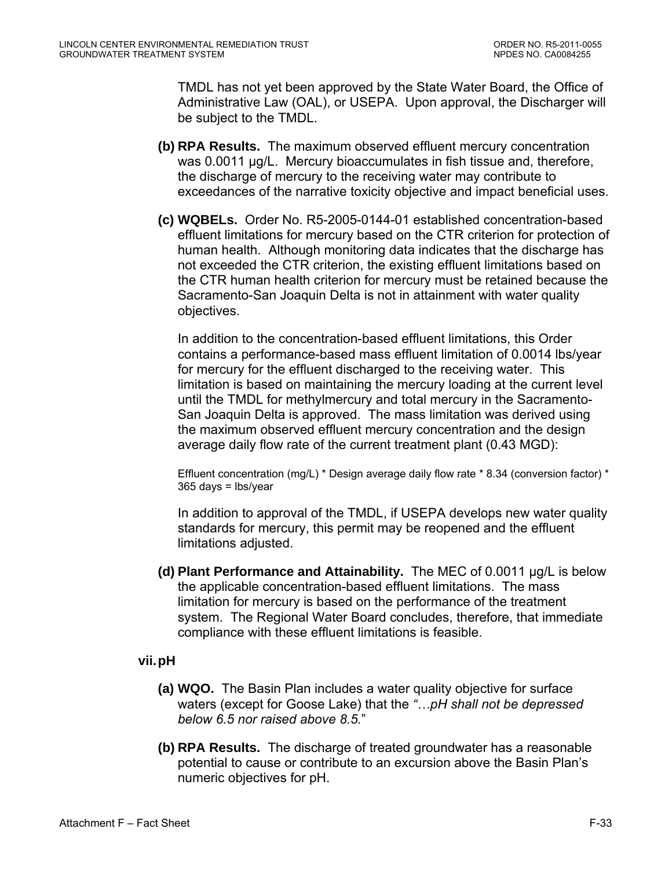TMDL has not yet been approved by the State Water Board, the Office of Administrative Law (OAL), or USEPA. Upon approval, the Discharger will be subject to the TMDL.

- **(b) RPA Results.** The maximum observed effluent mercury concentration was 0.0011 µg/L. Mercury bioaccumulates in fish tissue and, therefore, the discharge of mercury to the receiving water may contribute to exceedances of the narrative toxicity objective and impact beneficial uses.
- **(c) WQBELs.** Order No. R5-2005-0144-01 established concentration-based effluent limitations for mercury based on the CTR criterion for protection of human health. Although monitoring data indicates that the discharge has not exceeded the CTR criterion, the existing effluent limitations based on the CTR human health criterion for mercury must be retained because the Sacramento-San Joaquin Delta is not in attainment with water quality objectives.

In addition to the concentration-based effluent limitations, this Order contains a performance-based mass effluent limitation of 0.0014 lbs/year for mercury for the effluent discharged to the receiving water. This limitation is based on maintaining the mercury loading at the current level until the TMDL for methylmercury and total mercury in the Sacramento-San Joaquin Delta is approved. The mass limitation was derived using the maximum observed effluent mercury concentration and the design average daily flow rate of the current treatment plant (0.43 MGD):

Effluent concentration (mg/L)  $*$  Design average daily flow rate  $*$  8.34 (conversion factor)  $*$ 365 days = lbs/year

In addition to approval of the TMDL, if USEPA develops new water quality standards for mercury, this permit may be reopened and the effluent limitations adjusted.

**(d) Plant Performance and Attainability.** The MEC of 0.0011 µg/L is below the applicable concentration-based effluent limitations. The mass limitation for mercury is based on the performance of the treatment system. The Regional Water Board concludes, therefore, that immediate compliance with these effluent limitations is feasible.

## **vii. pH**

- **(a) WQO.** The Basin Plan includes a water quality objective for surface waters (except for Goose Lake) that the *"…pH shall not be depressed below 6.5 nor raised above 8.5.*"
- **(b) RPA Results.** The discharge of treated groundwater has a reasonable potential to cause or contribute to an excursion above the Basin Plan's numeric objectives for pH.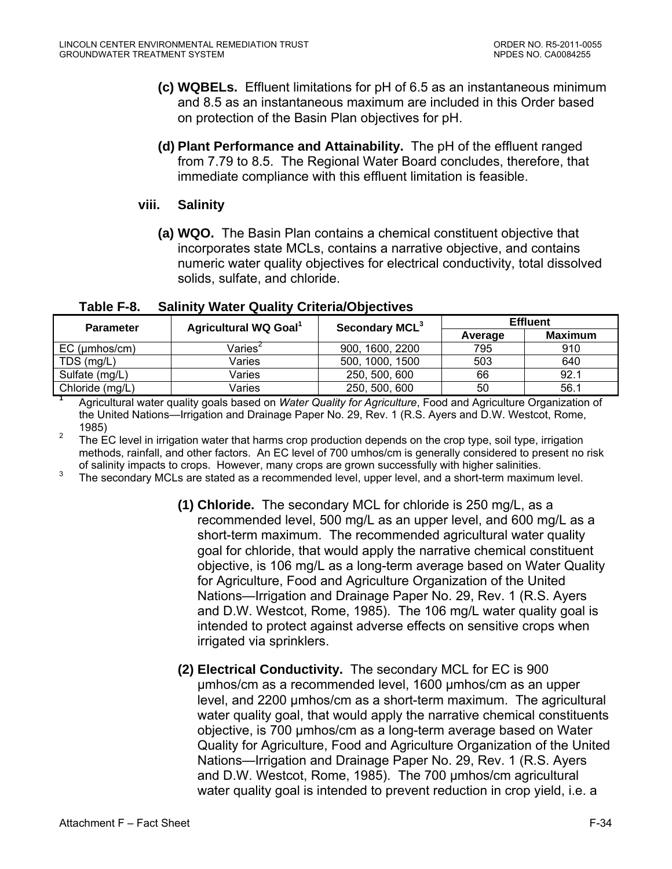- **(c) WQBELs.** Effluent limitations for pH of 6.5 as an instantaneous minimum and 8.5 as an instantaneous maximum are included in this Order based on protection of the Basin Plan objectives for pH.
- **(d) Plant Performance and Attainability.** The pH of the effluent ranged from 7.79 to 8.5. The Regional Water Board concludes, therefore, that immediate compliance with this effluent limitation is feasible.

#### **viii. Salinity**

**(a) WQO.** The Basin Plan contains a chemical constituent objective that incorporates state MCLs, contains a narrative objective, and contains numeric water quality objectives for electrical conductivity, total dissolved solids, sulfate, and chloride.

| <b>Parameter</b> | Agricultural WQ Goal <sup>1</sup> | Secondary MCL <sup>3</sup> | <b>Effluent</b> |                |  |
|------------------|-----------------------------------|----------------------------|-----------------|----------------|--|
|                  |                                   |                            | Average         | <b>Maximum</b> |  |
| $EC$ (µmhos/cm)  | $V$ aries <sup>2</sup>            | 900, 1600, 2200            | 795             | 910            |  |
| TDS (mg/L)       | Varies                            | 500, 1000, 1500            | 503             | 640            |  |
| Sulfate (mg/L)   | Varies                            | 250, 500, 600              | 66              | 92.1           |  |
| Chloride (mg/L)  | Varies                            | 250, 500, 600              | 50              | 56.1           |  |

**Table F-8. Salinity Water Quality Criteria/Objectives** 

**1** Agricultural water quality goals based on *Water Quality for Agriculture*, Food and Agriculture Organization of the United Nations—Irrigation and Drainage Paper No. 29, Rev. 1 (R.S. Ayers and D.W. Westcot, Rome,

1985)<br><sup>2</sup> The EC level in irrigation water that harms crop production depends on the crop type, soil type, irrigation methods, rainfall, and other factors. An EC level of 700 umhos/cm is generally considered to present no risk of salinity impacts to crops. However, many crops are grown successfully with higher salinities.<br><sup>3</sup> The secondary MCLs are stated as a recommended level, upper level, and a short-term maximum level.

- **(1) Chloride.** The secondary MCL for chloride is 250 mg/L, as a recommended level, 500 mg/L as an upper level, and 600 mg/L as a short-term maximum. The recommended agricultural water quality goal for chloride, that would apply the narrative chemical constituent objective, is 106 mg/L as a long-term average based on Water Quality for Agriculture, Food and Agriculture Organization of the United Nations—Irrigation and Drainage Paper No. 29, Rev. 1 (R.S. Ayers and D.W. Westcot, Rome, 1985). The 106 mg/L water quality goal is intended to protect against adverse effects on sensitive crops when irrigated via sprinklers.
- **(2) Electrical Conductivity.** The secondary MCL for EC is 900 µmhos/cm as a recommended level, 1600 µmhos/cm as an upper level, and 2200 µmhos/cm as a short-term maximum. The agricultural water quality goal, that would apply the narrative chemical constituents objective, is 700 µmhos/cm as a long-term average based on Water Quality for Agriculture, Food and Agriculture Organization of the United Nations—Irrigation and Drainage Paper No. 29, Rev. 1 (R.S. Ayers and D.W. Westcot, Rome, 1985). The 700 µmhos/cm agricultural water quality goal is intended to prevent reduction in crop yield, i.e. a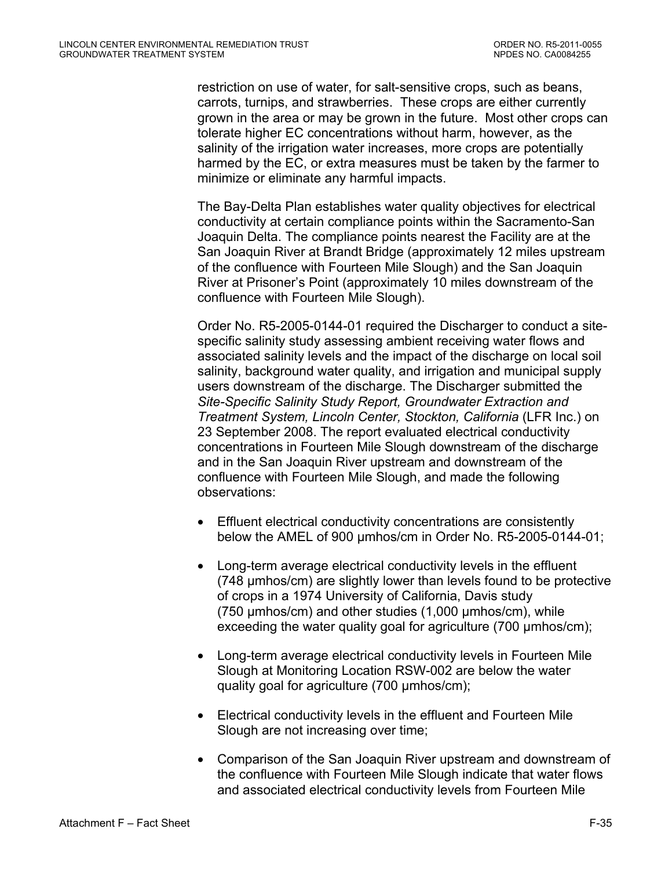restriction on use of water, for salt-sensitive crops, such as beans, carrots, turnips, and strawberries. These crops are either currently grown in the area or may be grown in the future. Most other crops can tolerate higher EC concentrations without harm, however, as the salinity of the irrigation water increases, more crops are potentially harmed by the EC, or extra measures must be taken by the farmer to minimize or eliminate any harmful impacts.

The Bay-Delta Plan establishes water quality objectives for electrical conductivity at certain compliance points within the Sacramento-San Joaquin Delta. The compliance points nearest the Facility are at the San Joaquin River at Brandt Bridge (approximately 12 miles upstream of the confluence with Fourteen Mile Slough) and the San Joaquin River at Prisoner's Point (approximately 10 miles downstream of the confluence with Fourteen Mile Slough).

Order No. R5-2005-0144-01 required the Discharger to conduct a sitespecific salinity study assessing ambient receiving water flows and associated salinity levels and the impact of the discharge on local soil salinity, background water quality, and irrigation and municipal supply users downstream of the discharge. The Discharger submitted the *Site-Specific Salinity Study Report, Groundwater Extraction and Treatment System, Lincoln Center, Stockton, California* (LFR Inc.) on 23 September 2008. The report evaluated electrical conductivity concentrations in Fourteen Mile Slough downstream of the discharge and in the San Joaquin River upstream and downstream of the confluence with Fourteen Mile Slough, and made the following observations:

- Effluent electrical conductivity concentrations are consistently below the AMEL of 900 µmhos/cm in Order No. R5-2005-0144-01;
- Long-term average electrical conductivity levels in the effluent (748 µmhos/cm) are slightly lower than levels found to be protective of crops in a 1974 University of California, Davis study (750 µmhos/cm) and other studies (1,000 µmhos/cm), while exceeding the water quality goal for agriculture (700 µmhos/cm);
- Long-term average electrical conductivity levels in Fourteen Mile Slough at Monitoring Location RSW-002 are below the water quality goal for agriculture (700 µmhos/cm);
- Electrical conductivity levels in the effluent and Fourteen Mile Slough are not increasing over time;
- Comparison of the San Joaquin River upstream and downstream of the confluence with Fourteen Mile Slough indicate that water flows and associated electrical conductivity levels from Fourteen Mile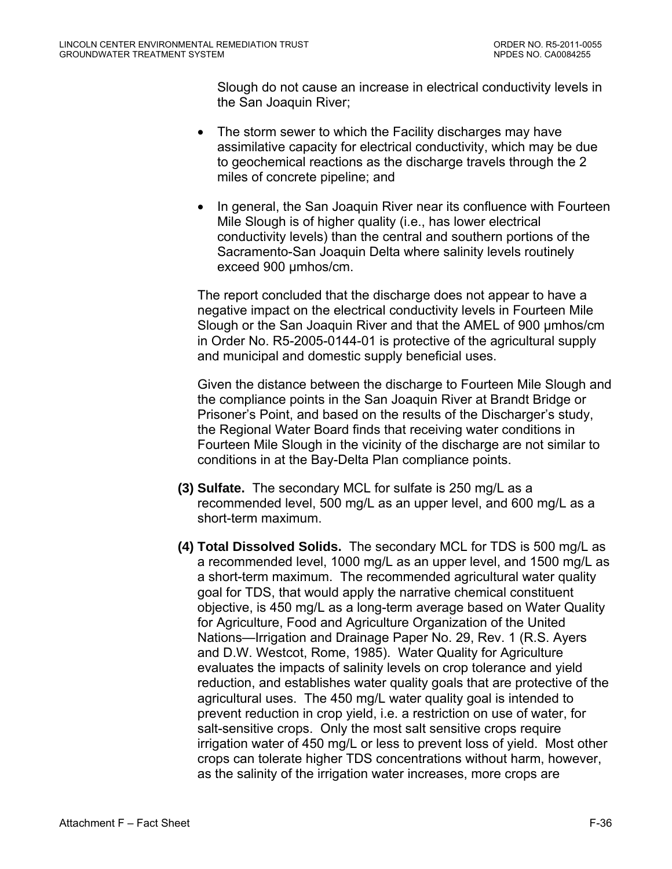Slough do not cause an increase in electrical conductivity levels in the San Joaquin River;

- The storm sewer to which the Facility discharges may have assimilative capacity for electrical conductivity, which may be due to geochemical reactions as the discharge travels through the 2 miles of concrete pipeline; and
- In general, the San Joaquin River near its confluence with Fourteen Mile Slough is of higher quality (i.e., has lower electrical conductivity levels) than the central and southern portions of the Sacramento-San Joaquin Delta where salinity levels routinely exceed 900 µmhos/cm.

The report concluded that the discharge does not appear to have a negative impact on the electrical conductivity levels in Fourteen Mile Slough or the San Joaquin River and that the AMEL of 900 µmhos/cm in Order No. R5-2005-0144-01 is protective of the agricultural supply and municipal and domestic supply beneficial uses.

Given the distance between the discharge to Fourteen Mile Slough and the compliance points in the San Joaquin River at Brandt Bridge or Prisoner's Point, and based on the results of the Discharger's study, the Regional Water Board finds that receiving water conditions in Fourteen Mile Slough in the vicinity of the discharge are not similar to conditions in at the Bay-Delta Plan compliance points.

- **(3) Sulfate.** The secondary MCL for sulfate is 250 mg/L as a recommended level, 500 mg/L as an upper level, and 600 mg/L as a short-term maximum.
- **(4) Total Dissolved Solids.** The secondary MCL for TDS is 500 mg/L as a recommended level, 1000 mg/L as an upper level, and 1500 mg/L as a short-term maximum. The recommended agricultural water quality goal for TDS, that would apply the narrative chemical constituent objective, is 450 mg/L as a long-term average based on Water Quality for Agriculture, Food and Agriculture Organization of the United Nations—Irrigation and Drainage Paper No. 29, Rev. 1 (R.S. Ayers and D.W. Westcot, Rome, 1985). Water Quality for Agriculture evaluates the impacts of salinity levels on crop tolerance and yield reduction, and establishes water quality goals that are protective of the agricultural uses. The 450 mg/L water quality goal is intended to prevent reduction in crop yield, i.e. a restriction on use of water, for salt-sensitive crops. Only the most salt sensitive crops require irrigation water of 450 mg/L or less to prevent loss of yield. Most other crops can tolerate higher TDS concentrations without harm, however, as the salinity of the irrigation water increases, more crops are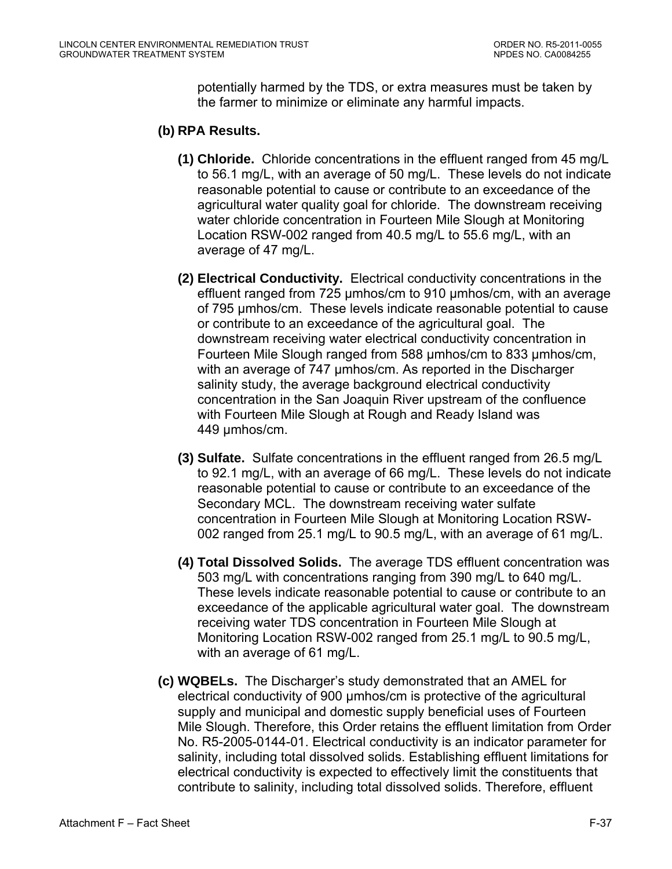potentially harmed by the TDS, or extra measures must be taken by the farmer to minimize or eliminate any harmful impacts.

#### **(b) RPA Results.**

- **(1) Chloride.** Chloride concentrations in the effluent ranged from 45 mg/L to 56.1 mg/L, with an average of 50 mg/L. These levels do not indicate reasonable potential to cause or contribute to an exceedance of the agricultural water quality goal for chloride. The downstream receiving water chloride concentration in Fourteen Mile Slough at Monitoring Location RSW-002 ranged from 40.5 mg/L to 55.6 mg/L, with an average of 47 mg/L.
- **(2) Electrical Conductivity.** Electrical conductivity concentrations in the effluent ranged from 725 µmhos/cm to 910 µmhos/cm, with an average of 795 µmhos/cm. These levels indicate reasonable potential to cause or contribute to an exceedance of the agricultural goal. The downstream receiving water electrical conductivity concentration in Fourteen Mile Slough ranged from 588 µmhos/cm to 833 µmhos/cm, with an average of 747 umhos/cm. As reported in the Discharger salinity study, the average background electrical conductivity concentration in the San Joaquin River upstream of the confluence with Fourteen Mile Slough at Rough and Ready Island was 449 umhos/cm.
- **(3) Sulfate.** Sulfate concentrations in the effluent ranged from 26.5 mg/L to 92.1 mg/L, with an average of 66 mg/L. These levels do not indicate reasonable potential to cause or contribute to an exceedance of the Secondary MCL. The downstream receiving water sulfate concentration in Fourteen Mile Slough at Monitoring Location RSW-002 ranged from 25.1 mg/L to 90.5 mg/L, with an average of 61 mg/L.
- **(4) Total Dissolved Solids.** The average TDS effluent concentration was 503 mg/L with concentrations ranging from 390 mg/L to 640 mg/L. These levels indicate reasonable potential to cause or contribute to an exceedance of the applicable agricultural water goal. The downstream receiving water TDS concentration in Fourteen Mile Slough at Monitoring Location RSW-002 ranged from 25.1 mg/L to 90.5 mg/L, with an average of 61 mg/L.
- **(c) WQBELs.** The Discharger's study demonstrated that an AMEL for electrical conductivity of 900 µmhos/cm is protective of the agricultural supply and municipal and domestic supply beneficial uses of Fourteen Mile Slough. Therefore, this Order retains the effluent limitation from Order No. R5-2005-0144-01. Electrical conductivity is an indicator parameter for salinity, including total dissolved solids. Establishing effluent limitations for electrical conductivity is expected to effectively limit the constituents that contribute to salinity, including total dissolved solids. Therefore, effluent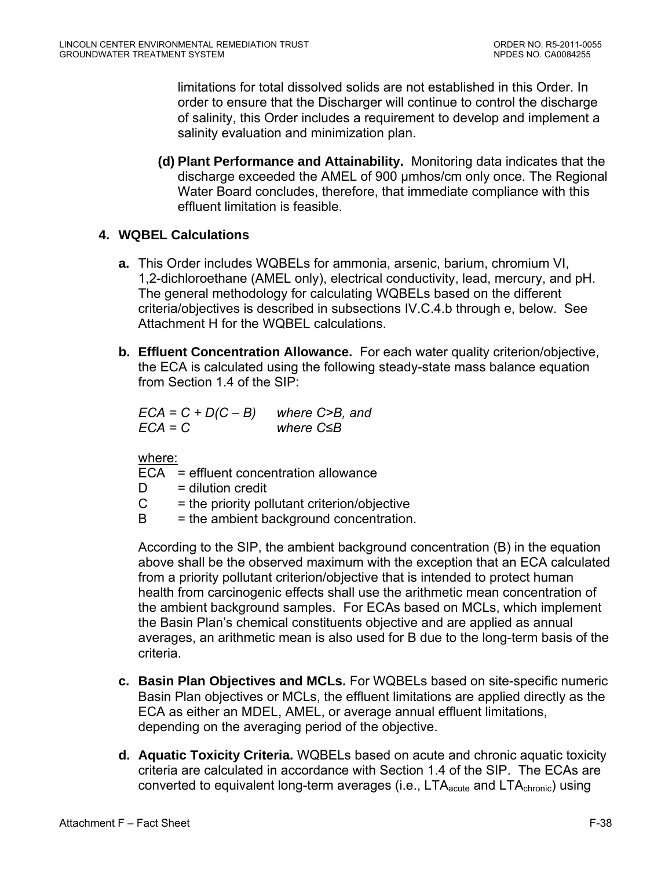limitations for total dissolved solids are not established in this Order. In order to ensure that the Discharger will continue to control the discharge of salinity, this Order includes a requirement to develop and implement a salinity evaluation and minimization plan.

**(d) Plant Performance and Attainability.** Monitoring data indicates that the discharge exceeded the AMEL of 900 µmhos/cm only once. The Regional Water Board concludes, therefore, that immediate compliance with this effluent limitation is feasible.

## **4. WQBEL Calculations**

- **a.** This Order includes WQBELs for ammonia, arsenic, barium, chromium VI, 1,2-dichloroethane (AMEL only), electrical conductivity, lead, mercury, and pH. The general methodology for calculating WQBELs based on the different criteria/objectives is described in subsections IV.C.4.b through e, below. See Attachment H for the WQBEL calculations.
- **b. Effluent Concentration Allowance.** For each water quality criterion/objective, the ECA is calculated using the following steady-state mass balance equation from Section 1.4 of the SIP:

*ECA = C + D(C – B) where C>B, and ECA = C where C≤B* 

where:

- ECA = effluent concentration allowance
- $D =$  dilution credit
- $C =$  the priority pollutant criterion/objective
- $B =$  the ambient background concentration.

According to the SIP, the ambient background concentration (B) in the equation above shall be the observed maximum with the exception that an ECA calculated from a priority pollutant criterion/objective that is intended to protect human health from carcinogenic effects shall use the arithmetic mean concentration of the ambient background samples. For ECAs based on MCLs, which implement the Basin Plan's chemical constituents objective and are applied as annual averages, an arithmetic mean is also used for B due to the long-term basis of the criteria.

- **c. Basin Plan Objectives and MCLs.** For WQBELs based on site-specific numeric Basin Plan objectives or MCLs, the effluent limitations are applied directly as the ECA as either an MDEL, AMEL, or average annual effluent limitations, depending on the averaging period of the objective.
- **d. Aquatic Toxicity Criteria.** WQBELs based on acute and chronic aquatic toxicity criteria are calculated in accordance with Section 1.4 of the SIP. The ECAs are converted to equivalent long-term averages (i.e.,  $LTA<sub>acute</sub>$  and  $LTA<sub>chronic</sub>$ ) using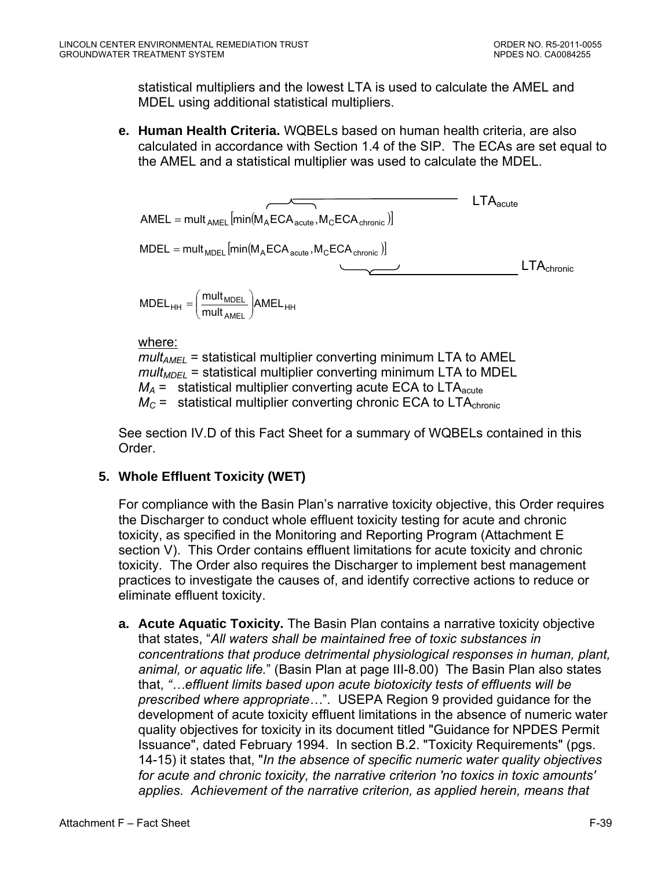statistical multipliers and the lowest LTA is used to calculate the AMEL and MDEL using additional statistical multipliers.

**e. Human Health Criteria.** WQBELs based on human health criteria, are also calculated in accordance with Section 1.4 of the SIP. The ECAs are set equal to the AMEL and a statistical multiplier was used to calculate the MDEL.

$$
AMEL = multAMEL [min(MAECAacute, MCECAchronic)]
$$
  
\n
$$
MDEL = multMDEL [min(MAECAacute, MCECAchronic)]
$$
  
\n
$$
MDELHH = \left(\frac{multMDEL}{multAMEL}\right) AMELHH
$$
  
\n
$$
LTAcontrol = \left(\frac{multMDEL}{multAMEL}\right) AMELHH
$$

where:

 $mult_{AMEL}$  = statistical multiplier converting minimum LTA to AMEL  $mult<sub>MDFI</sub>$  = statistical multiplier converting minimum LTA to MDEL  $M_A$  = statistical multiplier converting acute ECA to LTA<sub>acute</sub>  $M_C$  = statistical multiplier converting chronic ECA to LTA<sub>chronic</sub>

See section IV.D of this Fact Sheet for a summary of WQBELs contained in this Order.

## **5. Whole Effluent Toxicity (WET)**

For compliance with the Basin Plan's narrative toxicity objective, this Order requires the Discharger to conduct whole effluent toxicity testing for acute and chronic toxicity, as specified in the Monitoring and Reporting Program (Attachment E section V). This Order contains effluent limitations for acute toxicity and chronic toxicity. The Order also requires the Discharger to implement best management practices to investigate the causes of, and identify corrective actions to reduce or eliminate effluent toxicity.

**a. Acute Aquatic Toxicity.** The Basin Plan contains a narrative toxicity objective that states, "*All waters shall be maintained free of toxic substances in concentrations that produce detrimental physiological responses in human, plant, animal, or aquatic life.*" (Basin Plan at page III-8.00) The Basin Plan also states that, *"…effluent limits based upon acute biotoxicity tests of effluents will be prescribed where appropriate…*". USEPA Region 9 provided guidance for the development of acute toxicity effluent limitations in the absence of numeric water quality objectives for toxicity in its document titled "Guidance for NPDES Permit Issuance", dated February 1994. In section B.2. "Toxicity Requirements" (pgs. 14-15) it states that, "*In the absence of specific numeric water quality objectives for acute and chronic toxicity, the narrative criterion 'no toxics in toxic amounts' applies. Achievement of the narrative criterion, as applied herein, means that*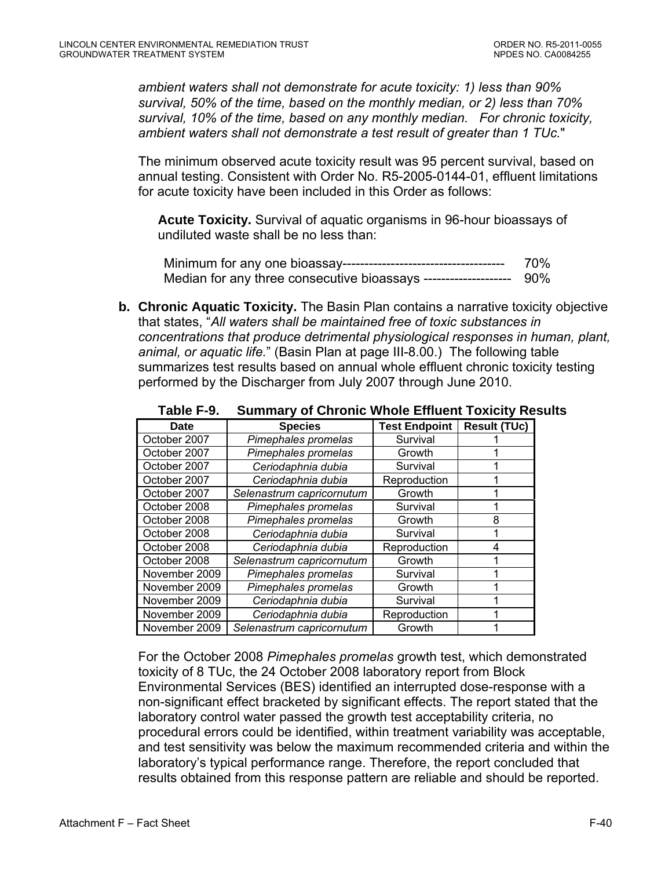*ambient waters shall not demonstrate for acute toxicity: 1) less than 90% survival, 50% of the time, based on the monthly median, or 2) less than 70% survival, 10% of the time, based on any monthly median. For chronic toxicity, ambient waters shall not demonstrate a test result of greater than 1 TUc.*"

The minimum observed acute toxicity result was 95 percent survival, based on annual testing. Consistent with Order No. R5-2005-0144-01, effluent limitations for acute toxicity have been included in this Order as follows:

**Acute Toxicity.** Survival of aquatic organisms in 96-hour bioassays of undiluted waste shall be no less than:

Minimum for any one bioassay------------------------------------- 70% Median for any three consecutive bioassays -------------------- 90%

**b. Chronic Aquatic Toxicity.** The Basin Plan contains a narrative toxicity objective that states, "*All waters shall be maintained free of toxic substances in concentrations that produce detrimental physiological responses in human, plant, animal, or aquatic life.*" (Basin Plan at page III-8.00.) The following table summarizes test results based on annual whole effluent chronic toxicity testing performed by the Discharger from July 2007 through June 2010.

| <b>Date</b>   | <b>Species</b>            | <b>Test Endpoint</b> | <b>Result (TUc)</b> |
|---------------|---------------------------|----------------------|---------------------|
| October 2007  | Pimephales promelas       | Survival             |                     |
| October 2007  | Pimephales promelas       | Growth               |                     |
| October 2007  | Ceriodaphnia dubia        | Survival             |                     |
| October 2007  | Ceriodaphnia dubia        | Reproduction         |                     |
| October 2007  | Selenastrum capricornutum | Growth               |                     |
| October 2008  | Pimephales promelas       | Survival             |                     |
| October 2008  | Pimephales promelas       | Growth               | 8                   |
| October 2008  | Ceriodaphnia dubia        | Survival             |                     |
| October 2008  | Ceriodaphnia dubia        | Reproduction         | 4                   |
| October 2008  | Selenastrum capricornutum | Growth               |                     |
| November 2009 | Pimephales promelas       | Survival             |                     |
| November 2009 | Pimephales promelas       | Growth               |                     |
| November 2009 | Ceriodaphnia dubia        | Survival             |                     |
| November 2009 | Ceriodaphnia dubia        | Reproduction         |                     |
| November 2009 | Selenastrum capricornutum | Growth               |                     |

**Table F-9. Summary of Chronic Whole Effluent Toxicity Results** 

For the October 2008 *Pimephales promelas* growth test, which demonstrated toxicity of 8 TUc, the 24 October 2008 laboratory report from Block Environmental Services (BES) identified an interrupted dose-response with a non-significant effect bracketed by significant effects. The report stated that the laboratory control water passed the growth test acceptability criteria, no procedural errors could be identified, within treatment variability was acceptable, and test sensitivity was below the maximum recommended criteria and within the laboratory's typical performance range. Therefore, the report concluded that results obtained from this response pattern are reliable and should be reported.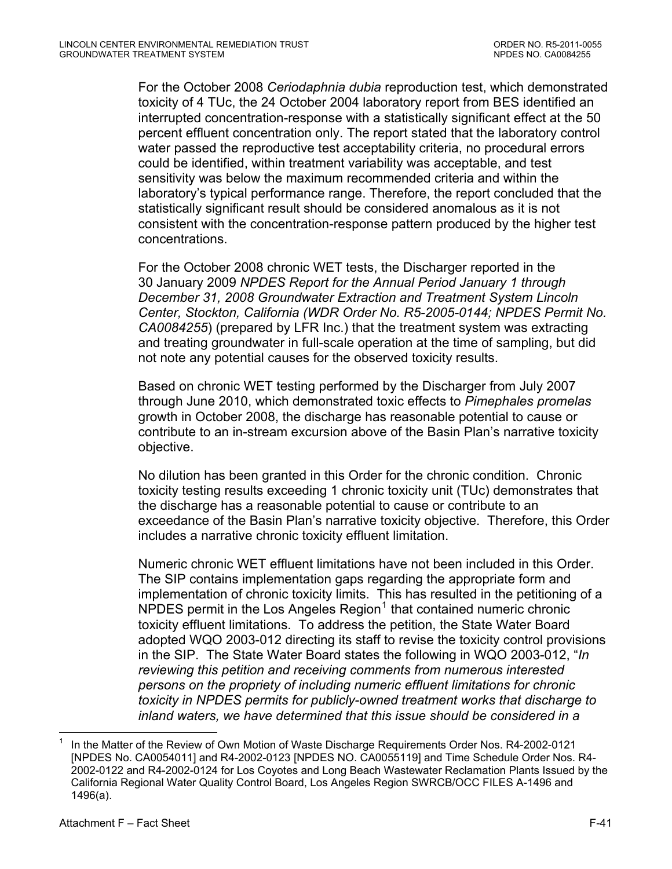<span id="page-93-0"></span>For the October 2008 *Ceriodaphnia dubia* reproduction test, which demonstrated toxicity of 4 TUc, the 24 October 2004 laboratory report from BES identified an interrupted concentration-response with a statistically significant effect at the 50 percent effluent concentration only. The report stated that the laboratory control water passed the reproductive test acceptability criteria, no procedural errors could be identified, within treatment variability was acceptable, and test sensitivity was below the maximum recommended criteria and within the laboratory's typical performance range. Therefore, the report concluded that the statistically significant result should be considered anomalous as it is not consistent with the concentration-response pattern produced by the higher test concentrations.

For the October 2008 chronic WET tests, the Discharger reported in the 30 January 2009 *NPDES Report for the Annual Period January 1 through December 31, 2008 Groundwater Extraction and Treatment System Lincoln Center, Stockton, California (WDR Order No. R5-2005-0144; NPDES Permit No. CA0084255*) (prepared by LFR Inc.) that the treatment system was extracting and treating groundwater in full-scale operation at the time of sampling, but did not note any potential causes for the observed toxicity results.

Based on chronic WET testing performed by the Discharger from July 2007 through June 2010, which demonstrated toxic effects to *Pimephales promelas* growth in October 2008, the discharge has reasonable potential to cause or contribute to an in-stream excursion above of the Basin Plan's narrative toxicity objective.

No dilution has been granted in this Order for the chronic condition. Chronic toxicity testing results exceeding 1 chronic toxicity unit (TUc) demonstrates that the discharge has a reasonable potential to cause or contribute to an exceedance of the Basin Plan's narrative toxicity objective. Therefore, this Order includes a narrative chronic toxicity effluent limitation.

Numeric chronic WET effluent limitations have not been included in this Order. The SIP contains implementation gaps regarding the appropriate form and implementation of chronic toxicity limits. This has resulted in the petitioning of a NPDES permit in the Los Angeles Region<sup>[1](#page-93-0)</sup> that contained numeric chronic toxicity effluent limitations. To address the petition, the State Water Board adopted WQO 2003-012 directing its staff to revise the toxicity control provisions in the SIP. The State Water Board states the following in WQO 2003-012, "*In reviewing this petition and receiving comments from numerous interested persons on the propriety of including numeric effluent limitations for chronic toxicity in NPDES permits for publicly-owned treatment works that discharge to inland waters, we have determined that this issue should be considered in a* 

 $\overline{a}$ 

<sup>1</sup> In the Matter of the Review of Own Motion of Waste Discharge Requirements Order Nos. R4-2002-0121 [NPDES No. CA0054011] and R4-2002-0123 [NPDES NO. CA0055119] and Time Schedule Order Nos. R4- 2002-0122 and R4-2002-0124 for Los Coyotes and Long Beach Wastewater Reclamation Plants Issued by the California Regional Water Quality Control Board, Los Angeles Region SWRCB/OCC FILES A-1496 and 1496(a).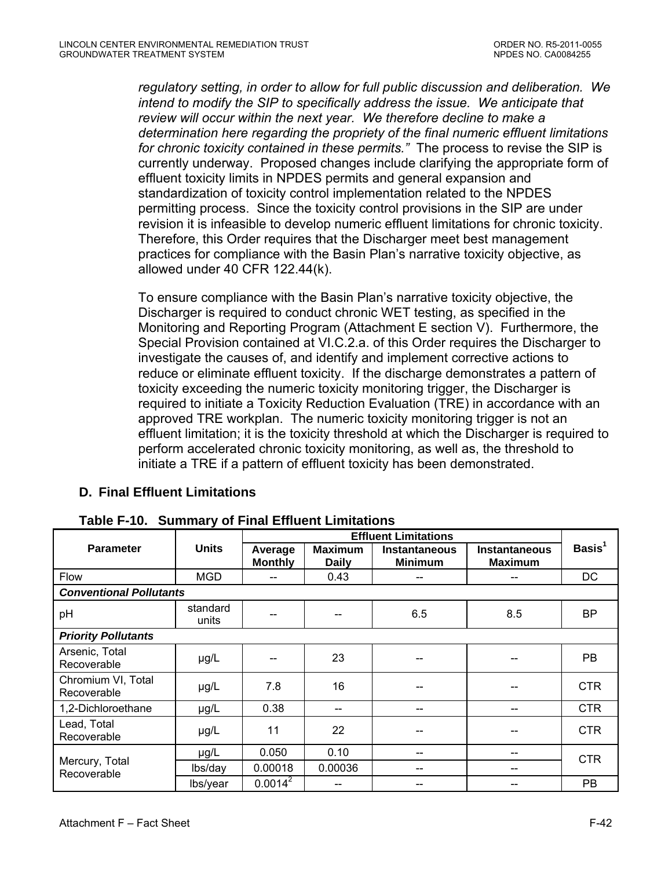*regulatory setting, in order to allow for full public discussion and deliberation. We intend to modify the SIP to specifically address the issue. We anticipate that review will occur within the next year. We therefore decline to make a determination here regarding the propriety of the final numeric effluent limitations for chronic toxicity contained in these permits."* The process to revise the SIP is currently underway. Proposed changes include clarifying the appropriate form of effluent toxicity limits in NPDES permits and general expansion and standardization of toxicity control implementation related to the NPDES permitting process. Since the toxicity control provisions in the SIP are under revision it is infeasible to develop numeric effluent limitations for chronic toxicity. Therefore, this Order requires that the Discharger meet best management practices for compliance with the Basin Plan's narrative toxicity objective, as allowed under 40 CFR 122.44(k).

To ensure compliance with the Basin Plan's narrative toxicity objective, the Discharger is required to conduct chronic WET testing, as specified in the Monitoring and Reporting Program (Attachment E section V). Furthermore, the Special Provision contained at VI.C.2.a. of this Order requires the Discharger to investigate the causes of, and identify and implement corrective actions to reduce or eliminate effluent toxicity. If the discharge demonstrates a pattern of toxicity exceeding the numeric toxicity monitoring trigger, the Discharger is required to initiate a Toxicity Reduction Evaluation (TRE) in accordance with an approved TRE workplan. The numeric toxicity monitoring trigger is not an effluent limitation; it is the toxicity threshold at which the Discharger is required to perform accelerated chronic toxicity monitoring, as well as, the threshold to initiate a TRE if a pattern of effluent toxicity has been demonstrated.

| <b>D. Final Effluent Limitations</b> |  |
|--------------------------------------|--|
|--------------------------------------|--|

|                                   |                   | <b>Effluent Limitations</b> |                                |                                        |                                        |                    |
|-----------------------------------|-------------------|-----------------------------|--------------------------------|----------------------------------------|----------------------------------------|--------------------|
| <b>Parameter</b>                  | <b>Units</b>      | Average<br><b>Monthly</b>   | <b>Maximum</b><br><b>Daily</b> | <b>Instantaneous</b><br><b>Minimum</b> | <b>Instantaneous</b><br><b>Maximum</b> | Basis <sup>1</sup> |
| Flow                              | <b>MGD</b>        |                             | 0.43                           |                                        |                                        | DC                 |
| <b>Conventional Pollutants</b>    |                   |                             |                                |                                        |                                        |                    |
| pH                                | standard<br>units |                             |                                | 6.5                                    | 8.5                                    | <b>BP</b>          |
| <b>Priority Pollutants</b>        |                   |                             |                                |                                        |                                        |                    |
| Arsenic, Total<br>Recoverable     | µg/L              |                             | 23                             |                                        |                                        | <b>PB</b>          |
| Chromium VI, Total<br>Recoverable | µg/L              | 7.8                         | 16                             |                                        |                                        | CTR.               |
| 1,2-Dichloroethane                | $\mu$ g/L         | 0.38                        |                                |                                        |                                        | CTR.               |
| Lead, Total<br>Recoverable        | $\mu$ g/L         | 11                          | 22                             | --                                     |                                        | <b>CTR</b>         |
| Mercury, Total<br>Recoverable     | µg/L              | 0.050                       | 0.10                           | --                                     |                                        | <b>CTR</b>         |
|                                   | lbs/day           | 0.00018                     | 0.00036                        | --                                     | --                                     |                    |
|                                   | lbs/year          | $0.0014^2$                  |                                |                                        |                                        | <b>PB</b>          |

**Table F-10. Summary of Final Effluent Limitations**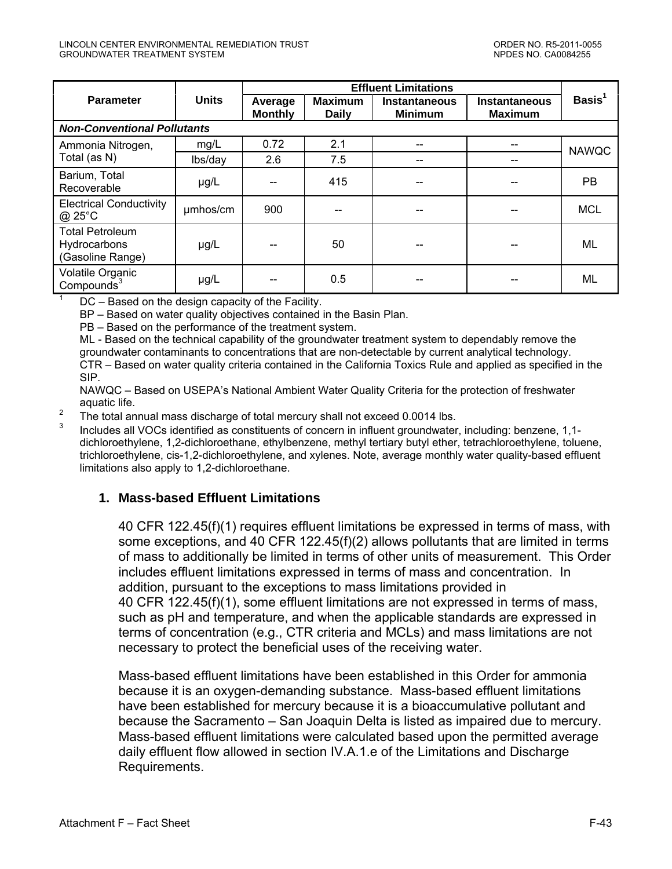|                                                            |              | <b>Effluent Limitations</b> |                                |                                        |                                        |              |
|------------------------------------------------------------|--------------|-----------------------------|--------------------------------|----------------------------------------|----------------------------------------|--------------|
| <b>Parameter</b>                                           | <b>Units</b> | Average<br><b>Monthly</b>   | <b>Maximum</b><br><b>Daily</b> | <b>Instantaneous</b><br><b>Minimum</b> | <b>Instantaneous</b><br><b>Maximum</b> | Basis $1$    |
| <b>Non-Conventional Pollutants</b>                         |              |                             |                                |                                        |                                        |              |
| Ammonia Nitrogen,                                          | mg/L         | 0.72                        | 2.1                            | --                                     |                                        | <b>NAWQC</b> |
| Total (as N)                                               | lbs/day      | 2.6                         | 7.5                            |                                        |                                        |              |
| Barium, Total<br>Recoverable                               | µg/L         |                             | 415                            |                                        |                                        | <b>PB</b>    |
| <b>Electrical Conductivity</b><br>$@$ 25 $°C$              | umhos/cm     | 900                         |                                |                                        |                                        | <b>MCL</b>   |
| <b>Total Petroleum</b><br>Hydrocarbons<br>(Gasoline Range) | µg/L         |                             | 50                             |                                        |                                        | ML           |
| Volatile Organic<br>Compounds $3$                          | µg/L         |                             | 0.5                            |                                        |                                        | <b>ML</b>    |

DC – Based on the design capacity of the Facility.

BP – Based on water quality objectives contained in the Basin Plan.

PB – Based on the performance of the treatment system.

ML - Based on the technical capability of the groundwater treatment system to dependably remove the groundwater contaminants to concentrations that are non-detectable by current analytical technology. CTR – Based on water quality criteria contained in the California Toxics Rule and applied as specified in the SIP.

NAWQC – Based on USEPA's National Ambient Water Quality Criteria for the protection of freshwater aquatic life.

 $\overline{2}$ The total annual mass discharge of total mercury shall not exceed 0.0014 lbs.

3 Includes all VOCs identified as constituents of concern in influent groundwater, including: benzene, 1,1 dichloroethylene, 1,2-dichloroethane, ethylbenzene, methyl tertiary butyl ether, tetrachloroethylene, toluene, trichloroethylene, cis-1,2-dichloroethylene, and xylenes. Note, average monthly water quality-based effluent limitations also apply to 1,2-dichloroethane.

#### **1. Mass-based Effluent Limitations**

40 CFR 122.45(f)(1) requires effluent limitations be expressed in terms of mass, with some exceptions, and 40 CFR 122.45(f)(2) allows pollutants that are limited in terms of mass to additionally be limited in terms of other units of measurement. This Order includes effluent limitations expressed in terms of mass and concentration. In addition, pursuant to the exceptions to mass limitations provided in 40 CFR 122.45(f)(1), some effluent limitations are not expressed in terms of mass, such as pH and temperature, and when the applicable standards are expressed in terms of concentration (e.g., CTR criteria and MCLs) and mass limitations are not necessary to protect the beneficial uses of the receiving water.

Mass-based effluent limitations have been established in this Order for ammonia because it is an oxygen-demanding substance. Mass-based effluent limitations have been established for mercury because it is a bioaccumulative pollutant and because the Sacramento – San Joaquin Delta is listed as impaired due to mercury. Mass-based effluent limitations were calculated based upon the permitted average daily effluent flow allowed in section IV.A.1.e of the Limitations and Discharge Requirements.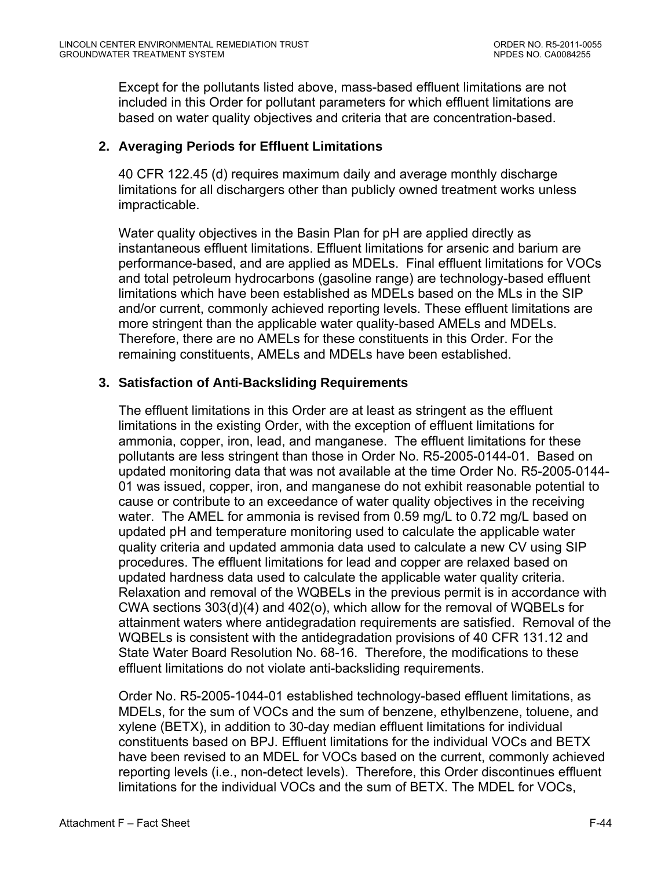Except for the pollutants listed above, mass-based effluent limitations are not included in this Order for pollutant parameters for which effluent limitations are based on water quality objectives and criteria that are concentration-based.

#### **2. Averaging Periods for Effluent Limitations**

40 CFR 122.45 (d) requires maximum daily and average monthly discharge limitations for all dischargers other than publicly owned treatment works unless impracticable.

Water quality objectives in the Basin Plan for pH are applied directly as instantaneous effluent limitations. Effluent limitations for arsenic and barium are performance-based, and are applied as MDELs. Final effluent limitations for VOCs and total petroleum hydrocarbons (gasoline range) are technology-based effluent limitations which have been established as MDELs based on the MLs in the SIP and/or current, commonly achieved reporting levels. These effluent limitations are more stringent than the applicable water quality-based AMELs and MDELs. Therefore, there are no AMELs for these constituents in this Order. For the remaining constituents, AMELs and MDELs have been established.

#### **3. Satisfaction of Anti-Backsliding Requirements**

The effluent limitations in this Order are at least as stringent as the effluent limitations in the existing Order, with the exception of effluent limitations for ammonia, copper, iron, lead, and manganese. The effluent limitations for these pollutants are less stringent than those in Order No. R5-2005-0144-01. Based on updated monitoring data that was not available at the time Order No. R5-2005-0144- 01 was issued, copper, iron, and manganese do not exhibit reasonable potential to cause or contribute to an exceedance of water quality objectives in the receiving water. The AMEL for ammonia is revised from 0.59 mg/L to 0.72 mg/L based on updated pH and temperature monitoring used to calculate the applicable water quality criteria and updated ammonia data used to calculate a new CV using SIP procedures. The effluent limitations for lead and copper are relaxed based on updated hardness data used to calculate the applicable water quality criteria. Relaxation and removal of the WQBELs in the previous permit is in accordance with CWA sections 303(d)(4) and 402(o), which allow for the removal of WQBELs for attainment waters where antidegradation requirements are satisfied. Removal of the WQBELs is consistent with the antidegradation provisions of 40 CFR 131.12 and State Water Board Resolution No. 68-16. Therefore, the modifications to these effluent limitations do not violate anti-backsliding requirements.

Order No. R5-2005-1044-01 established technology-based effluent limitations, as MDELs, for the sum of VOCs and the sum of benzene, ethylbenzene, toluene, and xylene (BETX), in addition to 30-day median effluent limitations for individual constituents based on BPJ. Effluent limitations for the individual VOCs and BETX have been revised to an MDEL for VOCs based on the current, commonly achieved reporting levels (i.e., non-detect levels). Therefore, this Order discontinues effluent limitations for the individual VOCs and the sum of BETX. The MDEL for VOCs,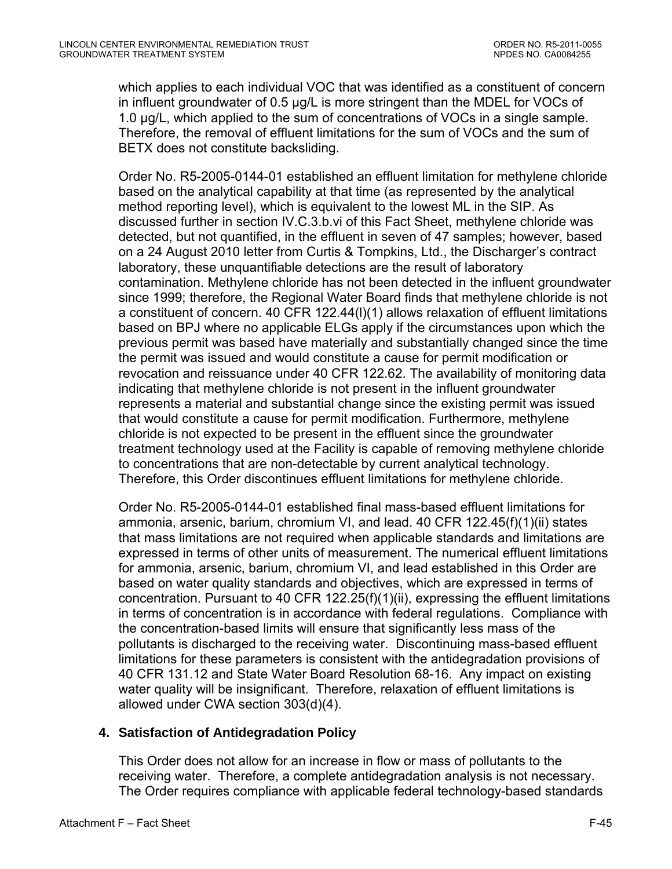which applies to each individual VOC that was identified as a constituent of concern in influent groundwater of 0.5 µg/L is more stringent than the MDEL for VOCs of 1.0 µg/L, which applied to the sum of concentrations of VOCs in a single sample. Therefore, the removal of effluent limitations for the sum of VOCs and the sum of BETX does not constitute backsliding.

Order No. R5-2005-0144-01 established an effluent limitation for methylene chloride based on the analytical capability at that time (as represented by the analytical method reporting level), which is equivalent to the lowest ML in the SIP. As discussed further in section IV.C.3.b.vi of this Fact Sheet, methylene chloride was detected, but not quantified, in the effluent in seven of 47 samples; however, based on a 24 August 2010 letter from Curtis & Tompkins, Ltd., the Discharger's contract laboratory, these unquantifiable detections are the result of laboratory contamination. Methylene chloride has not been detected in the influent groundwater since 1999; therefore, the Regional Water Board finds that methylene chloride is not a constituent of concern. 40 CFR 122.44(l)(1) allows relaxation of effluent limitations based on BPJ where no applicable ELGs apply if the circumstances upon which the previous permit was based have materially and substantially changed since the time the permit was issued and would constitute a cause for permit modification or revocation and reissuance under 40 CFR 122.62. The availability of monitoring data indicating that methylene chloride is not present in the influent groundwater represents a material and substantial change since the existing permit was issued that would constitute a cause for permit modification. Furthermore, methylene chloride is not expected to be present in the effluent since the groundwater treatment technology used at the Facility is capable of removing methylene chloride to concentrations that are non-detectable by current analytical technology. Therefore, this Order discontinues effluent limitations for methylene chloride.

Order No. R5-2005-0144-01 established final mass-based effluent limitations for ammonia, arsenic, barium, chromium VI, and lead. 40 CFR 122.45(f)(1)(ii) states that mass limitations are not required when applicable standards and limitations are expressed in terms of other units of measurement. The numerical effluent limitations for ammonia, arsenic, barium, chromium VI, and lead established in this Order are based on water quality standards and objectives, which are expressed in terms of concentration. Pursuant to 40 CFR 122.25(f)(1)(ii), expressing the effluent limitations in terms of concentration is in accordance with federal regulations. Compliance with the concentration-based limits will ensure that significantly less mass of the pollutants is discharged to the receiving water. Discontinuing mass-based effluent limitations for these parameters is consistent with the antidegradation provisions of 40 CFR 131.12 and State Water Board Resolution 68-16. Any impact on existing water quality will be insignificant. Therefore, relaxation of effluent limitations is allowed under CWA section 303(d)(4).

## **4. Satisfaction of Antidegradation Policy**

This Order does not allow for an increase in flow or mass of pollutants to the receiving water. Therefore, a complete antidegradation analysis is not necessary. The Order requires compliance with applicable federal technology-based standards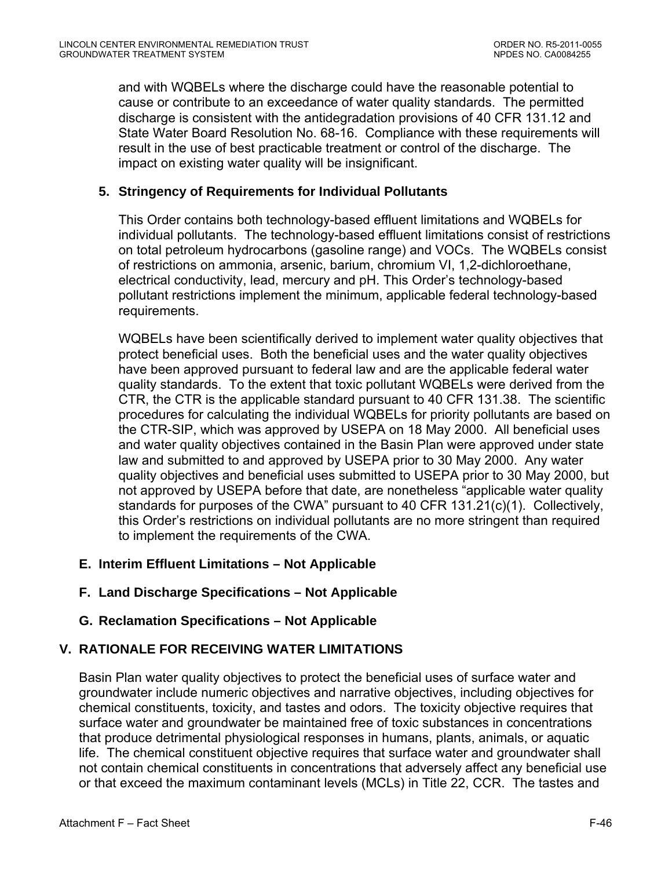and with WQBELs where the discharge could have the reasonable potential to cause or contribute to an exceedance of water quality standards. The permitted discharge is consistent with the antidegradation provisions of 40 CFR 131.12 and State Water Board Resolution No. 68-16. Compliance with these requirements will result in the use of best practicable treatment or control of the discharge. The impact on existing water quality will be insignificant.

#### **5. Stringency of Requirements for Individual Pollutants**

This Order contains both technology-based effluent limitations and WQBELs for individual pollutants. The technology-based effluent limitations consist of restrictions on total petroleum hydrocarbons (gasoline range) and VOCs. The WQBELs consist of restrictions on ammonia, arsenic, barium, chromium VI, 1,2-dichloroethane, electrical conductivity, lead, mercury and pH. This Order's technology-based pollutant restrictions implement the minimum, applicable federal technology-based requirements.

WQBELs have been scientifically derived to implement water quality objectives that protect beneficial uses. Both the beneficial uses and the water quality objectives have been approved pursuant to federal law and are the applicable federal water quality standards. To the extent that toxic pollutant WQBELs were derived from the CTR, the CTR is the applicable standard pursuant to 40 CFR 131.38. The scientific procedures for calculating the individual WQBELs for priority pollutants are based on the CTR-SIP, which was approved by USEPA on 18 May 2000. All beneficial uses and water quality objectives contained in the Basin Plan were approved under state law and submitted to and approved by USEPA prior to 30 May 2000. Any water quality objectives and beneficial uses submitted to USEPA prior to 30 May 2000, but not approved by USEPA before that date, are nonetheless "applicable water quality standards for purposes of the CWA" pursuant to 40 CFR 131.21(c)(1). Collectively, this Order's restrictions on individual pollutants are no more stringent than required to implement the requirements of the CWA.

## **E. Interim Effluent Limitations – Not Applicable**

## **F. Land Discharge Specifications – Not Applicable**

## **G. Reclamation Specifications – Not Applicable**

## **V. RATIONALE FOR RECEIVING WATER LIMITATIONS**

Basin Plan water quality objectives to protect the beneficial uses of surface water and groundwater include numeric objectives and narrative objectives, including objectives for chemical constituents, toxicity, and tastes and odors. The toxicity objective requires that surface water and groundwater be maintained free of toxic substances in concentrations that produce detrimental physiological responses in humans, plants, animals, or aquatic life. The chemical constituent objective requires that surface water and groundwater shall not contain chemical constituents in concentrations that adversely affect any beneficial use or that exceed the maximum contaminant levels (MCLs) in Title 22, CCR. The tastes and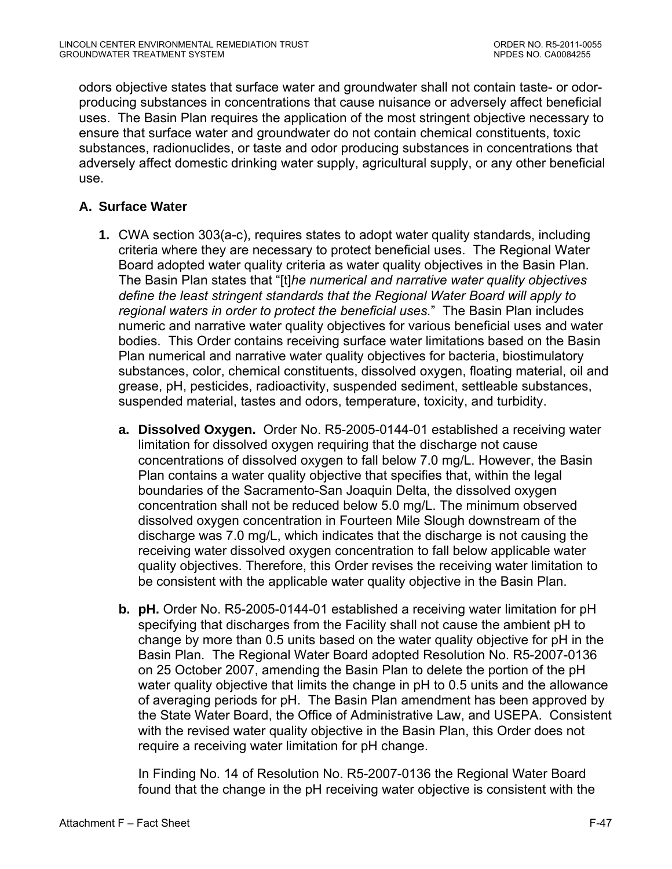odors objective states that surface water and groundwater shall not contain taste- or odorproducing substances in concentrations that cause nuisance or adversely affect beneficial uses. The Basin Plan requires the application of the most stringent objective necessary to ensure that surface water and groundwater do not contain chemical constituents, toxic substances, radionuclides, or taste and odor producing substances in concentrations that adversely affect domestic drinking water supply, agricultural supply, or any other beneficial use.

# **A. Surface Water**

- **1.** CWA section 303(a-c), requires states to adopt water quality standards, including criteria where they are necessary to protect beneficial uses. The Regional Water Board adopted water quality criteria as water quality objectives in the Basin Plan. The Basin Plan states that "[t]*he numerical and narrative water quality objectives define the least stringent standards that the Regional Water Board will apply to regional waters in order to protect the beneficial uses.*" The Basin Plan includes numeric and narrative water quality objectives for various beneficial uses and water bodies. This Order contains receiving surface water limitations based on the Basin Plan numerical and narrative water quality objectives for bacteria, biostimulatory substances, color, chemical constituents, dissolved oxygen, floating material, oil and grease, pH, pesticides, radioactivity, suspended sediment, settleable substances, suspended material, tastes and odors, temperature, toxicity, and turbidity.
	- **a. Dissolved Oxygen.** Order No. R5-2005-0144-01 established a receiving water limitation for dissolved oxygen requiring that the discharge not cause concentrations of dissolved oxygen to fall below 7.0 mg/L. However, the Basin Plan contains a water quality objective that specifies that, within the legal boundaries of the Sacramento-San Joaquin Delta, the dissolved oxygen concentration shall not be reduced below 5.0 mg/L. The minimum observed dissolved oxygen concentration in Fourteen Mile Slough downstream of the discharge was 7.0 mg/L, which indicates that the discharge is not causing the receiving water dissolved oxygen concentration to fall below applicable water quality objectives. Therefore, this Order revises the receiving water limitation to be consistent with the applicable water quality objective in the Basin Plan.
	- **b. pH.** Order No. R5-2005-0144-01 established a receiving water limitation for pH specifying that discharges from the Facility shall not cause the ambient pH to change by more than 0.5 units based on the water quality objective for pH in the Basin Plan. The Regional Water Board adopted Resolution No. R5-2007-0136 on 25 October 2007, amending the Basin Plan to delete the portion of the pH water quality objective that limits the change in pH to 0.5 units and the allowance of averaging periods for pH. The Basin Plan amendment has been approved by the State Water Board, the Office of Administrative Law, and USEPA. Consistent with the revised water quality objective in the Basin Plan, this Order does not require a receiving water limitation for pH change.

In Finding No. 14 of Resolution No. R5-2007-0136 the Regional Water Board found that the change in the pH receiving water objective is consistent with the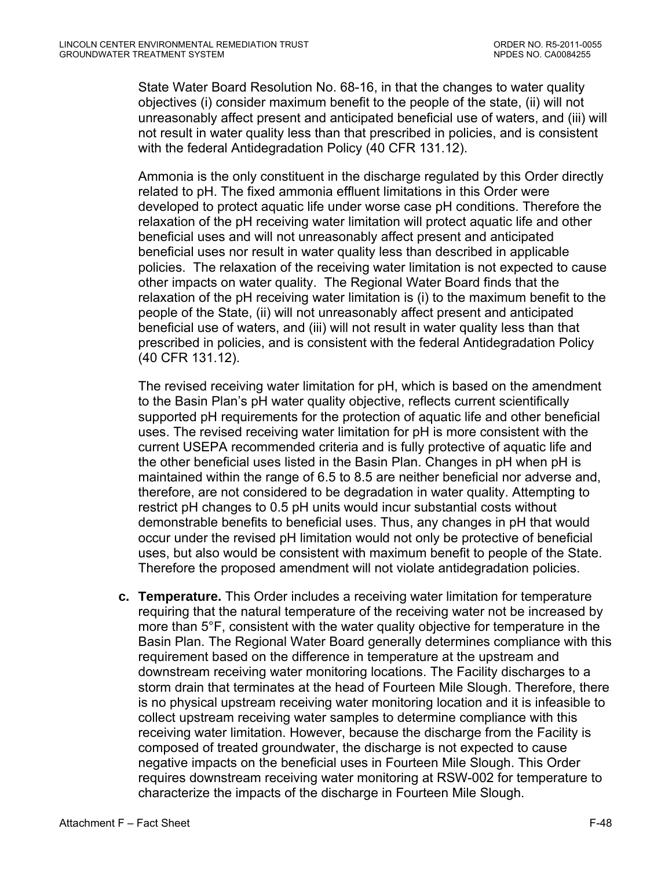State Water Board Resolution No. 68-16, in that the changes to water quality objectives (i) consider maximum benefit to the people of the state, (ii) will not unreasonably affect present and anticipated beneficial use of waters, and (iii) will not result in water quality less than that prescribed in policies, and is consistent with the federal Antidegradation Policy (40 CFR 131.12).

Ammonia is the only constituent in the discharge regulated by this Order directly related to pH. The fixed ammonia effluent limitations in this Order were developed to protect aquatic life under worse case pH conditions. Therefore the relaxation of the pH receiving water limitation will protect aquatic life and other beneficial uses and will not unreasonably affect present and anticipated beneficial uses nor result in water quality less than described in applicable policies. The relaxation of the receiving water limitation is not expected to cause other impacts on water quality. The Regional Water Board finds that the relaxation of the pH receiving water limitation is (i) to the maximum benefit to the people of the State, (ii) will not unreasonably affect present and anticipated beneficial use of waters, and (iii) will not result in water quality less than that prescribed in policies, and is consistent with the federal Antidegradation Policy (40 CFR 131.12).

The revised receiving water limitation for pH, which is based on the amendment to the Basin Plan's pH water quality objective, reflects current scientifically supported pH requirements for the protection of aquatic life and other beneficial uses. The revised receiving water limitation for pH is more consistent with the current USEPA recommended criteria and is fully protective of aquatic life and the other beneficial uses listed in the Basin Plan. Changes in pH when pH is maintained within the range of 6.5 to 8.5 are neither beneficial nor adverse and, therefore, are not considered to be degradation in water quality. Attempting to restrict pH changes to 0.5 pH units would incur substantial costs without demonstrable benefits to beneficial uses. Thus, any changes in pH that would occur under the revised pH limitation would not only be protective of beneficial uses, but also would be consistent with maximum benefit to people of the State. Therefore the proposed amendment will not violate antidegradation policies.

**c. Temperature.** This Order includes a receiving water limitation for temperature requiring that the natural temperature of the receiving water not be increased by more than 5°F, consistent with the water quality objective for temperature in the Basin Plan. The Regional Water Board generally determines compliance with this requirement based on the difference in temperature at the upstream and downstream receiving water monitoring locations. The Facility discharges to a storm drain that terminates at the head of Fourteen Mile Slough. Therefore, there is no physical upstream receiving water monitoring location and it is infeasible to collect upstream receiving water samples to determine compliance with this receiving water limitation. However, because the discharge from the Facility is composed of treated groundwater, the discharge is not expected to cause negative impacts on the beneficial uses in Fourteen Mile Slough. This Order requires downstream receiving water monitoring at RSW-002 for temperature to characterize the impacts of the discharge in Fourteen Mile Slough.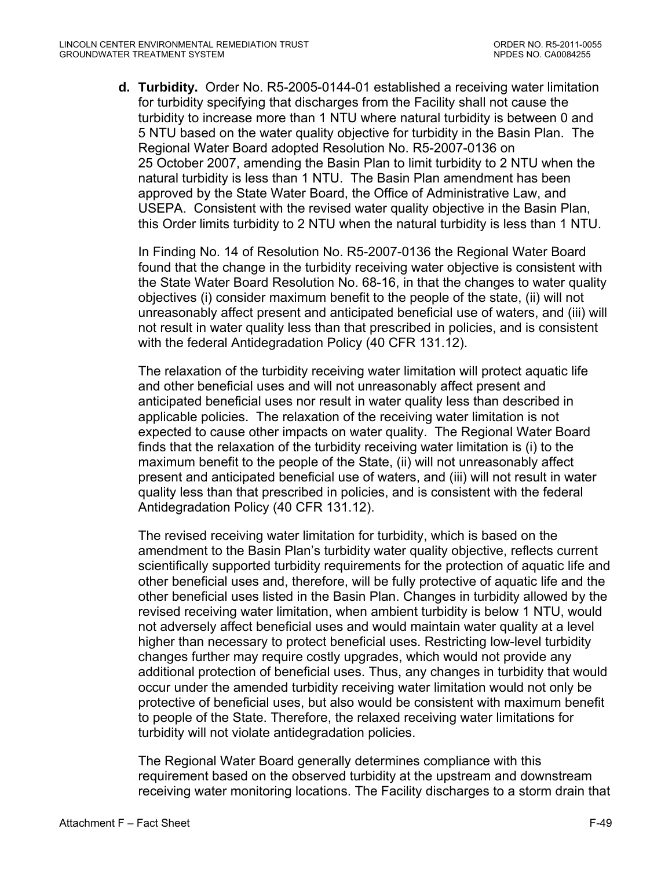**d. Turbidity.** Order No. R5-2005-0144-01 established a receiving water limitation for turbidity specifying that discharges from the Facility shall not cause the turbidity to increase more than 1 NTU where natural turbidity is between 0 and 5 NTU based on the water quality objective for turbidity in the Basin Plan. The Regional Water Board adopted Resolution No. R5-2007-0136 on 25 October 2007, amending the Basin Plan to limit turbidity to 2 NTU when the natural turbidity is less than 1 NTU. The Basin Plan amendment has been approved by the State Water Board, the Office of Administrative Law, and USEPA. Consistent with the revised water quality objective in the Basin Plan, this Order limits turbidity to 2 NTU when the natural turbidity is less than 1 NTU.

In Finding No. 14 of Resolution No. R5-2007-0136 the Regional Water Board found that the change in the turbidity receiving water objective is consistent with the State Water Board Resolution No. 68-16, in that the changes to water quality objectives (i) consider maximum benefit to the people of the state, (ii) will not unreasonably affect present and anticipated beneficial use of waters, and (iii) will not result in water quality less than that prescribed in policies, and is consistent with the federal Antidegradation Policy (40 CFR 131.12).

The relaxation of the turbidity receiving water limitation will protect aquatic life and other beneficial uses and will not unreasonably affect present and anticipated beneficial uses nor result in water quality less than described in applicable policies. The relaxation of the receiving water limitation is not expected to cause other impacts on water quality. The Regional Water Board finds that the relaxation of the turbidity receiving water limitation is (i) to the maximum benefit to the people of the State, (ii) will not unreasonably affect present and anticipated beneficial use of waters, and (iii) will not result in water quality less than that prescribed in policies, and is consistent with the federal Antidegradation Policy (40 CFR 131.12).

The revised receiving water limitation for turbidity, which is based on the amendment to the Basin Plan's turbidity water quality objective, reflects current scientifically supported turbidity requirements for the protection of aquatic life and other beneficial uses and, therefore, will be fully protective of aquatic life and the other beneficial uses listed in the Basin Plan. Changes in turbidity allowed by the revised receiving water limitation, when ambient turbidity is below 1 NTU, would not adversely affect beneficial uses and would maintain water quality at a level higher than necessary to protect beneficial uses. Restricting low-level turbidity changes further may require costly upgrades, which would not provide any additional protection of beneficial uses. Thus, any changes in turbidity that would occur under the amended turbidity receiving water limitation would not only be protective of beneficial uses, but also would be consistent with maximum benefit to people of the State. Therefore, the relaxed receiving water limitations for turbidity will not violate antidegradation policies.

The Regional Water Board generally determines compliance with this requirement based on the observed turbidity at the upstream and downstream receiving water monitoring locations. The Facility discharges to a storm drain that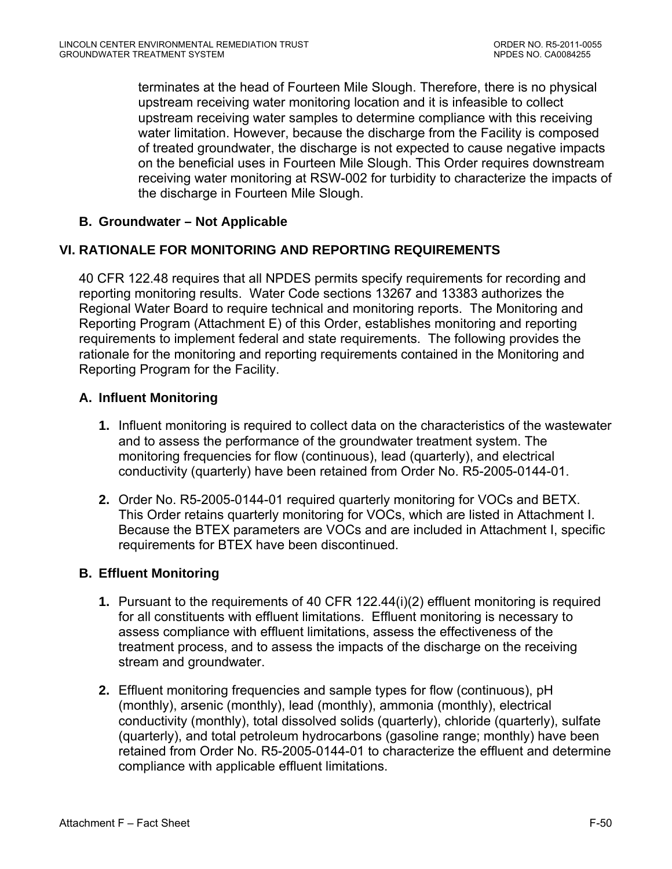terminates at the head of Fourteen Mile Slough. Therefore, there is no physical upstream receiving water monitoring location and it is infeasible to collect upstream receiving water samples to determine compliance with this receiving water limitation. However, because the discharge from the Facility is composed of treated groundwater, the discharge is not expected to cause negative impacts on the beneficial uses in Fourteen Mile Slough. This Order requires downstream receiving water monitoring at RSW-002 for turbidity to characterize the impacts of the discharge in Fourteen Mile Slough.

# **B. Groundwater – Not Applicable**

## **VI. RATIONALE FOR MONITORING AND REPORTING REQUIREMENTS**

40 CFR 122.48 requires that all NPDES permits specify requirements for recording and reporting monitoring results. Water Code sections 13267 and 13383 authorizes the Regional Water Board to require technical and monitoring reports. The Monitoring and Reporting Program (Attachment E) of this Order, establishes monitoring and reporting requirements to implement federal and state requirements. The following provides the rationale for the monitoring and reporting requirements contained in the Monitoring and Reporting Program for the Facility.

## **A. Influent Monitoring**

- **1.** Influent monitoring is required to collect data on the characteristics of the wastewater and to assess the performance of the groundwater treatment system. The monitoring frequencies for flow (continuous), lead (quarterly), and electrical conductivity (quarterly) have been retained from Order No. R5-2005-0144-01.
- **2.** Order No. R5-2005-0144-01 required quarterly monitoring for VOCs and BETX. This Order retains quarterly monitoring for VOCs, which are listed in Attachment I. Because the BTEX parameters are VOCs and are included in Attachment I, specific requirements for BTEX have been discontinued.

## **B. Effluent Monitoring**

- **1.** Pursuant to the requirements of 40 CFR 122.44(i)(2) effluent monitoring is required for all constituents with effluent limitations. Effluent monitoring is necessary to assess compliance with effluent limitations, assess the effectiveness of the treatment process, and to assess the impacts of the discharge on the receiving stream and groundwater.
- **2.** Effluent monitoring frequencies and sample types for flow (continuous), pH (monthly), arsenic (monthly), lead (monthly), ammonia (monthly), electrical conductivity (monthly), total dissolved solids (quarterly), chloride (quarterly), sulfate (quarterly), and total petroleum hydrocarbons (gasoline range; monthly) have been retained from Order No. R5-2005-0144-01 to characterize the effluent and determine compliance with applicable effluent limitations.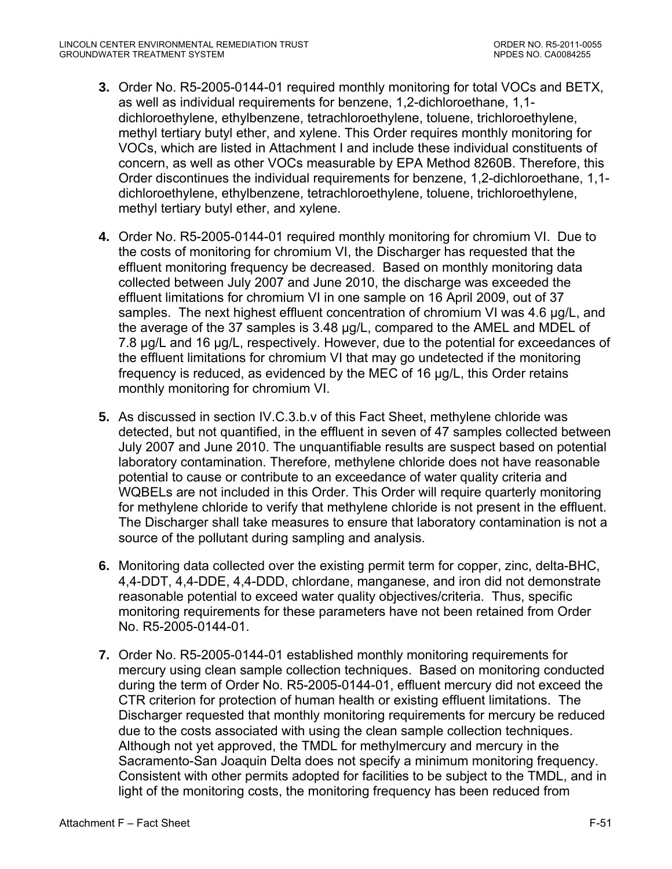- **3.** Order No. R5-2005-0144-01 required monthly monitoring for total VOCs and BETX, as well as individual requirements for benzene, 1,2-dichloroethane, 1,1 dichloroethylene, ethylbenzene, tetrachloroethylene, toluene, trichloroethylene, methyl tertiary butyl ether, and xylene. This Order requires monthly monitoring for VOCs, which are listed in Attachment I and include these individual constituents of concern, as well as other VOCs measurable by EPA Method 8260B. Therefore, this Order discontinues the individual requirements for benzene, 1,2-dichloroethane, 1,1 dichloroethylene, ethylbenzene, tetrachloroethylene, toluene, trichloroethylene, methyl tertiary butyl ether, and xylene.
- **4.** Order No. R5-2005-0144-01 required monthly monitoring for chromium VI. Due to the costs of monitoring for chromium VI, the Discharger has requested that the effluent monitoring frequency be decreased. Based on monthly monitoring data collected between July 2007 and June 2010, the discharge was exceeded the effluent limitations for chromium VI in one sample on 16 April 2009, out of 37 samples. The next highest effluent concentration of chromium VI was 4.6 µg/L, and the average of the 37 samples is 3.48 µg/L, compared to the AMEL and MDEL of 7.8 µg/L and 16 µg/L, respectively. However, due to the potential for exceedances of the effluent limitations for chromium VI that may go undetected if the monitoring frequency is reduced, as evidenced by the MEC of 16 µg/L, this Order retains monthly monitoring for chromium VI.
- **5.** As discussed in section IV.C.3.b.v of this Fact Sheet, methylene chloride was detected, but not quantified, in the effluent in seven of 47 samples collected between July 2007 and June 2010. The unquantifiable results are suspect based on potential laboratory contamination. Therefore, methylene chloride does not have reasonable potential to cause or contribute to an exceedance of water quality criteria and WQBELs are not included in this Order. This Order will require quarterly monitoring for methylene chloride to verify that methylene chloride is not present in the effluent. The Discharger shall take measures to ensure that laboratory contamination is not a source of the pollutant during sampling and analysis.
- **6.** Monitoring data collected over the existing permit term for copper, zinc, delta-BHC, 4,4-DDT, 4,4-DDE, 4,4-DDD, chlordane, manganese, and iron did not demonstrate reasonable potential to exceed water quality objectives/criteria. Thus, specific monitoring requirements for these parameters have not been retained from Order No. R5-2005-0144-01.
- **7.** Order No. R5-2005-0144-01 established monthly monitoring requirements for mercury using clean sample collection techniques. Based on monitoring conducted during the term of Order No. R5-2005-0144-01, effluent mercury did not exceed the CTR criterion for protection of human health or existing effluent limitations. The Discharger requested that monthly monitoring requirements for mercury be reduced due to the costs associated with using the clean sample collection techniques. Although not yet approved, the TMDL for methylmercury and mercury in the Sacramento-San Joaquin Delta does not specify a minimum monitoring frequency. Consistent with other permits adopted for facilities to be subject to the TMDL, and in light of the monitoring costs, the monitoring frequency has been reduced from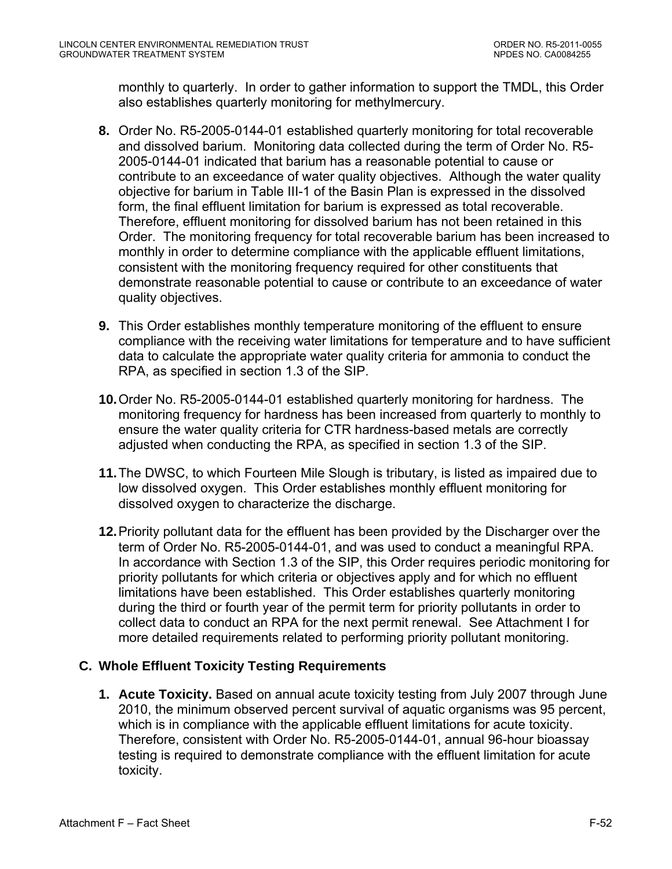monthly to quarterly. In order to gather information to support the TMDL, this Order also establishes quarterly monitoring for methylmercury.

- **8.** Order No. R5-2005-0144-01 established quarterly monitoring for total recoverable and dissolved barium. Monitoring data collected during the term of Order No. R5- 2005-0144-01 indicated that barium has a reasonable potential to cause or contribute to an exceedance of water quality objectives. Although the water quality objective for barium in Table III-1 of the Basin Plan is expressed in the dissolved form, the final effluent limitation for barium is expressed as total recoverable. Therefore, effluent monitoring for dissolved barium has not been retained in this Order. The monitoring frequency for total recoverable barium has been increased to monthly in order to determine compliance with the applicable effluent limitations, consistent with the monitoring frequency required for other constituents that demonstrate reasonable potential to cause or contribute to an exceedance of water quality objectives.
- **9.** This Order establishes monthly temperature monitoring of the effluent to ensure compliance with the receiving water limitations for temperature and to have sufficient data to calculate the appropriate water quality criteria for ammonia to conduct the RPA, as specified in section 1.3 of the SIP.
- **10.**Order No. R5-2005-0144-01 established quarterly monitoring for hardness. The monitoring frequency for hardness has been increased from quarterly to monthly to ensure the water quality criteria for CTR hardness-based metals are correctly adjusted when conducting the RPA, as specified in section 1.3 of the SIP.
- **11.**The DWSC, to which Fourteen Mile Slough is tributary, is listed as impaired due to low dissolved oxygen. This Order establishes monthly effluent monitoring for dissolved oxygen to characterize the discharge.
- **12.**Priority pollutant data for the effluent has been provided by the Discharger over the term of Order No. R5-2005-0144-01, and was used to conduct a meaningful RPA. In accordance with Section 1.3 of the SIP, this Order requires periodic monitoring for priority pollutants for which criteria or objectives apply and for which no effluent limitations have been established. This Order establishes quarterly monitoring during the third or fourth year of the permit term for priority pollutants in order to collect data to conduct an RPA for the next permit renewal. See Attachment I for more detailed requirements related to performing priority pollutant monitoring.

## **C. Whole Effluent Toxicity Testing Requirements**

**1. Acute Toxicity.** Based on annual acute toxicity testing from July 2007 through June 2010, the minimum observed percent survival of aquatic organisms was 95 percent, which is in compliance with the applicable effluent limitations for acute toxicity. Therefore, consistent with Order No. R5-2005-0144-01, annual 96-hour bioassay testing is required to demonstrate compliance with the effluent limitation for acute toxicity.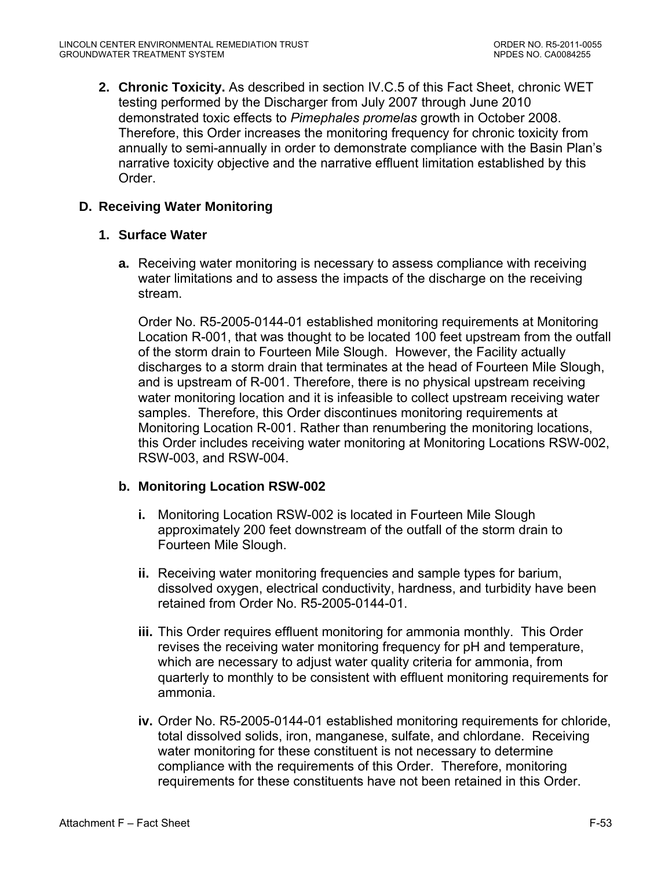**2. Chronic Toxicity.** As described in section IV.C.5 of this Fact Sheet, chronic WET testing performed by the Discharger from July 2007 through June 2010 demonstrated toxic effects to *Pimephales promelas* growth in October 2008. Therefore, this Order increases the monitoring frequency for chronic toxicity from annually to semi-annually in order to demonstrate compliance with the Basin Plan's narrative toxicity objective and the narrative effluent limitation established by this Order.

# **D. Receiving Water Monitoring**

#### **1. Surface Water**

**a.** Receiving water monitoring is necessary to assess compliance with receiving water limitations and to assess the impacts of the discharge on the receiving stream.

Order No. R5-2005-0144-01 established monitoring requirements at Monitoring Location R-001, that was thought to be located 100 feet upstream from the outfall of the storm drain to Fourteen Mile Slough. However, the Facility actually discharges to a storm drain that terminates at the head of Fourteen Mile Slough, and is upstream of R-001. Therefore, there is no physical upstream receiving water monitoring location and it is infeasible to collect upstream receiving water samples. Therefore, this Order discontinues monitoring requirements at Monitoring Location R-001. Rather than renumbering the monitoring locations, this Order includes receiving water monitoring at Monitoring Locations RSW-002, RSW-003, and RSW-004.

#### **b. Monitoring Location RSW-002**

- **i.** Monitoring Location RSW-002 is located in Fourteen Mile Slough approximately 200 feet downstream of the outfall of the storm drain to Fourteen Mile Slough.
- **ii.** Receiving water monitoring frequencies and sample types for barium, dissolved oxygen, electrical conductivity, hardness, and turbidity have been retained from Order No. R5-2005-0144-01.
- **iii.** This Order requires effluent monitoring for ammonia monthly. This Order revises the receiving water monitoring frequency for pH and temperature, which are necessary to adjust water quality criteria for ammonia, from quarterly to monthly to be consistent with effluent monitoring requirements for ammonia.
- **iv.** Order No. R5-2005-0144-01 established monitoring requirements for chloride, total dissolved solids, iron, manganese, sulfate, and chlordane. Receiving water monitoring for these constituent is not necessary to determine compliance with the requirements of this Order. Therefore, monitoring requirements for these constituents have not been retained in this Order.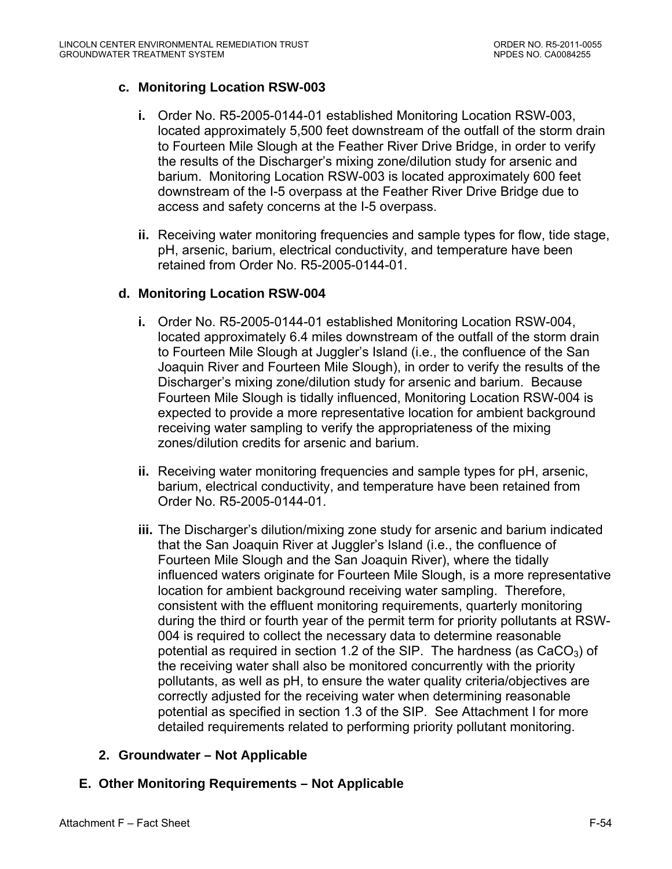## **c. Monitoring Location RSW-003**

- **i.** Order No. R5-2005-0144-01 established Monitoring Location RSW-003, located approximately 5,500 feet downstream of the outfall of the storm drain to Fourteen Mile Slough at the Feather River Drive Bridge, in order to verify the results of the Discharger's mixing zone/dilution study for arsenic and barium. Monitoring Location RSW-003 is located approximately 600 feet downstream of the I-5 overpass at the Feather River Drive Bridge due to access and safety concerns at the I-5 overpass.
- **ii.** Receiving water monitoring frequencies and sample types for flow, tide stage, pH, arsenic, barium, electrical conductivity, and temperature have been retained from Order No. R5-2005-0144-01.

#### **d. Monitoring Location RSW-004**

- **i.** Order No. R5-2005-0144-01 established Monitoring Location RSW-004, located approximately 6.4 miles downstream of the outfall of the storm drain to Fourteen Mile Slough at Juggler's Island (i.e., the confluence of the San Joaquin River and Fourteen Mile Slough), in order to verify the results of the Discharger's mixing zone/dilution study for arsenic and barium. Because Fourteen Mile Slough is tidally influenced, Monitoring Location RSW-004 is expected to provide a more representative location for ambient background receiving water sampling to verify the appropriateness of the mixing zones/dilution credits for arsenic and barium.
- **ii.** Receiving water monitoring frequencies and sample types for pH, arsenic, barium, electrical conductivity, and temperature have been retained from Order No. R5-2005-0144-01.
- **iii.** The Discharger's dilution/mixing zone study for arsenic and barium indicated that the San Joaquin River at Juggler's Island (i.e., the confluence of Fourteen Mile Slough and the San Joaquin River), where the tidally influenced waters originate for Fourteen Mile Slough, is a more representative location for ambient background receiving water sampling. Therefore, consistent with the effluent monitoring requirements, quarterly monitoring during the third or fourth year of the permit term for priority pollutants at RSW-004 is required to collect the necessary data to determine reasonable potential as required in section 1.2 of the SIP. The hardness (as  $CaCO<sub>3</sub>$ ) of the receiving water shall also be monitored concurrently with the priority pollutants, as well as pH, to ensure the water quality criteria/objectives are correctly adjusted for the receiving water when determining reasonable potential as specified in section 1.3 of the SIP. See Attachment I for more detailed requirements related to performing priority pollutant monitoring.

#### **2. Groundwater – Not Applicable**

## **E. Other Monitoring Requirements – Not Applicable**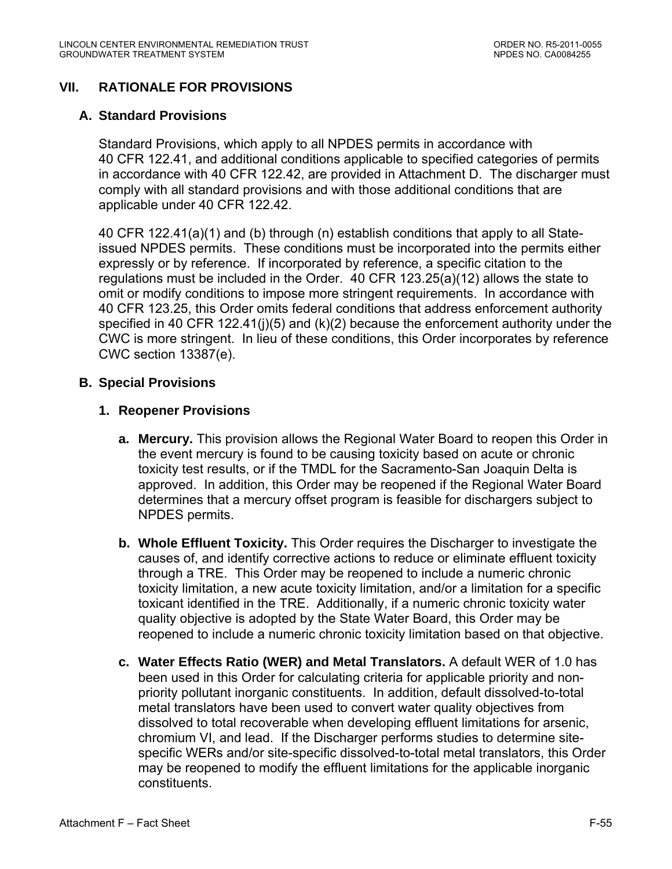# **VII. RATIONALE FOR PROVISIONS**

#### **A. Standard Provisions**

Standard Provisions, which apply to all NPDES permits in accordance with 40 CFR 122.41, and additional conditions applicable to specified categories of permits in accordance with 40 CFR 122.42, are provided in Attachment D. The discharger must comply with all standard provisions and with those additional conditions that are applicable under 40 CFR 122.42.

40 CFR 122.41(a)(1) and (b) through (n) establish conditions that apply to all Stateissued NPDES permits. These conditions must be incorporated into the permits either expressly or by reference. If incorporated by reference, a specific citation to the regulations must be included in the Order. 40 CFR 123.25(a)(12) allows the state to omit or modify conditions to impose more stringent requirements. In accordance with 40 CFR 123.25, this Order omits federal conditions that address enforcement authority specified in 40 CFR 122.41(j)(5) and  $(k)(2)$  because the enforcement authority under the CWC is more stringent. In lieu of these conditions, this Order incorporates by reference CWC section 13387(e).

#### **B. Special Provisions**

#### **1. Reopener Provisions**

- **a. Mercury.** This provision allows the Regional Water Board to reopen this Order in the event mercury is found to be causing toxicity based on acute or chronic toxicity test results, or if the TMDL for the Sacramento-San Joaquin Delta is approved. In addition, this Order may be reopened if the Regional Water Board determines that a mercury offset program is feasible for dischargers subject to NPDES permits.
- **b. Whole Effluent Toxicity.** This Order requires the Discharger to investigate the causes of, and identify corrective actions to reduce or eliminate effluent toxicity through a TRE. This Order may be reopened to include a numeric chronic toxicity limitation, a new acute toxicity limitation, and/or a limitation for a specific toxicant identified in the TRE. Additionally, if a numeric chronic toxicity water quality objective is adopted by the State Water Board, this Order may be reopened to include a numeric chronic toxicity limitation based on that objective.
- **c. Water Effects Ratio (WER) and Metal Translators.** A default WER of 1.0 has been used in this Order for calculating criteria for applicable priority and nonpriority pollutant inorganic constituents. In addition, default dissolved-to-total metal translators have been used to convert water quality objectives from dissolved to total recoverable when developing effluent limitations for arsenic, chromium VI, and lead. If the Discharger performs studies to determine sitespecific WERs and/or site-specific dissolved-to-total metal translators, this Order may be reopened to modify the effluent limitations for the applicable inorganic constituents.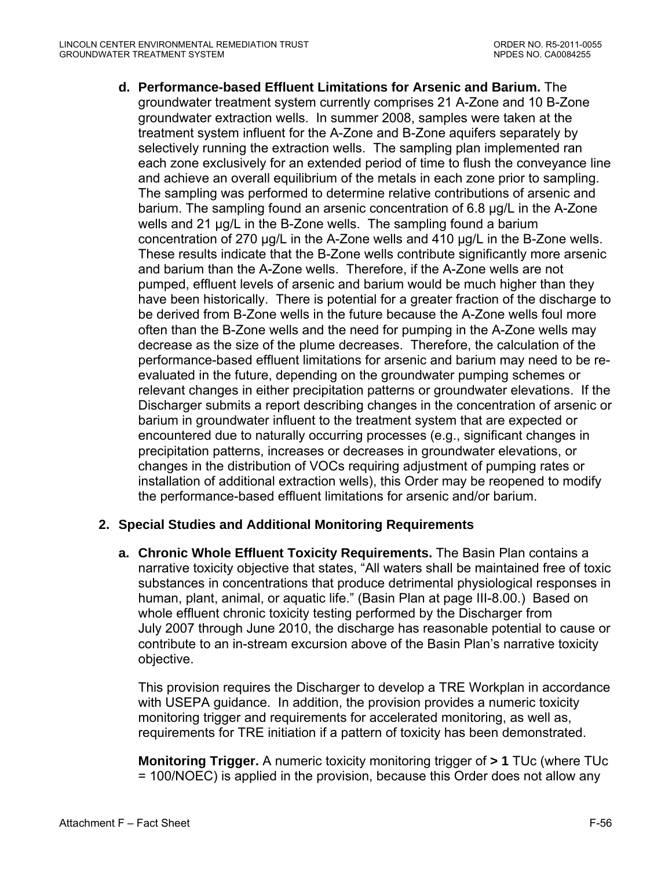**d. Performance-based Effluent Limitations for Arsenic and Barium.** The groundwater treatment system currently comprises 21 A-Zone and 10 B-Zone groundwater extraction wells. In summer 2008, samples were taken at the treatment system influent for the A-Zone and B-Zone aquifers separately by selectively running the extraction wells. The sampling plan implemented ran each zone exclusively for an extended period of time to flush the conveyance line and achieve an overall equilibrium of the metals in each zone prior to sampling. The sampling was performed to determine relative contributions of arsenic and barium. The sampling found an arsenic concentration of 6.8 µg/L in the A-Zone wells and 21 ug/L in the B-Zone wells. The sampling found a barium concentration of 270 µg/L in the A-Zone wells and 410 µg/L in the B-Zone wells. These results indicate that the B-Zone wells contribute significantly more arsenic and barium than the A-Zone wells. Therefore, if the A-Zone wells are not pumped, effluent levels of arsenic and barium would be much higher than they have been historically. There is potential for a greater fraction of the discharge to be derived from B-Zone wells in the future because the A-Zone wells foul more often than the B-Zone wells and the need for pumping in the A-Zone wells may decrease as the size of the plume decreases. Therefore, the calculation of the performance-based effluent limitations for arsenic and barium may need to be reevaluated in the future, depending on the groundwater pumping schemes or relevant changes in either precipitation patterns or groundwater elevations. If the Discharger submits a report describing changes in the concentration of arsenic or barium in groundwater influent to the treatment system that are expected or encountered due to naturally occurring processes (e.g., significant changes in precipitation patterns, increases or decreases in groundwater elevations, or changes in the distribution of VOCs requiring adjustment of pumping rates or installation of additional extraction wells), this Order may be reopened to modify the performance-based effluent limitations for arsenic and/or barium.

# **2. Special Studies and Additional Monitoring Requirements**

**a. Chronic Whole Effluent Toxicity Requirements.** The Basin Plan contains a narrative toxicity objective that states, "All waters shall be maintained free of toxic substances in concentrations that produce detrimental physiological responses in human, plant, animal, or aquatic life." (Basin Plan at page III-8.00.) Based on whole effluent chronic toxicity testing performed by the Discharger from July 2007 through June 2010, the discharge has reasonable potential to cause or contribute to an in-stream excursion above of the Basin Plan's narrative toxicity objective.

This provision requires the Discharger to develop a TRE Workplan in accordance with USEPA guidance. In addition, the provision provides a numeric toxicity monitoring trigger and requirements for accelerated monitoring, as well as, requirements for TRE initiation if a pattern of toxicity has been demonstrated.

**Monitoring Trigger.** A numeric toxicity monitoring trigger of **> 1** TUc (where TUc = 100/NOEC) is applied in the provision, because this Order does not allow any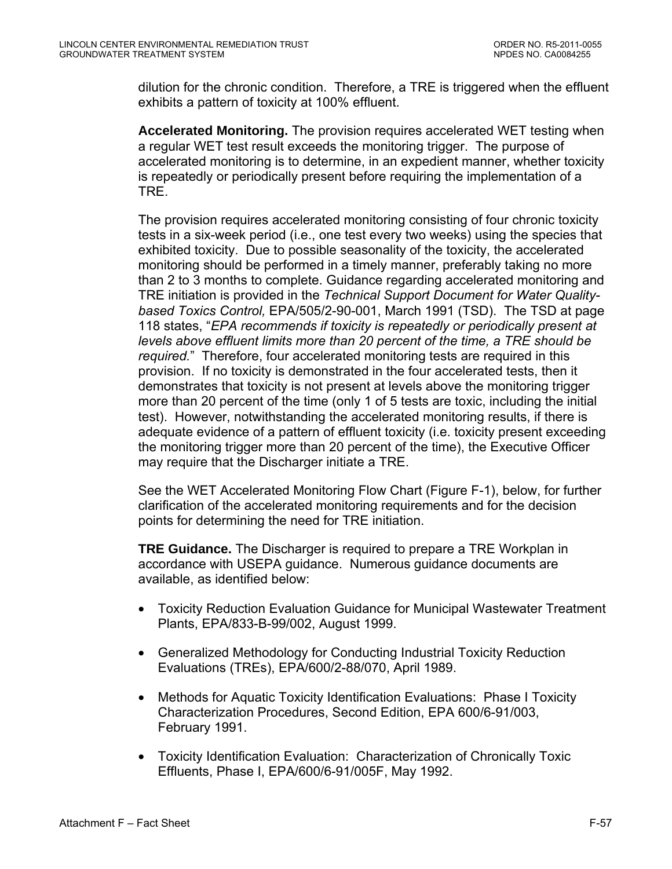dilution for the chronic condition. Therefore, a TRE is triggered when the effluent exhibits a pattern of toxicity at 100% effluent.

**Accelerated Monitoring.** The provision requires accelerated WET testing when a regular WET test result exceeds the monitoring trigger. The purpose of accelerated monitoring is to determine, in an expedient manner, whether toxicity is repeatedly or periodically present before requiring the implementation of a TRE.

The provision requires accelerated monitoring consisting of four chronic toxicity tests in a six-week period (i.e., one test every two weeks) using the species that exhibited toxicity. Due to possible seasonality of the toxicity, the accelerated monitoring should be performed in a timely manner, preferably taking no more than 2 to 3 months to complete. Guidance regarding accelerated monitoring and TRE initiation is provided in the *Technical Support Document for Water Qualitybased Toxics Control,* EPA/505/2-90-001, March 1991 (TSD). The TSD at page 118 states, "*EPA recommends if toxicity is repeatedly or periodically present at levels above effluent limits more than 20 percent of the time, a TRE should be required.*" Therefore, four accelerated monitoring tests are required in this provision. If no toxicity is demonstrated in the four accelerated tests, then it demonstrates that toxicity is not present at levels above the monitoring trigger more than 20 percent of the time (only 1 of 5 tests are toxic, including the initial test). However, notwithstanding the accelerated monitoring results, if there is adequate evidence of a pattern of effluent toxicity (i.e. toxicity present exceeding the monitoring trigger more than 20 percent of the time), the Executive Officer may require that the Discharger initiate a TRE.

See the WET Accelerated Monitoring Flow Chart (Figure F-1), below, for further clarification of the accelerated monitoring requirements and for the decision points for determining the need for TRE initiation.

**TRE Guidance.** The Discharger is required to prepare a TRE Workplan in accordance with USEPA guidance. Numerous guidance documents are available, as identified below:

- Toxicity Reduction Evaluation Guidance for Municipal Wastewater Treatment Plants, EPA/833-B-99/002, August 1999.
- Generalized Methodology for Conducting Industrial Toxicity Reduction Evaluations (TREs), EPA/600/2-88/070, April 1989.
- Methods for Aquatic Toxicity Identification Evaluations: Phase I Toxicity Characterization Procedures, Second Edition, EPA 600/6-91/003, February 1991.
- Toxicity Identification Evaluation: Characterization of Chronically Toxic Effluents, Phase I, EPA/600/6-91/005F, May 1992.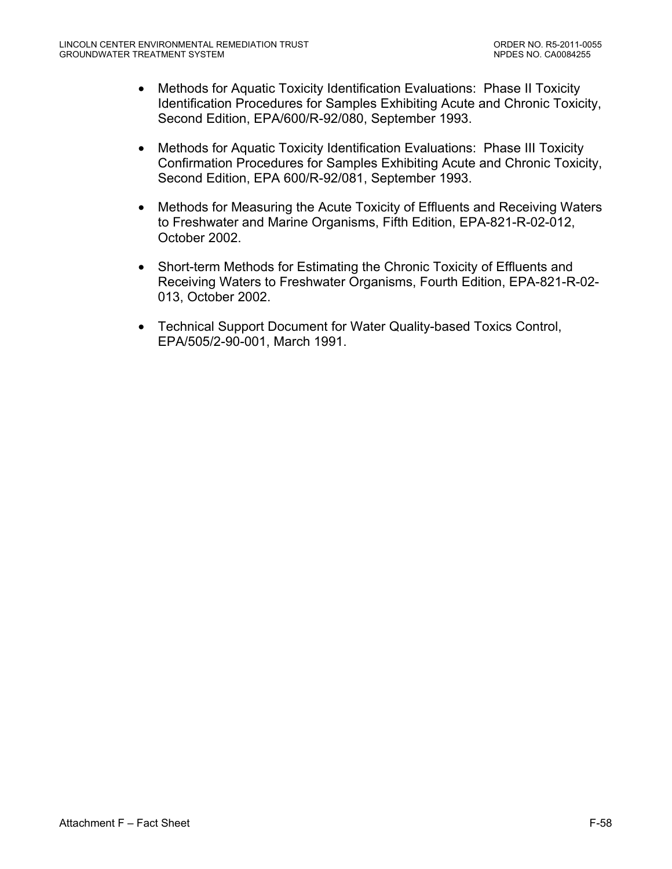- Methods for Aquatic Toxicity Identification Evaluations: Phase II Toxicity Identification Procedures for Samples Exhibiting Acute and Chronic Toxicity, Second Edition, EPA/600/R-92/080, September 1993.
- Methods for Aquatic Toxicity Identification Evaluations: Phase III Toxicity Confirmation Procedures for Samples Exhibiting Acute and Chronic Toxicity, Second Edition, EPA 600/R-92/081, September 1993.
- Methods for Measuring the Acute Toxicity of Effluents and Receiving Waters to Freshwater and Marine Organisms, Fifth Edition, EPA-821-R-02-012, October 2002.
- Short-term Methods for Estimating the Chronic Toxicity of Effluents and Receiving Waters to Freshwater Organisms, Fourth Edition, EPA-821-R-02- 013, October 2002.
- Technical Support Document for Water Quality-based Toxics Control, EPA/505/2-90-001, March 1991.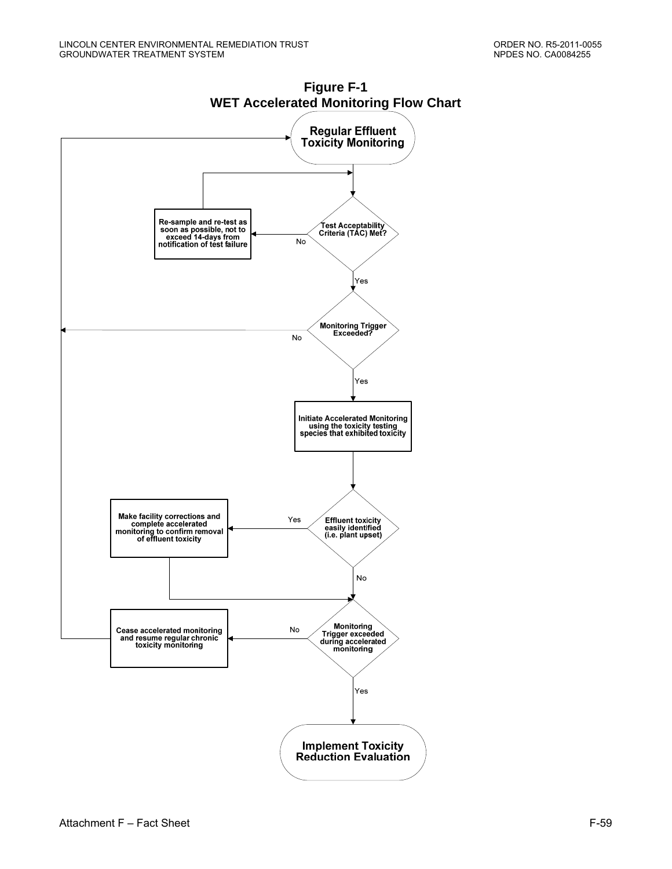

**Figure F-1 WET Accelerated Monitoring Flow Chart**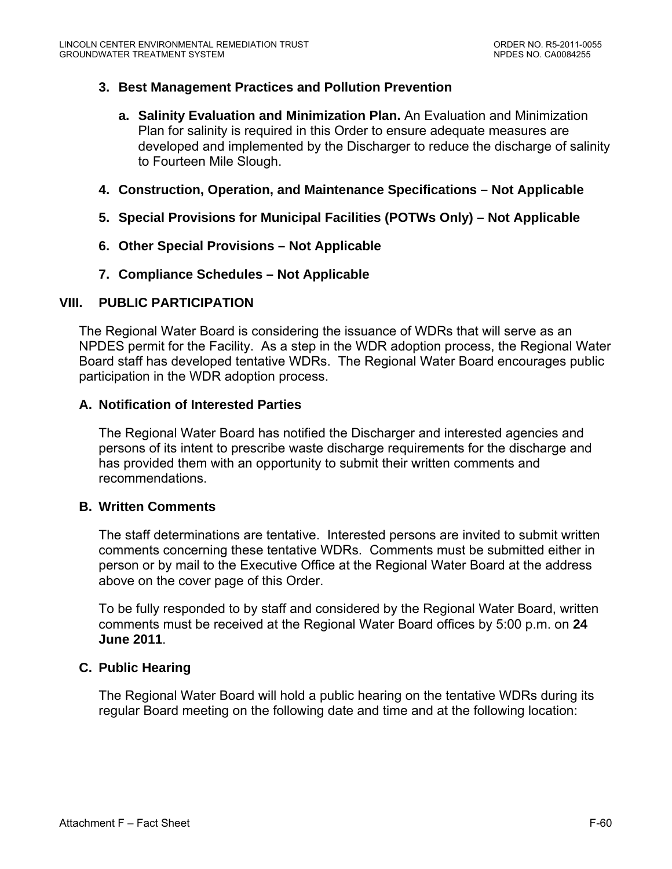# **3. Best Management Practices and Pollution Prevention**

- **a. Salinity Evaluation and Minimization Plan.** An Evaluation and Minimization Plan for salinity is required in this Order to ensure adequate measures are developed and implemented by the Discharger to reduce the discharge of salinity to Fourteen Mile Slough.
- **4. Construction, Operation, and Maintenance Specifications Not Applicable**
- **5. Special Provisions for Municipal Facilities (POTWs Only) Not Applicable**
- **6. Other Special Provisions Not Applicable**
- **7. Compliance Schedules Not Applicable**

# **VIII. PUBLIC PARTICIPATION**

The Regional Water Board is considering the issuance of WDRs that will serve as an NPDES permit for the Facility. As a step in the WDR adoption process, the Regional Water Board staff has developed tentative WDRs. The Regional Water Board encourages public participation in the WDR adoption process.

# **A. Notification of Interested Parties**

The Regional Water Board has notified the Discharger and interested agencies and persons of its intent to prescribe waste discharge requirements for the discharge and has provided them with an opportunity to submit their written comments and recommendations.

# **B. Written Comments**

The staff determinations are tentative. Interested persons are invited to submit written comments concerning these tentative WDRs. Comments must be submitted either in person or by mail to the Executive Office at the Regional Water Board at the address above on the cover page of this Order.

To be fully responded to by staff and considered by the Regional Water Board, written comments must be received at the Regional Water Board offices by 5:00 p.m. on **24 June 2011**.

# **C. Public Hearing**

The Regional Water Board will hold a public hearing on the tentative WDRs during its regular Board meeting on the following date and time and at the following location: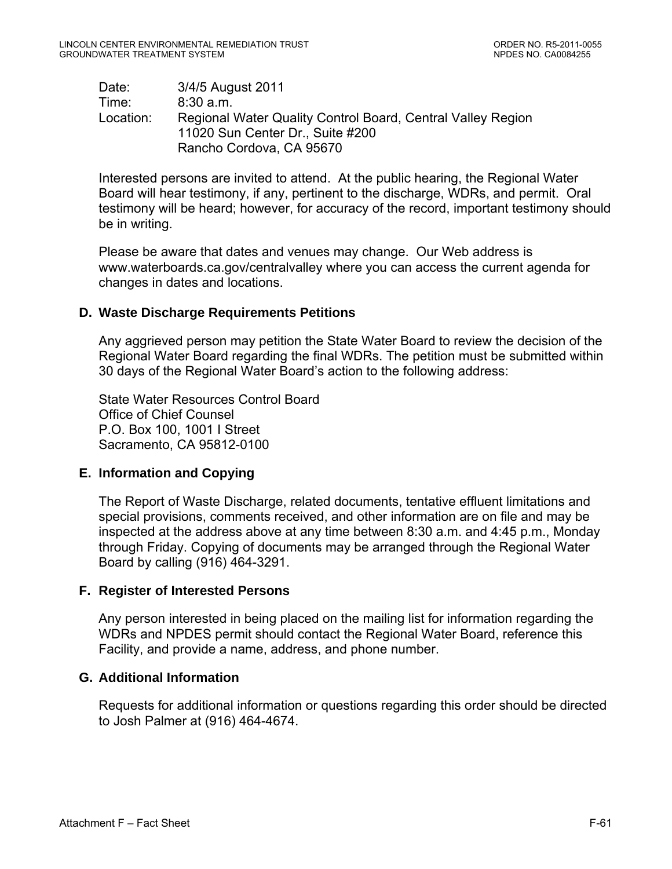Date: 3/4/5 August 2011 Time: 8:30 a.m. Location: Regional Water Quality Control Board, Central Valley Region 11020 Sun Center Dr., Suite #200 Rancho Cordova, CA 95670

Interested persons are invited to attend. At the public hearing, the Regional Water Board will hear testimony, if any, pertinent to the discharge, WDRs, and permit. Oral testimony will be heard; however, for accuracy of the record, important testimony should be in writing.

Please be aware that dates and venues may change. Our Web address is www.waterboards.ca.gov/centralvalley where you can access the current agenda for changes in dates and locations.

# **D. Waste Discharge Requirements Petitions**

Any aggrieved person may petition the State Water Board to review the decision of the Regional Water Board regarding the final WDRs. The petition must be submitted within 30 days of the Regional Water Board's action to the following address:

State Water Resources Control Board Office of Chief Counsel P.O. Box 100, 1001 I Street Sacramento, CA 95812-0100

# **E. Information and Copying**

The Report of Waste Discharge, related documents, tentative effluent limitations and special provisions, comments received, and other information are on file and may be inspected at the address above at any time between 8:30 a.m. and 4:45 p.m., Monday through Friday. Copying of documents may be arranged through the Regional Water Board by calling (916) 464-3291.

# **F. Register of Interested Persons**

Any person interested in being placed on the mailing list for information regarding the WDRs and NPDES permit should contact the Regional Water Board, reference this Facility, and provide a name, address, and phone number.

# **G. Additional Information**

Requests for additional information or questions regarding this order should be directed to Josh Palmer at (916) 464-4674.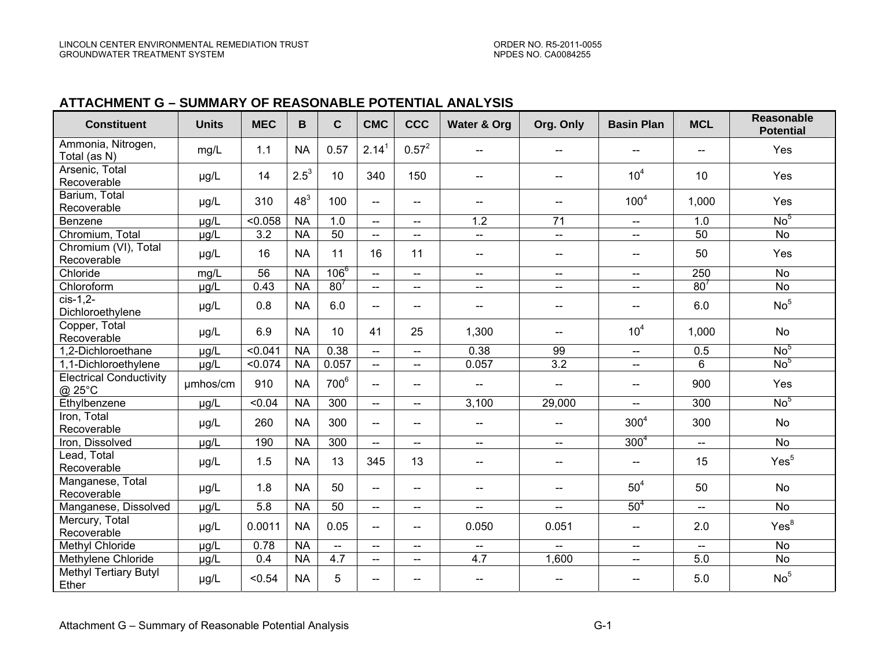### **ATTACHMENT G – SUMMARY OF REASONABLE POTENTIAL ANALYSIS**

| <b>Constituent</b>                       | <b>Units</b> | <b>MEC</b>       | B               | $\mathbf{C}$     | <b>CMC</b>               | <b>CCC</b>                          | <b>Water &amp; Org</b>              | Org. Only                             | <b>Basin Plan</b>                             | <b>MCL</b>      | <b>Reasonable</b><br><b>Potential</b> |
|------------------------------------------|--------------|------------------|-----------------|------------------|--------------------------|-------------------------------------|-------------------------------------|---------------------------------------|-----------------------------------------------|-----------------|---------------------------------------|
| Ammonia, Nitrogen,<br>Total (as N)       | mg/L         | 1.1              | <b>NA</b>       | 0.57             | 2.14 <sup>1</sup>        | $0.57^2$                            | $\overline{\phantom{a}}$            |                                       |                                               |                 | Yes                                   |
| Arsenic, Total<br>Recoverable            | µg/L         | 14               | $2.5^{3}$       | 10               | 340                      | 150                                 | $\overline{\phantom{a}}$            | $-$                                   | 10 <sup>4</sup>                               | 10              | Yes                                   |
| Barium, Total<br>Recoverable             | µg/L         | 310              | 48 <sup>3</sup> | 100              | $\overline{a}$           | $\overline{\phantom{a}}$            | $\hspace{0.05cm}$                   | $-$                                   | 100 <sup>4</sup>                              | 1,000           | Yes                                   |
| Benzene                                  | µg/L         | < 0.058          | <b>NA</b>       | 1.0              | $\overline{\phantom{a}}$ | $\overline{\phantom{a}}$            | 1.2                                 | 71                                    | $\mathord{\hspace{1pt}\text{--}\hspace{1pt}}$ | 1.0             | No <sup>5</sup>                       |
| Chromium, Total                          | µg/L         | $\overline{3.2}$ | <b>NA</b>       | 50               | $\overline{\phantom{a}}$ | $\overline{\phantom{a}}$            | $\overline{\phantom{a}}$            | $--$                                  | $\overline{\phantom{a}}$                      | $\overline{50}$ | <b>No</b>                             |
| Chromium (VI), Total<br>Recoverable      | µg/L         | 16               | <b>NA</b>       | 11               | 16                       | 11                                  | --                                  | $-\!$                                 | $\hspace{0.05cm}$ $\hspace{0.05cm}$           | 50              | Yes                                   |
| Chloride                                 | mg/L         | 56               | <b>NA</b>       | $106^{6}$        | $--$                     | $\overline{\phantom{a}}$            | $\overline{\phantom{a}}$            | $\overline{\phantom{a}}$              | $\overline{\phantom{a}}$                      | 250             | <b>No</b>                             |
| Chloroform                               | µg/L         | 0.43             | <b>NA</b>       | 80 <sup>7</sup>  | $\overline{\phantom{a}}$ | $\overline{\phantom{a}}$            | $-\!$ $\!-$                         | $\hspace{0.05cm}$ – $\hspace{0.05cm}$ | -−                                            | 80 <sup>7</sup> | <b>No</b>                             |
| cis-1,2-<br>Dichloroethylene             | µg/L         | 0.8              | <b>NA</b>       | 6.0              | $\overline{\phantom{a}}$ | $\overline{\phantom{a}}$            | $\overline{a}$                      | $\overline{\phantom{a}}$              | $\overline{\phantom{a}}$                      | 6.0             | No <sup>5</sup>                       |
| Copper, Total<br>Recoverable             | µg/L         | 6.9              | <b>NA</b>       | 10               | 41                       | 25                                  | 1,300                               | $\overline{\phantom{a}}$              | 10 <sup>4</sup>                               | 1,000           | <b>No</b>                             |
| 1,2-Dichloroethane                       | µg/L         | 50.041           | <b>NA</b>       | 0.38             | $\overline{\phantom{a}}$ | $\overline{\phantom{a}}$            | 0.38                                | 99                                    | $\overline{\phantom{a}}$                      | 0.5             | No <sup>5</sup>                       |
| 1.1-Dichloroethylene                     | µg/L         | 50.074           | <b>NA</b>       | 0.057            | $\overline{a}$           | $-$                                 | 0.057                               | $\overline{3.2}$                      | $-$                                           | 6               | No <sup>5</sup>                       |
| <b>Electrical Conductivity</b><br>@ 25°C | umhos/cm     | 910              | <b>NA</b>       | 700 <sup>6</sup> | $\overline{\phantom{a}}$ | $\overline{\phantom{a}}$            | $\hspace{0.05cm}$ $\hspace{0.05cm}$ | $\overline{\phantom{m}}$              | $\hspace{0.05cm}$                             | 900             | Yes                                   |
| Ethylbenzene                             | µg/L         | < 0.04           | <b>NA</b>       | 300              | $\overline{\phantom{a}}$ | $\overline{\phantom{a}}$            | 3,100                               | 29,000                                | $\overline{\phantom{a}}$                      | 300             | No <sup>5</sup>                       |
| Iron, Total<br>Recoverable               | µg/L         | 260              | <b>NA</b>       | 300              | $\overline{\phantom{a}}$ | $\overline{\phantom{a}}$            | $\overline{\phantom{m}}$            | $\overline{\phantom{a}}$              | 300 <sup>4</sup>                              | 300             | No                                    |
| Iron, Dissolved                          | µg/L         | 190              | <b>NA</b>       | 300              | $\overline{a}$           | $\overline{\phantom{a}}$            | $\overline{\phantom{a}}$            | $--$                                  | $300^{4}$                                     | $\mathbf{u}$    | No                                    |
| Lead, Total<br>Recoverable               | µg/L         | 1.5              | <b>NA</b>       | 13               | 345                      | 13                                  | $\overline{\phantom{a}}$            | $\overline{\phantom{m}}$              | --                                            | 15              | Yes <sup>5</sup>                      |
| Manganese, Total<br>Recoverable          | µg/L         | 1.8              | <b>NA</b>       | 50               | $\overline{\phantom{a}}$ | $\overline{\phantom{a}}$            | $\overline{a}$                      | $\overline{\phantom{a}}$              | $50^4$                                        | 50              | <b>No</b>                             |
| Manganese, Dissolved                     | µg/L         | 5.8              | <b>NA</b>       | 50               | $-$                      | $\overline{\phantom{a}}$            | $\overline{a}$                      | $-$                                   | 50 <sup>4</sup>                               | $\sim$          | <b>No</b>                             |
| Mercury, Total<br>Recoverable            | µg/L         | 0.0011           | <b>NA</b>       | 0.05             | $\overline{\phantom{a}}$ | $\equiv$ $\equiv$                   | 0.050                               | 0.051                                 | $\overline{\phantom{a}}$                      | 2.0             | Yes <sup>8</sup>                      |
| <b>Methyl Chloride</b>                   | µg/L         | 0.78             | <b>NA</b>       | $\overline{a}$   | $\frac{1}{2}$            | $\overline{a}$                      | $-$                                 | $\sim$                                | $-$                                           | $\overline{a}$  | <b>No</b>                             |
| Methylene Chloride                       | µg/L         | 0.4              | <b>NA</b>       | 4.7              | $\overline{\phantom{a}}$ | $\overline{\phantom{a}}$            | 4.7                                 | 1,600                                 | $\overline{\phantom{a}}$                      | 5.0             | <b>No</b>                             |
| <b>Methyl Tertiary Butyl</b><br>Ether    | µg/L         | < 0.54           | <b>NA</b>       | 5                | $\overline{\phantom{a}}$ | $\hspace{0.05cm}$ $\hspace{0.05cm}$ | $\overline{\phantom{a}}$            |                                       | --                                            | 5.0             | No <sup>5</sup>                       |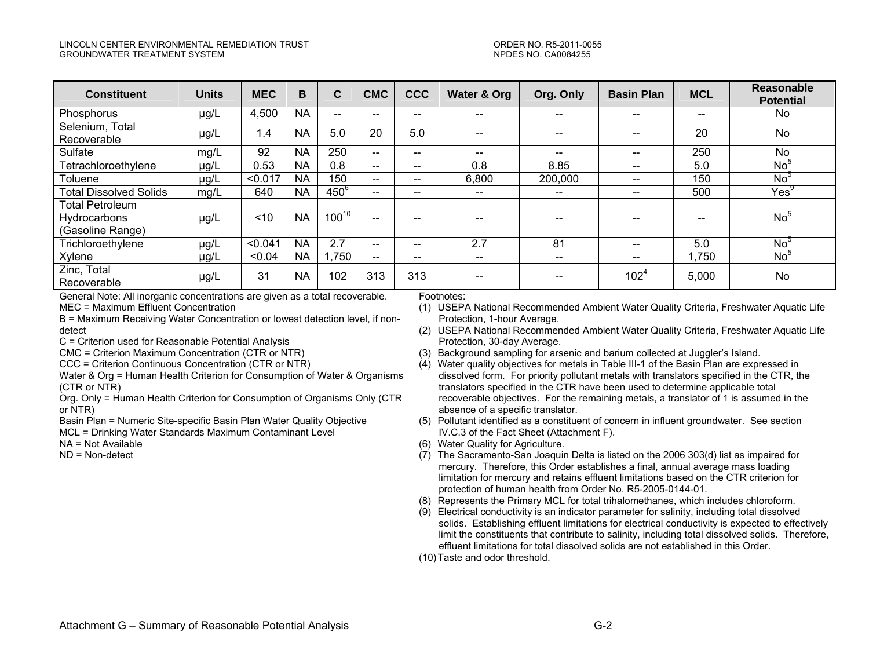#### LINCOLN CENTER ENVIRONMENTAL REMEDIATION TRUST ORDER NO. R5-2011-0055 GROUNDWATER TREATMENT SYSTEM NEWSLET AND THE SERIES OF THE SERIES OF THE SERIES NO. CA0084255

| <b>Constituent</b>                                                | <b>Units</b> | <b>MEC</b> | B         | C.         | <b>CMC</b>                            | <b>CCC</b>                            | Water & Org              | Org. Only                | <b>Basin Plan</b>        | <b>MCL</b> | <b>Reasonable</b><br><b>Potential</b> |
|-------------------------------------------------------------------|--------------|------------|-----------|------------|---------------------------------------|---------------------------------------|--------------------------|--------------------------|--------------------------|------------|---------------------------------------|
| Phosphorus                                                        | µg/L         | 4,500      | <b>NA</b> | --         | $\hspace{0.05cm}$ – $\hspace{0.05cm}$ | $\overline{\phantom{a}}$              | $- -$                    | $\hspace{0.05cm}$        | $- -$                    | --         | No.                                   |
| Selenium, Total<br>Recoverable                                    | µg/L         | 1.4        | <b>NA</b> | 5.0        | 20                                    | 5.0                                   | $- -$                    | --                       |                          | 20         | <b>No</b>                             |
| Sulfate                                                           | mg/L         | 92         | <b>NA</b> | 250        | $\hspace{0.05cm}$                     | $\hspace{0.05cm}$ – $\hspace{0.05cm}$ | $\hspace{0.05cm}$        | $\overline{\phantom{m}}$ | $\qquad \qquad \cdots$   | 250        | No                                    |
| Tetrachloroethylene                                               | µg/L         | 0.53       | <b>NA</b> | 0.8        | $\sim$ $\sim$                         | $\hspace{0.05cm}$                     | 0.8                      | 8.85                     | $\qquad \qquad \cdots$   | 5.0        | No <sup>5</sup>                       |
| Toluene                                                           | µg/L         | < 0.017    | <b>NA</b> | 150        | $\sim$                                | $\hspace{0.05cm}$                     | 6,800                    | 200,000                  | $\qquad \qquad \cdots$   | 150        | No <sup>5</sup>                       |
| <b>Total Dissolved Solids</b>                                     | mg/L         | 640        | <b>NA</b> | $450^6$    | $\overline{\phantom{m}}$              | $\hspace{0.05cm}$                     | $\overline{\phantom{a}}$ | $\overline{\phantom{m}}$ | $- -$                    | 500        | $\mathsf{Yes}^9$                      |
| <b>Total Petroleum</b><br><b>Hydrocarbons</b><br>(Gasoline Range) | µg/L         | ~10        | <b>NA</b> | $100^{10}$ | --                                    | --                                    | --                       | --                       |                          |            | No <sup>5</sup>                       |
| Trichloroethylene                                                 | µg/L         | < 0.041    | <b>NA</b> | 2.7        | $\overline{\phantom{m}}$              | $\hspace{0.05cm}$ – $\hspace{0.05cm}$ | 2.7                      | 81                       | $\qquad \qquad \cdots$   | 5.0        | No <sup>5</sup>                       |
| Xylene                                                            | $\mu$ g/L    | < 0.04     | <b>NA</b> | ,750       | $- -$                                 | $\overline{\phantom{a}}$              | $\hspace{0.5cm}$         | $- -$                    | $\overline{\phantom{m}}$ | ,750       | No <sup>5</sup>                       |
| Zinc, Total<br>Recoverable                                        | µg/L         | 31         | <b>NA</b> | 102        | 313                                   | 313                                   | $\hspace{0.05cm}$        | $- -$                    | $102^{4}$                | 5,000      | No                                    |

General Note: All inorganic concentrations are given as a total recoverable. MEC = Maximum Effluent Concentration

B = Maximum Receiving Water Concentration or lowest detection level, if nondetect

C = Criterion used for Reasonable Potential Analysis

CMC = Criterion Maximum Concentration (CTR or NTR)

CCC = Criterion Continuous Concentration (CTR or NTR)

Water & Org = Human Health Criterion for Consumption of Water & Organisms (CTR or NTR)

Org. Only = Human Health Criterion for Consumption of Organisms Only (CTR or NTR)

Basin Plan = Numeric Site-specific Basin Plan Water Quality Objective

MCL = Drinking Water Standards Maximum Contaminant Level

NA = Not Available

ND = Non-detect

#### Footnotes:

- (1) USEPA National Recommended Ambient Water Quality Criteria, Freshwater Aquatic Life Protection, 1-hour Average.
- (2) USEPA National Recommended Ambient Water Quality Criteria, Freshwater Aquatic Life Protection, 30-day Average.
- (3) Background sampling for arsenic and barium collected at Juggler's Island.
- (4) Water quality objectives for metals in Table III-1 of the Basin Plan are expressed in dissolved form. For priority pollutant metals with translators specified in the CTR, the translators specified in the CTR have been used to determine applicable total recoverable objectives. For the remaining metals, a translator of 1 is assumed in the absence of a specific translator.
- (5) Pollutant identified as a constituent of concern in influent groundwater. See section IV.C.3 of the Fact Sheet (Attachment F).
- (6) Water Quality for Agriculture.
- (7) The Sacramento-San Joaquin Delta is listed on the 2006 303(d) list as impaired for mercury. Therefore, this Order establishes a final, annual average mass loading limitation for mercury and retains effluent limitations based on the CTR criterion for protection of human health from Order No. R5-2005-0144-01.
- (8) Represents the Primary MCL for total trihalomethanes, which includes chloroform.
- (9) Electrical conductivity is an indicator parameter for salinity, including total dissolved solids. Establishing effluent limitations for electrical conductivity is expected to effectively limit the constituents that contribute to salinity, including total dissolved solids. Therefore, effluent limitations for total dissolved solids are not established in this Order.
- (10) Taste and odor threshold.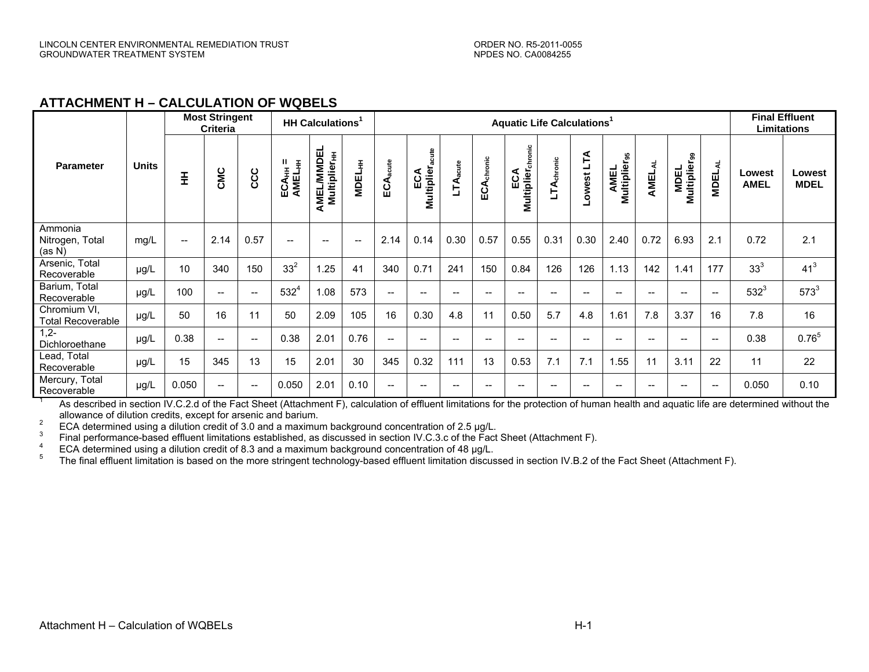### **ATTACHMENT H – CALCULATION OF WQBELS**

| <b>Most Stringent</b><br><b>Criteria</b> |              |       |                          |                          | HH Calculations <sup>1</sup>              |                                               |                                       |                                       | <b>Aquatic Life Calculations<sup>1</sup></b> |                          |                          |                                           |                                     |                                       |                                                     |            |                                  | <b>Final Effluent</b><br>Limitations  |                              |                       |
|------------------------------------------|--------------|-------|--------------------------|--------------------------|-------------------------------------------|-----------------------------------------------|---------------------------------------|---------------------------------------|----------------------------------------------|--------------------------|--------------------------|-------------------------------------------|-------------------------------------|---------------------------------------|-----------------------------------------------------|------------|----------------------------------|---------------------------------------|------------------------------|-----------------------|
| <b>Parameter</b>                         | <b>Units</b> | 퐆     | CMC                      | ccc                      | ECA <sub>HH</sub> =<br>AMEL <sub>HH</sub> | AMEL/MMDEL<br><b>Multiplier</b> <sub>HH</sub> | <b>MDEL<sub>HH</sub></b>              | $A_{acute}$<br>ပ္မ                    | <b>Multipliera</b><br>ECA                    | LTA <sub>acute</sub>     | ECA <sub>chronic</sub>   | ic<br>통<br>ECA<br>Multiplier <sub>c</sub> | LTA <sub>chronic</sub>              | Ě<br>owest                            | <b>Multiplier</b> <sub>95</sub><br><b>AMEL</b>      | ₹<br>AMEL, | MDEL<br>Multiplier <sub>99</sub> | <b>MDELAL</b>                         | <b>Lowest</b><br><b>AMEL</b> | Lowest<br><b>MDEL</b> |
| Ammonia<br>Nitrogen, Total<br>(as N)     | mg/L         | $- -$ | 2.14                     | 0.57                     | $\hspace{0.05cm}$ – $\hspace{0.05cm}$     | $-$                                           | $\hspace{0.05cm}$ – $\hspace{0.05cm}$ | 2.14                                  | 0.14                                         | 0.30                     | 0.57                     | 0.55                                      | 0.31                                | 0.30                                  | 2.40                                                | 0.72       | 6.93                             | 2.1                                   | 0.72                         | 2.1                   |
| Arsenic, Total<br>Recoverable            | µg/L         | 10    | 340                      | 150                      | 33 <sup>2</sup>                           | .25                                           | 41                                    | 340                                   | 0.71                                         | 241                      | 150                      | 0.84                                      | 126                                 | 126                                   | 1.13                                                | 142        | 1.41                             | 177                                   | 33 <sup>3</sup>              | 41 <sup>3</sup>       |
| Barium, Total<br>Recoverable             | $\mu g/L$    | 100   | $- -$                    | $\overline{\phantom{a}}$ | $532^{4}$                                 | 1.08                                          | 573                                   | $\overline{\phantom{a}}$              | $\hspace{0.05cm}$ – $\hspace{0.05cm}$        | $\overline{\phantom{a}}$ | $\overline{\phantom{a}}$ | $\qquad \qquad -$                         | $\hspace{0.05cm}$ $\hspace{0.05cm}$ | $\hspace{0.05cm}$ – $\hspace{0.05cm}$ | $\hspace{0.05cm}$ – $\hspace{0.05cm}$               | $-$        | $\overline{\phantom{a}}$         | $\hspace{0.05cm}$ – $\hspace{0.05cm}$ | $532^{3}$                    | $573^{3}$             |
| Chromium VI,<br><b>Total Recoverable</b> | µg/L         | 50    | 16                       | 11                       | 50                                        | 2.09                                          | 105                                   | 16                                    | 0.30                                         | 4.8                      | 11                       | 0.50                                      | 5.7                                 | 4.8                                   | 1.61                                                | 7.8        | 3.37                             | 16                                    | 7.8                          | 16                    |
| $1,2-$<br>Dichloroethane                 | µg/L         | 0.38  | $\overline{\phantom{a}}$ | $\overline{\phantom{a}}$ | 0.38                                      | 2.01                                          | 0.76                                  | $\overline{\phantom{a}}$              | $\hspace{0.05cm}$ $\hspace{0.05cm}$          | $\overline{\phantom{a}}$ | $\overline{\phantom{a}}$ | ——                                        | $\qquad \qquad -$                   | $\hspace{0.05cm} \ldots$              | $\hspace{0.05cm}$                                   | $-$        | $\overline{a}$                   | $\hspace{0.05cm}$ – $\hspace{0.05cm}$ | 0.38                         | $0.76^{5}$            |
| Lead, Total<br>Recoverable               | µg/L         | 15    | 345                      | 13                       | 15                                        | 2.01                                          | 30                                    | 345                                   | 0.32                                         | 111                      | 13                       | 0.53                                      | 7.1                                 | 7.1                                   | 1.55                                                | 11         | 3.11                             | 22                                    | 11                           | 22                    |
| Mercury, Total<br>Recoverable            | µg/L         | 0.050 | $- -$                    | $\overline{\phantom{a}}$ | 0.050                                     | 2.01                                          | 0.10                                  | $\hspace{0.05cm}$ – $\hspace{0.05cm}$ | $\hspace{0.05cm}$ – $\hspace{0.05cm}$        | $-$                      | --                       | $- -$                                     | $- -$                               | $\hspace{0.05cm}$ – $\hspace{0.05cm}$ | $\hspace{0.05cm} -\hspace{0.05cm} -\hspace{0.05cm}$ | $-$        | $-$                              | $\hspace{0.05cm}$ – $\hspace{0.05cm}$ | 0.050                        | 0.10                  |

<sup>1</sup> As described in section IV.C.2.d of the Fact Sheet (Attachment F), calculation of effluent limitations for the protection of human health and aquatic life are determined without the allowance of dilution credits, excep

ECA determined using a dilution credit of 3.0 and a maximum background concentration of 2.5 µg/L.<br>
Final performance-based effluent limitations established, as discussed in section IV.C.3.c of the Fact Sheet (Attachment F)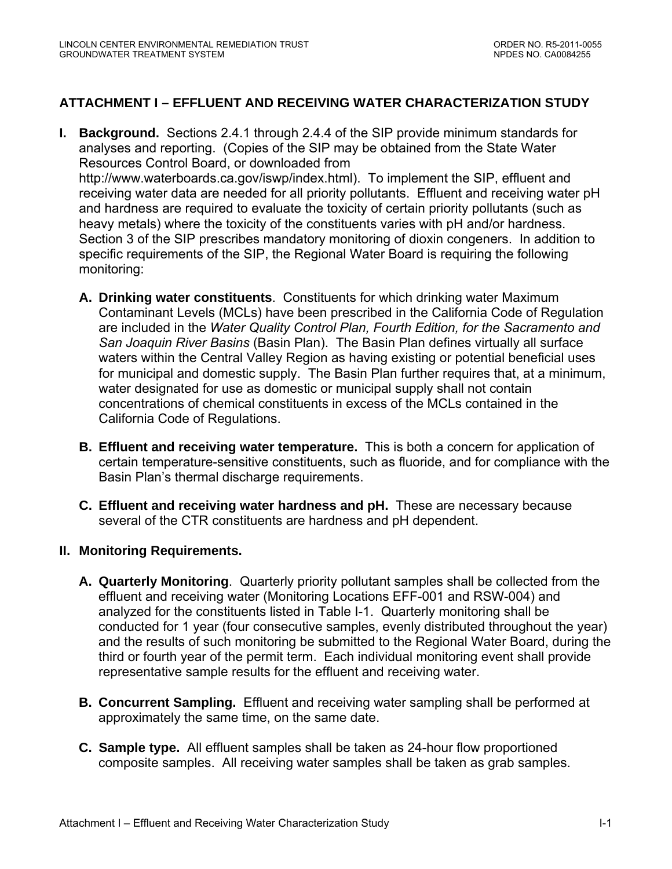# **ATTACHMENT I – EFFLUENT AND RECEIVING WATER CHARACTERIZATION STUDY**

- **I. Background.** Sections 2.4.1 through 2.4.4 of the SIP provide minimum standards for analyses and reporting. (Copies of the SIP may be obtained from the State Water Resources Control Board, or downloaded from [http://www.waterboards.ca.gov/iswp/index.html\)](http://www.waterboards.ca.gov/iswp/index.html). To implement the SIP, effluent and receiving water data are needed for all priority pollutants. Effluent and receiving water pH and hardness are required to evaluate the toxicity of certain priority pollutants (such as heavy metals) where the toxicity of the constituents varies with pH and/or hardness. Section 3 of the SIP prescribes mandatory monitoring of dioxin congeners. In addition to specific requirements of the SIP, the Regional Water Board is requiring the following monitoring:
	- **A. Drinking water constituents**. Constituents for which drinking water Maximum Contaminant Levels (MCLs) have been prescribed in the California Code of Regulation are included in the *Water Quality Control Plan, Fourth Edition, for the Sacramento and San Joaquin River Basins* (Basin Plan). The Basin Plan defines virtually all surface waters within the Central Valley Region as having existing or potential beneficial uses for municipal and domestic supply. The Basin Plan further requires that, at a minimum, water designated for use as domestic or municipal supply shall not contain concentrations of chemical constituents in excess of the MCLs contained in the California Code of Regulations.
	- **B. Effluent and receiving water temperature.** This is both a concern for application of certain temperature-sensitive constituents, such as fluoride, and for compliance with the Basin Plan's thermal discharge requirements.
	- **C. Effluent and receiving water hardness and pH.** These are necessary because several of the CTR constituents are hardness and pH dependent.

# **II. Monitoring Requirements.**

- **A. Quarterly Monitoring**. Quarterly priority pollutant samples shall be collected from the effluent and receiving water (Monitoring Locations EFF-001 and RSW-004) and analyzed for the constituents listed in Table I-1. Quarterly monitoring shall be conducted for 1 year (four consecutive samples, evenly distributed throughout the year) and the results of such monitoring be submitted to the Regional Water Board, during the third or fourth year of the permit term. Each individual monitoring event shall provide representative sample results for the effluent and receiving water.
- **B. Concurrent Sampling.** Effluent and receiving water sampling shall be performed at approximately the same time, on the same date.
- **C. Sample type.** All effluent samples shall be taken as 24-hour flow proportioned composite samples. All receiving water samples shall be taken as grab samples.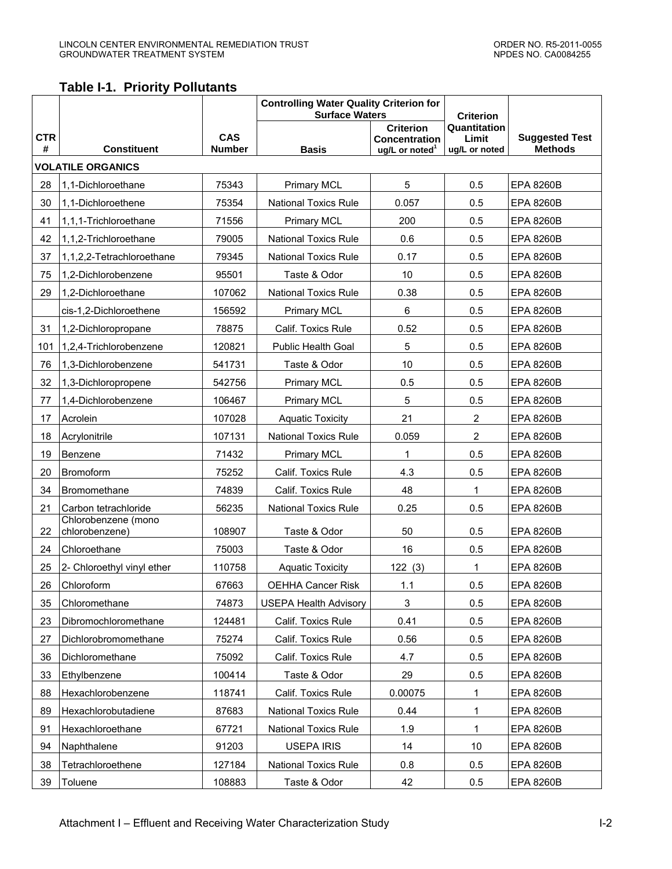# **Table I-1. Priority Pollutants**

|                 |                                       |                             | <b>Controlling Water Quality Criterion for</b><br><b>Surface Waters</b> | <b>Criterion</b>                                                |                                        |                                         |
|-----------------|---------------------------------------|-----------------------------|-------------------------------------------------------------------------|-----------------------------------------------------------------|----------------------------------------|-----------------------------------------|
| <b>CTR</b><br># | <b>Constituent</b>                    | <b>CAS</b><br><b>Number</b> | <b>Basis</b>                                                            | <b>Criterion</b><br>Concentration<br>ug/L or noted <sup>1</sup> | Quantitation<br>Limit<br>ug/L or noted | <b>Suggested Test</b><br><b>Methods</b> |
|                 | <b>VOLATILE ORGANICS</b>              |                             |                                                                         |                                                                 |                                        |                                         |
| 28              | 1,1-Dichloroethane                    | 75343                       | <b>Primary MCL</b>                                                      | 5                                                               | 0.5                                    | <b>EPA 8260B</b>                        |
| 30              | 1,1-Dichloroethene                    | 75354                       | <b>National Toxics Rule</b>                                             | 0.057                                                           | 0.5                                    | <b>EPA 8260B</b>                        |
| 41              | 1,1,1-Trichloroethane                 | 71556                       | <b>Primary MCL</b>                                                      | 200                                                             | 0.5                                    | <b>EPA 8260B</b>                        |
| 42              | 1,1,2-Trichloroethane                 | 79005                       | <b>National Toxics Rule</b>                                             | 0.6                                                             | 0.5                                    | <b>EPA 8260B</b>                        |
| 37              | 1,1,2,2-Tetrachloroethane             | 79345                       | <b>National Toxics Rule</b>                                             | 0.17                                                            | 0.5                                    | <b>EPA 8260B</b>                        |
| 75              | 1,2-Dichlorobenzene                   | 95501                       | Taste & Odor                                                            | 10                                                              | 0.5                                    | <b>EPA 8260B</b>                        |
| 29              | 1,2-Dichloroethane                    | 107062                      | <b>National Toxics Rule</b>                                             | 0.38                                                            | 0.5                                    | <b>EPA 8260B</b>                        |
|                 | cis-1,2-Dichloroethene                | 156592                      | <b>Primary MCL</b>                                                      | 6                                                               | 0.5                                    | <b>EPA 8260B</b>                        |
| 31              | 1,2-Dichloropropane                   | 78875                       | Calif. Toxics Rule                                                      | 0.52                                                            | 0.5                                    | <b>EPA 8260B</b>                        |
| 101             | 1,2,4-Trichlorobenzene                | 120821                      | <b>Public Health Goal</b>                                               | 5                                                               | 0.5                                    | <b>EPA 8260B</b>                        |
| 76              | 1,3-Dichlorobenzene                   | 541731                      | Taste & Odor                                                            | 10                                                              | 0.5                                    | <b>EPA 8260B</b>                        |
| 32              | 1,3-Dichloropropene                   | 542756                      | <b>Primary MCL</b>                                                      | 0.5                                                             | 0.5                                    | <b>EPA 8260B</b>                        |
| 77              | 1,4-Dichlorobenzene                   | 106467                      | <b>Primary MCL</b>                                                      | 5                                                               | 0.5                                    | <b>EPA 8260B</b>                        |
| 17              | Acrolein                              | 107028                      | <b>Aquatic Toxicity</b>                                                 | 21                                                              | $\overline{2}$                         | <b>EPA 8260B</b>                        |
| 18              | Acrylonitrile                         | 107131                      | <b>National Toxics Rule</b>                                             | 0.059                                                           | $\overline{2}$                         | <b>EPA 8260B</b>                        |
| 19              | Benzene                               | 71432                       | <b>Primary MCL</b>                                                      | 1                                                               | 0.5                                    | <b>EPA 8260B</b>                        |
| 20              | Bromoform                             | 75252                       | Calif. Toxics Rule                                                      | 4.3                                                             | 0.5                                    | <b>EPA 8260B</b>                        |
| 34              | Bromomethane                          | 74839                       | Calif. Toxics Rule                                                      | 48                                                              | 1                                      | <b>EPA 8260B</b>                        |
| 21              | Carbon tetrachloride                  | 56235                       | <b>National Toxics Rule</b>                                             | 0.25                                                            | 0.5                                    | <b>EPA 8260B</b>                        |
| 22              | Chlorobenzene (mono<br>chlorobenzene) | 108907                      | Taste & Odor                                                            | 50                                                              | 0.5                                    | <b>EPA 8260B</b>                        |
| 24              | Chloroethane                          | 75003                       | Taste & Odor                                                            | 16                                                              | 0.5                                    | <b>EPA 8260B</b>                        |
| 25              | 2- Chloroethyl vinyl ether            | 110758                      | <b>Aquatic Toxicity</b>                                                 | 122(3)                                                          | 1                                      | <b>EPA 8260B</b>                        |
| 26              | Chloroform                            | 67663                       | <b>OEHHA Cancer Risk</b>                                                | 1.1                                                             | 0.5                                    | <b>EPA 8260B</b>                        |
| 35              | Chloromethane                         | 74873                       | <b>USEPA Health Advisory</b>                                            | $\ensuremath{\mathsf{3}}$                                       | 0.5                                    | <b>EPA 8260B</b>                        |
| 23              | Dibromochloromethane                  | 124481                      | Calif. Toxics Rule                                                      | 0.41                                                            | 0.5                                    | <b>EPA 8260B</b>                        |
| 27              | Dichlorobromomethane                  | 75274                       | Calif. Toxics Rule                                                      | 0.56                                                            | 0.5                                    | <b>EPA 8260B</b>                        |
| 36              | Dichloromethane                       | 75092                       | Calif. Toxics Rule                                                      | 4.7                                                             | 0.5                                    | <b>EPA 8260B</b>                        |
| 33              | Ethylbenzene                          | 100414                      | Taste & Odor                                                            | 29                                                              | 0.5                                    | <b>EPA 8260B</b>                        |
| 88              | Hexachlorobenzene                     | 118741                      | Calif. Toxics Rule                                                      | 0.00075                                                         | 1                                      | <b>EPA 8260B</b>                        |
| 89              | Hexachlorobutadiene                   | 87683                       | <b>National Toxics Rule</b>                                             | 0.44                                                            | 1                                      | <b>EPA 8260B</b>                        |
| 91              | Hexachloroethane                      | 67721                       | <b>National Toxics Rule</b>                                             | 1.9                                                             | 1                                      | <b>EPA 8260B</b>                        |
| 94              | Naphthalene                           | 91203                       | USEPA IRIS                                                              | 14                                                              | 10                                     | EPA 8260B                               |
| 38              | Tetrachloroethene                     | 127184                      | <b>National Toxics Rule</b>                                             | 0.8                                                             | 0.5                                    | <b>EPA 8260B</b>                        |
| 39              | Toluene                               | 108883                      | Taste & Odor                                                            | 42                                                              | 0.5                                    | EPA 8260B                               |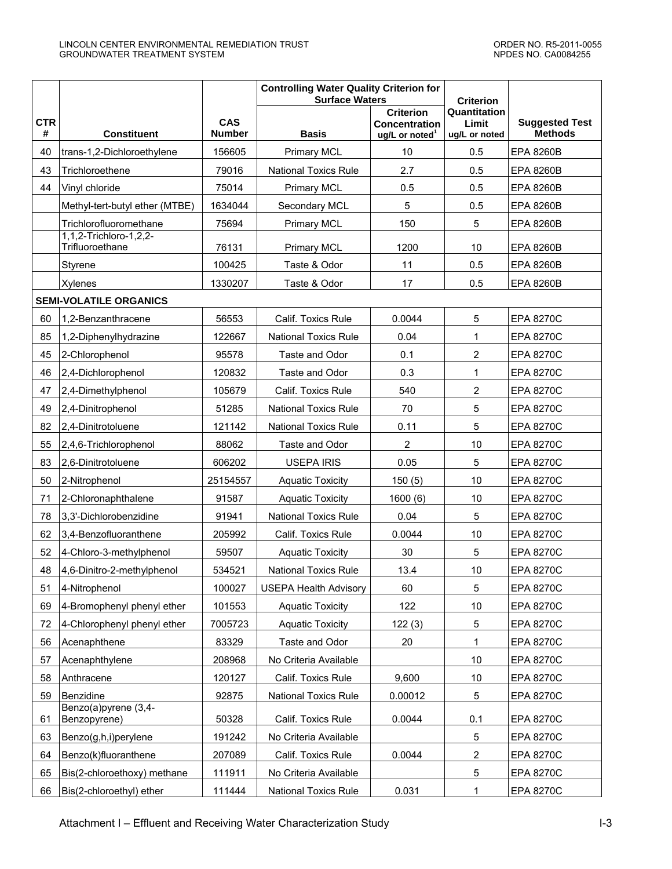|                 |                                           |                             | <b>Controlling Water Quality Criterion for</b><br><b>Surface Waters</b> |                                                                        | <b>Criterion</b>                       |                                         |
|-----------------|-------------------------------------------|-----------------------------|-------------------------------------------------------------------------|------------------------------------------------------------------------|----------------------------------------|-----------------------------------------|
| <b>CTR</b><br># | <b>Constituent</b>                        | <b>CAS</b><br><b>Number</b> | <b>Basis</b>                                                            | <b>Criterion</b><br><b>Concentration</b><br>ug/L or noted <sup>1</sup> | Quantitation<br>Limit<br>ug/L or noted | <b>Suggested Test</b><br><b>Methods</b> |
| 40              | trans-1,2-Dichloroethylene                | 156605                      | <b>Primary MCL</b>                                                      | 10                                                                     | 0.5                                    | <b>EPA 8260B</b>                        |
| 43              | Trichloroethene                           | 79016                       | <b>National Toxics Rule</b>                                             | 2.7                                                                    | 0.5                                    | <b>EPA 8260B</b>                        |
| 44              | Vinyl chloride                            | 75014                       | <b>Primary MCL</b>                                                      | 0.5                                                                    | 0.5                                    | <b>EPA 8260B</b>                        |
|                 | Methyl-tert-butyl ether (MTBE)            | 1634044                     | Secondary MCL                                                           | 5                                                                      | 0.5                                    | <b>EPA 8260B</b>                        |
|                 | Trichlorofluoromethane                    | 75694                       | <b>Primary MCL</b>                                                      | 150                                                                    | 5                                      | <b>EPA 8260B</b>                        |
|                 | 1,1,2-Trichloro-1,2,2-<br>Trifluoroethane | 76131                       | <b>Primary MCL</b>                                                      | 1200                                                                   | 10                                     | <b>EPA 8260B</b>                        |
|                 | Styrene                                   | 100425                      | Taste & Odor                                                            | 11                                                                     | 0.5                                    | <b>EPA 8260B</b>                        |
|                 | Xylenes                                   | 1330207                     | Taste & Odor                                                            | 17                                                                     | 0.5                                    | <b>EPA 8260B</b>                        |
|                 | <b>SEMI-VOLATILE ORGANICS</b>             |                             |                                                                         |                                                                        |                                        |                                         |
| 60              | 1,2-Benzanthracene                        | 56553                       | Calif. Toxics Rule                                                      | 0.0044                                                                 | 5                                      | <b>EPA 8270C</b>                        |
| 85              | 1,2-Diphenylhydrazine                     | 122667                      | <b>National Toxics Rule</b>                                             | 0.04                                                                   | $\mathbf 1$                            | <b>EPA 8270C</b>                        |
| 45              | 2-Chlorophenol                            | 95578                       | Taste and Odor                                                          | 0.1                                                                    | $\overline{2}$                         | <b>EPA 8270C</b>                        |
| 46              | 2,4-Dichlorophenol                        | 120832                      | Taste and Odor                                                          | 0.3                                                                    | 1                                      | <b>EPA 8270C</b>                        |
| 47              | 2,4-Dimethylphenol                        | 105679                      | Calif. Toxics Rule                                                      | 540                                                                    | $\boldsymbol{2}$                       | <b>EPA 8270C</b>                        |
| 49              | 2,4-Dinitrophenol                         | 51285                       | <b>National Toxics Rule</b>                                             | 70                                                                     | 5                                      | <b>EPA 8270C</b>                        |
| 82              | 2,4-Dinitrotoluene                        | 121142                      | <b>National Toxics Rule</b>                                             | 0.11                                                                   | 5                                      | <b>EPA 8270C</b>                        |
| 55              | 2,4,6-Trichlorophenol                     | 88062                       | Taste and Odor                                                          | $\overline{2}$                                                         | 10                                     | <b>EPA 8270C</b>                        |
| 83              | 2,6-Dinitrotoluene                        | 606202                      | <b>USEPA IRIS</b>                                                       | 0.05                                                                   | 5                                      | <b>EPA 8270C</b>                        |
| 50              | 2-Nitrophenol                             | 25154557                    | <b>Aquatic Toxicity</b>                                                 | 150(5)                                                                 | 10                                     | <b>EPA 8270C</b>                        |
| 71              | 2-Chloronaphthalene                       | 91587                       | <b>Aquatic Toxicity</b>                                                 | 1600(6)                                                                | 10                                     | <b>EPA 8270C</b>                        |
| 78              | 3,3'-Dichlorobenzidine                    | 91941                       | <b>National Toxics Rule</b>                                             | 0.04                                                                   | 5                                      | <b>EPA 8270C</b>                        |
| 62              | 3,4-Benzofluoranthene                     | 205992                      | Calif. Toxics Rule                                                      | 0.0044                                                                 | 10                                     | <b>EPA 8270C</b>                        |
| 52              | 4-Chloro-3-methylphenol                   | 59507                       | <b>Aquatic Toxicity</b>                                                 | 30                                                                     | 5                                      | <b>EPA 8270C</b>                        |
| 48              | 4,6-Dinitro-2-methylphenol                | 534521                      | <b>National Toxics Rule</b>                                             | 13.4                                                                   | 10                                     | <b>EPA 8270C</b>                        |
| 51              | 4-Nitrophenol                             | 100027                      | <b>USEPA Health Advisory</b>                                            | 60                                                                     | 5                                      | <b>EPA 8270C</b>                        |
| 69              | 4-Bromophenyl phenyl ether                | 101553                      | <b>Aquatic Toxicity</b>                                                 | 122                                                                    | 10                                     | <b>EPA 8270C</b>                        |
| 72              | 4-Chlorophenyl phenyl ether               | 7005723                     | <b>Aquatic Toxicity</b>                                                 | 122(3)                                                                 | 5                                      | <b>EPA 8270C</b>                        |
| 56              | Acenaphthene                              | 83329                       | Taste and Odor                                                          | 20                                                                     | $\mathbf{1}$                           | <b>EPA 8270C</b>                        |
| 57              | Acenaphthylene                            | 208968                      | No Criteria Available                                                   |                                                                        | 10                                     | <b>EPA 8270C</b>                        |
| 58              | Anthracene                                | 120127                      | Calif. Toxics Rule                                                      | 9,600                                                                  | 10                                     | <b>EPA 8270C</b>                        |
| 59              | Benzidine                                 | 92875                       | <b>National Toxics Rule</b>                                             | 0.00012                                                                | 5                                      | <b>EPA 8270C</b>                        |
| 61              | Benzo(a)pyrene (3,4-<br>Benzopyrene)      | 50328                       | Calif. Toxics Rule                                                      | 0.0044                                                                 | 0.1                                    | <b>EPA 8270C</b>                        |
| 63              | Benzo(g,h,i)perylene                      | 191242                      | No Criteria Available                                                   |                                                                        | 5                                      | <b>EPA 8270C</b>                        |
| 64              | Benzo(k)fluoranthene                      | 207089                      | Calif. Toxics Rule                                                      | 0.0044                                                                 | $\overline{2}$                         | <b>EPA 8270C</b>                        |
| 65              | Bis(2-chloroethoxy) methane               | 111911                      | No Criteria Available                                                   |                                                                        | 5                                      | <b>EPA 8270C</b>                        |
| 66              | Bis(2-chloroethyl) ether                  | 111444                      | <b>National Toxics Rule</b>                                             | 0.031                                                                  | 1                                      | <b>EPA 8270C</b>                        |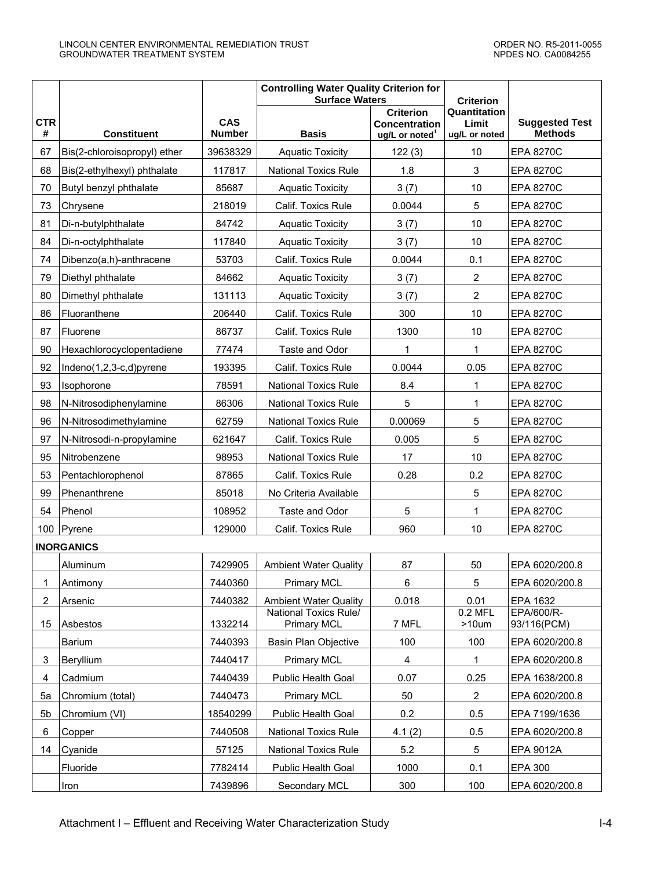|                 |                              |                             | <b>Controlling Water Quality Criterion for</b><br><b>Surface Waters</b> |                                                                        | <b>Criterion</b>                       |                                         |
|-----------------|------------------------------|-----------------------------|-------------------------------------------------------------------------|------------------------------------------------------------------------|----------------------------------------|-----------------------------------------|
| <b>CTR</b><br># | <b>Constituent</b>           | <b>CAS</b><br><b>Number</b> | <b>Basis</b>                                                            | <b>Criterion</b><br><b>Concentration</b><br>ug/L or noted <sup>1</sup> | Quantitation<br>Limit<br>ug/L or noted | <b>Suggested Test</b><br><b>Methods</b> |
| 67              | Bis(2-chloroisopropyl) ether | 39638329                    | <b>Aquatic Toxicity</b>                                                 | 122(3)                                                                 | 10                                     | <b>EPA 8270C</b>                        |
| 68              | Bis(2-ethylhexyl) phthalate  | 117817                      | <b>National Toxics Rule</b>                                             | 1.8                                                                    | 3                                      | <b>EPA 8270C</b>                        |
| 70              | Butyl benzyl phthalate       | 85687                       | <b>Aquatic Toxicity</b>                                                 | 3(7)                                                                   | 10                                     | <b>EPA 8270C</b>                        |
| 73              | Chrysene                     | 218019                      | Calif. Toxics Rule                                                      | 0.0044                                                                 | 5                                      | <b>EPA 8270C</b>                        |
| 81              | Di-n-butylphthalate          | 84742                       | <b>Aquatic Toxicity</b>                                                 | 3(7)                                                                   | 10                                     | <b>EPA 8270C</b>                        |
| 84              | Di-n-octylphthalate          | 117840                      | <b>Aquatic Toxicity</b>                                                 | 3(7)                                                                   | 10                                     | <b>EPA 8270C</b>                        |
| 74              | Dibenzo(a,h)-anthracene      | 53703                       | Calif. Toxics Rule                                                      | 0.0044                                                                 | 0.1                                    | <b>EPA 8270C</b>                        |
| 79              | Diethyl phthalate            | 84662                       | <b>Aquatic Toxicity</b>                                                 | 3(7)                                                                   | 2                                      | <b>EPA 8270C</b>                        |
| 80              | Dimethyl phthalate           | 131113                      | <b>Aquatic Toxicity</b>                                                 | 3(7)                                                                   | $\overline{2}$                         | <b>EPA 8270C</b>                        |
| 86              | Fluoranthene                 | 206440                      | Calif. Toxics Rule                                                      | 300                                                                    | 10                                     | <b>EPA 8270C</b>                        |
| 87              | Fluorene                     | 86737                       | Calif. Toxics Rule                                                      | 1300                                                                   | 10                                     | <b>EPA 8270C</b>                        |
| 90              | Hexachlorocyclopentadiene    | 77474                       | Taste and Odor                                                          | 1                                                                      | 1                                      | <b>EPA 8270C</b>                        |
| 92              | Indeno(1,2,3-c,d)pyrene      | 193395                      | Calif. Toxics Rule                                                      | 0.0044                                                                 | 0.05                                   | <b>EPA 8270C</b>                        |
| 93              | Isophorone                   | 78591                       | <b>National Toxics Rule</b>                                             | 8.4                                                                    | 1                                      | <b>EPA 8270C</b>                        |
| 98              | N-Nitrosodiphenylamine       | 86306                       | <b>National Toxics Rule</b>                                             | 5                                                                      | 1                                      | <b>EPA 8270C</b>                        |
| 96              | N-Nitrosodimethylamine       | 62759                       | <b>National Toxics Rule</b>                                             | 0.00069                                                                | 5                                      | <b>EPA 8270C</b>                        |
| 97              | N-Nitrosodi-n-propylamine    | 621647                      | Calif. Toxics Rule                                                      | 0.005                                                                  | 5                                      | <b>EPA 8270C</b>                        |
| 95              | Nitrobenzene                 | 98953                       | <b>National Toxics Rule</b>                                             | 17                                                                     | 10                                     | <b>EPA 8270C</b>                        |
| 53              | Pentachlorophenol            | 87865                       | Calif. Toxics Rule                                                      | 0.28                                                                   | 0.2                                    | <b>EPA 8270C</b>                        |
| 99              | Phenanthrene                 | 85018                       | No Criteria Available                                                   |                                                                        | 5                                      | <b>EPA 8270C</b>                        |
| 54              | Phenol                       | 108952                      | Taste and Odor                                                          | 5                                                                      | 1                                      | <b>EPA 8270C</b>                        |
|                 | 100   Pyrene                 | 129000                      | Calif. Toxics Rule                                                      | 960                                                                    | 10                                     | <b>EPA 8270C</b>                        |
|                 | <b>INORGANICS</b>            |                             |                                                                         |                                                                        |                                        |                                         |
|                 | Aluminum                     | 7429905                     | <b>Ambient Water Quality</b>                                            | 87                                                                     | 50                                     | EPA 6020/200.8                          |
| 1               | Antimony                     | 7440360                     | <b>Primary MCL</b>                                                      | 6                                                                      | 5                                      | EPA 6020/200.8                          |
| $\overline{c}$  | Arsenic                      | 7440382                     | <b>Ambient Water Quality</b>                                            | 0.018                                                                  | 0.01                                   | EPA 1632                                |
| 15              | Asbestos                     | 1332214                     | National Toxics Rule/<br><b>Primary MCL</b>                             | 7 MFL                                                                  | $0.2$ MFL<br>$>10$ um                  | EPA/600/R-<br>93/116(PCM)               |
|                 | Barium                       | 7440393                     | Basin Plan Objective                                                    | 100                                                                    | 100                                    | EPA 6020/200.8                          |
| 3               | Beryllium                    | 7440417                     | <b>Primary MCL</b>                                                      | 4                                                                      | 1                                      | EPA 6020/200.8                          |
| 4               | Cadmium                      | 7440439                     | Public Health Goal                                                      | 0.07                                                                   | 0.25                                   | EPA 1638/200.8                          |
| 5a              | Chromium (total)             | 7440473                     | <b>Primary MCL</b>                                                      | 50                                                                     | $\overline{c}$                         | EPA 6020/200.8                          |
| 5b              | Chromium (VI)                | 18540299                    | Public Health Goal                                                      | 0.2                                                                    | 0.5                                    | EPA 7199/1636                           |
| 6               | Copper                       | 7440508                     | <b>National Toxics Rule</b>                                             | 4.1(2)                                                                 | 0.5                                    | EPA 6020/200.8                          |
| 14              | Cyanide                      | 57125                       | <b>National Toxics Rule</b>                                             | 5.2                                                                    | 5                                      | EPA 9012A                               |
|                 | Fluoride                     | 7782414                     | Public Health Goal                                                      | 1000                                                                   | 0.1                                    | EPA 300                                 |
|                 | Iron                         | 7439896                     | Secondary MCL                                                           | 300                                                                    | 100                                    | EPA 6020/200.8                          |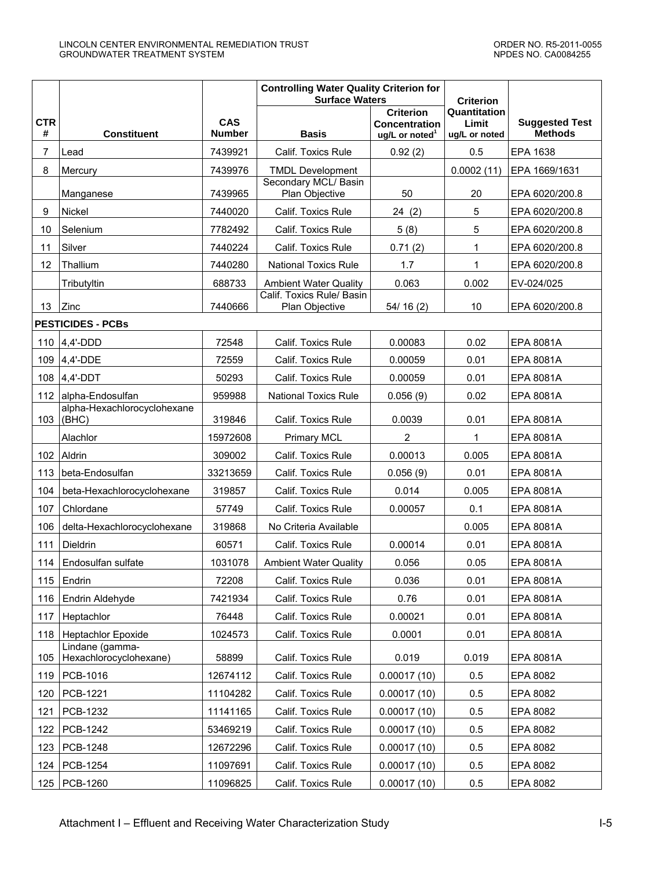|                 |                                           |                             | <b>Controlling Water Quality Criterion for</b><br><b>Surface Waters</b> | <b>Criterion</b>                                                       |                                        |                                         |
|-----------------|-------------------------------------------|-----------------------------|-------------------------------------------------------------------------|------------------------------------------------------------------------|----------------------------------------|-----------------------------------------|
| <b>CTR</b><br># | <b>Constituent</b>                        | <b>CAS</b><br><b>Number</b> | <b>Basis</b>                                                            | <b>Criterion</b><br><b>Concentration</b><br>ug/L or noted <sup>1</sup> | Quantitation<br>Limit<br>ug/L or noted | <b>Suggested Test</b><br><b>Methods</b> |
| 7               | Lead                                      | 7439921                     | <b>Calif. Toxics Rule</b>                                               | 0.92(2)                                                                | 0.5                                    | EPA 1638                                |
| 8               | Mercury                                   | 7439976                     | <b>TMDL Development</b>                                                 |                                                                        | 0.0002(11)                             | EPA 1669/1631                           |
|                 | Manganese                                 | 7439965                     | Secondary MCL/ Basin<br>Plan Objective                                  | 50                                                                     | 20                                     | EPA 6020/200.8                          |
| 9               | Nickel                                    | 7440020                     | Calif. Toxics Rule                                                      | 24(2)                                                                  | 5                                      | EPA 6020/200.8                          |
| 10              | Selenium                                  | 7782492                     | Calif. Toxics Rule                                                      | 5(8)                                                                   | 5                                      | EPA 6020/200.8                          |
| 11              | Silver                                    | 7440224                     | Calif. Toxics Rule                                                      | 0.71(2)                                                                | 1                                      | EPA 6020/200.8                          |
| 12              | Thallium                                  | 7440280                     | <b>National Toxics Rule</b>                                             | 1.7                                                                    | 1                                      | EPA 6020/200.8                          |
|                 | Tributyltin                               | 688733                      | <b>Ambient Water Quality</b>                                            | 0.063                                                                  | 0.002                                  | EV-024/025                              |
| 13              | Zinc                                      | 7440666                     | Calif. Toxics Rule/ Basin<br>Plan Objective                             | 54/16(2)                                                               | 10                                     | EPA 6020/200.8                          |
|                 | <b>PESTICIDES - PCBs</b>                  |                             |                                                                         |                                                                        |                                        |                                         |
| 110             | $4,4'$ -DDD                               | 72548                       | Calif. Toxics Rule                                                      | 0.00083                                                                | 0.02                                   | EPA 8081A                               |
| 109             | 4,4'-DDE                                  | 72559                       | Calif. Toxics Rule                                                      | 0.00059                                                                | 0.01                                   | EPA 8081A                               |
| 108             | $4,4'$ -DDT                               | 50293                       | Calif. Toxics Rule                                                      | 0.00059                                                                | 0.01                                   | EPA 8081A                               |
| 112             | alpha-Endosulfan                          | 959988                      | <b>National Toxics Rule</b>                                             | 0.056(9)                                                               | 0.02                                   | EPA 8081A                               |
| 103             | alpha-Hexachlorocyclohexane<br>(BHC)      | 319846                      | Calif. Toxics Rule                                                      | 0.0039                                                                 | 0.01                                   | EPA 8081A                               |
|                 | Alachlor                                  | 15972608                    | <b>Primary MCL</b>                                                      | $\overline{2}$                                                         | 1                                      | EPA 8081A                               |
| 102             | Aldrin                                    | 309002                      | Calif. Toxics Rule                                                      | 0.00013                                                                | 0.005                                  | EPA 8081A                               |
| 113             | beta-Endosulfan                           | 33213659                    | Calif. Toxics Rule                                                      | 0.056(9)                                                               | 0.01                                   | EPA 8081A                               |
| 104             | beta-Hexachlorocyclohexane                | 319857                      | Calif. Toxics Rule                                                      | 0.014                                                                  | 0.005                                  | EPA 8081A                               |
| 107             | Chlordane                                 | 57749                       | Calif. Toxics Rule                                                      | 0.00057                                                                | 0.1                                    | EPA 8081A                               |
| 106             | delta-Hexachlorocyclohexane               | 319868                      | No Criteria Available                                                   |                                                                        | 0.005                                  | EPA 8081A                               |
| 111             | Dieldrin                                  | 60571                       | Calif. Toxics Rule                                                      | 0.00014                                                                | 0.01                                   | EPA 8081A                               |
| 114             | Endosulfan sulfate                        | 1031078                     | <b>Ambient Water Quality</b>                                            | 0.056                                                                  | 0.05                                   | EPA 8081A                               |
| 115             | Endrin                                    | 72208                       | Calif. Toxics Rule                                                      | 0.036                                                                  | 0.01                                   | EPA 8081A                               |
| 116             | Endrin Aldehyde                           | 7421934                     | Calif. Toxics Rule                                                      | 0.76                                                                   | 0.01                                   | EPA 8081A                               |
| 117             | Heptachlor                                | 76448                       | Calif. Toxics Rule                                                      | 0.00021                                                                | 0.01                                   | EPA 8081A                               |
| 118             | Heptachlor Epoxide                        | 1024573                     | Calif. Toxics Rule                                                      | 0.0001                                                                 | 0.01                                   | EPA 8081A                               |
| 105             | Lindane (gamma-<br>Hexachlorocyclohexane) | 58899                       | Calif. Toxics Rule                                                      | 0.019                                                                  | 0.019                                  | EPA 8081A                               |
| 119             | PCB-1016                                  | 12674112                    | Calif. Toxics Rule                                                      | 0.00017(10)                                                            | 0.5                                    | EPA 8082                                |
| 120             | PCB-1221                                  | 11104282                    | Calif. Toxics Rule                                                      | 0.00017(10)                                                            | 0.5                                    | EPA 8082                                |
| 121             | PCB-1232                                  | 11141165                    | Calif. Toxics Rule                                                      | 0.00017(10)                                                            | 0.5                                    | EPA 8082                                |
| 122             | PCB-1242                                  | 53469219                    | Calif. Toxics Rule                                                      | 0.00017(10)                                                            | 0.5                                    | EPA 8082                                |
| 123             | PCB-1248                                  | 12672296                    | Calif. Toxics Rule                                                      | 0.00017(10)                                                            | 0.5                                    | EPA 8082                                |
| 124             | PCB-1254                                  | 11097691                    | Calif. Toxics Rule                                                      | 0.00017(10)                                                            | 0.5                                    | EPA 8082                                |
| 125             | PCB-1260                                  | 11096825                    | Calif. Toxics Rule                                                      | 0.00017(10)                                                            | 0.5                                    | EPA 8082                                |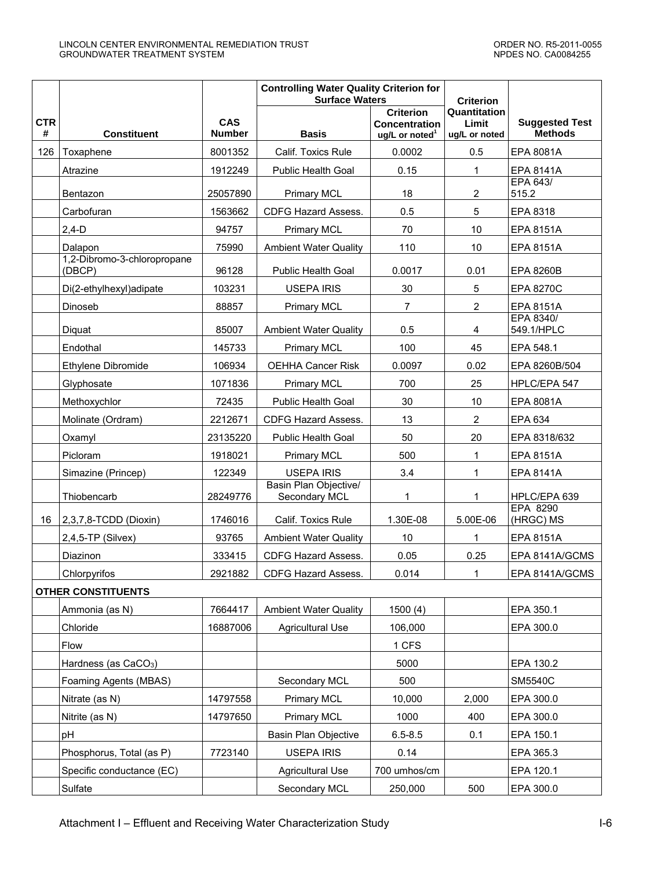|                 |                                       |                             | <b>Controlling Water Quality Criterion for</b><br><b>Surface Waters</b> | <b>Criterion</b>                                                       |                                        |                                         |
|-----------------|---------------------------------------|-----------------------------|-------------------------------------------------------------------------|------------------------------------------------------------------------|----------------------------------------|-----------------------------------------|
| <b>CTR</b><br># | <b>Constituent</b>                    | <b>CAS</b><br><b>Number</b> | <b>Basis</b>                                                            | <b>Criterion</b><br><b>Concentration</b><br>ug/L or noted <sup>1</sup> | Quantitation<br>Limit<br>ug/L or noted | <b>Suggested Test</b><br><b>Methods</b> |
| 126             | Toxaphene                             | 8001352                     | Calif. Toxics Rule                                                      | 0.0002                                                                 | 0.5                                    | EPA 8081A                               |
|                 | Atrazine                              | 1912249                     | Public Health Goal                                                      | 0.15                                                                   | $\mathbf{1}$                           | <b>EPA 8141A</b>                        |
|                 | Bentazon                              | 25057890                    | <b>Primary MCL</b>                                                      | 18                                                                     | $\overline{2}$                         | <b>EPA 643/</b><br>515.2                |
|                 | Carbofuran                            | 1563662                     | CDFG Hazard Assess.                                                     | 0.5                                                                    | 5                                      | EPA 8318                                |
|                 | $2,4-D$                               | 94757                       | <b>Primary MCL</b>                                                      | 70                                                                     | 10                                     | <b>EPA 8151A</b>                        |
|                 | Dalapon                               | 75990                       | <b>Ambient Water Quality</b>                                            | 110                                                                    | 10                                     | <b>EPA 8151A</b>                        |
|                 | 1,2-Dibromo-3-chloropropane<br>(DBCP) | 96128                       | <b>Public Health Goal</b>                                               | 0.0017                                                                 | 0.01                                   | <b>EPA 8260B</b>                        |
|                 | Di(2-ethylhexyl)adipate               | 103231                      | <b>USEPA IRIS</b>                                                       | 30                                                                     | $\sqrt{5}$                             | <b>EPA 8270C</b>                        |
|                 | Dinoseb                               | 88857                       | <b>Primary MCL</b>                                                      | $\overline{7}$                                                         | $\overline{2}$                         | <b>EPA 8151A</b>                        |
|                 | Diquat                                | 85007                       | <b>Ambient Water Quality</b>                                            | 0.5                                                                    | 4                                      | EPA 8340/<br>549.1/HPLC                 |
|                 | Endothal                              | 145733                      | <b>Primary MCL</b>                                                      | 100                                                                    | 45                                     | EPA 548.1                               |
|                 | Ethylene Dibromide                    | 106934                      | <b>OEHHA Cancer Risk</b>                                                | 0.0097                                                                 | 0.02                                   | EPA 8260B/504                           |
|                 | Glyphosate                            | 1071836                     | <b>Primary MCL</b>                                                      | 700                                                                    | 25                                     | HPLC/EPA 547                            |
|                 | Methoxychlor                          | 72435                       | <b>Public Health Goal</b>                                               | 30                                                                     | 10                                     | EPA 8081A                               |
|                 | Molinate (Ordram)                     | 2212671                     | CDFG Hazard Assess.                                                     | 13                                                                     | $\overline{2}$                         | EPA 634                                 |
|                 | Oxamyl                                | 23135220                    | Public Health Goal                                                      | 50                                                                     | 20                                     | EPA 8318/632                            |
|                 | Picloram                              | 1918021                     | <b>Primary MCL</b>                                                      | 500                                                                    | 1                                      | <b>EPA 8151A</b>                        |
|                 | Simazine (Princep)                    | 122349                      | <b>USEPA IRIS</b>                                                       | 3.4                                                                    | 1                                      | EPA 8141A                               |
|                 | Thiobencarb                           | 28249776                    | Basin Plan Objective/<br>Secondary MCL                                  | 1                                                                      | 1                                      | HPLC/EPA 639                            |
| 16              | 2,3,7,8-TCDD (Dioxin)                 | 1746016                     | Calif. Toxics Rule                                                      | 1.30E-08                                                               | 5.00E-06                               | EPA 8290<br>(HRGC) MS                   |
|                 | $2,4,5$ -TP (Silvex)                  | 93765                       | <b>Ambient Water Quality</b>                                            | 10                                                                     | $\mathbf{1}$                           | <b>EPA 8151A</b>                        |
|                 | Diazinon                              | 333415                      | CDFG Hazard Assess.                                                     | 0.05                                                                   | 0.25                                   | EPA 8141A/GCMS                          |
|                 | Chlorpyrifos                          | 2921882                     | CDFG Hazard Assess.                                                     | 0.014                                                                  | 1                                      | EPA 8141A/GCMS                          |
|                 | <b>OTHER CONSTITUENTS</b>             |                             |                                                                         |                                                                        |                                        |                                         |
|                 | Ammonia (as N)                        | 7664417                     | <b>Ambient Water Quality</b>                                            | 1500(4)                                                                |                                        | EPA 350.1                               |
|                 | Chloride                              | 16887006                    | <b>Agricultural Use</b>                                                 | 106,000                                                                |                                        | EPA 300.0                               |
|                 | Flow                                  |                             |                                                                         | 1 CFS                                                                  |                                        |                                         |
|                 | Hardness (as CaCO <sub>3</sub> )      |                             |                                                                         | 5000                                                                   |                                        | EPA 130.2                               |
|                 | Foaming Agents (MBAS)                 |                             | Secondary MCL                                                           | 500                                                                    |                                        | <b>SM5540C</b>                          |
|                 | Nitrate (as N)                        | 14797558                    | <b>Primary MCL</b>                                                      | 10,000                                                                 | 2,000                                  | EPA 300.0                               |
|                 | Nitrite (as N)                        | 14797650                    | <b>Primary MCL</b>                                                      | 1000                                                                   | 400                                    | EPA 300.0                               |
|                 | рH                                    |                             | Basin Plan Objective                                                    | $6.5 - 8.5$                                                            | 0.1                                    | EPA 150.1                               |
|                 | Phosphorus, Total (as P)              | 7723140                     | <b>USEPA IRIS</b>                                                       | 0.14                                                                   |                                        | EPA 365.3                               |
|                 | Specific conductance (EC)             |                             | <b>Agricultural Use</b>                                                 | 700 umhos/cm                                                           |                                        | EPA 120.1                               |
|                 | Sulfate                               |                             | Secondary MCL                                                           | 250,000                                                                | 500                                    | EPA 300.0                               |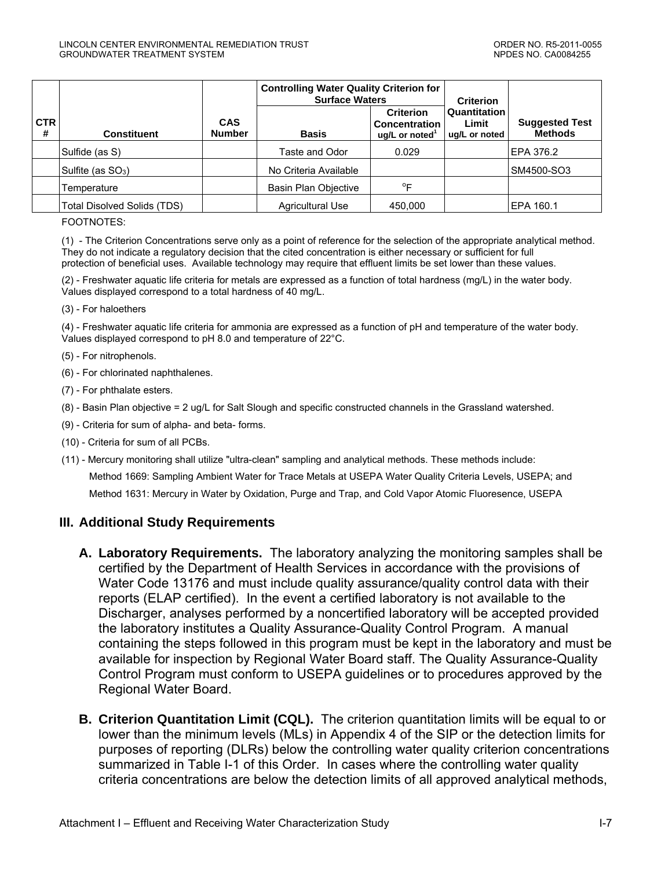|                 |                                    |                             | <b>Controlling Water Quality Criterion for</b><br><b>Surface Waters</b> |                                                                          | <b>Criterion</b>                       |                                         |
|-----------------|------------------------------------|-----------------------------|-------------------------------------------------------------------------|--------------------------------------------------------------------------|----------------------------------------|-----------------------------------------|
| <b>CTR</b><br># | <b>Constituent</b>                 | <b>CAS</b><br><b>Number</b> | <b>Basis</b>                                                            | <b>Criterion</b><br><b>Concentration</b><br>$uq/L$ or noted <sup>1</sup> | Quantitation<br>Limit<br>ug/L or noted | <b>Suggested Test</b><br><b>Methods</b> |
|                 | Sulfide (as S)                     |                             | Taste and Odor                                                          | 0.029                                                                    |                                        | EPA 376.2                               |
|                 | Sulfite (as $SO_3$ )               |                             | No Criteria Available                                                   |                                                                          |                                        | SM4500-SO3                              |
|                 | Temperature                        |                             | Basin Plan Objective                                                    | $^{\circ}$ F                                                             |                                        |                                         |
|                 | <b>Total Disolved Solids (TDS)</b> |                             | <b>Agricultural Use</b>                                                 | 450,000                                                                  |                                        | EPA 160.1                               |

#### FOOTNOTES:

(1) - The Criterion Concentrations serve only as a point of reference for the selection of the appropriate analytical method. They do not indicate a regulatory decision that the cited concentration is either necessary or sufficient for full protection of beneficial uses. Available technology may require that effluent limits be set lower than these values.

(2) - Freshwater aquatic life criteria for metals are expressed as a function of total hardness (mg/L) in the water body. Values displayed correspond to a total hardness of 40 mg/L.

(3) - For haloethers

(4) - Freshwater aquatic life criteria for ammonia are expressed as a function of pH and temperature of the water body. Values displayed correspond to pH 8.0 and temperature of 22°C.

- (5) For nitrophenols.
- (6) For chlorinated naphthalenes.
- (7) For phthalate esters.
- (8) Basin Plan objective = 2 ug/L for Salt Slough and specific constructed channels in the Grassland watershed.
- (9) Criteria for sum of alpha- and beta- forms.
- (10) Criteria for sum of all PCBs.
- (11) Mercury monitoring shall utilize "ultra-clean" sampling and analytical methods. These methods include: Method 1669: Sampling Ambient Water for Trace Metals at USEPA Water Quality Criteria Levels, USEPA; and Method 1631: Mercury in Water by Oxidation, Purge and Trap, and Cold Vapor Atomic Fluoresence, USEPA

### **III. Additional Study Requirements**

- **A. Laboratory Requirements.** The laboratory analyzing the monitoring samples shall be certified by the Department of Health Services in accordance with the provisions of Water Code 13176 and must include quality assurance/quality control data with their reports (ELAP certified). In the event a certified laboratory is not available to the Discharger, analyses performed by a noncertified laboratory will be accepted provided the laboratory institutes a Quality Assurance-Quality Control Program. A manual containing the steps followed in this program must be kept in the laboratory and must be available for inspection by Regional Water Board staff. The Quality Assurance-Quality Control Program must conform to USEPA guidelines or to procedures approved by the Regional Water Board.
- **B. Criterion Quantitation Limit (CQL).** The criterion quantitation limits will be equal to or lower than the minimum levels (MLs) in Appendix 4 of the SIP or the detection limits for purposes of reporting (DLRs) below the controlling water quality criterion concentrations summarized in Table I-1 of this Order. In cases where the controlling water quality criteria concentrations are below the detection limits of all approved analytical methods,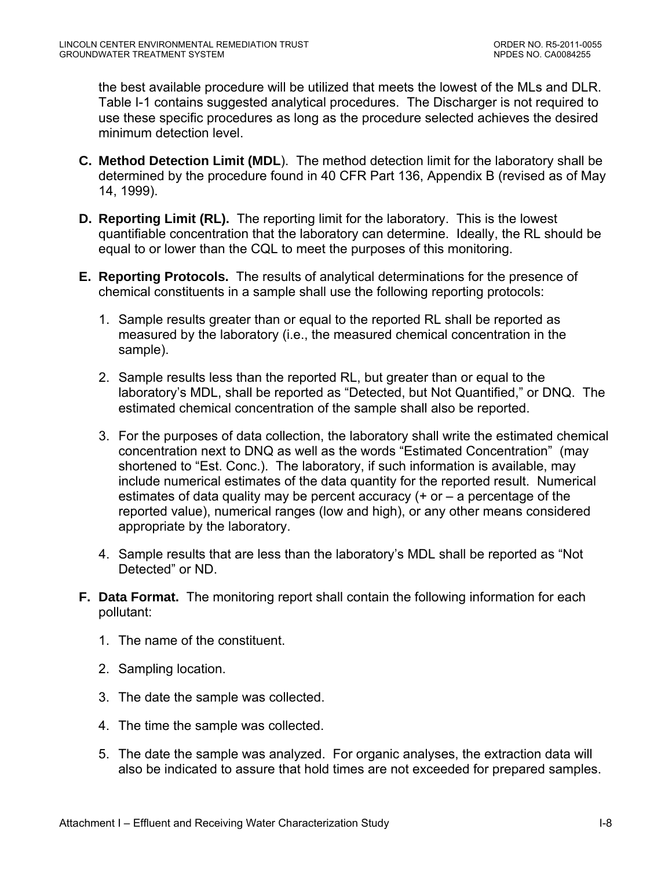the best available procedure will be utilized that meets the lowest of the MLs and DLR. Table I-1 contains suggested analytical procedures. The Discharger is not required to use these specific procedures as long as the procedure selected achieves the desired minimum detection level.

- **C. Method Detection Limit (MDL**). The method detection limit for the laboratory shall be determined by the procedure found in 40 CFR Part 136, Appendix B (revised as of May 14, 1999).
- **D. Reporting Limit (RL).** The reporting limit for the laboratory. This is the lowest quantifiable concentration that the laboratory can determine. Ideally, the RL should be equal to or lower than the CQL to meet the purposes of this monitoring.
- **E. Reporting Protocols.** The results of analytical determinations for the presence of chemical constituents in a sample shall use the following reporting protocols:
	- 1. Sample results greater than or equal to the reported RL shall be reported as measured by the laboratory (i.e., the measured chemical concentration in the sample).
	- 2. Sample results less than the reported RL, but greater than or equal to the laboratory's MDL, shall be reported as "Detected, but Not Quantified," or DNQ. The estimated chemical concentration of the sample shall also be reported.
	- 3. For the purposes of data collection, the laboratory shall write the estimated chemical concentration next to DNQ as well as the words "Estimated Concentration" (may shortened to "Est. Conc.). The laboratory, if such information is available, may include numerical estimates of the data quantity for the reported result. Numerical estimates of data quality may be percent accuracy (+ or – a percentage of the reported value), numerical ranges (low and high), or any other means considered appropriate by the laboratory.
	- 4. Sample results that are less than the laboratory's MDL shall be reported as "Not Detected" or ND.
- **F. Data Format.** The monitoring report shall contain the following information for each pollutant:
	- 1. The name of the constituent.
	- 2. Sampling location.
	- 3. The date the sample was collected.
	- 4. The time the sample was collected.
	- 5. The date the sample was analyzed. For organic analyses, the extraction data will also be indicated to assure that hold times are not exceeded for prepared samples.